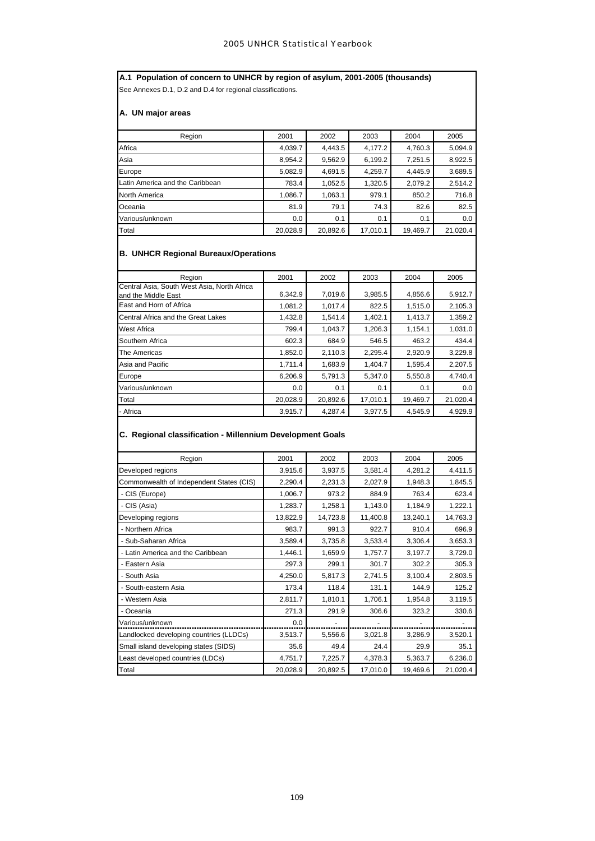**A.1 Population of concern to UNHCR by region of asylum, 2001-2005 (thousands)** See Annexes D.1, D.2 and D.4 for regional classifications.

**A. UN major areas**

| Region                          | 2001     | 2002     | 2003     | 2004     | 2005     |
|---------------------------------|----------|----------|----------|----------|----------|
| Africa                          | 4,039.7  | 4,443.5  | 4,177.2  | 4,760.3  | 5,094.9  |
| Asia                            | 8,954.2  | 9,562.9  | 6,199.2  | 7,251.5  | 8,922.5  |
| Europe                          | 5,082.9  | 4,691.5  | 4,259.7  | 4,445.9  | 3,689.5  |
| Latin America and the Caribbean | 783.4    | 1,052.5  | 1,320.5  | 2,079.2  | 2,514.2  |
| North America                   | 1,086.7  | 1,063.1  | 979.1    | 850.2    | 716.8    |
| Oceania                         | 81.9     | 79.1     | 74.3     | 82.6     | 82.5     |
| Various/unknown                 | 0.0      | 0.1      | 0.1      | 0.1      | 0.0      |
| Total                           | 20.028.9 | 20,892.6 | 17.010.1 | 19,469.7 | 21.020.4 |

# **B. UNHCR Regional Bureaux/Operations**

| Region                                                             | 2001     | 2002     | 2003     | 2004     | 2005     |
|--------------------------------------------------------------------|----------|----------|----------|----------|----------|
| Central Asia, South West Asia, North Africa<br>and the Middle East | 6,342.9  | 7,019.6  | 3,985.5  | 4,856.6  | 5,912.7  |
| East and Horn of Africa                                            | 1.081.2  | 1.017.4  | 822.5    | 1.515.0  | 2,105.3  |
| Central Africa and the Great Lakes                                 | 1,432.8  | 1,541.4  | 1,402.1  | 1,413.7  | 1,359.2  |
| <b>West Africa</b>                                                 | 799.4    | 1,043.7  | 1,206.3  | 1,154.1  | 1,031.0  |
| Southern Africa                                                    | 602.3    | 684.9    | 546.5    | 463.2    | 434.4    |
| The Americas                                                       | 1,852.0  | 2,110.3  | 2,295.4  | 2,920.9  | 3,229.8  |
| Asia and Pacific                                                   | 1.711.4  | 1.683.9  | 1.404.7  | 1.595.4  | 2,207.5  |
| Europe                                                             | 6,206.9  | 5,791.3  | 5,347.0  | 5,550.8  | 4,740.4  |
| Various/unknown                                                    | 0.0      | 0.1      | 0.1      | 0.1      | 0.0      |
| Total                                                              | 20,028.9 | 20,892.6 | 17,010.1 | 19,469.7 | 21,020.4 |
| - Africa                                                           | 3,915.7  | 4,287.4  | 3,977.5  | 4,545.9  | 4,929.9  |

# **C. Regional classification - Millennium Development Goals**

| Region                                   | 2001     | 2002     | 2003     | 2004     | 2005     |
|------------------------------------------|----------|----------|----------|----------|----------|
| Developed regions                        | 3,915.6  | 3,937.5  | 3,581.4  | 4,281.2  | 4,411.5  |
| Commonwealth of Independent States (CIS) | 2,290.4  | 2,231.3  | 2,027.9  | 1,948.3  | 1,845.5  |
| - CIS (Europe)                           | 1,006.7  | 973.2    | 884.9    | 763.4    | 623.4    |
| - CIS (Asia)                             | 1,283.7  | 1,258.1  | 1,143.0  | 1,184.9  | 1,222.1  |
| Developing regions                       | 13,822.9 | 14,723.8 | 11,400.8 | 13,240.1 | 14,763.3 |
| - Northern Africa                        | 983.7    | 991.3    | 922.7    | 910.4    | 696.9    |
| - Sub-Saharan Africa                     | 3,589.4  | 3,735.8  | 3,533.4  | 3,306.4  | 3,653.3  |
| - Latin America and the Caribbean        | 1,446.1  | 1,659.9  | 1,757.7  | 3,197.7  | 3,729.0  |
| - Eastern Asia                           | 297.3    | 299.1    | 301.7    | 302.2    | 305.3    |
| - South Asia                             | 4,250.0  | 5,817.3  | 2,741.5  | 3,100.4  | 2,803.5  |
| - South-eastern Asia                     | 173.4    | 118.4    | 131.1    | 144.9    | 125.2    |
| - Western Asia                           | 2,811.7  | 1,810.1  | 1,706.1  | 1,954.8  | 3,119.5  |
| - Oceania                                | 271.3    | 291.9    | 306.6    | 323.2    | 330.6    |
| Various/unknown                          | 0.0      |          |          |          |          |
| Landlocked developing countries (LLDCs)  | 3,513.7  | 5,556.6  | 3,021.8  | 3,286.9  | 3,520.1  |
| Small island developing states (SIDS)    | 35.6     | 49.4     | 24.4     | 29.9     | 35.1     |
| Least developed countries (LDCs)         | 4,751.7  | 7,225.7  | 4,378.3  | 5,363.7  | 6,236.0  |
| Total                                    | 20,028.9 | 20,892.5 | 17,010.0 | 19,469.6 | 21,020.4 |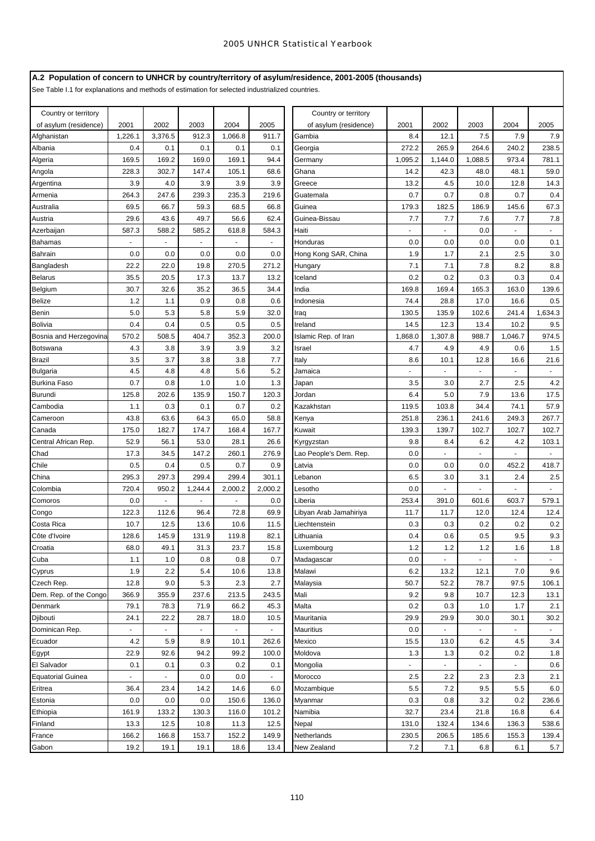# **A.2 Population of concern to UNHCR by country/territory of asylum/residence, 2001-2005 (thousands)**

See Table I.1 for explanations and methods of estimation for selected industrialized countries.

| Country or territory         |                |                |              |                |              | Country or territory   |                 |                |                          |                          |                             |
|------------------------------|----------------|----------------|--------------|----------------|--------------|------------------------|-----------------|----------------|--------------------------|--------------------------|-----------------------------|
| of asylum (residence)        | 2001           | 2002           | 2003         | 2004           | 2005         | of asylum (residence)  | 2001            | 2002           | 2003                     | 2004                     | 2005                        |
| Afghanistan                  | 1,226.1        | 3,376.5        | 912.3        | 1,066.8        | 911.7        | Gambia                 | 8.4             | 12.1           | 7.5                      | 7.9                      | 7.9                         |
| Albania                      | 0.4            | 0.1            | 0.1          | 0.1            | 0.1          | Georgia                | 272.2           | 265.9          | 264.6                    | 240.2                    | 238.5                       |
| Algeria                      | 169.5          | 169.2          | 169.0        | 169.1          | 94.4         | Germany                | 1,095.2<br>14.2 | 1,144.0        | 1,088.5                  | 973.4                    | 781.1                       |
| Angola                       | 228.3          | 302.7          | 147.4        | 105.1          | 68.6         | Ghana                  |                 | 42.3           | 48.0                     | 48.1                     | 59.0                        |
| Argentina                    | 3.9            | 4.0            | 3.9          | 3.9            | 3.9          | Greece                 | 13.2            | 4.5            | 10.0                     | 12.8                     | 14.3                        |
| Armenia                      | 264.3          | 247.6          | 239.3        | 235.3          | 219.6        | Guatemala              | 0.7             | 0.7            | 0.8                      | 0.7                      | 0.4                         |
| Australia                    | 69.5           | 66.7           | 59.3         | 68.5           | 66.8         | Guinea                 | 179.3           | 182.5          | 186.9                    | 145.6                    | 67.3                        |
| Austria                      | 29.6           | 43.6           | 49.7         | 56.6           | 62.4         | Guinea-Bissau          | 7.7             | 7.7            | 7.6                      | 7.7                      | 7.8                         |
| Azerbaijan                   | 587.3          | 588.2          | 585.2        | 618.8          | 584.3        | Haiti                  | ä,              |                | 0.0                      |                          |                             |
| Bahamas                      |                |                |              |                |              | Honduras               | 0.0             | 0.0            | 0.0                      | 0.0                      | 0.1                         |
| Bahrain                      | 0.0            | 0.0            | 0.0          | 0.0            | 0.0          | Hong Kong SAR, China   | 1.9             | 1.7            | 2.1                      | 2.5                      | 3.0                         |
| Bangladesh                   | 22.2           | 22.0           | 19.8         | 270.5          | 271.2        | Hungary                | 7.1             | 7.1            | 7.8                      | 8.2                      | 8.8                         |
| <b>Belarus</b>               | 35.5           | 20.5           | 17.3         | 13.7           | 13.2         | Iceland                | 0.2             | 0.2            | 0.3                      | 0.3                      | 0.4                         |
| Belgium                      | 30.7           | 32.6           | 35.2         | 36.5           | 34.4         | India                  | 169.8           | 169.4          | 165.3                    | 163.0                    | 139.6                       |
| Belize                       | 1.2            | 1.1            | 0.9          | 0.8            | 0.6          | Indonesia              | 74.4            | 28.8           | 17.0                     | 16.6                     | 0.5                         |
| Benin                        | 5.0            | 5.3            | 5.8          | 5.9            | 32.0         | Iraq                   | 130.5           | 135.9          | 102.6                    | 241.4                    | 1,634.3                     |
| Bolivia                      | 0.4            | 0.4            | 0.5          | 0.5            | 0.5          | Ireland                | 14.5            | 12.3           | 13.4                     | 10.2                     | 9.5                         |
| Bosnia and Herzegovina       | 570.2          | 508.5          | 404.7        | 352.3          | 200.0        | Islamic Rep. of Iran   | 1,868.0         | 1,307.8        | 988.7                    | 1,046.7                  | 974.5                       |
| Botswana                     | 4.3            | 3.8            | 3.9          | 3.9            | 3.2          | Israel                 | 4.7             | 4.9            | 4.9                      | 0.6                      | 1.5                         |
| Brazil                       | 3.5            | 3.7            | 3.8          | 3.8            | 7.7          | Italy                  | 8.6             | 10.1           | 12.8                     | 16.6                     | 21.6                        |
| Bulgaria                     | 4.5            | 4.8            | 4.8          | 5.6            | 5.2          | Jamaica                |                 |                |                          |                          |                             |
| Burkina Faso                 | 0.7            | 0.8            | 1.0          | 1.0            | 1.3          | Japan                  | 3.5             | 3.0            | 2.7                      | 2.5                      | 4.2                         |
| Burundi                      | 125.8          | 202.6          | 135.9        | 150.7          | 120.3        | Jordan                 | 6.4             | 5.0            | 7.9                      | 13.6                     | 17.5                        |
| Cambodia                     | 1.1            | 0.3            | 0.1          | 0.7            | 0.2          | Kazakhstan             | 119.5           | 103.8          | 34.4                     | 74.1                     | 57.9                        |
| Cameroon                     | 43.8           | 63.6           | 64.3         | 65.0           | 58.8         | Kenya                  | 251.8           | 236.1          | 241.6                    | 249.3                    | 267.7                       |
| Canada                       | 175.0          | 182.7          | 174.7        | 168.4          | 167.7        | Kuwait                 | 139.3           | 139.7          | 102.7                    | 102.7                    | 102.7                       |
| Central African Rep.<br>Chad | 52.9           | 56.1           | 53.0         | 28.1           | 26.6         | Kyrgyzstan             | 9.8<br>0.0      | 8.4            | 6.2                      | 4.2                      | 103.1                       |
|                              | 17.3           | 34.5<br>0.4    | 147.2        | 260.1<br>0.7   | 276.9        | Lao People's Dem. Rep. | 0.0             |                |                          |                          |                             |
| Chile                        | 0.5<br>295.3   | 297.3          | 0.5<br>299.4 | 299.4          | 0.9<br>301.1 | Latvia                 | 6.5             | 0.0<br>3.0     | 0.0<br>3.1               | 452.2<br>2.4             | 418.7<br>2.5                |
| China<br>Colombia            | 720.4          | 950.2          | 1,244.4      | 2,000.2        | 2,000.2      | Lebanon<br>Lesotho     | 0.0             | ä,             | $\blacksquare$           | L.                       |                             |
| Comoros                      | 0.0            | $\blacksquare$ | ä,           | ÷.             | 0.0          | Liberia                | 253.4           | 391.0          | 601.6                    | 603.7                    | 579.1                       |
| Congo                        | 122.3          | 112.6          | 96.4         | 72.8           | 69.9         | Libyan Arab Jamahiriya | 11.7            | 11.7           | 12.0                     | 12.4                     | 12.4                        |
| Costa Rica                   | 10.7           | 12.5           | 13.6         | 10.6           | 11.5         | Liechtenstein          | 0.3             | 0.3            | 0.2                      | 0.2                      | 0.2                         |
| Côte d'Ivoire                | 128.6          | 145.9          | 131.9        | 119.8          | 82.1         | Lithuania              | 0.4             | 0.6            | 0.5                      | 9.5                      | 9.3                         |
| Croatia                      | 68.0           | 49.1           | 31.3         | 23.7           | 15.8         | Luxembourg             | 1.2             | 1.2            | 1.2                      | 1.6                      | 1.8                         |
| Cuba                         | 1.1            | 1.0            | 0.8          | 0.8            | 0.7          | Madagascar             | 0.0             | $\blacksquare$ | $\overline{\phantom{a}}$ | $\overline{\phantom{a}}$ | $\blacksquare$              |
| Cyprus                       | 1.9            | 2.2            | 5.4          | 10.6           | 13.8         | Malawi                 | 6.2             | 13.2           | 12.1                     | 7.0                      | 9.6                         |
| Czech Rep.                   | 12.8           | 9.0            | 5.3          | 2.3            | 2.7          | Malaysia               | 50.7            | 52.2           | 78.7                     | 97.5                     | 106.1                       |
| Dem. Rep. of the Congo       | 366.9          | 355.9          | 237.6        | 213.5          | 243.5        | Mali                   | 9.2             | 9.8            | 10.7                     | 12.3                     | 13.1                        |
| Denmark                      | 79.1           | 78.3           | 71.9         | 66.2           | 45.3         | Malta                  | 0.2             | 0.3            | 1.0                      | 1.7                      | 2.1                         |
| Djibouti                     | 24.1           | 22.2           | 28.7         | 18.0           | 10.5         | Mauritania             | 29.9            | 29.9           | 30.0                     | 30.1                     | 30.2                        |
| Dominican Rep.               | $\blacksquare$ |                | ÷.           | $\blacksquare$ | $\omega$     | Mauritius              | 0.0             | $\blacksquare$ | $\blacksquare$           | ÷.                       | $\mathcal{L}_{\mathcal{A}}$ |
| Ecuador                      | 4.2            | 5.9            | 8.9          | 10.1           | 262.6        | Mexico                 | 15.5            | 13.0           | 6.2                      | 4.5                      | 3.4                         |
| Egypt                        | 22.9           | 92.6           | 94.2         | 99.2           | 100.0        | Moldova                | 1.3             | 1.3            | 0.2                      | 0.2                      | 1.8                         |
| El Salvador                  | 0.1            | 0.1            | 0.3          | 0.2            | 0.1          | Mongolia               | ä,              | ÷.             | $\blacksquare$           | ÷.                       | 0.6                         |
| <b>Equatorial Guinea</b>     | $\blacksquare$ |                | 0.0          | 0.0            | $\sim$       | Morocco                | 2.5             | 2.2            | 2.3                      | 2.3                      | 2.1                         |
| Eritrea                      | 36.4           | 23.4           | 14.2         | 14.6           | 6.0          | Mozambique             | 5.5             | 7.2            | 9.5                      | 5.5                      | 6.0                         |
| Estonia                      | 0.0            | 0.0            | 0.0          | 150.6          | 136.0        | Myanmar                | 0.3             | 0.8            | 3.2                      | 0.2                      | 236.6                       |
| Ethiopia                     | 161.9          | 133.2          | 130.3        | 116.0          | 101.2        | Namibia                | 32.7            | 23.4           | 21.8                     | 16.8                     | 6.4                         |
| Finland                      | 13.3           | 12.5           | 10.8         | 11.3           | 12.5         | Nepal                  | 131.0           | 132.4          | 134.6                    | 136.3                    | 538.6                       |
| France                       | 166.2          | 166.8          | 153.7        | 152.2          | 149.9        | Netherlands            | 230.5           | 206.5          | 185.6                    | 155.3                    | 139.4                       |
| Gabon                        | 19.2           | 19.1           | 19.1         | 18.6           | 13.4         | New Zealand            | 7.2             | 7.1            | 6.8                      | 6.1                      | 5.7                         |
|                              |                |                |              |                |              |                        |                 |                |                          |                          |                             |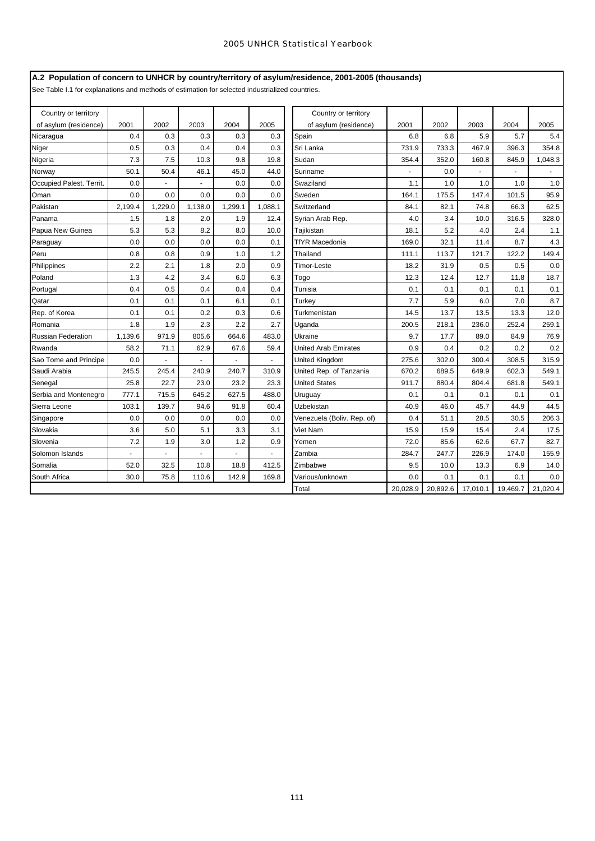# **A.2 Population of concern to UNHCR by country/territory of asylum/residence, 2001-2005 (thousands)**

See Table I.1 for explanations and methods of estimation for selected industrialized countries.

| Country or territory      |         |         |                |         |         | Country or territory        |          |          |          |          |          |
|---------------------------|---------|---------|----------------|---------|---------|-----------------------------|----------|----------|----------|----------|----------|
| of asylum (residence)     | 2001    | 2002    | 2003           | 2004    | 2005    | of asylum (residence)       | 2001     | 2002     | 2003     | 2004     | 2005     |
| Nicaragua                 | 0.4     | 0.3     | 0.3            | 0.3     | 0.3     | Spain                       | 6.8      | 6.8      | 5.9      | 5.7      | 5.4      |
| Niger                     | 0.5     | 0.3     | 0.4            | 0.4     | 0.3     | Sri Lanka                   | 731.9    | 733.3    | 467.9    | 396.3    | 354.8    |
| Nigeria                   | 7.3     | 7.5     | 10.3           | 9.8     | 19.8    | Sudan                       | 354.4    | 352.0    | 160.8    | 845.9    | 1,048.3  |
| Norway                    | 50.1    | 50.4    | 46.1           | 45.0    | 44.0    | Suriname                    |          | 0.0      |          |          |          |
| Occupied Palest. Territ.  | 0.0     |         | $\blacksquare$ | 0.0     | 0.0     | Swaziland                   | 1.1      | 1.0      | 1.0      | 1.0      | 1.0      |
| Oman                      | 0.0     | 0.0     | 0.0            | 0.0     | 0.0     | Sweden                      | 164.1    | 175.5    | 147.4    | 101.5    | 95.9     |
| Pakistan                  | 2,199.4 | 1,229.0 | 1,138.0        | 1,299.1 | 1,088.1 | Switzerland                 | 84.1     | 82.1     | 74.8     | 66.3     | 62.5     |
| Panama                    | 1.5     | 1.8     | 2.0            | 1.9     | 12.4    | Syrian Arab Rep.            | 4.0      | 3.4      | 10.0     | 316.5    | 328.0    |
| Papua New Guinea          | 5.3     | 5.3     | 8.2            | 8.0     | 10.0    | Tajikistan                  | 18.1     | 5.2      | 4.0      | 2.4      | 1.1      |
| Paraguay                  | 0.0     | 0.0     | 0.0            | 0.0     | 0.1     | <b>TfYR Macedonia</b>       | 169.0    | 32.1     | 11.4     | 8.7      | 4.3      |
| Peru                      | 0.8     | 0.8     | 0.9            | 1.0     | 1.2     | Thailand                    | 111.1    | 113.7    | 121.7    | 122.2    | 149.4    |
| Philippines               | 2.2     | 2.1     | 1.8            | 2.0     | 0.9     | Timor-Leste                 | 18.2     | 31.9     | 0.5      | 0.5      | 0.0      |
| Poland                    | 1.3     | 4.2     | 3.4            | 6.0     | 6.3     | Togo                        | 12.3     | 12.4     | 12.7     | 11.8     | 18.7     |
| Portugal                  | 0.4     | 0.5     | 0.4            | 0.4     | 0.4     | Tunisia                     | 0.1      | 0.1      | 0.1      | 0.1      | 0.1      |
| Qatar                     | 0.1     | 0.1     | 0.1            | 6.1     | 0.1     | Turkey                      | 7.7      | 5.9      | 6.0      | 7.0      | 8.7      |
| Rep. of Korea             | 0.1     | 0.1     | 0.2            | 0.3     | 0.6     | Turkmenistan                | 14.5     | 13.7     | 13.5     | 13.3     | 12.0     |
| Romania                   | 1.8     | 1.9     | 2.3            | 2.2     | 2.7     | Uganda                      | 200.5    | 218.1    | 236.0    | 252.4    | 259.1    |
| <b>Russian Federation</b> | 1,139.6 | 971.9   | 805.6          | 664.6   | 483.0   | Ukraine                     | 9.7      | 17.7     | 89.0     | 84.9     | 76.9     |
| Rwanda                    | 58.2    | 71.1    | 62.9           | 67.6    | 59.4    | <b>United Arab Emirates</b> | 0.9      | 0.4      | 0.2      | 0.2      | 0.2      |
| Sao Tome and Principe     | 0.0     |         |                |         |         | <b>United Kingdom</b>       | 275.6    | 302.0    | 300.4    | 308.5    | 315.9    |
| Saudi Arabia              | 245.5   | 245.4   | 240.9          | 240.7   | 310.9   | United Rep. of Tanzania     | 670.2    | 689.5    | 649.9    | 602.3    | 549.1    |
| Senegal                   | 25.8    | 22.7    | 23.0           | 23.2    | 23.3    | <b>United States</b>        | 911.7    | 880.4    | 804.4    | 681.8    | 549.1    |
| Serbia and Montenegro     | 777.1   | 715.5   | 645.2          | 627.5   | 488.0   | Uruguay                     | 0.1      | 0.1      | 0.1      | 0.1      | 0.1      |
| Sierra Leone              | 103.1   | 139.7   | 94.6           | 91.8    | 60.4    | Uzbekistan                  | 40.9     | 46.0     | 45.7     | 44.9     | 44.5     |
| Singapore                 | 0.0     | 0.0     | 0.0            | 0.0     | 0.0     | Venezuela (Boliv. Rep. of)  | 0.4      | 51.1     | 28.5     | 30.5     | 206.3    |
| Slovakia                  | 3.6     | 5.0     | 5.1            | 3.3     | 3.1     | Viet Nam                    | 15.9     | 15.9     | 15.4     | 2.4      | 17.5     |
| Slovenia                  | 7.2     | 1.9     | 3.0            | 1.2     | 0.9     | Yemen                       | 72.0     | 85.6     | 62.6     | 67.7     | 82.7     |
| Solomon Islands           |         |         |                |         |         | Zambia                      | 284.7    | 247.7    | 226.9    | 174.0    | 155.9    |
| Somalia                   | 52.0    | 32.5    | 10.8           | 18.8    | 412.5   | Zimbabwe                    | 9.5      | 10.0     | 13.3     | 6.9      | 14.0     |
| South Africa              | 30.0    | 75.8    | 110.6          | 142.9   | 169.8   | Various/unknown             | 0.0      | 0.1      | 0.1      | 0.1      | 0.0      |
|                           |         |         |                |         |         | Total                       | 20.028.9 | 20.892.6 | 17.010.1 | 19.469.7 | 21.020.4 |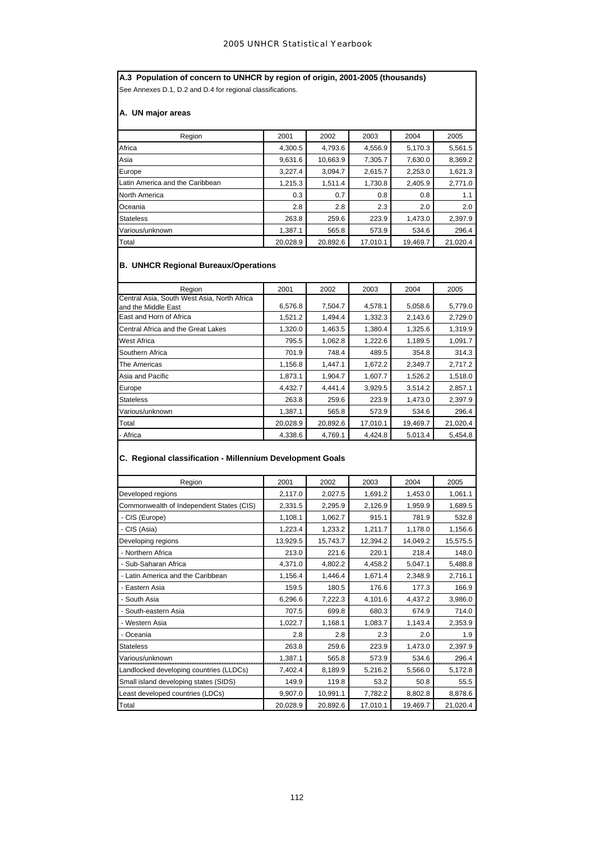**A.3 Population of concern to UNHCR by region of origin, 2001-2005 (thousands)** See Annexes D.1, D.2 and D.4 for regional classifications.

# **A. UN major areas**

| Region                          | 2001     | 2002     | 2003     | 2004     | 2005     |
|---------------------------------|----------|----------|----------|----------|----------|
| Africa                          | 4,300.5  | 4,793.6  | 4,556.9  | 5,170.3  | 5,561.5  |
| Asia                            | 9,631.6  | 10,663.9 | 7,305.7  | 7,630.0  | 8,369.2  |
| Europe                          | 3,227.4  | 3,094.7  | 2,615.7  | 2,253.0  | 1,621.3  |
| Latin America and the Caribbean | 1,215.3  | 1,511.4  | 1,730.8  | 2,405.9  | 2,771.0  |
| North America                   | 0.3      | 0.7      | 0.8      | 0.8      | 1.1      |
| Oceania                         | 2.8      | 2.8      | 2.3      | 2.0      | 2.0      |
| <b>Stateless</b>                | 263.8    | 259.6    | 223.9    | 1,473.0  | 2,397.9  |
| Various/unknown                 | 1,387.1  | 565.8    | 573.9    | 534.6    | 296.4    |
| Total                           | 20,028.9 | 20,892.6 | 17,010.1 | 19,469.7 | 21,020.4 |

# **B. UNHCR Regional Bureaux/Operations**

| Region                                      | 2001     | 2002     | 2003     | 2004     | 2005     |
|---------------------------------------------|----------|----------|----------|----------|----------|
| Central Asia, South West Asia, North Africa |          |          |          |          |          |
| and the Middle East                         | 6,576.8  | 7,504.7  | 4,578.1  | 5,058.6  | 5,779.0  |
| East and Horn of Africa                     | 1,521.2  | 1,494.4  | 1,332.3  | 2,143.6  | 2,729.0  |
| Central Africa and the Great Lakes          | 1,320.0  | 1,463.5  | 1,380.4  | 1,325.6  | 1,319.9  |
| <b>West Africa</b>                          | 795.5    | 1,062.8  | 1,222.6  | 1,189.5  | 1,091.7  |
| Southern Africa                             | 701.9    | 748.4    | 489.5    | 354.8    | 314.3    |
| The Americas                                | 1,156.8  | 1.447.1  | 1,672.2  | 2,349.7  | 2,717.2  |
| Asia and Pacific                            | 1,873.1  | 1,904.7  | 1,607.7  | 1,526.2  | 1,518.0  |
| Europe                                      | 4,432.7  | 4,441.4  | 3,929.5  | 3,514.2  | 2,857.1  |
| <b>Stateless</b>                            | 263.8    | 259.6    | 223.9    | 1,473.0  | 2,397.9  |
| Various/unknown                             | 1,387.1  | 565.8    | 573.9    | 534.6    | 296.4    |
| Total                                       | 20,028.9 | 20,892.6 | 17,010.1 | 19,469.7 | 21,020.4 |
| - Africa                                    | 4,338.6  | 4,769.1  | 4,424.8  | 5,013.4  | 5,454.8  |
|                                             |          |          |          |          |          |

# **C. Regional classification - Millennium Development Goals**

| Region                                   | 2001     | 2002     | 2003     | 2004     | 2005     |
|------------------------------------------|----------|----------|----------|----------|----------|
| Developed regions                        | 2,117.0  | 2,027.5  | 1,691.2  | 1,453.0  | 1,061.1  |
| Commonwealth of Independent States (CIS) | 2,331.5  | 2,295.9  | 2,126.9  | 1,959.9  | 1,689.5  |
| - CIS (Europe)                           | 1,108.1  | 1,062.7  | 915.1    | 781.9    | 532.8    |
| - CIS (Asia)                             | 1,223.4  | 1,233.2  | 1,211.7  | 1,178.0  | 1,156.6  |
| Developing regions                       | 13,929.5 | 15,743.7 | 12,394.2 | 14,049.2 | 15,575.5 |
| - Northern Africa                        | 213.0    | 221.6    | 220.1    | 218.4    | 148.0    |
| - Sub-Saharan Africa                     | 4,371.0  | 4,802.2  | 4,458.2  | 5,047.1  | 5,488.8  |
| - Latin America and the Caribbean        | 1,156.4  | 1,446.4  | 1,671.4  | 2,348.9  | 2,716.1  |
| - Eastern Asia                           | 159.5    | 180.5    | 176.6    | 177.3    | 166.9    |
| - South Asia                             | 6,296.6  | 7,222.3  | 4,101.6  | 4.437.2  | 3,986.0  |
| - South-eastern Asia                     | 707.5    | 699.8    | 680.3    | 674.9    | 714.0    |
| - Western Asia                           | 1,022.7  | 1,168.1  | 1,083.7  | 1,143.4  | 2,353.9  |
| - Oceania                                | 2.8      | 2.8      | 2.3      | 2.0      | 1.9      |
| <b>Stateless</b>                         | 263.8    | 259.6    | 223.9    | 1,473.0  | 2,397.9  |
| Various/unknown                          | 1,387.1  | 565.8    | 573.9    | 534.6    | 296.4    |
| Landlocked developing countries (LLDCs)  | 7,402.4  | 8,189.9  | 5,216.2  | 5,566.0  | 5,172.8  |
| Small island developing states (SIDS)    | 149.9    | 119.8    | 53.2     | 50.8     | 55.5     |
| Least developed countries (LDCs)         | 9,907.0  | 10,991.1 | 7,782.2  | 8,802.8  | 8,878.6  |
| Total                                    | 20,028.9 | 20,892.6 | 17,010.1 | 19,469.7 | 21,020.4 |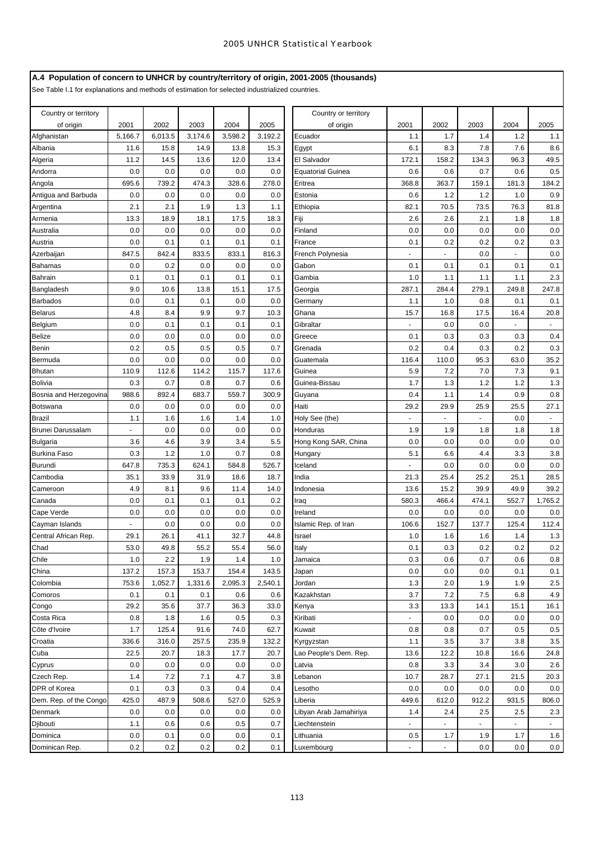# **A.4 Population of concern to UNHCR by country/territory of origin, 2001-2005 (thousands)**

See Table I.1 for explanations and methods of estimation for selected industrialized countries.

| Country or territory   |         |         |         |         |         | Country or territory     |                |                |                |                |              |
|------------------------|---------|---------|---------|---------|---------|--------------------------|----------------|----------------|----------------|----------------|--------------|
| of origin              | 2001    | 2002    | 2003    | 2004    | 2005    | of origin                | 2001           | 2002           | 2003           | 2004           | 2005         |
| Afghanistan            | 5,166.7 | 6,013.5 | 3,174.6 | 3,598.2 | 3,192.2 | Ecuador                  | 1.1            | 1.7            | 1.4            | 1.2            | 1.1          |
| Albania                | 11.6    | 15.8    | 14.9    | 13.8    | 15.3    | Egypt                    | 6.1            | 8.3            | 7.8            | 7.6            | 8.6          |
| Algeria                | 11.2    | 14.5    | 13.6    | 12.0    | 13.4    | El Salvador              | 172.1          | 158.2          | 134.3          | 96.3           | 49.5         |
| Andorra                | 0.0     | 0.0     | 0.0     | 0.0     | 0.0     | <b>Equatorial Guinea</b> | 0.6            | 0.6            | 0.7            | 0.6            | 0.5          |
| Angola                 | 695.6   | 739.2   | 474.3   | 328.6   | 278.0   | Eritrea                  | 368.8          | 363.7          | 159.1          | 181.3          | 184.2        |
| Antigua and Barbuda    | 0.0     | 0.0     | 0.0     | 0.0     | 0.0     | Estonia                  | 0.6            | 1.2            | 1.2            | 1.0            | 0.9          |
| Argentina              | 2.1     | 2.1     | 1.9     | 1.3     | 1.1     | Ethiopia                 | 82.1           | 70.5           | 73.5           | 76.3           | 81.8         |
| Armenia                | 13.3    | 18.9    | 18.1    | 17.5    | 18.3    | Fiji                     | 2.6            | 2.6            | 2.1            | 1.8            | 1.8          |
| Australia              | 0.0     | 0.0     | 0.0     | 0.0     | 0.0     | Finland                  | 0.0            | 0.0            | 0.0            | 0.0            | 0.0          |
| Austria                | 0.0     | 0.1     | 0.1     | 0.1     | 0.1     | France                   | 0.1            | 0.2            | 0.2            | 0.2            | 0.3          |
| Azerbaijan             | 847.5   | 842.4   | 833.5   | 833.1   | 816.3   | French Polynesia         |                |                | 0.0            |                | 0.0          |
| Bahamas                | 0.0     | 0.2     | 0.0     | 0.0     | 0.0     | Gabon                    | 0.1            | 0.1            | 0.1            | 0.1            | 0.1          |
| <b>Bahrain</b>         | 0.1     | 0.1     | 0.1     | 0.1     | 0.1     | Gambia                   | 1.0            | 1.1            | 1.1            | 1.1            | 2.3          |
| Bangladesh             | 9.0     | 10.6    | 13.8    | 15.1    | 17.5    | Georgia                  | 287.1          | 284.4          | 279.1          | 249.8          | 247.8        |
| <b>Barbados</b>        | 0.0     | 0.1     | 0.1     | 0.0     | 0.0     | Germany                  | 1.1            | 1.0            | 0.8            | 0.1            | 0.1          |
| <b>Belarus</b>         | 4.8     | 8.4     | 9.9     | 9.7     | 10.3    | Ghana                    | 15.7           | 16.8           | 17.5           | 16.4           | 20.8         |
| Belgium                | 0.0     | 0.1     | 0.1     | 0.1     | 0.1     | Gibraltar                |                | 0.0            | 0.0            |                |              |
| <b>Belize</b>          | 0.0     | 0.0     | 0.0     | 0.0     | 0.0     | Greece                   | 0.1            | 0.3            | 0.3            | 0.3            | 0.4          |
| Benin                  | 0.2     | 0.5     | 0.5     | 0.5     | 0.7     | Grenada                  | 0.2            | 0.4            | 0.3            | 0.2            | 0.3          |
| Bermuda                | 0.0     | 0.0     | 0.0     | 0.0     | 0.0     | Guatemala                | 116.4          | 110.0          | 95.3           | 63.0           | 35.2         |
| <b>Bhutan</b>          | 110.9   | 112.6   | 114.2   | 115.7   | 117.6   | Guinea                   | 5.9            | 7.2            | 7.0            | 7.3            | 9.1          |
| <b>Bolivia</b>         | 0.3     | 0.7     | 0.8     | 0.7     | 0.6     | Guinea-Bissau            | 1.7            | 1.3            | 1.2            | 1.2            | 1.3          |
| Bosnia and Herzegovina | 988.6   | 892.4   | 683.7   | 559.7   | 300.9   | Guyana                   | 0.4            | 1.1            | 1.4            | 0.9            | 0.8          |
| <b>Botswana</b>        | 0.0     | 0.0     | 0.0     | 0.0     | 0.0     | Haiti                    | 29.2           | 29.9           | 25.9           | 25.5           | 27.1         |
| <b>Brazil</b>          | 1.1     | 1.6     | 1.6     | 1.4     | 1.0     | Holy See (the)           | ÷,             | $\blacksquare$ | ä,             | 0.0            | $\mathbf{r}$ |
| Brunei Darussalam      |         | 0.0     | 0.0     | 0.0     | 0.0     | Honduras                 | 1.9            | 1.9            | 1.8            | 1.8            | 1.8          |
| Bulgaria               | 3.6     | 4.6     | 3.9     | 3.4     | 5.5     | Hong Kong SAR, China     | 0.0            | 0.0            | 0.0            | 0.0            | 0.0          |
| <b>Burkina Faso</b>    | 0.3     | 1.2     | 1.0     | 0.7     | 0.8     | Hungary                  | 5.1            | 6.6            | 4.4            | 3.3            | 3.8          |
| <b>Burundi</b>         | 647.8   | 735.3   | 624.1   | 584.8   | 526.7   | Iceland                  | ä,             | 0.0            | 0.0            | 0.0            | 0.0          |
| Cambodia               | 35.1    | 33.9    | 31.9    | 18.6    | 18.7    | India                    | 21.3           | 25.4           | 25.2           | 25.1           | 28.5         |
| Cameroon               | 4.9     | 8.1     | 9.6     | 11.4    | 14.0    | Indonesia                | 13.6           | 15.2           | 39.9           | 49.9           | 39.2         |
| Canada                 | 0.0     | 0.1     | 0.1     | 0.1     | 0.2     | Iraq                     | 580.3          | 466.4          | 474.1          | 552.7          | 1,765.2      |
| Cape Verde             | 0.0     | 0.0     | 0.0     | 0.0     | 0.0     | Ireland                  | 0.0            | 0.0            | 0.0            | 0.0            | 0.0          |
| Cayman Islands         |         | 0.0     | 0.0     | 0.0     | 0.0     | Islamic Rep. of Iran     | 106.6          | 152.7          | 137.7          | 125.4          | 112.4        |
| Central African Rep.   | 29.1    | 26.1    | 41.1    | 32.7    | 44.8    | Israel                   | 1.0            | 1.6            | 1.6            | 1.4            | 1.3          |
| Chad                   | 53.0    | 49.8    | 55.2    | 55.4    | 56.0    | Italy                    | 0.1            | 0.3            | 0.2            | 0.2            | 0.2          |
| Chile                  | 1.0     | 2.2     | 1.9     | 1.4     | 1.0     | Jamaica                  | 0.3            | 0.6            | 0.7            | 0.6            | 0.8          |
| China                  | 137.2   | 157.3   | 153.7   | 154.4   | 143.5   | Japan                    | 0.0            | 0.0            | 0.0            | 0.1            | 0.1          |
| Colombia               | 753.6   | 1,052.7 | 1,331.6 | 2,095.3 | 2,540.1 | Jordan                   | 1.3            | 2.0            | 1.9            | 1.9            | 2.5          |
| Comoros                | 0.1     | 0.1     | 0.1     | 0.6     | 0.6     | Kazakhstan               | 3.7            | 7.2            | 7.5            | 6.8            | 4.9          |
| Congo                  | 29.2    | 35.6    | 37.7    | 36.3    | 33.0    | Kenya                    | 3.3            | 13.3           | 14.1           | 15.1           | 16.1         |
| Costa Rica             | 0.8     | 1.8     | 1.6     | 0.5     | 0.3     | Kiribati                 |                | 0.0            | 0.0            | 0.0            | 0.0          |
| Côte d'Ivoire          | 1.7     | 125.4   | 91.6    | 74.0    | 62.7    | Kuwait                   | 0.8            | 0.8            | 0.7            | 0.5            | 0.5          |
| Croatia                | 336.6   | 316.0   | 257.5   | 235.9   | 132.2   | Kyrgyzstan               | 1.1            | 3.5            | 3.7            | 3.8            | 3.5          |
| Cuba                   | 22.5    | 20.7    | 18.3    | 17.7    | 20.7    | Lao People's Dem. Rep.   | 13.6           | 12.2           | 10.8           | 16.6           | 24.8         |
| Cyprus                 | 0.0     | 0.0     | 0.0     | 0.0     | 0.0     | Latvia                   | 0.8            | 3.3            | 3.4            | 3.0            | 2.6          |
| Czech Rep.             | 1.4     | 7.2     | 7.1     | 4.7     | 3.8     | Lebanon                  | 10.7           | 28.7           | 27.1           | 21.5           | 20.3         |
| DPR of Korea           | 0.1     | 0.3     | 0.3     | 0.4     | 0.4     | Lesotho                  | 0.0            | 0.0            | 0.0            | 0.0            | 0.0          |
| Dem. Rep. of the Congo | 425.0   | 487.9   | 508.6   | 527.0   | 525.9   | Liberia                  | 449.6          | 612.0          | 912.2          | 931.5          | 806.0        |
| Denmark                | 0.0     | 0.0     | 0.0     | 0.0     | 0.0     | Libyan Arab Jamahiriya   | 1.4            | 2.4            | 2.5            | 2.5            | 2.3          |
| Djibouti               | 1.1     | 0.6     | 0.6     | 0.5     | 0.7     | Liechtenstein            | ä,             | $\blacksquare$ | $\blacksquare$ | $\blacksquare$ | $\sim$       |
| Dominica               | 0.0     | 0.1     | 0.0     | 0.0     | 0.1     | Lithuania                | 0.5            | 1.7            | 1.9            | 1.7            | 1.6          |
| Dominican Rep.         | 0.2     | 0.2     | 0.2     | 0.2     | 0.1     | Luxembourg               | $\blacksquare$ | $\blacksquare$ | 0.0            | 0.0            | 0.0          |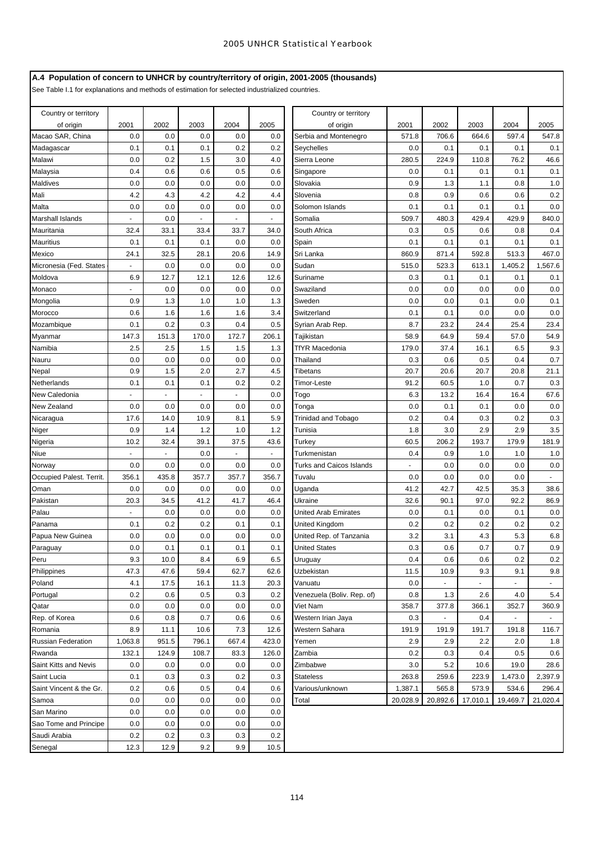# **A.4 Population of concern to UNHCR by country/territory of origin, 2001-2005 (thousands)**

See Table I.1 for explanations and methods of estimation for selected industrialized countries.

| 2001<br>2002<br>2003<br>2004<br>2005<br>2001<br>2002<br>2003<br>2004<br>2005<br>of origin<br>of origin<br>Macao SAR, China<br>0.0<br>0.0<br>0.0<br>0.0<br>0.0<br>Serbia and Montenegro<br>571.8<br>706.6<br>664.6<br>597.4<br>547.8<br>0.0<br>Madagascar<br>0.1<br>0.1<br>0.1<br>0.2<br>0.2<br>Seychelles<br>0.1<br>0.1<br>0.1<br>0.1<br>0.2<br>3.0<br>280.5<br>46.6<br>Malawi<br>0.0<br>1.5<br>4.0<br>Sierra Leone<br>224.9<br>110.8<br>76.2<br>0.6<br>0.6<br>0.5<br>0.6<br>0.0<br>0.1<br>0.1<br>Malaysia<br>0.4<br>0.1<br>0.1<br>Singapore<br>Maldives<br>0.0<br>0.0<br>0.0<br>0.0<br>0.0<br>0.9<br>1.3<br>1.0<br>Slovakia<br>1.1<br>0.8<br>4.2<br>4.2<br>Mali<br>4.3<br>4.2<br>4.4<br>0.8<br>0.9<br>0.6<br>0.2<br>Slovenia<br>0.6<br>0.0<br>0.0<br>0.0<br>0.0<br>0.0<br>0.1<br>0.1<br>0.1<br>0.0<br>Malta<br>Solomon Islands<br>0.1<br>509.7<br>429.4<br>429.9<br>840.0<br>Marshall Islands<br>0.0<br>Somalia<br>480.3<br>$\blacksquare$<br>Mauritania<br>32.4<br>33.1<br>33.4<br>33.7<br>34.0<br>South Africa<br>0.3<br>0.5<br>0.6<br>0.8<br>0.4<br>0.1<br>0.1<br>0.1<br>0.0<br>0.1<br>0.1<br>0.1<br>0.1<br>0.1<br>Mauritius<br>0.0<br>Spain<br>32.5<br>28.1<br>20.6<br>860.9<br>513.3<br>467.0<br>Mexico<br>24.1<br>14.9<br>Sri Lanka<br>871.4<br>592.8<br>Micronesia (Fed. States<br>0.0<br>0.0<br>0.0<br>0.0<br>515.0<br>523.3<br>613.1<br>1,405.2<br>1,567.6<br>Sudan<br>$\blacksquare$<br>12.7<br>6.9<br>12.1<br>12.6<br>12.6<br>0.3<br>0.1<br>0.1<br>0.1<br>Moldova<br>Suriname<br>0.1<br>0.0<br>0.0<br>0.0<br>0.0<br>0.0<br>0.0<br>0.0<br>0.0<br>0.0<br>Monaco<br>Swaziland<br>1.3<br>1.0<br>0.1<br>0.9<br>1.0<br>1.3<br>Sweden<br>0.0<br>0.0<br>0.1<br>0.0<br>Mongolia<br>0.0<br>0.6<br>1.6<br>1.6<br>1.6<br>3.4<br>Switzerland<br>0.1<br>0.1<br>0.0<br>0.0<br>Morocco<br>0.1<br>0.2<br>0.3<br>0.4<br>0.5<br>8.7<br>23.2<br>25.4<br>23.4<br>Mozambique<br>24.4<br>Syrian Arab Rep.<br>147.3<br>151.3<br>170.0<br>172.7<br>206.1<br>58.9<br>59.4<br>57.0<br>54.9<br>Tajikistan<br>64.9<br>Myanmar<br>2.5<br>9.3<br>2.5<br>1.5<br>1.5<br>1.3<br>179.0<br>37.4<br>16.1<br>6.5<br>Namibia<br>TfYR Macedonia<br>0.7<br>0.0<br>0.0<br>0.0<br>0.0<br>0.0<br>0.3<br>0.6<br>0.5<br>0.4<br>Thailand<br>Nauru<br>0.9<br>2.0<br>2.7<br>20.7<br>20.7<br>21.1<br>1.5<br>4.5<br>20.6<br>20.8<br>Nepal<br>Tibetans<br>0.1<br>0.2<br>Netherlands<br>0.1<br>0.1<br>0.2<br>91.2<br>60.5<br>1.0<br>0.7<br>0.3<br>Timor-Leste<br>6.3<br>16.4<br>67.6<br>0.0<br>13.2<br>16.4<br>New Caledonia<br>Togo<br>ä,<br>$\blacksquare$<br>$\mathbf{r}$<br>ä,<br>0.0<br>0.0<br>0.1<br>0.0<br>New Zealand<br>0.0<br>0.0<br>0.0<br>0.0<br>Tonga<br>0.1<br>0.0<br>14.0<br>10.9<br>8.1<br>5.9<br>0.2<br>0.4<br>0.3<br>0.3<br>Nicaragua<br>17.6<br>Trinidad and Tobago<br>0.2<br>0.9<br>1.4<br>1.2<br>1.0<br>1.2<br>1.8<br>3.0<br>2.9<br>2.9<br>3.5<br>Niger<br>Tunisia<br>32.4<br>39.1<br>37.5<br>60.5<br>206.2<br>193.7<br>179.9<br>181.9<br>Nigeria<br>10.2<br>43.6<br>Turkey<br>1.0<br>Niue<br>0.0<br>Turkmenistan<br>0.4<br>0.9<br>1.0<br>1.0<br>$\overline{\phantom{a}}$<br>$\sim$<br>$\blacksquare$<br>0.0<br>0.0<br>0.0<br>0.0<br>0.0<br>0.0<br>Turks and Caicos Islands<br>0.0<br>0.0<br>0.0<br>Norway<br>356.1<br>435.8<br>357.7<br>357.7<br>356.7<br>0.0<br>0.0<br>Occupied Palest. Territ.<br>Tuvalu<br>0.0<br>0.0<br>0.0<br>0.0<br>41.2<br>42.7<br>42.5<br>35.3<br>38.6<br>Oman<br>0.0<br>0.0<br>0.0<br>Uganda<br>Pakistan<br>20.3<br>34.5<br>41.2<br>41.7<br>46.4<br>32.6<br>90.1<br>97.0<br>92.2<br>86.9<br>Ukraine<br>Palau<br>0.0<br>0.0<br>0.0<br>0.0<br>0.0<br>0.0<br>United Arab Emirates<br>0.1<br>0.0<br>0.1<br>0.2<br>0.1<br>0.2<br>0.2<br>Panama<br>0.1<br>0.2<br>0.1<br>United Kingdom<br>0.2<br>0.2<br>0.2<br>0.0<br>0.0<br>0.0<br>3.2<br>4.3<br>5.3<br>6.8<br>Papua New Guinea<br>0.0<br>0.0<br>United Rep. of Tanzania<br>3.1<br>Paraguay<br>0.0<br>0.1<br>0.1<br>0.1<br>0.1<br>0.3<br>0.6<br>0.7<br>0.7<br>0.9<br><b>United States</b><br>Peru<br>9.3<br>10.0<br>8.4<br>6.9<br>6.5<br>Uruguay<br>0.4<br>0.6<br>0.6<br>0.2<br>0.2<br>47.3<br>47.6<br>59.4<br>62.7<br>62.6<br>Philippines<br>Uzbekistan<br>11.5<br>10.9<br>9.3<br>9.1<br>9.8<br>Poland<br>17.5<br>16.1<br>20.3<br>0.0<br>4.1<br>11.3<br>Vanuatu<br>÷.<br>÷.<br>Portugal<br>0.2<br>0.6<br>0.5<br>0.3<br>0.2<br>Venezuela (Boliv. Rep. of)<br>0.8<br>1.3<br>2.6<br>4.0<br>5.4<br>0.0<br>0.0<br>358.7<br>0.0<br>0.0<br>0.0<br>Viet Nam<br>377.8<br>366.1<br>352.7<br>360.9<br>Qatar<br>0.6<br>0.3<br>Rep. of Korea<br>0.8<br>0.7<br>0.6<br>0.6<br>Western Irian Jaya<br>0.4<br>8.9<br>7.3<br>Romania<br>11.1<br>10.6<br>12.6<br>Western Sahara<br>191.9<br>191.9<br>191.7<br>191.8<br>116.7<br>1,063.8<br>796.1<br>423.0<br>2.9<br>951.5<br>667.4<br>2.9<br>2.2<br>2.0<br>1.8<br><b>Russian Federation</b><br>Yemen<br>132.1<br>124.9<br>108.7<br>83.3<br>126.0<br>0.2<br>0.3<br>0.5<br>0.6<br>Rwanda<br>Zambia<br>0.4<br>Saint Kitts and Nevis<br>0.0<br>0.0<br>0.0<br>0.0<br>0.0<br>3.0<br>5.2<br>10.6<br>19.0<br>28.6<br>Zimbabwe<br>Saint Lucia<br>0.1<br>0.3<br>0.3<br>0.2<br>0.3<br>263.8<br>259.6<br>223.9<br>1,473.0<br>2,397.9<br><b>Stateless</b><br>Saint Vincent & the Gr.<br>0.2<br>0.6<br>0.5<br>0.4<br>0.6<br>Various/unknown<br>1,387.1<br>565.8<br>573.9<br>534.6<br>296.4<br>20,028.9<br>20,892.6<br>Samoa<br>0.0<br>0.0<br>0.0<br>0.0<br>0.0<br>17,010.1<br>19,469.7<br>21,020.4<br>Total<br>San Marino<br>0.0<br>0.0<br>0.0<br>0.0<br>0.0<br>0.0<br>Sao Tome and Principe<br>0.0<br>0.0<br>0.0<br>0.0<br>Saudi Arabia<br>0.2<br>0.2<br>0.3<br>0.3<br>0.2<br>12.3<br>12.9<br>9.2<br>9.9<br>Senegal<br>10.5 | Country or territory |  |  | Country or territory |  |  |  |
|----------------------------------------------------------------------------------------------------------------------------------------------------------------------------------------------------------------------------------------------------------------------------------------------------------------------------------------------------------------------------------------------------------------------------------------------------------------------------------------------------------------------------------------------------------------------------------------------------------------------------------------------------------------------------------------------------------------------------------------------------------------------------------------------------------------------------------------------------------------------------------------------------------------------------------------------------------------------------------------------------------------------------------------------------------------------------------------------------------------------------------------------------------------------------------------------------------------------------------------------------------------------------------------------------------------------------------------------------------------------------------------------------------------------------------------------------------------------------------------------------------------------------------------------------------------------------------------------------------------------------------------------------------------------------------------------------------------------------------------------------------------------------------------------------------------------------------------------------------------------------------------------------------------------------------------------------------------------------------------------------------------------------------------------------------------------------------------------------------------------------------------------------------------------------------------------------------------------------------------------------------------------------------------------------------------------------------------------------------------------------------------------------------------------------------------------------------------------------------------------------------------------------------------------------------------------------------------------------------------------------------------------------------------------------------------------------------------------------------------------------------------------------------------------------------------------------------------------------------------------------------------------------------------------------------------------------------------------------------------------------------------------------------------------------------------------------------------------------------------------------------------------------------------------------------------------------------------------------------------------------------------------------------------------------------------------------------------------------------------------------------------------------------------------------------------------------------------------------------------------------------------------------------------------------------------------------------------------------------------------------------------------------------------------------------------------------------------------------------------------------------------------------------------------------------------------------------------------------------------------------------------------------------------------------------------------------------------------------------------------------------------------------------------------------------------------------------------------------------------------------------------------------------------------------------------------------------------------------------------------------------------------------------------------------------------------------------------------------------------------------------------------------------------------------------------------------------------------------------------------------------------------------------------------------------------------------------------------------------------------------------------------------------------------------------------------------------------------------------------------------------------------------------------------------------------------------------------------------------------------------------------------------------------------------------------------------------------------------------------------------------------------------------------------------------------------------------------------------------------------------------------------------------------------------------------------------------------------------------------------------------------------------------------------------------------------------------------------------------------------------------------------------------------------------------------------------------------------------------------------------------------------------------------------------------------------------------------------|----------------------|--|--|----------------------|--|--|--|
|                                                                                                                                                                                                                                                                                                                                                                                                                                                                                                                                                                                                                                                                                                                                                                                                                                                                                                                                                                                                                                                                                                                                                                                                                                                                                                                                                                                                                                                                                                                                                                                                                                                                                                                                                                                                                                                                                                                                                                                                                                                                                                                                                                                                                                                                                                                                                                                                                                                                                                                                                                                                                                                                                                                                                                                                                                                                                                                                                                                                                                                                                                                                                                                                                                                                                                                                                                                                                                                                                                                                                                                                                                                                                                                                                                                                                                                                                                                                                                                                                                                                                                                                                                                                                                                                                                                                                                                                                                                                                                                                                                                                                                                                                                                                                                                                                                                                                                                                                                                                                                                                                                                                                                                                                                                                                                                                                                                                                                                                                                                                                                                              |                      |  |  |                      |  |  |  |
|                                                                                                                                                                                                                                                                                                                                                                                                                                                                                                                                                                                                                                                                                                                                                                                                                                                                                                                                                                                                                                                                                                                                                                                                                                                                                                                                                                                                                                                                                                                                                                                                                                                                                                                                                                                                                                                                                                                                                                                                                                                                                                                                                                                                                                                                                                                                                                                                                                                                                                                                                                                                                                                                                                                                                                                                                                                                                                                                                                                                                                                                                                                                                                                                                                                                                                                                                                                                                                                                                                                                                                                                                                                                                                                                                                                                                                                                                                                                                                                                                                                                                                                                                                                                                                                                                                                                                                                                                                                                                                                                                                                                                                                                                                                                                                                                                                                                                                                                                                                                                                                                                                                                                                                                                                                                                                                                                                                                                                                                                                                                                                                              |                      |  |  |                      |  |  |  |
|                                                                                                                                                                                                                                                                                                                                                                                                                                                                                                                                                                                                                                                                                                                                                                                                                                                                                                                                                                                                                                                                                                                                                                                                                                                                                                                                                                                                                                                                                                                                                                                                                                                                                                                                                                                                                                                                                                                                                                                                                                                                                                                                                                                                                                                                                                                                                                                                                                                                                                                                                                                                                                                                                                                                                                                                                                                                                                                                                                                                                                                                                                                                                                                                                                                                                                                                                                                                                                                                                                                                                                                                                                                                                                                                                                                                                                                                                                                                                                                                                                                                                                                                                                                                                                                                                                                                                                                                                                                                                                                                                                                                                                                                                                                                                                                                                                                                                                                                                                                                                                                                                                                                                                                                                                                                                                                                                                                                                                                                                                                                                                                              |                      |  |  |                      |  |  |  |
|                                                                                                                                                                                                                                                                                                                                                                                                                                                                                                                                                                                                                                                                                                                                                                                                                                                                                                                                                                                                                                                                                                                                                                                                                                                                                                                                                                                                                                                                                                                                                                                                                                                                                                                                                                                                                                                                                                                                                                                                                                                                                                                                                                                                                                                                                                                                                                                                                                                                                                                                                                                                                                                                                                                                                                                                                                                                                                                                                                                                                                                                                                                                                                                                                                                                                                                                                                                                                                                                                                                                                                                                                                                                                                                                                                                                                                                                                                                                                                                                                                                                                                                                                                                                                                                                                                                                                                                                                                                                                                                                                                                                                                                                                                                                                                                                                                                                                                                                                                                                                                                                                                                                                                                                                                                                                                                                                                                                                                                                                                                                                                                              |                      |  |  |                      |  |  |  |
|                                                                                                                                                                                                                                                                                                                                                                                                                                                                                                                                                                                                                                                                                                                                                                                                                                                                                                                                                                                                                                                                                                                                                                                                                                                                                                                                                                                                                                                                                                                                                                                                                                                                                                                                                                                                                                                                                                                                                                                                                                                                                                                                                                                                                                                                                                                                                                                                                                                                                                                                                                                                                                                                                                                                                                                                                                                                                                                                                                                                                                                                                                                                                                                                                                                                                                                                                                                                                                                                                                                                                                                                                                                                                                                                                                                                                                                                                                                                                                                                                                                                                                                                                                                                                                                                                                                                                                                                                                                                                                                                                                                                                                                                                                                                                                                                                                                                                                                                                                                                                                                                                                                                                                                                                                                                                                                                                                                                                                                                                                                                                                                              |                      |  |  |                      |  |  |  |
|                                                                                                                                                                                                                                                                                                                                                                                                                                                                                                                                                                                                                                                                                                                                                                                                                                                                                                                                                                                                                                                                                                                                                                                                                                                                                                                                                                                                                                                                                                                                                                                                                                                                                                                                                                                                                                                                                                                                                                                                                                                                                                                                                                                                                                                                                                                                                                                                                                                                                                                                                                                                                                                                                                                                                                                                                                                                                                                                                                                                                                                                                                                                                                                                                                                                                                                                                                                                                                                                                                                                                                                                                                                                                                                                                                                                                                                                                                                                                                                                                                                                                                                                                                                                                                                                                                                                                                                                                                                                                                                                                                                                                                                                                                                                                                                                                                                                                                                                                                                                                                                                                                                                                                                                                                                                                                                                                                                                                                                                                                                                                                                              |                      |  |  |                      |  |  |  |
|                                                                                                                                                                                                                                                                                                                                                                                                                                                                                                                                                                                                                                                                                                                                                                                                                                                                                                                                                                                                                                                                                                                                                                                                                                                                                                                                                                                                                                                                                                                                                                                                                                                                                                                                                                                                                                                                                                                                                                                                                                                                                                                                                                                                                                                                                                                                                                                                                                                                                                                                                                                                                                                                                                                                                                                                                                                                                                                                                                                                                                                                                                                                                                                                                                                                                                                                                                                                                                                                                                                                                                                                                                                                                                                                                                                                                                                                                                                                                                                                                                                                                                                                                                                                                                                                                                                                                                                                                                                                                                                                                                                                                                                                                                                                                                                                                                                                                                                                                                                                                                                                                                                                                                                                                                                                                                                                                                                                                                                                                                                                                                                              |                      |  |  |                      |  |  |  |
|                                                                                                                                                                                                                                                                                                                                                                                                                                                                                                                                                                                                                                                                                                                                                                                                                                                                                                                                                                                                                                                                                                                                                                                                                                                                                                                                                                                                                                                                                                                                                                                                                                                                                                                                                                                                                                                                                                                                                                                                                                                                                                                                                                                                                                                                                                                                                                                                                                                                                                                                                                                                                                                                                                                                                                                                                                                                                                                                                                                                                                                                                                                                                                                                                                                                                                                                                                                                                                                                                                                                                                                                                                                                                                                                                                                                                                                                                                                                                                                                                                                                                                                                                                                                                                                                                                                                                                                                                                                                                                                                                                                                                                                                                                                                                                                                                                                                                                                                                                                                                                                                                                                                                                                                                                                                                                                                                                                                                                                                                                                                                                                              |                      |  |  |                      |  |  |  |
|                                                                                                                                                                                                                                                                                                                                                                                                                                                                                                                                                                                                                                                                                                                                                                                                                                                                                                                                                                                                                                                                                                                                                                                                                                                                                                                                                                                                                                                                                                                                                                                                                                                                                                                                                                                                                                                                                                                                                                                                                                                                                                                                                                                                                                                                                                                                                                                                                                                                                                                                                                                                                                                                                                                                                                                                                                                                                                                                                                                                                                                                                                                                                                                                                                                                                                                                                                                                                                                                                                                                                                                                                                                                                                                                                                                                                                                                                                                                                                                                                                                                                                                                                                                                                                                                                                                                                                                                                                                                                                                                                                                                                                                                                                                                                                                                                                                                                                                                                                                                                                                                                                                                                                                                                                                                                                                                                                                                                                                                                                                                                                                              |                      |  |  |                      |  |  |  |
|                                                                                                                                                                                                                                                                                                                                                                                                                                                                                                                                                                                                                                                                                                                                                                                                                                                                                                                                                                                                                                                                                                                                                                                                                                                                                                                                                                                                                                                                                                                                                                                                                                                                                                                                                                                                                                                                                                                                                                                                                                                                                                                                                                                                                                                                                                                                                                                                                                                                                                                                                                                                                                                                                                                                                                                                                                                                                                                                                                                                                                                                                                                                                                                                                                                                                                                                                                                                                                                                                                                                                                                                                                                                                                                                                                                                                                                                                                                                                                                                                                                                                                                                                                                                                                                                                                                                                                                                                                                                                                                                                                                                                                                                                                                                                                                                                                                                                                                                                                                                                                                                                                                                                                                                                                                                                                                                                                                                                                                                                                                                                                                              |                      |  |  |                      |  |  |  |
|                                                                                                                                                                                                                                                                                                                                                                                                                                                                                                                                                                                                                                                                                                                                                                                                                                                                                                                                                                                                                                                                                                                                                                                                                                                                                                                                                                                                                                                                                                                                                                                                                                                                                                                                                                                                                                                                                                                                                                                                                                                                                                                                                                                                                                                                                                                                                                                                                                                                                                                                                                                                                                                                                                                                                                                                                                                                                                                                                                                                                                                                                                                                                                                                                                                                                                                                                                                                                                                                                                                                                                                                                                                                                                                                                                                                                                                                                                                                                                                                                                                                                                                                                                                                                                                                                                                                                                                                                                                                                                                                                                                                                                                                                                                                                                                                                                                                                                                                                                                                                                                                                                                                                                                                                                                                                                                                                                                                                                                                                                                                                                                              |                      |  |  |                      |  |  |  |
|                                                                                                                                                                                                                                                                                                                                                                                                                                                                                                                                                                                                                                                                                                                                                                                                                                                                                                                                                                                                                                                                                                                                                                                                                                                                                                                                                                                                                                                                                                                                                                                                                                                                                                                                                                                                                                                                                                                                                                                                                                                                                                                                                                                                                                                                                                                                                                                                                                                                                                                                                                                                                                                                                                                                                                                                                                                                                                                                                                                                                                                                                                                                                                                                                                                                                                                                                                                                                                                                                                                                                                                                                                                                                                                                                                                                                                                                                                                                                                                                                                                                                                                                                                                                                                                                                                                                                                                                                                                                                                                                                                                                                                                                                                                                                                                                                                                                                                                                                                                                                                                                                                                                                                                                                                                                                                                                                                                                                                                                                                                                                                                              |                      |  |  |                      |  |  |  |
|                                                                                                                                                                                                                                                                                                                                                                                                                                                                                                                                                                                                                                                                                                                                                                                                                                                                                                                                                                                                                                                                                                                                                                                                                                                                                                                                                                                                                                                                                                                                                                                                                                                                                                                                                                                                                                                                                                                                                                                                                                                                                                                                                                                                                                                                                                                                                                                                                                                                                                                                                                                                                                                                                                                                                                                                                                                                                                                                                                                                                                                                                                                                                                                                                                                                                                                                                                                                                                                                                                                                                                                                                                                                                                                                                                                                                                                                                                                                                                                                                                                                                                                                                                                                                                                                                                                                                                                                                                                                                                                                                                                                                                                                                                                                                                                                                                                                                                                                                                                                                                                                                                                                                                                                                                                                                                                                                                                                                                                                                                                                                                                              |                      |  |  |                      |  |  |  |
|                                                                                                                                                                                                                                                                                                                                                                                                                                                                                                                                                                                                                                                                                                                                                                                                                                                                                                                                                                                                                                                                                                                                                                                                                                                                                                                                                                                                                                                                                                                                                                                                                                                                                                                                                                                                                                                                                                                                                                                                                                                                                                                                                                                                                                                                                                                                                                                                                                                                                                                                                                                                                                                                                                                                                                                                                                                                                                                                                                                                                                                                                                                                                                                                                                                                                                                                                                                                                                                                                                                                                                                                                                                                                                                                                                                                                                                                                                                                                                                                                                                                                                                                                                                                                                                                                                                                                                                                                                                                                                                                                                                                                                                                                                                                                                                                                                                                                                                                                                                                                                                                                                                                                                                                                                                                                                                                                                                                                                                                                                                                                                                              |                      |  |  |                      |  |  |  |
|                                                                                                                                                                                                                                                                                                                                                                                                                                                                                                                                                                                                                                                                                                                                                                                                                                                                                                                                                                                                                                                                                                                                                                                                                                                                                                                                                                                                                                                                                                                                                                                                                                                                                                                                                                                                                                                                                                                                                                                                                                                                                                                                                                                                                                                                                                                                                                                                                                                                                                                                                                                                                                                                                                                                                                                                                                                                                                                                                                                                                                                                                                                                                                                                                                                                                                                                                                                                                                                                                                                                                                                                                                                                                                                                                                                                                                                                                                                                                                                                                                                                                                                                                                                                                                                                                                                                                                                                                                                                                                                                                                                                                                                                                                                                                                                                                                                                                                                                                                                                                                                                                                                                                                                                                                                                                                                                                                                                                                                                                                                                                                                              |                      |  |  |                      |  |  |  |
|                                                                                                                                                                                                                                                                                                                                                                                                                                                                                                                                                                                                                                                                                                                                                                                                                                                                                                                                                                                                                                                                                                                                                                                                                                                                                                                                                                                                                                                                                                                                                                                                                                                                                                                                                                                                                                                                                                                                                                                                                                                                                                                                                                                                                                                                                                                                                                                                                                                                                                                                                                                                                                                                                                                                                                                                                                                                                                                                                                                                                                                                                                                                                                                                                                                                                                                                                                                                                                                                                                                                                                                                                                                                                                                                                                                                                                                                                                                                                                                                                                                                                                                                                                                                                                                                                                                                                                                                                                                                                                                                                                                                                                                                                                                                                                                                                                                                                                                                                                                                                                                                                                                                                                                                                                                                                                                                                                                                                                                                                                                                                                                              |                      |  |  |                      |  |  |  |
|                                                                                                                                                                                                                                                                                                                                                                                                                                                                                                                                                                                                                                                                                                                                                                                                                                                                                                                                                                                                                                                                                                                                                                                                                                                                                                                                                                                                                                                                                                                                                                                                                                                                                                                                                                                                                                                                                                                                                                                                                                                                                                                                                                                                                                                                                                                                                                                                                                                                                                                                                                                                                                                                                                                                                                                                                                                                                                                                                                                                                                                                                                                                                                                                                                                                                                                                                                                                                                                                                                                                                                                                                                                                                                                                                                                                                                                                                                                                                                                                                                                                                                                                                                                                                                                                                                                                                                                                                                                                                                                                                                                                                                                                                                                                                                                                                                                                                                                                                                                                                                                                                                                                                                                                                                                                                                                                                                                                                                                                                                                                                                                              |                      |  |  |                      |  |  |  |
|                                                                                                                                                                                                                                                                                                                                                                                                                                                                                                                                                                                                                                                                                                                                                                                                                                                                                                                                                                                                                                                                                                                                                                                                                                                                                                                                                                                                                                                                                                                                                                                                                                                                                                                                                                                                                                                                                                                                                                                                                                                                                                                                                                                                                                                                                                                                                                                                                                                                                                                                                                                                                                                                                                                                                                                                                                                                                                                                                                                                                                                                                                                                                                                                                                                                                                                                                                                                                                                                                                                                                                                                                                                                                                                                                                                                                                                                                                                                                                                                                                                                                                                                                                                                                                                                                                                                                                                                                                                                                                                                                                                                                                                                                                                                                                                                                                                                                                                                                                                                                                                                                                                                                                                                                                                                                                                                                                                                                                                                                                                                                                                              |                      |  |  |                      |  |  |  |
|                                                                                                                                                                                                                                                                                                                                                                                                                                                                                                                                                                                                                                                                                                                                                                                                                                                                                                                                                                                                                                                                                                                                                                                                                                                                                                                                                                                                                                                                                                                                                                                                                                                                                                                                                                                                                                                                                                                                                                                                                                                                                                                                                                                                                                                                                                                                                                                                                                                                                                                                                                                                                                                                                                                                                                                                                                                                                                                                                                                                                                                                                                                                                                                                                                                                                                                                                                                                                                                                                                                                                                                                                                                                                                                                                                                                                                                                                                                                                                                                                                                                                                                                                                                                                                                                                                                                                                                                                                                                                                                                                                                                                                                                                                                                                                                                                                                                                                                                                                                                                                                                                                                                                                                                                                                                                                                                                                                                                                                                                                                                                                                              |                      |  |  |                      |  |  |  |
|                                                                                                                                                                                                                                                                                                                                                                                                                                                                                                                                                                                                                                                                                                                                                                                                                                                                                                                                                                                                                                                                                                                                                                                                                                                                                                                                                                                                                                                                                                                                                                                                                                                                                                                                                                                                                                                                                                                                                                                                                                                                                                                                                                                                                                                                                                                                                                                                                                                                                                                                                                                                                                                                                                                                                                                                                                                                                                                                                                                                                                                                                                                                                                                                                                                                                                                                                                                                                                                                                                                                                                                                                                                                                                                                                                                                                                                                                                                                                                                                                                                                                                                                                                                                                                                                                                                                                                                                                                                                                                                                                                                                                                                                                                                                                                                                                                                                                                                                                                                                                                                                                                                                                                                                                                                                                                                                                                                                                                                                                                                                                                                              |                      |  |  |                      |  |  |  |
|                                                                                                                                                                                                                                                                                                                                                                                                                                                                                                                                                                                                                                                                                                                                                                                                                                                                                                                                                                                                                                                                                                                                                                                                                                                                                                                                                                                                                                                                                                                                                                                                                                                                                                                                                                                                                                                                                                                                                                                                                                                                                                                                                                                                                                                                                                                                                                                                                                                                                                                                                                                                                                                                                                                                                                                                                                                                                                                                                                                                                                                                                                                                                                                                                                                                                                                                                                                                                                                                                                                                                                                                                                                                                                                                                                                                                                                                                                                                                                                                                                                                                                                                                                                                                                                                                                                                                                                                                                                                                                                                                                                                                                                                                                                                                                                                                                                                                                                                                                                                                                                                                                                                                                                                                                                                                                                                                                                                                                                                                                                                                                                              |                      |  |  |                      |  |  |  |
|                                                                                                                                                                                                                                                                                                                                                                                                                                                                                                                                                                                                                                                                                                                                                                                                                                                                                                                                                                                                                                                                                                                                                                                                                                                                                                                                                                                                                                                                                                                                                                                                                                                                                                                                                                                                                                                                                                                                                                                                                                                                                                                                                                                                                                                                                                                                                                                                                                                                                                                                                                                                                                                                                                                                                                                                                                                                                                                                                                                                                                                                                                                                                                                                                                                                                                                                                                                                                                                                                                                                                                                                                                                                                                                                                                                                                                                                                                                                                                                                                                                                                                                                                                                                                                                                                                                                                                                                                                                                                                                                                                                                                                                                                                                                                                                                                                                                                                                                                                                                                                                                                                                                                                                                                                                                                                                                                                                                                                                                                                                                                                                              |                      |  |  |                      |  |  |  |
|                                                                                                                                                                                                                                                                                                                                                                                                                                                                                                                                                                                                                                                                                                                                                                                                                                                                                                                                                                                                                                                                                                                                                                                                                                                                                                                                                                                                                                                                                                                                                                                                                                                                                                                                                                                                                                                                                                                                                                                                                                                                                                                                                                                                                                                                                                                                                                                                                                                                                                                                                                                                                                                                                                                                                                                                                                                                                                                                                                                                                                                                                                                                                                                                                                                                                                                                                                                                                                                                                                                                                                                                                                                                                                                                                                                                                                                                                                                                                                                                                                                                                                                                                                                                                                                                                                                                                                                                                                                                                                                                                                                                                                                                                                                                                                                                                                                                                                                                                                                                                                                                                                                                                                                                                                                                                                                                                                                                                                                                                                                                                                                              |                      |  |  |                      |  |  |  |
|                                                                                                                                                                                                                                                                                                                                                                                                                                                                                                                                                                                                                                                                                                                                                                                                                                                                                                                                                                                                                                                                                                                                                                                                                                                                                                                                                                                                                                                                                                                                                                                                                                                                                                                                                                                                                                                                                                                                                                                                                                                                                                                                                                                                                                                                                                                                                                                                                                                                                                                                                                                                                                                                                                                                                                                                                                                                                                                                                                                                                                                                                                                                                                                                                                                                                                                                                                                                                                                                                                                                                                                                                                                                                                                                                                                                                                                                                                                                                                                                                                                                                                                                                                                                                                                                                                                                                                                                                                                                                                                                                                                                                                                                                                                                                                                                                                                                                                                                                                                                                                                                                                                                                                                                                                                                                                                                                                                                                                                                                                                                                                                              |                      |  |  |                      |  |  |  |
|                                                                                                                                                                                                                                                                                                                                                                                                                                                                                                                                                                                                                                                                                                                                                                                                                                                                                                                                                                                                                                                                                                                                                                                                                                                                                                                                                                                                                                                                                                                                                                                                                                                                                                                                                                                                                                                                                                                                                                                                                                                                                                                                                                                                                                                                                                                                                                                                                                                                                                                                                                                                                                                                                                                                                                                                                                                                                                                                                                                                                                                                                                                                                                                                                                                                                                                                                                                                                                                                                                                                                                                                                                                                                                                                                                                                                                                                                                                                                                                                                                                                                                                                                                                                                                                                                                                                                                                                                                                                                                                                                                                                                                                                                                                                                                                                                                                                                                                                                                                                                                                                                                                                                                                                                                                                                                                                                                                                                                                                                                                                                                                              |                      |  |  |                      |  |  |  |
|                                                                                                                                                                                                                                                                                                                                                                                                                                                                                                                                                                                                                                                                                                                                                                                                                                                                                                                                                                                                                                                                                                                                                                                                                                                                                                                                                                                                                                                                                                                                                                                                                                                                                                                                                                                                                                                                                                                                                                                                                                                                                                                                                                                                                                                                                                                                                                                                                                                                                                                                                                                                                                                                                                                                                                                                                                                                                                                                                                                                                                                                                                                                                                                                                                                                                                                                                                                                                                                                                                                                                                                                                                                                                                                                                                                                                                                                                                                                                                                                                                                                                                                                                                                                                                                                                                                                                                                                                                                                                                                                                                                                                                                                                                                                                                                                                                                                                                                                                                                                                                                                                                                                                                                                                                                                                                                                                                                                                                                                                                                                                                                              |                      |  |  |                      |  |  |  |
|                                                                                                                                                                                                                                                                                                                                                                                                                                                                                                                                                                                                                                                                                                                                                                                                                                                                                                                                                                                                                                                                                                                                                                                                                                                                                                                                                                                                                                                                                                                                                                                                                                                                                                                                                                                                                                                                                                                                                                                                                                                                                                                                                                                                                                                                                                                                                                                                                                                                                                                                                                                                                                                                                                                                                                                                                                                                                                                                                                                                                                                                                                                                                                                                                                                                                                                                                                                                                                                                                                                                                                                                                                                                                                                                                                                                                                                                                                                                                                                                                                                                                                                                                                                                                                                                                                                                                                                                                                                                                                                                                                                                                                                                                                                                                                                                                                                                                                                                                                                                                                                                                                                                                                                                                                                                                                                                                                                                                                                                                                                                                                                              |                      |  |  |                      |  |  |  |
|                                                                                                                                                                                                                                                                                                                                                                                                                                                                                                                                                                                                                                                                                                                                                                                                                                                                                                                                                                                                                                                                                                                                                                                                                                                                                                                                                                                                                                                                                                                                                                                                                                                                                                                                                                                                                                                                                                                                                                                                                                                                                                                                                                                                                                                                                                                                                                                                                                                                                                                                                                                                                                                                                                                                                                                                                                                                                                                                                                                                                                                                                                                                                                                                                                                                                                                                                                                                                                                                                                                                                                                                                                                                                                                                                                                                                                                                                                                                                                                                                                                                                                                                                                                                                                                                                                                                                                                                                                                                                                                                                                                                                                                                                                                                                                                                                                                                                                                                                                                                                                                                                                                                                                                                                                                                                                                                                                                                                                                                                                                                                                                              |                      |  |  |                      |  |  |  |
|                                                                                                                                                                                                                                                                                                                                                                                                                                                                                                                                                                                                                                                                                                                                                                                                                                                                                                                                                                                                                                                                                                                                                                                                                                                                                                                                                                                                                                                                                                                                                                                                                                                                                                                                                                                                                                                                                                                                                                                                                                                                                                                                                                                                                                                                                                                                                                                                                                                                                                                                                                                                                                                                                                                                                                                                                                                                                                                                                                                                                                                                                                                                                                                                                                                                                                                                                                                                                                                                                                                                                                                                                                                                                                                                                                                                                                                                                                                                                                                                                                                                                                                                                                                                                                                                                                                                                                                                                                                                                                                                                                                                                                                                                                                                                                                                                                                                                                                                                                                                                                                                                                                                                                                                                                                                                                                                                                                                                                                                                                                                                                                              |                      |  |  |                      |  |  |  |
|                                                                                                                                                                                                                                                                                                                                                                                                                                                                                                                                                                                                                                                                                                                                                                                                                                                                                                                                                                                                                                                                                                                                                                                                                                                                                                                                                                                                                                                                                                                                                                                                                                                                                                                                                                                                                                                                                                                                                                                                                                                                                                                                                                                                                                                                                                                                                                                                                                                                                                                                                                                                                                                                                                                                                                                                                                                                                                                                                                                                                                                                                                                                                                                                                                                                                                                                                                                                                                                                                                                                                                                                                                                                                                                                                                                                                                                                                                                                                                                                                                                                                                                                                                                                                                                                                                                                                                                                                                                                                                                                                                                                                                                                                                                                                                                                                                                                                                                                                                                                                                                                                                                                                                                                                                                                                                                                                                                                                                                                                                                                                                                              |                      |  |  |                      |  |  |  |
|                                                                                                                                                                                                                                                                                                                                                                                                                                                                                                                                                                                                                                                                                                                                                                                                                                                                                                                                                                                                                                                                                                                                                                                                                                                                                                                                                                                                                                                                                                                                                                                                                                                                                                                                                                                                                                                                                                                                                                                                                                                                                                                                                                                                                                                                                                                                                                                                                                                                                                                                                                                                                                                                                                                                                                                                                                                                                                                                                                                                                                                                                                                                                                                                                                                                                                                                                                                                                                                                                                                                                                                                                                                                                                                                                                                                                                                                                                                                                                                                                                                                                                                                                                                                                                                                                                                                                                                                                                                                                                                                                                                                                                                                                                                                                                                                                                                                                                                                                                                                                                                                                                                                                                                                                                                                                                                                                                                                                                                                                                                                                                                              |                      |  |  |                      |  |  |  |
|                                                                                                                                                                                                                                                                                                                                                                                                                                                                                                                                                                                                                                                                                                                                                                                                                                                                                                                                                                                                                                                                                                                                                                                                                                                                                                                                                                                                                                                                                                                                                                                                                                                                                                                                                                                                                                                                                                                                                                                                                                                                                                                                                                                                                                                                                                                                                                                                                                                                                                                                                                                                                                                                                                                                                                                                                                                                                                                                                                                                                                                                                                                                                                                                                                                                                                                                                                                                                                                                                                                                                                                                                                                                                                                                                                                                                                                                                                                                                                                                                                                                                                                                                                                                                                                                                                                                                                                                                                                                                                                                                                                                                                                                                                                                                                                                                                                                                                                                                                                                                                                                                                                                                                                                                                                                                                                                                                                                                                                                                                                                                                                              |                      |  |  |                      |  |  |  |
|                                                                                                                                                                                                                                                                                                                                                                                                                                                                                                                                                                                                                                                                                                                                                                                                                                                                                                                                                                                                                                                                                                                                                                                                                                                                                                                                                                                                                                                                                                                                                                                                                                                                                                                                                                                                                                                                                                                                                                                                                                                                                                                                                                                                                                                                                                                                                                                                                                                                                                                                                                                                                                                                                                                                                                                                                                                                                                                                                                                                                                                                                                                                                                                                                                                                                                                                                                                                                                                                                                                                                                                                                                                                                                                                                                                                                                                                                                                                                                                                                                                                                                                                                                                                                                                                                                                                                                                                                                                                                                                                                                                                                                                                                                                                                                                                                                                                                                                                                                                                                                                                                                                                                                                                                                                                                                                                                                                                                                                                                                                                                                                              |                      |  |  |                      |  |  |  |
|                                                                                                                                                                                                                                                                                                                                                                                                                                                                                                                                                                                                                                                                                                                                                                                                                                                                                                                                                                                                                                                                                                                                                                                                                                                                                                                                                                                                                                                                                                                                                                                                                                                                                                                                                                                                                                                                                                                                                                                                                                                                                                                                                                                                                                                                                                                                                                                                                                                                                                                                                                                                                                                                                                                                                                                                                                                                                                                                                                                                                                                                                                                                                                                                                                                                                                                                                                                                                                                                                                                                                                                                                                                                                                                                                                                                                                                                                                                                                                                                                                                                                                                                                                                                                                                                                                                                                                                                                                                                                                                                                                                                                                                                                                                                                                                                                                                                                                                                                                                                                                                                                                                                                                                                                                                                                                                                                                                                                                                                                                                                                                                              |                      |  |  |                      |  |  |  |
|                                                                                                                                                                                                                                                                                                                                                                                                                                                                                                                                                                                                                                                                                                                                                                                                                                                                                                                                                                                                                                                                                                                                                                                                                                                                                                                                                                                                                                                                                                                                                                                                                                                                                                                                                                                                                                                                                                                                                                                                                                                                                                                                                                                                                                                                                                                                                                                                                                                                                                                                                                                                                                                                                                                                                                                                                                                                                                                                                                                                                                                                                                                                                                                                                                                                                                                                                                                                                                                                                                                                                                                                                                                                                                                                                                                                                                                                                                                                                                                                                                                                                                                                                                                                                                                                                                                                                                                                                                                                                                                                                                                                                                                                                                                                                                                                                                                                                                                                                                                                                                                                                                                                                                                                                                                                                                                                                                                                                                                                                                                                                                                              |                      |  |  |                      |  |  |  |
|                                                                                                                                                                                                                                                                                                                                                                                                                                                                                                                                                                                                                                                                                                                                                                                                                                                                                                                                                                                                                                                                                                                                                                                                                                                                                                                                                                                                                                                                                                                                                                                                                                                                                                                                                                                                                                                                                                                                                                                                                                                                                                                                                                                                                                                                                                                                                                                                                                                                                                                                                                                                                                                                                                                                                                                                                                                                                                                                                                                                                                                                                                                                                                                                                                                                                                                                                                                                                                                                                                                                                                                                                                                                                                                                                                                                                                                                                                                                                                                                                                                                                                                                                                                                                                                                                                                                                                                                                                                                                                                                                                                                                                                                                                                                                                                                                                                                                                                                                                                                                                                                                                                                                                                                                                                                                                                                                                                                                                                                                                                                                                                              |                      |  |  |                      |  |  |  |
|                                                                                                                                                                                                                                                                                                                                                                                                                                                                                                                                                                                                                                                                                                                                                                                                                                                                                                                                                                                                                                                                                                                                                                                                                                                                                                                                                                                                                                                                                                                                                                                                                                                                                                                                                                                                                                                                                                                                                                                                                                                                                                                                                                                                                                                                                                                                                                                                                                                                                                                                                                                                                                                                                                                                                                                                                                                                                                                                                                                                                                                                                                                                                                                                                                                                                                                                                                                                                                                                                                                                                                                                                                                                                                                                                                                                                                                                                                                                                                                                                                                                                                                                                                                                                                                                                                                                                                                                                                                                                                                                                                                                                                                                                                                                                                                                                                                                                                                                                                                                                                                                                                                                                                                                                                                                                                                                                                                                                                                                                                                                                                                              |                      |  |  |                      |  |  |  |
|                                                                                                                                                                                                                                                                                                                                                                                                                                                                                                                                                                                                                                                                                                                                                                                                                                                                                                                                                                                                                                                                                                                                                                                                                                                                                                                                                                                                                                                                                                                                                                                                                                                                                                                                                                                                                                                                                                                                                                                                                                                                                                                                                                                                                                                                                                                                                                                                                                                                                                                                                                                                                                                                                                                                                                                                                                                                                                                                                                                                                                                                                                                                                                                                                                                                                                                                                                                                                                                                                                                                                                                                                                                                                                                                                                                                                                                                                                                                                                                                                                                                                                                                                                                                                                                                                                                                                                                                                                                                                                                                                                                                                                                                                                                                                                                                                                                                                                                                                                                                                                                                                                                                                                                                                                                                                                                                                                                                                                                                                                                                                                                              |                      |  |  |                      |  |  |  |
|                                                                                                                                                                                                                                                                                                                                                                                                                                                                                                                                                                                                                                                                                                                                                                                                                                                                                                                                                                                                                                                                                                                                                                                                                                                                                                                                                                                                                                                                                                                                                                                                                                                                                                                                                                                                                                                                                                                                                                                                                                                                                                                                                                                                                                                                                                                                                                                                                                                                                                                                                                                                                                                                                                                                                                                                                                                                                                                                                                                                                                                                                                                                                                                                                                                                                                                                                                                                                                                                                                                                                                                                                                                                                                                                                                                                                                                                                                                                                                                                                                                                                                                                                                                                                                                                                                                                                                                                                                                                                                                                                                                                                                                                                                                                                                                                                                                                                                                                                                                                                                                                                                                                                                                                                                                                                                                                                                                                                                                                                                                                                                                              |                      |  |  |                      |  |  |  |
|                                                                                                                                                                                                                                                                                                                                                                                                                                                                                                                                                                                                                                                                                                                                                                                                                                                                                                                                                                                                                                                                                                                                                                                                                                                                                                                                                                                                                                                                                                                                                                                                                                                                                                                                                                                                                                                                                                                                                                                                                                                                                                                                                                                                                                                                                                                                                                                                                                                                                                                                                                                                                                                                                                                                                                                                                                                                                                                                                                                                                                                                                                                                                                                                                                                                                                                                                                                                                                                                                                                                                                                                                                                                                                                                                                                                                                                                                                                                                                                                                                                                                                                                                                                                                                                                                                                                                                                                                                                                                                                                                                                                                                                                                                                                                                                                                                                                                                                                                                                                                                                                                                                                                                                                                                                                                                                                                                                                                                                                                                                                                                                              |                      |  |  |                      |  |  |  |
|                                                                                                                                                                                                                                                                                                                                                                                                                                                                                                                                                                                                                                                                                                                                                                                                                                                                                                                                                                                                                                                                                                                                                                                                                                                                                                                                                                                                                                                                                                                                                                                                                                                                                                                                                                                                                                                                                                                                                                                                                                                                                                                                                                                                                                                                                                                                                                                                                                                                                                                                                                                                                                                                                                                                                                                                                                                                                                                                                                                                                                                                                                                                                                                                                                                                                                                                                                                                                                                                                                                                                                                                                                                                                                                                                                                                                                                                                                                                                                                                                                                                                                                                                                                                                                                                                                                                                                                                                                                                                                                                                                                                                                                                                                                                                                                                                                                                                                                                                                                                                                                                                                                                                                                                                                                                                                                                                                                                                                                                                                                                                                                              |                      |  |  |                      |  |  |  |
|                                                                                                                                                                                                                                                                                                                                                                                                                                                                                                                                                                                                                                                                                                                                                                                                                                                                                                                                                                                                                                                                                                                                                                                                                                                                                                                                                                                                                                                                                                                                                                                                                                                                                                                                                                                                                                                                                                                                                                                                                                                                                                                                                                                                                                                                                                                                                                                                                                                                                                                                                                                                                                                                                                                                                                                                                                                                                                                                                                                                                                                                                                                                                                                                                                                                                                                                                                                                                                                                                                                                                                                                                                                                                                                                                                                                                                                                                                                                                                                                                                                                                                                                                                                                                                                                                                                                                                                                                                                                                                                                                                                                                                                                                                                                                                                                                                                                                                                                                                                                                                                                                                                                                                                                                                                                                                                                                                                                                                                                                                                                                                                              |                      |  |  |                      |  |  |  |
|                                                                                                                                                                                                                                                                                                                                                                                                                                                                                                                                                                                                                                                                                                                                                                                                                                                                                                                                                                                                                                                                                                                                                                                                                                                                                                                                                                                                                                                                                                                                                                                                                                                                                                                                                                                                                                                                                                                                                                                                                                                                                                                                                                                                                                                                                                                                                                                                                                                                                                                                                                                                                                                                                                                                                                                                                                                                                                                                                                                                                                                                                                                                                                                                                                                                                                                                                                                                                                                                                                                                                                                                                                                                                                                                                                                                                                                                                                                                                                                                                                                                                                                                                                                                                                                                                                                                                                                                                                                                                                                                                                                                                                                                                                                                                                                                                                                                                                                                                                                                                                                                                                                                                                                                                                                                                                                                                                                                                                                                                                                                                                                              |                      |  |  |                      |  |  |  |
|                                                                                                                                                                                                                                                                                                                                                                                                                                                                                                                                                                                                                                                                                                                                                                                                                                                                                                                                                                                                                                                                                                                                                                                                                                                                                                                                                                                                                                                                                                                                                                                                                                                                                                                                                                                                                                                                                                                                                                                                                                                                                                                                                                                                                                                                                                                                                                                                                                                                                                                                                                                                                                                                                                                                                                                                                                                                                                                                                                                                                                                                                                                                                                                                                                                                                                                                                                                                                                                                                                                                                                                                                                                                                                                                                                                                                                                                                                                                                                                                                                                                                                                                                                                                                                                                                                                                                                                                                                                                                                                                                                                                                                                                                                                                                                                                                                                                                                                                                                                                                                                                                                                                                                                                                                                                                                                                                                                                                                                                                                                                                                                              |                      |  |  |                      |  |  |  |
|                                                                                                                                                                                                                                                                                                                                                                                                                                                                                                                                                                                                                                                                                                                                                                                                                                                                                                                                                                                                                                                                                                                                                                                                                                                                                                                                                                                                                                                                                                                                                                                                                                                                                                                                                                                                                                                                                                                                                                                                                                                                                                                                                                                                                                                                                                                                                                                                                                                                                                                                                                                                                                                                                                                                                                                                                                                                                                                                                                                                                                                                                                                                                                                                                                                                                                                                                                                                                                                                                                                                                                                                                                                                                                                                                                                                                                                                                                                                                                                                                                                                                                                                                                                                                                                                                                                                                                                                                                                                                                                                                                                                                                                                                                                                                                                                                                                                                                                                                                                                                                                                                                                                                                                                                                                                                                                                                                                                                                                                                                                                                                                              |                      |  |  |                      |  |  |  |
|                                                                                                                                                                                                                                                                                                                                                                                                                                                                                                                                                                                                                                                                                                                                                                                                                                                                                                                                                                                                                                                                                                                                                                                                                                                                                                                                                                                                                                                                                                                                                                                                                                                                                                                                                                                                                                                                                                                                                                                                                                                                                                                                                                                                                                                                                                                                                                                                                                                                                                                                                                                                                                                                                                                                                                                                                                                                                                                                                                                                                                                                                                                                                                                                                                                                                                                                                                                                                                                                                                                                                                                                                                                                                                                                                                                                                                                                                                                                                                                                                                                                                                                                                                                                                                                                                                                                                                                                                                                                                                                                                                                                                                                                                                                                                                                                                                                                                                                                                                                                                                                                                                                                                                                                                                                                                                                                                                                                                                                                                                                                                                                              |                      |  |  |                      |  |  |  |
|                                                                                                                                                                                                                                                                                                                                                                                                                                                                                                                                                                                                                                                                                                                                                                                                                                                                                                                                                                                                                                                                                                                                                                                                                                                                                                                                                                                                                                                                                                                                                                                                                                                                                                                                                                                                                                                                                                                                                                                                                                                                                                                                                                                                                                                                                                                                                                                                                                                                                                                                                                                                                                                                                                                                                                                                                                                                                                                                                                                                                                                                                                                                                                                                                                                                                                                                                                                                                                                                                                                                                                                                                                                                                                                                                                                                                                                                                                                                                                                                                                                                                                                                                                                                                                                                                                                                                                                                                                                                                                                                                                                                                                                                                                                                                                                                                                                                                                                                                                                                                                                                                                                                                                                                                                                                                                                                                                                                                                                                                                                                                                                              |                      |  |  |                      |  |  |  |
|                                                                                                                                                                                                                                                                                                                                                                                                                                                                                                                                                                                                                                                                                                                                                                                                                                                                                                                                                                                                                                                                                                                                                                                                                                                                                                                                                                                                                                                                                                                                                                                                                                                                                                                                                                                                                                                                                                                                                                                                                                                                                                                                                                                                                                                                                                                                                                                                                                                                                                                                                                                                                                                                                                                                                                                                                                                                                                                                                                                                                                                                                                                                                                                                                                                                                                                                                                                                                                                                                                                                                                                                                                                                                                                                                                                                                                                                                                                                                                                                                                                                                                                                                                                                                                                                                                                                                                                                                                                                                                                                                                                                                                                                                                                                                                                                                                                                                                                                                                                                                                                                                                                                                                                                                                                                                                                                                                                                                                                                                                                                                                                              |                      |  |  |                      |  |  |  |
|                                                                                                                                                                                                                                                                                                                                                                                                                                                                                                                                                                                                                                                                                                                                                                                                                                                                                                                                                                                                                                                                                                                                                                                                                                                                                                                                                                                                                                                                                                                                                                                                                                                                                                                                                                                                                                                                                                                                                                                                                                                                                                                                                                                                                                                                                                                                                                                                                                                                                                                                                                                                                                                                                                                                                                                                                                                                                                                                                                                                                                                                                                                                                                                                                                                                                                                                                                                                                                                                                                                                                                                                                                                                                                                                                                                                                                                                                                                                                                                                                                                                                                                                                                                                                                                                                                                                                                                                                                                                                                                                                                                                                                                                                                                                                                                                                                                                                                                                                                                                                                                                                                                                                                                                                                                                                                                                                                                                                                                                                                                                                                                              |                      |  |  |                      |  |  |  |
|                                                                                                                                                                                                                                                                                                                                                                                                                                                                                                                                                                                                                                                                                                                                                                                                                                                                                                                                                                                                                                                                                                                                                                                                                                                                                                                                                                                                                                                                                                                                                                                                                                                                                                                                                                                                                                                                                                                                                                                                                                                                                                                                                                                                                                                                                                                                                                                                                                                                                                                                                                                                                                                                                                                                                                                                                                                                                                                                                                                                                                                                                                                                                                                                                                                                                                                                                                                                                                                                                                                                                                                                                                                                                                                                                                                                                                                                                                                                                                                                                                                                                                                                                                                                                                                                                                                                                                                                                                                                                                                                                                                                                                                                                                                                                                                                                                                                                                                                                                                                                                                                                                                                                                                                                                                                                                                                                                                                                                                                                                                                                                                              |                      |  |  |                      |  |  |  |
|                                                                                                                                                                                                                                                                                                                                                                                                                                                                                                                                                                                                                                                                                                                                                                                                                                                                                                                                                                                                                                                                                                                                                                                                                                                                                                                                                                                                                                                                                                                                                                                                                                                                                                                                                                                                                                                                                                                                                                                                                                                                                                                                                                                                                                                                                                                                                                                                                                                                                                                                                                                                                                                                                                                                                                                                                                                                                                                                                                                                                                                                                                                                                                                                                                                                                                                                                                                                                                                                                                                                                                                                                                                                                                                                                                                                                                                                                                                                                                                                                                                                                                                                                                                                                                                                                                                                                                                                                                                                                                                                                                                                                                                                                                                                                                                                                                                                                                                                                                                                                                                                                                                                                                                                                                                                                                                                                                                                                                                                                                                                                                                              |                      |  |  |                      |  |  |  |
|                                                                                                                                                                                                                                                                                                                                                                                                                                                                                                                                                                                                                                                                                                                                                                                                                                                                                                                                                                                                                                                                                                                                                                                                                                                                                                                                                                                                                                                                                                                                                                                                                                                                                                                                                                                                                                                                                                                                                                                                                                                                                                                                                                                                                                                                                                                                                                                                                                                                                                                                                                                                                                                                                                                                                                                                                                                                                                                                                                                                                                                                                                                                                                                                                                                                                                                                                                                                                                                                                                                                                                                                                                                                                                                                                                                                                                                                                                                                                                                                                                                                                                                                                                                                                                                                                                                                                                                                                                                                                                                                                                                                                                                                                                                                                                                                                                                                                                                                                                                                                                                                                                                                                                                                                                                                                                                                                                                                                                                                                                                                                                                              |                      |  |  |                      |  |  |  |
|                                                                                                                                                                                                                                                                                                                                                                                                                                                                                                                                                                                                                                                                                                                                                                                                                                                                                                                                                                                                                                                                                                                                                                                                                                                                                                                                                                                                                                                                                                                                                                                                                                                                                                                                                                                                                                                                                                                                                                                                                                                                                                                                                                                                                                                                                                                                                                                                                                                                                                                                                                                                                                                                                                                                                                                                                                                                                                                                                                                                                                                                                                                                                                                                                                                                                                                                                                                                                                                                                                                                                                                                                                                                                                                                                                                                                                                                                                                                                                                                                                                                                                                                                                                                                                                                                                                                                                                                                                                                                                                                                                                                                                                                                                                                                                                                                                                                                                                                                                                                                                                                                                                                                                                                                                                                                                                                                                                                                                                                                                                                                                                              |                      |  |  |                      |  |  |  |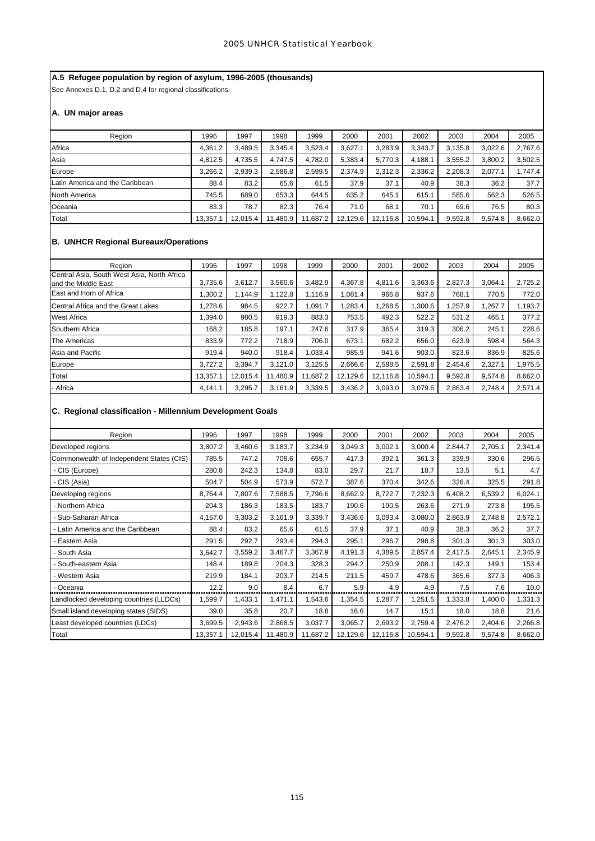# **A.5 Refugee population by region of asylum, 1996-2005 (thousands)**

See Annexes D.1, D.2 and D.4 for regional classifications.

# **A. UN major areas**

| Region                          | 1996     | 1997     | 1998     | 1999     | 2000     | 2001     | 2002     | 2003    | 2004    | 2005    |
|---------------------------------|----------|----------|----------|----------|----------|----------|----------|---------|---------|---------|
| Africa                          | 4,361.2  | 3.489.5  | 3.345.4  | 3,523.4  | 3.627.1  | 3,283.9  | 3,343.7  | 3,135.8 | 3,022.6 | 2,767.6 |
| Asia                            | 4,812.5  | 4.735.5  | 4.747.5  | 4.782.0  | 5,383.4  | 5,770.3  | 4.188.1  | 3,555.2 | 3,800.2 | 3,502.5 |
| Europe                          | 3,266.2  | 2,939.3  | 2,586.8  | 2,599.5  | 2.374.9  | 2,312.3  | 2,336.2  | 2,208.3 | 2,077.1 | 1,747.4 |
| Latin America and the Caribbean | 88.4     | 83.2     | 65.6     | 61.5     | 37.9     | 37.1     | 40.9     | 38.3    | 36.2    | 37.7    |
| North America                   | 745.5    | 689.0    | 653.3    | 644.5    | 635.2    | 645.1    | 615.1    | 585.6   | 562.3   | 526.5   |
| Oceania                         | 83.3     | 78.7     | 82.3     | 76.4     | 71.0     | 68.1     | 70.1     | 69.6    | 76.5    | 80.3    |
| Total                           | 13.357.1 | 12.015.4 | 11.480.9 | 11.687.2 | 12,129.6 | 12.116.8 | 10.594.1 | 9,592.8 | 9.574.8 | 8,662.0 |

# **B. UNHCR Regional Bureaux/Operations**

| Region                                      | 1996     | 1997     | 1998     | 1999     | 2000     | 2001     | 2002     | 2003    | 2004    | 2005    |
|---------------------------------------------|----------|----------|----------|----------|----------|----------|----------|---------|---------|---------|
| Central Asia, South West Asia, North Africa |          |          |          |          |          |          |          |         |         |         |
| and the Middle East                         | 3.735.6  | 3.612.7  | 3.560.6  | 3.482.9  | 4.367.8  | 4,811.6  | 3.363.6  | 2.827.3 | 3.064.1 | 2.725.2 |
| East and Horn of Africa                     | .300.2   | 1.144.9  | 1.122.8  | 1.116.9  | .081.4   | 966.8    | 937.6    | 768.1   | 770.5   | 772.0   |
| Central Africa and the Great Lakes          | 1.278.6  | 984.5    | 922.7    | 1.091.7  | ,283.4   | 1,268.5  | 1.300.6  | ,257.9  | 1,267.7 | 1,193.7 |
| <b>West Africa</b>                          | 1.394.0  | 980.5    | 919.3    | 883.3    | 753.5    | 492.3    | 522.2    | 531.2   | 465.1   | 377.2   |
| Southern Africa                             | 168.2    | 185.8    | 197.1    | 247.6    | 317.9    | 365.4    | 319.3    | 306.2   | 245.1   | 228.6   |
| The Americas                                | 833.9    | 772.2    | 718.9    | 706.0    | 673.1    | 682.2    | 656.0    | 623.9   | 598.4   | 564.3   |
| Asia and Pacific                            | 919.4    | 940.0    | 918.4    | 1.033.4  | 985.9    | 941.6    | 903.0    | 823.6   | 836.9   | 825.6   |
| Europe                                      | 3,727.2  | 3.394.7  | 3.121.0  | 3.125.5  | 2.666.6  | 2,588.5  | 2,591.8  | 2.454.6 | 2,327.1 | 1,975.5 |
| Total                                       | 13.357.1 | 12,015.4 | 11,480.9 | 11.687.2 | 12,129.6 | 12.116.8 | 10,594.1 | 9,592.8 | 9,574.8 | 8,662.0 |
| - Africa                                    | 4.141.1  | 3.295.7  | 3.161.9  | 3,339.5  | 3,436.2  | 3,093.0  | 3,079.6  | 2,863.4 | 2.748.4 | 2,571.4 |

# **C. Regional classification - Millennium Development Goals**

| Region                                   | 1996     | 1997     | 1998     | 1999     | 2000     | 2001     | 2002     | 2003    | 2004    | 2005    |
|------------------------------------------|----------|----------|----------|----------|----------|----------|----------|---------|---------|---------|
| Developed regions                        | 3,807.2  | 3,460.6  | 3,183.7  | 3,234.9  | 3,049.3  | 3,002.1  | 3,000.4  | 2,844.7 | 2,705.1 | 2,341.4 |
| Commonwealth of Independent States (CIS) | 785.5    | 747.2    | 708.6    | 655.7    | 417.3    | 392.1    | 361.3    | 339.9   | 330.6   | 296.5   |
| CIS (Europe)                             | 280.8    | 242.3    | 134.8    | 83.0     | 29.7     | 21.7     | 18.7     | 13.5    | 5.1     | 4.7     |
| CIS (Asia)                               | 504.7    | 504.9    | 573.9    | 572.7    | 387.6    | 370.4    | 342.6    | 326.4   | 325.5   | 291.8   |
| Developing regions                       | 8,764.4  | 7,807.6  | 7,588.5  | 7,796.6  | 8,662.9  | 8,722.7  | 7,232.3  | 6,408.2 | 6,539.2 | 6,024.1 |
| Northern Africa                          | 204.3    | 186.3    | 183.5    | 183.7    | 190.6    | 190.5    | 263.6    | 271.9   | 273.8   | 195.5   |
| Sub-Saharan Africa                       | 4,157.0  | 3,303.2  | 3,161.9  | 3,339.7  | 3,436.6  | 3,093.4  | 3,080.0  | 2,863.9 | 2,748.8 | 2,572.1 |
| Latin America and the Caribbean          | 88.4     | 83.2     | 65.6     | 61.5     | 37.9     | 37.1     | 40.9     | 38.3    | 36.2    | 37.7    |
| Eastern Asia                             | 291.5    | 292.7    | 293.4    | 294.3    | 295.1    | 296.7    | 298.8    | 301.3   | 301.3   | 303.0   |
| South Asia                               | 3,642.7  | 3,559.2  | 3,467.7  | 3,367.9  | 4,191.3  | 4,389.5  | 2,857.4  | 2,417.5 | 2,645.1 | 2,345.9 |
| South-eastern Asia                       | 148.4    | 189.8    | 204.3    | 328.3    | 294.2    | 250.9    | 208.1    | 142.3   | 149.1   | 153.4   |
| Western Asia                             | 219.9    | 184.1    | 203.7    | 214.5    | 211.5    | 459.7    | 478.6    | 365.6   | 377.3   | 406.3   |
| Oceania                                  | 12.2     | 9.0      | 8.4      | 6.7      | 5.9      | 4.9      | 4.9      | 7.5     | 7.6     | 10.0    |
| Landlocked developing countries (LLDCs)  | 1,599.7  | 1,433.1  | 1,471.1  | 1,543.6  | 1,354.5  | 1,287.7  | 1,251.5  | 1,333.8 | 1,400.0 | 1,331.3 |
| Small island developing states (SIDS)    | 39.0     | 35.8     | 20.7     | 18.8     | 16.6     | 14.7     | 15.1     | 18.0    | 18.8    | 21.6    |
| Least developed countries (LDCs)         | 3,699.5  | 2,943.6  | 2,868.5  | 3,037.7  | 3,065.7  | 2,693.2  | 2,759.4  | 2,476.2 | 2,404.6 | 2,266.8 |
| Total                                    | 13,357.1 | 12,015.4 | 11,480.9 | 11,687.2 | 12,129.6 | 12,116.8 | 10,594.1 | 9,592.8 | 9,574.8 | 8,662.0 |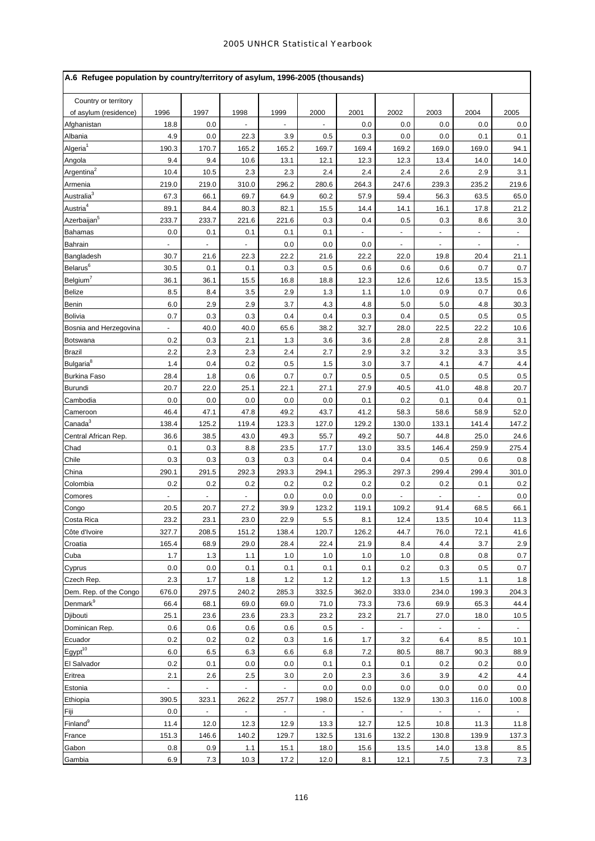| A.6 Refugee population by country/territory of asylum, 1996-2005 (thousands) |       |                |                |                |        |       |                          |                |                          |                |
|------------------------------------------------------------------------------|-------|----------------|----------------|----------------|--------|-------|--------------------------|----------------|--------------------------|----------------|
| Country or territory                                                         |       |                |                |                |        |       |                          |                |                          |                |
| of asylum (residence)                                                        | 1996  | 1997           | 1998           | 1999           | 2000   | 2001  | 2002                     | 2003           | 2004                     | 2005           |
| Afghanistan                                                                  | 18.8  | 0.0            |                |                |        | 0.0   | 0.0                      | 0.0            | 0.0                      | 0.0            |
| Albania                                                                      | 4.9   | 0.0            | 22.3           | 3.9            | 0.5    | 0.3   | 0.0                      | 0.0            | 0.1                      | 0.1            |
| Algeria <sup>1</sup>                                                         | 190.3 | 170.7          | 165.2          | 165.2          | 169.7  | 169.4 | 169.2                    | 169.0          | 169.0                    | 94.1           |
| Angola                                                                       | 9.4   | 9.4            | 10.6           | 13.1           | 12.1   | 12.3  | 12.3                     | 13.4           | 14.0                     | 14.0           |
| Argentina <sup>2</sup>                                                       | 10.4  | 10.5           | 2.3            | 2.3            | 2.4    | 2.4   | 2.4                      | 2.6            | 2.9                      | 3.1            |
| Armenia                                                                      | 219.0 | 219.0          | 310.0          | 296.2          | 280.6  | 264.3 | 247.6                    | 239.3          | 235.2                    | 219.6          |
| Australia $3$                                                                | 67.3  | 66.1           | 69.7           | 64.9           | 60.2   | 57.9  | 59.4                     | 56.3           | 63.5                     | 65.0           |
| Austria <sup>4</sup>                                                         | 89.1  | 84.4           | 80.3           | 82.1           | 15.5   | 14.4  | 14.1                     | 16.1           | 17.8                     | 21.2           |
| Azerbaijan <sup>5</sup>                                                      | 233.7 | 233.7          | 221.6          | 221.6          | 0.3    | 0.4   | 0.5                      | 0.3            | 8.6                      | 3.0            |
| Bahamas                                                                      | 0.0   | 0.1            | 0.1            | 0.1            | 0.1    |       |                          | ٠              | $\overline{\phantom{a}}$ | $\blacksquare$ |
| Bahrain                                                                      |       | ä,             | ä,             | 0.0            | 0.0    | 0.0   | $\overline{\phantom{a}}$ | ٠              | $\overline{\phantom{a}}$ | $\blacksquare$ |
| Bangladesh                                                                   | 30.7  | 21.6           | 22.3           | 22.2           | 21.6   | 22.2  | 22.0                     | 19.8           | 20.4                     | 21.1           |
| Belarus <sup>6</sup>                                                         | 30.5  | 0.1            | 0.1            | 0.3            | 0.5    | 0.6   | 0.6                      | 0.6            | 0.7                      | 0.7            |
| Belgium <sup>7</sup>                                                         | 36.1  | 36.1           | 15.5           | 16.8           | 18.8   | 12.3  | 12.6                     | 12.6           | 13.5                     | 15.3           |
| <b>Belize</b>                                                                | 8.5   | 8.4            | 3.5            | 2.9            | 1.3    | 1.1   | 1.0                      | 0.9            | 0.7                      | 0.6            |
| Benin                                                                        | 6.0   | 2.9            | 2.9            | 3.7            | 4.3    | 4.8   | 5.0                      | 5.0            | 4.8                      | 30.3           |
| <b>Bolivia</b>                                                               | 0.7   | 0.3            | 0.3            | 0.4            | 0.4    | 0.3   | 0.4                      | 0.5            | 0.5                      | 0.5            |
| Bosnia and Herzegovina                                                       |       | 40.0           | 40.0           | 65.6           | 38.2   | 32.7  | 28.0                     | 22.5           | 22.2                     | 10.6           |
| <b>Botswana</b>                                                              | 0.2   | 0.3            | 2.1            | 1.3            | 3.6    | 3.6   | 2.8                      | 2.8            | 2.8                      | 3.1            |
| <b>Brazil</b>                                                                | 2.2   | 2.3            | 2.3            | 2.4            | 2.7    | 2.9   | 3.2                      | 3.2            | 3.3                      | 3.5            |
| Bulgaria <sup>8</sup>                                                        | 1.4   | 0.4            | 0.2            | 0.5            | 1.5    | 3.0   | 3.7                      | 4.1            | 4.7                      | 4.4            |
| <b>Burkina Faso</b>                                                          | 28.4  | 1.8            | 0.6            | 0.7            | 0.7    | 0.5   | 0.5                      | 0.5            | 0.5                      | 0.5            |
| <b>Burundi</b>                                                               | 20.7  | 22.0           | 25.1           | 22.1           | 27.1   | 27.9  | 40.5                     | 41.0           | 48.8                     | 20.7           |
| Cambodia                                                                     | 0.0   | 0.0            | 0.0            | 0.0            | 0.0    | 0.1   | 0.2                      | 0.1            | 0.4                      | 0.1            |
| Cameroon                                                                     | 46.4  | 47.1           | 47.8           | 49.2           | 43.7   | 41.2  | 58.3                     | 58.6           | 58.9                     | 52.0           |
| Canada <sup>3</sup>                                                          | 138.4 | 125.2          | 119.4          | 123.3          | 127.0  | 129.2 | 130.0                    | 133.1          | 141.4                    | 147.2          |
| Central African Rep.                                                         | 36.6  | 38.5           | 43.0           | 49.3           | 55.7   | 49.2  | 50.7                     | 44.8           | 25.0                     | 24.6           |
| Chad                                                                         | 0.1   | 0.3            | 8.8            | 23.5           | 17.7   | 13.0  | 33.5                     | 146.4          | 259.9                    | 275.4          |
| Chile                                                                        | 0.3   | 0.3            | 0.3            | 0.3            | 0.4    | 0.4   | 0.4                      | 0.5            | 0.6                      | 0.8            |
| China                                                                        | 290.1 | 291.5          | 292.3          | 293.3          | 294.1  | 295.3 | 297.3                    | 299.4          | 299.4                    | 301.0          |
| Colombia                                                                     | 0.2   | 0.2            | 0.2            | 0.2            | 0.2    | 0.2   | 0.2                      | 0.2            | 0.1                      | 0.2            |
| Comores                                                                      |       |                |                | 0.0            | 0.0    | 0.0   |                          |                |                          | 0.0            |
| Congo                                                                        | 20.5  | 20.7           | 27.2           | 39.9           | 123.2  | 119.1 | 109.2                    | 91.4           | 68.5                     | 66.1           |
| Costa Rica                                                                   | 23.2  | 23.1           | 23.0           | 22.9           | 5.5    | 8.1   | 12.4                     | 13.5           | 10.4                     | 11.3           |
| Côte d'Ivoire                                                                | 327.7 | 208.5          | 151.2          | 138.4          | 120.7  | 126.2 | 44.7                     | 76.0           | 72.1                     | 41.6           |
| Croatia                                                                      | 165.4 | 68.9           | 29.0           | 28.4           | 22.4   | 21.9  | 8.4                      | 4.4            | 3.7                      | 2.9            |
| Cuba                                                                         | 1.7   | 1.3            | 1.1            | 1.0            | 1.0    | 1.0   | 1.0                      | 0.8            | 0.8                      | 0.7            |
| Cyprus                                                                       | 0.0   | 0.0            | 0.1            | 0.1            | 0.1    | 0.1   | 0.2                      | 0.3            | 0.5                      | 0.7            |
| Czech Rep.                                                                   | 2.3   | 1.7            | 1.8            | 1.2            | 1.2    | 1.2   | 1.3                      | 1.5            | 1.1                      | 1.8            |
| Dem. Rep. of the Congo                                                       | 676.0 | 297.5          | 240.2          | 285.3          | 332.5  | 362.0 | 333.0                    | 234.0          | 199.3                    | 204.3          |
| Denmark <sup>9</sup>                                                         | 66.4  | 68.1           | 69.0           | 69.0           | 71.0   | 73.3  | 73.6                     | 69.9           | 65.3                     | 44.4           |
| Djibouti                                                                     | 25.1  | 23.6           | 23.6           | 23.3           | 23.2   | 23.2  | 21.7                     | 27.0           | 18.0                     | 10.5           |
| Dominican Rep.                                                               | 0.6   | 0.6            | 0.6            | 0.6            | 0.5    |       | $\blacksquare$           | $\blacksquare$ | $\blacksquare$           | $\sim$         |
| Ecuador                                                                      | 0.2   | 0.2            | 0.2            | 0.3            | 1.6    | 1.7   | 3.2                      | 6.4            | 8.5                      | 10.1           |
| Egypt <sup>10</sup>                                                          | 6.0   | 6.5            | 6.3            | 6.6            | 6.8    | 7.2   | 80.5                     | 88.7           | 90.3                     | 88.9           |
| El Salvador                                                                  | 0.2   | 0.1            | 0.0            | 0.0            | 0.1    | 0.1   | 0.1                      | 0.2            | 0.2                      | 0.0            |
| Eritrea                                                                      | 2.1   | 2.6            | 2.5            | 3.0            | 2.0    | 2.3   | 3.6                      | 3.9            | 4.2                      | 4.4            |
| Estonia                                                                      | ÷.    | $\blacksquare$ | $\blacksquare$ | ä,             | 0.0    | 0.0   | 0.0                      | 0.0            | 0.0                      | 0.0            |
| Ethiopia                                                                     | 390.5 | 323.1          | 262.2          | 257.7          | 198.0  | 152.6 | 132.9                    | 130.3          | 116.0                    | 100.8          |
| Fiji                                                                         | 0.0   | $\blacksquare$ | $\blacksquare$ | $\blacksquare$ | $\sim$ |       | $\blacksquare$           | $\blacksquare$ | $\blacksquare$           |                |
| Finland <sup>9</sup>                                                         | 11.4  | 12.0           | 12.3           | 12.9           | 13.3   | 12.7  | 12.5                     | 10.8           | 11.3                     | 11.8           |
| France                                                                       | 151.3 | 146.6          | 140.2          | 129.7          | 132.5  | 131.6 | 132.2                    | 130.8          | 139.9                    | 137.3          |
| Gabon                                                                        | 0.8   | 0.9            | 1.1            | 15.1           | 18.0   | 15.6  | 13.5                     | 14.0           | 13.8                     | 8.5            |
| Gambia                                                                       | 6.9   | 7.3            | 10.3           | 17.2           | 12.0   | 8.1   | 12.1                     | 7.5            | 7.3                      | 7.3            |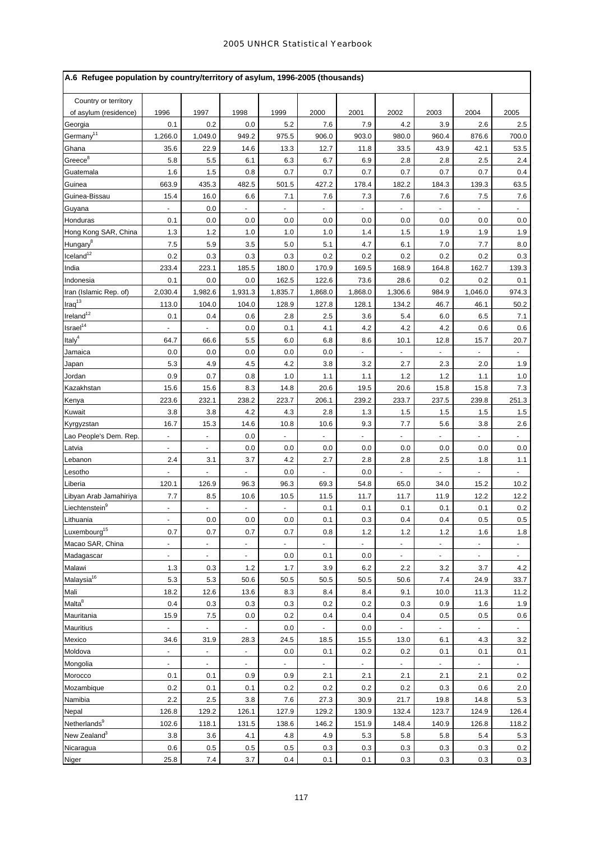| A.6 Refugee population by country/territory of asylum, 1996-2005 (thousands) |                          |                |         |         |         |         |                |       |         |          |
|------------------------------------------------------------------------------|--------------------------|----------------|---------|---------|---------|---------|----------------|-------|---------|----------|
| Country or territory                                                         |                          |                |         |         |         |         |                |       |         |          |
| of asylum (residence)                                                        | 1996                     | 1997           | 1998    | 1999    | 2000    | 2001    | 2002           | 2003  | 2004    | 2005     |
| Georgia                                                                      | 0.1                      | 0.2            | 0.0     | 5.2     | 7.6     | 7.9     | 4.2            | 3.9   | 2.6     | 2.5      |
| Germany <sup>11</sup>                                                        | 1,266.0                  | 1,049.0        | 949.2   | 975.5   | 906.0   | 903.0   | 980.0          | 960.4 | 876.6   | 700.0    |
| Ghana                                                                        | 35.6                     | 22.9           | 14.6    | 13.3    | 12.7    | 11.8    | 33.5           | 43.9  | 42.1    | 53.5     |
| $Greeze^8$                                                                   | 5.8                      | 5.5            | 6.1     | 6.3     | 6.7     | 6.9     | 2.8            | 2.8   | 2.5     | 2.4      |
| Guatemala                                                                    | 1.6                      | 1.5            | 0.8     | 0.7     | 0.7     | 0.7     | 0.7            | 0.7   | 0.7     | 0.4      |
| Guinea                                                                       | 663.9                    | 435.3          | 482.5   | 501.5   | 427.2   | 178.4   | 182.2          | 184.3 | 139.3   | 63.5     |
| Guinea-Bissau                                                                | 15.4                     | 16.0           | 6.6     | 7.1     | 7.6     | 7.3     | 7.6            | 7.6   | 7.5     | 7.6      |
| Guyana                                                                       |                          | 0.0            |         |         |         |         |                |       |         |          |
| Honduras                                                                     | 0.1                      | 0.0            | 0.0     | 0.0     | 0.0     | 0.0     | 0.0            | 0.0   | 0.0     | 0.0      |
| Hong Kong SAR, China                                                         | 1.3                      | 1.2            | 1.0     | 1.0     | 1.0     | 1.4     | 1.5            | 1.9   | 1.9     | 1.9      |
| Hungary <sup>8</sup>                                                         | 7.5                      | 5.9            | 3.5     | 5.0     | 5.1     | 4.7     | 6.1            | 7.0   | 7.7     | 8.0      |
| $I$ celand $12$                                                              | 0.2                      | 0.3            | 0.3     | 0.3     | 0.2     | 0.2     | 0.2            | 0.2   | 0.2     | 0.3      |
| India                                                                        | 233.4                    | 223.1          | 185.5   | 180.0   | 170.9   | 169.5   | 168.9          | 164.8 | 162.7   | 139.3    |
| Indonesia                                                                    | 0.1                      | 0.0            | 0.0     | 162.5   | 122.6   | 73.6    | 28.6           | 0.2   | 0.2     | 0.1      |
| Iran (Islamic Rep. of)                                                       | 2,030.4                  | 1,982.6        | 1,931.3 | 1,835.7 | 1,868.0 | 1,868.0 | 1,306.6        | 984.9 | 1,046.0 | 974.3    |
| $Iraq^{13}$                                                                  | 113.0                    | 104.0          | 104.0   | 128.9   | 127.8   | 128.1   | 134.2          | 46.7  | 46.1    | 50.2     |
| $I$ reland <sup>12</sup>                                                     | 0.1                      | 0.4            | 0.6     | 2.8     | 2.5     | 3.6     | 5.4            | 6.0   | 6.5     | 7.1      |
| Israel <sup>14</sup>                                                         |                          |                | 0.0     | 0.1     | 4.1     | 4.2     | 4.2            | 4.2   | 0.6     | 0.6      |
| Italy <sup>4</sup>                                                           | 64.7                     | 66.6           | 5.5     | 6.0     | 6.8     | 8.6     | 10.1           | 12.8  | 15.7    | 20.7     |
| Jamaica                                                                      | 0.0                      | 0.0            | 0.0     | 0.0     | 0.0     |         |                |       |         |          |
| Japan                                                                        | 5.3                      | 4.9            | 4.5     | 4.2     | 3.8     | 3.2     | 2.7            | 2.3   | 2.0     | 1.9      |
| Jordan                                                                       | 0.9                      | 0.7            | 0.8     | 1.0     | 1.1     | 1.1     | 1.2            | 1.2   | 1.1     | 1.0      |
| Kazakhstan                                                                   | 15.6                     | 15.6           | 8.3     | 14.8    | 20.6    | 19.5    | 20.6           | 15.8  | 15.8    | 7.3      |
| Kenya                                                                        | 223.6                    | 232.1          | 238.2   | 223.7   | 206.1   | 239.2   | 233.7          | 237.5 | 239.8   | 251.3    |
| Kuwait                                                                       | 3.8                      | 3.8            | 4.2     | 4.3     | 2.8     | 1.3     | 1.5            | 1.5   | 1.5     | 1.5      |
| Kyrgyzstan                                                                   | 16.7                     | 15.3           | 14.6    | 10.8    | 10.6    | 9.3     | 7.7            | 5.6   | 3.8     | 2.6      |
| Lao People's Dem. Rep.                                                       | ÷.                       | $\omega$       | 0.0     |         |         |         |                |       |         |          |
| Latvia                                                                       |                          | ä,             | 0.0     | 0.0     | 0.0     | 0.0     | 0.0            | 0.0   | 0.0     | 0.0      |
| Lebanon                                                                      | 2.4                      | 3.1            | 3.7     | 4.2     | 2.7     | 2.8     | 2.8            | 2.5   | 1.8     | 1.1      |
| Lesotho                                                                      |                          |                |         | 0.0     |         | 0.0     |                |       |         |          |
| Liberia                                                                      | 120.1                    | 126.9          | 96.3    | 96.3    | 69.3    | 54.8    | 65.0           | 34.0  | 15.2    | 10.2     |
| Libyan Arab Jamahiriya                                                       | 7.7                      | 8.5            | 10.6    | 10.5    | 11.5    | 11.7    | 11.7           | 11.9  | 12.2    | 12.2     |
| Liechtenstein <sup>9</sup>                                                   |                          |                |         |         | 0.1     | 0.1     | 0.1            | 0.1   | 0.1     | 0.2      |
| Lithuania                                                                    | $\overline{\phantom{a}}$ | 0.0            | 0.0     | 0.0     | 0.1     | 0.3     | 0.4            | 0.4   | 0.5     | 0.5      |
| Luxembourg <sup>15</sup>                                                     | 0.7                      | 0.7            | 0.7     | 0.7     | 0.8     | 1.2     | 1.2            | 1.2   | 1.6     | 1.8      |
| Macao SAR, China                                                             |                          |                |         |         |         |         |                |       |         |          |
| Madagascar                                                                   | ä,                       | $\omega$       | ä,      | 0.0     | 0.1     | 0.0     | $\blacksquare$ | ä,    | ÷,      | $\omega$ |
| Malawi                                                                       | 1.3                      | 0.3            | $1.2$   | 1.7     | 3.9     | 6.2     | 2.2            | 3.2   | 3.7     | 4.2      |
| Malaysia <sup>16</sup>                                                       | 5.3                      | 5.3            | 50.6    | 50.5    | 50.5    | 50.5    | 50.6           | 7.4   | 24.9    | 33.7     |
| Mali                                                                         | 18.2                     | 12.6           | 13.6    | 8.3     | 8.4     | 8.4     | 9.1            | 10.0  | 11.3    | 11.2     |
| Malta <sup>8</sup>                                                           | 0.4                      | 0.3            | 0.3     | 0.3     | 0.2     | 0.2     | 0.3            | 0.9   | 1.6     | 1.9      |
| Mauritania                                                                   | 15.9                     | 7.5            | 0.0     | 0.2     | 0.4     | 0.4     | 0.4            | 0.5   | 0.5     | 0.6      |
| Mauritius                                                                    |                          |                |         | 0.0     |         | 0.0     |                |       |         |          |
| Mexico                                                                       | 34.6                     | 31.9           | 28.3    | 24.5    | 18.5    | 15.5    | 13.0           | 6.1   | 4.3     | 3.2      |
| Moldova                                                                      |                          | $\blacksquare$ | ÷,      | 0.0     | 0.1     | 0.2     | 0.2            | 0.1   | 0.1     | 0.1      |
| Mongolia                                                                     | $\blacksquare$           | $\blacksquare$ |         |         |         |         |                |       | ÷.      |          |
| Morocco                                                                      | 0.1                      | 0.1            | 0.9     | 0.9     | 2.1     | 2.1     | 2.1            | 2.1   | 2.1     | 0.2      |
| Mozambique                                                                   | 0.2                      | 0.1            | 0.1     | 0.2     | 0.2     | 0.2     | 0.2            | 0.3   | 0.6     | 2.0      |
| Namibia                                                                      | 2.2                      | 2.5            | 3.8     | 7.6     | 27.3    | 30.9    | 21.7           | 19.8  | 14.8    | 5.3      |
| Nepal                                                                        | 126.8                    | 129.2          | 126.1   | 127.9   | 129.2   | 130.9   | 132.4          | 123.7 | 124.9   | 126.4    |
| Netherlands <sup>9</sup>                                                     | 102.6                    | 118.1          | 131.5   | 138.6   | 146.2   | 151.9   | 148.4          | 140.9 | 126.8   | 118.2    |
| New Zealand <sup>3</sup>                                                     | 3.8                      | 3.6            | 4.1     | 4.8     | 4.9     | 5.3     | 5.8            | 5.8   | 5.4     | 5.3      |
| Nicaragua                                                                    | 0.6                      | 0.5            | 0.5     | 0.5     | 0.3     | 0.3     | 0.3            | 0.3   | 0.3     | 0.2      |
| Niger                                                                        | 25.8                     | 7.4            | 3.7     | 0.4     | 0.1     | 0.1     | 0.3            | 0.3   | 0.3     | 0.3      |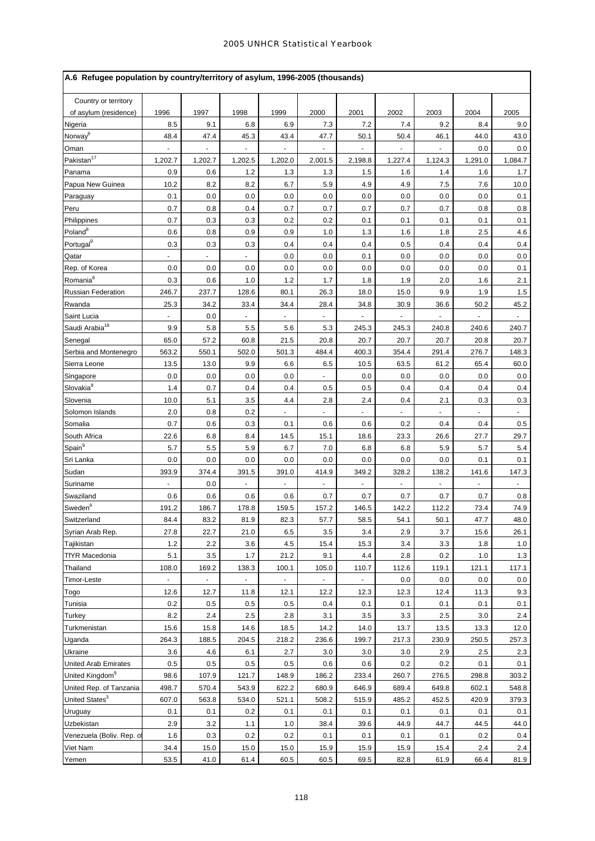| Country or territory<br>1996<br>1997<br>1998<br>1999<br>2000<br>2001<br>2002<br>2003<br>2004<br>2005<br>of asylum (residence)<br>8.5<br>9.1<br>6.8<br>6.9<br>7.3<br>7.2<br>9.2<br>Nigeria<br>7.4<br>8.4<br>9.0<br>Norway <sup>9</sup><br>48.4<br>47.4<br>45.3<br>43.4<br>47.7<br>50.1<br>50.4<br>46.1<br>44.0<br>43.0<br>Oman<br>$\blacksquare$<br>0.0<br>0.0<br>$\overline{a}$<br>÷.<br>÷,<br>$\blacksquare$<br>÷<br>Pakistan <sup>17</sup><br>1,202.7<br>1,202.7<br>1,202.5<br>1,202.0<br>2,001.5<br>2,198.8<br>1,227.4<br>1,124.3<br>1,291.0<br>1,084.7<br>0.9<br>1.5<br>Panama<br>0.6<br>1.2<br>1.3<br>1.3<br>1.6<br>1.4<br>1.6<br>1.7<br>10.2<br>8.2<br>8.2<br>6.7<br>5.9<br>4.9<br>4.9<br>7.5<br>Papua New Guinea<br>7.6<br>10.0<br>0.1<br>0.0<br>0.0<br>0.0<br>0.0<br>0.0<br>0.0<br>0.0<br>0.0<br>0.1<br>Paraguay<br>0.8<br>0.7<br>0.7<br>0.7<br>Peru<br>0.7<br>0.4<br>0.7<br>0.7<br>0.8<br>0.8<br>0.7<br>0.3<br>0.3<br>0.2<br>0.2<br>0.1<br>0.1<br>0.1<br>0.1<br>0.1<br>Philippines<br>Poland <sup>8</sup><br>0.6<br>0.8<br>0.9<br>0.9<br>1.6<br>1.8<br>2.5<br>1.0<br>1.3<br>4.6<br>Portugal <sup>9</sup><br>0.3<br>0.3<br>0.4<br>0.5<br>0.4<br>0.4<br>0.3<br>0.4<br>0.4<br>0.4<br>0.0<br>0.0<br>0.0<br>0.0<br>Qatar<br>0.0<br>0.1<br>0.0<br>Rep. of Korea<br>0.0<br>0.0<br>0.0<br>0.0<br>0.0<br>0.0<br>0.0<br>0.0<br>0.0<br>0.1<br>Romania <sup>8</sup><br>0.3<br>0.6<br>1.2<br>1.8<br>1.9<br>2.0<br>1.0<br>1.7<br>1.6<br>2.1<br>246.7<br>128.6<br>9.9<br>1.9<br><b>Russian Federation</b><br>237.7<br>80.1<br>26.3<br>18.0<br>15.0<br>1.5<br>25.3<br>34.2<br>33.4<br>28.4<br>30.9<br>45.2<br>Rwanda<br>34.4<br>34.8<br>36.6<br>50.2 | A.6 Refugee population by country/territory of asylum, 1996-2005 (thousands) |     |  |  |  |      |
|-----------------------------------------------------------------------------------------------------------------------------------------------------------------------------------------------------------------------------------------------------------------------------------------------------------------------------------------------------------------------------------------------------------------------------------------------------------------------------------------------------------------------------------------------------------------------------------------------------------------------------------------------------------------------------------------------------------------------------------------------------------------------------------------------------------------------------------------------------------------------------------------------------------------------------------------------------------------------------------------------------------------------------------------------------------------------------------------------------------------------------------------------------------------------------------------------------------------------------------------------------------------------------------------------------------------------------------------------------------------------------------------------------------------------------------------------------------------------------------------------------------------------------------------------------------------------------------------------------------------------------------------------|------------------------------------------------------------------------------|-----|--|--|--|------|
|                                                                                                                                                                                                                                                                                                                                                                                                                                                                                                                                                                                                                                                                                                                                                                                                                                                                                                                                                                                                                                                                                                                                                                                                                                                                                                                                                                                                                                                                                                                                                                                                                                               |                                                                              |     |  |  |  |      |
|                                                                                                                                                                                                                                                                                                                                                                                                                                                                                                                                                                                                                                                                                                                                                                                                                                                                                                                                                                                                                                                                                                                                                                                                                                                                                                                                                                                                                                                                                                                                                                                                                                               |                                                                              |     |  |  |  |      |
|                                                                                                                                                                                                                                                                                                                                                                                                                                                                                                                                                                                                                                                                                                                                                                                                                                                                                                                                                                                                                                                                                                                                                                                                                                                                                                                                                                                                                                                                                                                                                                                                                                               |                                                                              |     |  |  |  |      |
|                                                                                                                                                                                                                                                                                                                                                                                                                                                                                                                                                                                                                                                                                                                                                                                                                                                                                                                                                                                                                                                                                                                                                                                                                                                                                                                                                                                                                                                                                                                                                                                                                                               |                                                                              |     |  |  |  |      |
|                                                                                                                                                                                                                                                                                                                                                                                                                                                                                                                                                                                                                                                                                                                                                                                                                                                                                                                                                                                                                                                                                                                                                                                                                                                                                                                                                                                                                                                                                                                                                                                                                                               |                                                                              |     |  |  |  |      |
|                                                                                                                                                                                                                                                                                                                                                                                                                                                                                                                                                                                                                                                                                                                                                                                                                                                                                                                                                                                                                                                                                                                                                                                                                                                                                                                                                                                                                                                                                                                                                                                                                                               |                                                                              |     |  |  |  |      |
|                                                                                                                                                                                                                                                                                                                                                                                                                                                                                                                                                                                                                                                                                                                                                                                                                                                                                                                                                                                                                                                                                                                                                                                                                                                                                                                                                                                                                                                                                                                                                                                                                                               |                                                                              |     |  |  |  |      |
|                                                                                                                                                                                                                                                                                                                                                                                                                                                                                                                                                                                                                                                                                                                                                                                                                                                                                                                                                                                                                                                                                                                                                                                                                                                                                                                                                                                                                                                                                                                                                                                                                                               |                                                                              |     |  |  |  |      |
|                                                                                                                                                                                                                                                                                                                                                                                                                                                                                                                                                                                                                                                                                                                                                                                                                                                                                                                                                                                                                                                                                                                                                                                                                                                                                                                                                                                                                                                                                                                                                                                                                                               |                                                                              |     |  |  |  |      |
|                                                                                                                                                                                                                                                                                                                                                                                                                                                                                                                                                                                                                                                                                                                                                                                                                                                                                                                                                                                                                                                                                                                                                                                                                                                                                                                                                                                                                                                                                                                                                                                                                                               |                                                                              |     |  |  |  |      |
|                                                                                                                                                                                                                                                                                                                                                                                                                                                                                                                                                                                                                                                                                                                                                                                                                                                                                                                                                                                                                                                                                                                                                                                                                                                                                                                                                                                                                                                                                                                                                                                                                                               |                                                                              |     |  |  |  |      |
|                                                                                                                                                                                                                                                                                                                                                                                                                                                                                                                                                                                                                                                                                                                                                                                                                                                                                                                                                                                                                                                                                                                                                                                                                                                                                                                                                                                                                                                                                                                                                                                                                                               |                                                                              |     |  |  |  |      |
|                                                                                                                                                                                                                                                                                                                                                                                                                                                                                                                                                                                                                                                                                                                                                                                                                                                                                                                                                                                                                                                                                                                                                                                                                                                                                                                                                                                                                                                                                                                                                                                                                                               |                                                                              |     |  |  |  |      |
|                                                                                                                                                                                                                                                                                                                                                                                                                                                                                                                                                                                                                                                                                                                                                                                                                                                                                                                                                                                                                                                                                                                                                                                                                                                                                                                                                                                                                                                                                                                                                                                                                                               |                                                                              |     |  |  |  |      |
|                                                                                                                                                                                                                                                                                                                                                                                                                                                                                                                                                                                                                                                                                                                                                                                                                                                                                                                                                                                                                                                                                                                                                                                                                                                                                                                                                                                                                                                                                                                                                                                                                                               |                                                                              |     |  |  |  |      |
|                                                                                                                                                                                                                                                                                                                                                                                                                                                                                                                                                                                                                                                                                                                                                                                                                                                                                                                                                                                                                                                                                                                                                                                                                                                                                                                                                                                                                                                                                                                                                                                                                                               |                                                                              |     |  |  |  |      |
|                                                                                                                                                                                                                                                                                                                                                                                                                                                                                                                                                                                                                                                                                                                                                                                                                                                                                                                                                                                                                                                                                                                                                                                                                                                                                                                                                                                                                                                                                                                                                                                                                                               |                                                                              |     |  |  |  |      |
|                                                                                                                                                                                                                                                                                                                                                                                                                                                                                                                                                                                                                                                                                                                                                                                                                                                                                                                                                                                                                                                                                                                                                                                                                                                                                                                                                                                                                                                                                                                                                                                                                                               |                                                                              |     |  |  |  |      |
|                                                                                                                                                                                                                                                                                                                                                                                                                                                                                                                                                                                                                                                                                                                                                                                                                                                                                                                                                                                                                                                                                                                                                                                                                                                                                                                                                                                                                                                                                                                                                                                                                                               | Saint Lucia                                                                  | 0.0 |  |  |  |      |
| Saudi Arabia <sup>18</sup><br>9.9<br>5.8<br>5.5<br>5.6<br>5.3<br>245.3<br>245.3<br>240.8<br>240.6<br>240.7                                                                                                                                                                                                                                                                                                                                                                                                                                                                                                                                                                                                                                                                                                                                                                                                                                                                                                                                                                                                                                                                                                                                                                                                                                                                                                                                                                                                                                                                                                                                    |                                                                              |     |  |  |  |      |
| 65.0<br>57.2<br>60.8<br>21.5<br>20.7<br>20.7<br>20.7<br>Senegal<br>20.8<br>20.8<br>20.7                                                                                                                                                                                                                                                                                                                                                                                                                                                                                                                                                                                                                                                                                                                                                                                                                                                                                                                                                                                                                                                                                                                                                                                                                                                                                                                                                                                                                                                                                                                                                       |                                                                              |     |  |  |  |      |
| 563.2<br>550.1<br>502.0<br>501.3<br>484.4<br>400.3<br>354.4<br>Serbia and Montenegro<br>291.4<br>276.7<br>148.3                                                                                                                                                                                                                                                                                                                                                                                                                                                                                                                                                                                                                                                                                                                                                                                                                                                                                                                                                                                                                                                                                                                                                                                                                                                                                                                                                                                                                                                                                                                               |                                                                              |     |  |  |  |      |
| 13.5<br>13.0<br>9.9<br>6.5<br>10.5<br>63.5<br>61.2<br>6.6<br>65.4<br>60.0<br>Sierra Leone                                                                                                                                                                                                                                                                                                                                                                                                                                                                                                                                                                                                                                                                                                                                                                                                                                                                                                                                                                                                                                                                                                                                                                                                                                                                                                                                                                                                                                                                                                                                                     |                                                                              |     |  |  |  |      |
| 0.0<br>0.0<br>0.0<br>0.0<br>0.0<br>0.0<br>0.0<br>0.0<br>0.0<br>Singapore                                                                                                                                                                                                                                                                                                                                                                                                                                                                                                                                                                                                                                                                                                                                                                                                                                                                                                                                                                                                                                                                                                                                                                                                                                                                                                                                                                                                                                                                                                                                                                      |                                                                              |     |  |  |  |      |
| Slovakia <sup>8</sup><br>1.4<br>0.7<br>0.4<br>0.4<br>0.5<br>0.5<br>0.4<br>0.4<br>0.4<br>0.4                                                                                                                                                                                                                                                                                                                                                                                                                                                                                                                                                                                                                                                                                                                                                                                                                                                                                                                                                                                                                                                                                                                                                                                                                                                                                                                                                                                                                                                                                                                                                   |                                                                              |     |  |  |  |      |
| 10.0<br>5.1<br>3.5<br>2.1<br>Slovenia<br>4.4<br>2.8<br>2.4<br>0.4<br>0.3<br>0.3                                                                                                                                                                                                                                                                                                                                                                                                                                                                                                                                                                                                                                                                                                                                                                                                                                                                                                                                                                                                                                                                                                                                                                                                                                                                                                                                                                                                                                                                                                                                                               |                                                                              |     |  |  |  |      |
| 2.0<br>0.8<br>0.2<br>Solomon Islands<br>÷                                                                                                                                                                                                                                                                                                                                                                                                                                                                                                                                                                                                                                                                                                                                                                                                                                                                                                                                                                                                                                                                                                                                                                                                                                                                                                                                                                                                                                                                                                                                                                                                     |                                                                              |     |  |  |  |      |
| 0.7<br>0.6<br>0.2<br>0.4<br>0.5<br>Somalia<br>0.3<br>0.1<br>0.6<br>0.6<br>0.4                                                                                                                                                                                                                                                                                                                                                                                                                                                                                                                                                                                                                                                                                                                                                                                                                                                                                                                                                                                                                                                                                                                                                                                                                                                                                                                                                                                                                                                                                                                                                                 |                                                                              |     |  |  |  |      |
| South Africa<br>22.6<br>6.8<br>8.4<br>14.5<br>15.1<br>18.6<br>23.3<br>26.6<br>27.7<br>29.7                                                                                                                                                                                                                                                                                                                                                                                                                                                                                                                                                                                                                                                                                                                                                                                                                                                                                                                                                                                                                                                                                                                                                                                                                                                                                                                                                                                                                                                                                                                                                    |                                                                              |     |  |  |  |      |
| Spain <sup>9</sup><br>5.7<br>5.5<br>5.9<br>6.7<br>7.0<br>6.8<br>5.9<br>6.8<br>5.7<br>5.4                                                                                                                                                                                                                                                                                                                                                                                                                                                                                                                                                                                                                                                                                                                                                                                                                                                                                                                                                                                                                                                                                                                                                                                                                                                                                                                                                                                                                                                                                                                                                      |                                                                              |     |  |  |  |      |
| 0.0<br>0.0<br>0.0<br>0.0<br>0.0<br>Sri Lanka<br>0.0<br>0.0<br>0.0<br>0.1<br>0.1                                                                                                                                                                                                                                                                                                                                                                                                                                                                                                                                                                                                                                                                                                                                                                                                                                                                                                                                                                                                                                                                                                                                                                                                                                                                                                                                                                                                                                                                                                                                                               |                                                                              |     |  |  |  |      |
| 393.9<br>374.4<br>414.9<br>349.2<br>328.2<br>Sudan<br>391.5<br>391.0<br>138.2<br>141.6<br>147.3                                                                                                                                                                                                                                                                                                                                                                                                                                                                                                                                                                                                                                                                                                                                                                                                                                                                                                                                                                                                                                                                                                                                                                                                                                                                                                                                                                                                                                                                                                                                               |                                                                              |     |  |  |  |      |
| 0.0<br>Suriname<br>÷,                                                                                                                                                                                                                                                                                                                                                                                                                                                                                                                                                                                                                                                                                                                                                                                                                                                                                                                                                                                                                                                                                                                                                                                                                                                                                                                                                                                                                                                                                                                                                                                                                         |                                                                              |     |  |  |  |      |
| 0.6<br>Swaziland<br>0.6<br>0.6<br>0.6<br>0.7<br>0.7<br>0.7<br>0.7<br>0.7<br>0.8                                                                                                                                                                                                                                                                                                                                                                                                                                                                                                                                                                                                                                                                                                                                                                                                                                                                                                                                                                                                                                                                                                                                                                                                                                                                                                                                                                                                                                                                                                                                                               |                                                                              |     |  |  |  |      |
| Sweden <sup>9</sup><br>191.2<br>186.7<br>178.8<br>142.2<br>112.2<br>74.9<br>159.5<br>157.2<br>146.5<br>73.4                                                                                                                                                                                                                                                                                                                                                                                                                                                                                                                                                                                                                                                                                                                                                                                                                                                                                                                                                                                                                                                                                                                                                                                                                                                                                                                                                                                                                                                                                                                                   |                                                                              |     |  |  |  |      |
| Switzerland<br>54.1<br>82.3<br>58.5<br>84.4<br>57.7<br>83.2<br>81.9<br>50.1<br>47.7<br>48.0                                                                                                                                                                                                                                                                                                                                                                                                                                                                                                                                                                                                                                                                                                                                                                                                                                                                                                                                                                                                                                                                                                                                                                                                                                                                                                                                                                                                                                                                                                                                                   |                                                                              |     |  |  |  |      |
| 22.7<br>3.5<br>Syrian Arab Rep.<br>27.8<br>21.0<br>6.5<br>3.4<br>2.9<br>3.7<br>15.6<br>26.1                                                                                                                                                                                                                                                                                                                                                                                                                                                                                                                                                                                                                                                                                                                                                                                                                                                                                                                                                                                                                                                                                                                                                                                                                                                                                                                                                                                                                                                                                                                                                   |                                                                              |     |  |  |  |      |
| Tajikistan<br>2.2<br>3.6<br>1.2<br>4.5<br>15.4<br>15.3<br>3.4<br>3.3<br>1.8<br>1.0                                                                                                                                                                                                                                                                                                                                                                                                                                                                                                                                                                                                                                                                                                                                                                                                                                                                                                                                                                                                                                                                                                                                                                                                                                                                                                                                                                                                                                                                                                                                                            |                                                                              |     |  |  |  |      |
| <b>TfYR Macedonia</b><br>3.5<br>21.2<br>5.1<br>1.7<br>9.1<br>4.4<br>2.8<br>0.2<br>1.0<br>1.3                                                                                                                                                                                                                                                                                                                                                                                                                                                                                                                                                                                                                                                                                                                                                                                                                                                                                                                                                                                                                                                                                                                                                                                                                                                                                                                                                                                                                                                                                                                                                  |                                                                              |     |  |  |  |      |
| 169.2<br>Thailand<br>108.0<br>138.3<br>100.1<br>105.0<br>110.7<br>112.6<br>119.1<br>121.1<br>117.1                                                                                                                                                                                                                                                                                                                                                                                                                                                                                                                                                                                                                                                                                                                                                                                                                                                                                                                                                                                                                                                                                                                                                                                                                                                                                                                                                                                                                                                                                                                                            |                                                                              |     |  |  |  |      |
| Timor-Leste<br>0.0<br>0.0<br>0.0<br>0.0<br>$\blacksquare$<br>$\blacksquare$<br>÷.<br>$\blacksquare$                                                                                                                                                                                                                                                                                                                                                                                                                                                                                                                                                                                                                                                                                                                                                                                                                                                                                                                                                                                                                                                                                                                                                                                                                                                                                                                                                                                                                                                                                                                                           |                                                                              |     |  |  |  |      |
| 12.7<br>12.2<br>12.6<br>11.8<br>12.1<br>12.3<br>12.3<br>12.4<br>11.3<br>9.3<br>Togo                                                                                                                                                                                                                                                                                                                                                                                                                                                                                                                                                                                                                                                                                                                                                                                                                                                                                                                                                                                                                                                                                                                                                                                                                                                                                                                                                                                                                                                                                                                                                           |                                                                              |     |  |  |  |      |
| 0.5<br>0.5<br>Tunisia<br>0.2<br>0.5<br>0.1<br>0.1<br>0.1<br>0.4<br>0.1<br>0.1                                                                                                                                                                                                                                                                                                                                                                                                                                                                                                                                                                                                                                                                                                                                                                                                                                                                                                                                                                                                                                                                                                                                                                                                                                                                                                                                                                                                                                                                                                                                                                 |                                                                              |     |  |  |  |      |
| 2.4<br>2.5<br>2.5<br>Turkey<br>8.2<br>2.8<br>3.5<br>3.3<br>3.0<br>2.4<br>3.1                                                                                                                                                                                                                                                                                                                                                                                                                                                                                                                                                                                                                                                                                                                                                                                                                                                                                                                                                                                                                                                                                                                                                                                                                                                                                                                                                                                                                                                                                                                                                                  |                                                                              |     |  |  |  |      |
| 15.6<br>15.8<br>14.6<br>13.7<br>Turkmenistan<br>18.5<br>14.2<br>14.0<br>13.5<br>13.3<br>12.0                                                                                                                                                                                                                                                                                                                                                                                                                                                                                                                                                                                                                                                                                                                                                                                                                                                                                                                                                                                                                                                                                                                                                                                                                                                                                                                                                                                                                                                                                                                                                  |                                                                              |     |  |  |  |      |
| 188.5<br>Uganda<br>264.3<br>204.5<br>218.2<br>236.6<br>199.7<br>230.9<br>250.5<br>257.3<br>217.3                                                                                                                                                                                                                                                                                                                                                                                                                                                                                                                                                                                                                                                                                                                                                                                                                                                                                                                                                                                                                                                                                                                                                                                                                                                                                                                                                                                                                                                                                                                                              |                                                                              |     |  |  |  |      |
| 4.6<br>Ukraine<br>3.6<br>6.1<br>2.7<br>3.0<br>3.0<br>3.0<br>2.9<br>2.5<br>2.3                                                                                                                                                                                                                                                                                                                                                                                                                                                                                                                                                                                                                                                                                                                                                                                                                                                                                                                                                                                                                                                                                                                                                                                                                                                                                                                                                                                                                                                                                                                                                                 |                                                                              |     |  |  |  |      |
| United Arab Emirates<br>0.5<br>0.5<br>0.5<br>0.5<br>0.6<br>0.6<br>0.2<br>0.2<br>0.1<br>0.1<br>United Kingdom <sup>9</sup><br>98.6<br>107.9<br>148.9<br>186.2<br>260.7<br>298.8<br>121.7<br>233.4<br>276.5<br>303.2                                                                                                                                                                                                                                                                                                                                                                                                                                                                                                                                                                                                                                                                                                                                                                                                                                                                                                                                                                                                                                                                                                                                                                                                                                                                                                                                                                                                                            |                                                                              |     |  |  |  |      |
|                                                                                                                                                                                                                                                                                                                                                                                                                                                                                                                                                                                                                                                                                                                                                                                                                                                                                                                                                                                                                                                                                                                                                                                                                                                                                                                                                                                                                                                                                                                                                                                                                                               |                                                                              |     |  |  |  |      |
| United Rep. of Tanzania<br>498.7<br>570.4<br>543.9<br>622.2<br>680.9<br>689.4<br>646.9<br>649.8<br>602.1<br>548.8<br>United States <sup>3</sup><br>563.8<br>521.1<br>508.2<br>485.2<br>420.9                                                                                                                                                                                                                                                                                                                                                                                                                                                                                                                                                                                                                                                                                                                                                                                                                                                                                                                                                                                                                                                                                                                                                                                                                                                                                                                                                                                                                                                  |                                                                              |     |  |  |  |      |
| 607.0<br>534.0<br>515.9<br>452.5<br>379.3<br>0.1<br>0.1<br>0.2<br>0.1<br>0.1<br>0.1<br>0.1<br>0.1<br>0.1<br>0.1                                                                                                                                                                                                                                                                                                                                                                                                                                                                                                                                                                                                                                                                                                                                                                                                                                                                                                                                                                                                                                                                                                                                                                                                                                                                                                                                                                                                                                                                                                                               |                                                                              |     |  |  |  |      |
| Uruguay<br>Uzbekistan<br>2.9<br>3.2<br>1.1<br>1.0<br>38.4<br>39.6<br>44.9<br>44.7<br>44.5<br>44.0                                                                                                                                                                                                                                                                                                                                                                                                                                                                                                                                                                                                                                                                                                                                                                                                                                                                                                                                                                                                                                                                                                                                                                                                                                                                                                                                                                                                                                                                                                                                             |                                                                              |     |  |  |  |      |
| Venezuela (Boliv. Rep. of<br>1.6<br>0.3<br>0.2<br>0.2<br>0.1<br>0.1<br>0.1<br>0.1<br>0.2<br>0.4                                                                                                                                                                                                                                                                                                                                                                                                                                                                                                                                                                                                                                                                                                                                                                                                                                                                                                                                                                                                                                                                                                                                                                                                                                                                                                                                                                                                                                                                                                                                               |                                                                              |     |  |  |  |      |
| 15.0<br>Viet Nam<br>34.4<br>15.0<br>15.0<br>15.9<br>15.9<br>15.9<br>15.4<br>2.4<br>2.4                                                                                                                                                                                                                                                                                                                                                                                                                                                                                                                                                                                                                                                                                                                                                                                                                                                                                                                                                                                                                                                                                                                                                                                                                                                                                                                                                                                                                                                                                                                                                        |                                                                              |     |  |  |  |      |
| 41.0<br>60.5<br>60.5<br>69.5<br>82.8<br>53.5<br>61.4<br>61.9<br>66.4<br>Yemen                                                                                                                                                                                                                                                                                                                                                                                                                                                                                                                                                                                                                                                                                                                                                                                                                                                                                                                                                                                                                                                                                                                                                                                                                                                                                                                                                                                                                                                                                                                                                                 |                                                                              |     |  |  |  | 81.9 |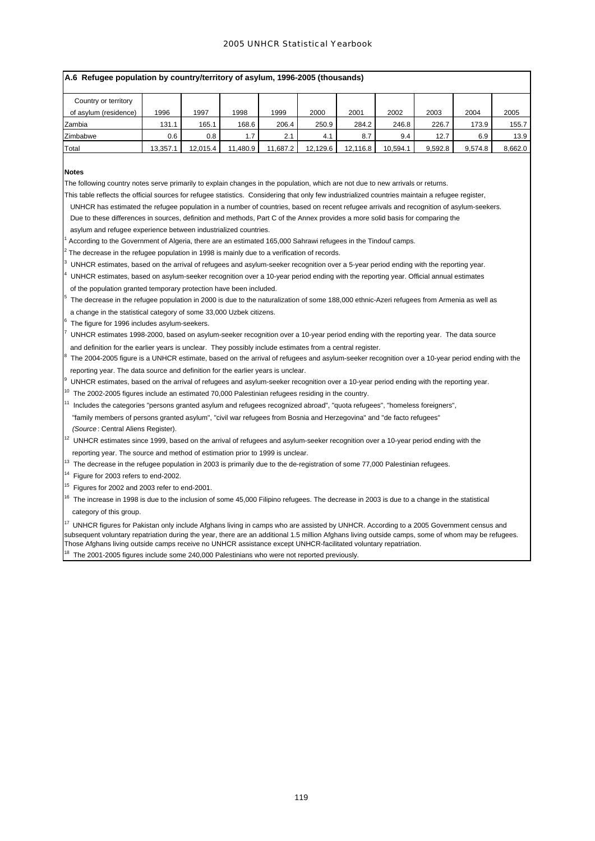|                       | A.6 Refugee population by country/territory of asylum, 1996-2005 (thousands) |          |          |          |          |          |          |         |         |         |  |  |  |  |
|-----------------------|------------------------------------------------------------------------------|----------|----------|----------|----------|----------|----------|---------|---------|---------|--|--|--|--|
| Country or territory  |                                                                              |          |          |          |          |          |          |         |         |         |  |  |  |  |
| of asylum (residence) | 1996                                                                         | 1997     | 1998     | 1999     | 2000     | 2001     | 2002     | 2003    | 2004    | 2005    |  |  |  |  |
| Zambia                | 131.1                                                                        | 165.1    | 168.6    | 206.4    | 250.9    | 284.2    | 246.8    | 226.7   | 173.9   | 155.7   |  |  |  |  |
| Zimbabwe              | 0.6                                                                          | 0.8      | 1.7      | 2.1      | 4.1      | 8.7      | 9.4      | 12.7    | 6.9     | 13.9    |  |  |  |  |
| Total                 | 13.357.1                                                                     | 12.015.4 | 11.480.9 | 11.687.2 | 12.129.6 | 12.116.8 | 10.594.1 | 9.592.8 | 9.574.8 | 8.662.0 |  |  |  |  |

## **Notes**

1

2

3

4

5

6

7

8

9

The following country notes serve primarily to explain changes in the population, which are not due to new arrivals or returns.

This table reflects the official sources for refugee statistics. Considering that only few industrialized countries maintain a refugee register,

UNHCR has estimated the refugee population in a number of countries, based on recent refugee arrivals and recognition of asylum-seekers.

 Due to these differences in sources, definition and methods, Part C of the Annex provides a more solid basis for comparing the asylum and refugee experience between industrialized countries.

According to the Government of Algeria, there are an estimated 165,000 Sahrawi refugees in the Tindouf camps.

The decrease in the refugee population in 1998 is mainly due to a verification of records.

UNHCR estimates, based on the arrival of refugees and asylum-seeker recognition over a 5-year period ending with the reporting year.

UNHCR estimates, based on asylum-seeker recognition over a 10-year period ending with the reporting year. Official annual estimates

of the population granted temporary protection have been included.

 The decrease in the refugee population in 2000 is due to the naturalization of some 188,000 ethnic-Azeri refugees from Armenia as well as a change in the statistical category of some 33,000 Uzbek citizens.

The figure for 1996 includes asylum-seekers.

 UNHCR estimates 1998-2000, based on asylum-seeker recognition over a 10-year period ending with the reporting year. The data source and definition for the earlier years is unclear. They possibly include estimates from a central register.

 The 2004-2005 figure is a UNHCR estimate, based on the arrival of refugees and asylum-seeker recognition over a 10-year period ending with the reporting year. The data source and definition for the earlier years is unclear.

UNHCR estimates, based on the arrival of refugees and asylum-seeker recognition over a 10-year period ending with the reporting year.

 $10<sup>10</sup>$  The 2002-2005 figures include an estimated 70,000 Palestinian refugees residing in the country.

<sup>1</sup> Includes the categories "persons granted asylum and refugees recognized abroad", "quota refugees", "homeless foreigners", "family members of persons granted asylum", "civil war refugees from Bosnia and Herzegovina" and "de facto refugees"  *(Source* : Central Aliens Register).

<sup>12</sup> UNHCR estimates since 1999, based on the arrival of refugees and asylum-seeker recognition over a 10-year period ending with the reporting year. The source and method of estimation prior to 1999 is unclear.

<sup>13</sup> The decrease in the refugee population in 2003 is primarily due to the de-registration of some 77,000 Palestinian refugees.

 $14$  Figure for 2003 refers to end-2002.

 $15$  Figures for 2002 and 2003 refer to end-2001.

<sup>16</sup> The increase in 1998 is due to the inclusion of some 45,000 Filipino refugees. The decrease in 2003 is due to a change in the statistical category of this group.

 $^{17}$  UNHCR figures for Pakistan only include Afghans living in camps who are assisted by UNHCR. According to a 2005 Government census and subsequent voluntary repatriation during the year, there are an additional 1.5 million Afghans living outside camps, some of whom may be refugees. Those Afghans living outside camps receive no UNHCR assistance except UNHCR-facilitated voluntary repatriation.

 $18$  The 2001-2005 figures include some 240,000 Palestinians who were not reported previously.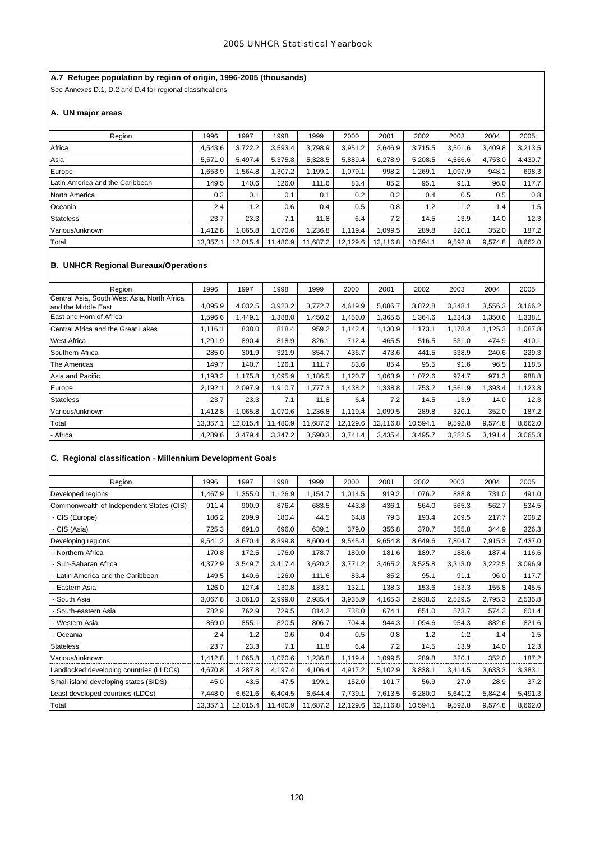# **A.7 Refugee population by region of origin, 1996-2005 (thousands)**

See Annexes D.1, D.2 and D.4 for regional classifications.

# **A. UN major areas**

| Region                          | 1996     | 1997     | 1998     | 1999       | 2000     | 2001     | 2002     | 2003    | 2004    | 2005    |
|---------------------------------|----------|----------|----------|------------|----------|----------|----------|---------|---------|---------|
| Africa                          | 4.543.6  | 3,722.2  | 3,593.4  | 3.798.9    | 3.951.2  | 3.646.9  | 3.715.5  | 3.501.6 | 3,409.8 | 3,213.5 |
| Asia                            | 5,571.0  | 5.497.4  | 5.375.8  | 5,328.5    | 5,889.4  | 6,278.9  | 5,208.5  | 4,566.6 | 4,753.0 | 4,430.7 |
| Europe                          | .653.9   | .564.8   | 1,307.2  | 1.199.1    | 1.079.1  | 998.2    | 269.1.   | 1.097.9 | 948.1   | 698.3   |
| Latin America and the Caribbean | 149.5    | 140.6    | 126.0    | 111.6      | 83.4     | 85.2     | 95.1     | 91.1    | 96.0    | 117.7   |
| <b>North America</b>            | 0.2      | 0.1      | 0.1      | 0.1        | 0.2      | 0.2      | 0.4      | 0.5     | 0.5     | 0.8     |
| Oceania                         | 2.4      | 1.2      | 0.6      | $0.4 \mid$ | 0.5      | 0.8      | 1.2      | 1.2     | 1.4     | 1.5     |
| <b>Stateless</b>                | 23.7     | 23.3     | 7.1      | 11.8       | 6.4      | 7.2      | 14.5     | 13.9    | 14.0    | 12.3    |
| Various/unknown                 | 1.412.8  | .065.8   | 1.070.6  | .236.8     | 1,119.4  | 1,099.5  | 289.8    | 320.1   | 352.0   | 187.2   |
| Total                           | 13,357.1 | 12,015.4 | 11,480.9 | 11.687.2   | 12,129.6 | 12,116.8 | 10,594.1 | 9,592.8 | 9,574.8 | 8,662.0 |

# **B. UNHCR Regional Bureaux/Operations**

| Region                                                             | 1996     | 1997     | 1998     | 1999     | 2000     | 2001     | 2002     | 2003    | 2004    | 2005    |
|--------------------------------------------------------------------|----------|----------|----------|----------|----------|----------|----------|---------|---------|---------|
| Central Asia, South West Asia, North Africa<br>and the Middle East | 4,095.9  | 4,032.5  | 3,923.2  | 3,772.7  | 4,619.9  | 5,086.7  | 3,872.8  | 3,348.1 | 3,556.3 | 3,166.2 |
| East and Horn of Africa                                            | 1,596.6  | .449.1   | 1,388.0  | 1,450.2  | 1.450.0  | 1,365.5  | 1,364.6  | 1,234.3 | 1,350.6 | 1,338.1 |
| Central Africa and the Great Lakes                                 | 1,116.1  | 838.0    | 818.4    | 959.2    | 1.142.4  | 1,130.9  | 1.173.1  | 1.178.4 | 1,125.3 | 1,087.8 |
| <b>West Africa</b>                                                 | 1,291.9  | 890.4    | 818.9    | 826.1    | 712.4    | 465.5    | 516.5    | 531.0   | 474.9   | 410.1   |
| Southern Africa                                                    | 285.0    | 301.9    | 321.9    | 354.7    | 436.7    | 473.6    | 441.5    | 338.9   | 240.6   | 229.3   |
| The Americas                                                       | 149.7    | 140.7    | 126.1    | 111.7    | 83.6     | 85.4     | 95.5     | 91.6    | 96.5    | 118.5   |
| Asia and Pacific                                                   | 1,193.2  | 1,175.8  | 1,095.9  | 1.186.5  | 1,120.7  | 1,063.9  | 1,072.6  | 974.7   | 971.3   | 988.8   |
| Europe                                                             | 2,192.1  | 2.097.9  | 1,910.7  | 1.777.3  | .438.2   | 1,338.8  | 1.753.2  | 1.561.9 | .393.4  | 1,123.8 |
| <b>Stateless</b>                                                   | 23.7     | 23.3     | 7.1      | 11.8     | 6.4      | 7.2      | 14.5     | 13.9    | 14.0    | 12.3    |
| Various/unknown                                                    | 1,412.8  | 1,065.8  | 1,070.6  | 1,236.8  | 1,119.4  | 1,099.5  | 289.8    | 320.1   | 352.0   | 187.2   |
| Total                                                              | 13,357.1 | 12,015.4 | 11,480.9 | 11,687.2 | 12,129.6 | 12,116.8 | 10,594.1 | 9,592.8 | 9,574.8 | 8,662.0 |
| - Africa                                                           | 4,289.6  | 3,479.4  | 3,347.2  | 3,590.3  | 3,741.4  | 3,435.4  | 3,495.7  | 3,282.5 | 3,191.4 | 3,065.3 |

# **C. Regional classification - Millennium Development Goals**

| Region                                   | 1996     | 1997     | 1998     | 1999     | 2000     | 2001     | 2002     | 2003    | 2004    | 2005    |
|------------------------------------------|----------|----------|----------|----------|----------|----------|----------|---------|---------|---------|
| Developed regions                        | 1,467.9  | 1,355.0  | 1,126.9  | 1,154.7  | 1,014.5  | 919.2    | 1,076.2  | 888.8   | 731.0   | 491.0   |
| Commonwealth of Independent States (CIS) | 911.4    | 900.9    | 876.4    | 683.5    | 443.8    | 436.1    | 564.0    | 565.3   | 562.7   | 534.5   |
| CIS (Europe)                             | 186.2    | 209.9    | 180.4    | 44.5     | 64.8     | 79.3     | 193.4    | 209.5   | 217.7   | 208.2   |
| - CIS (Asia)                             | 725.3    | 691.0    | 696.0    | 639.1    | 379.0    | 356.8    | 370.7    | 355.8   | 344.9   | 326.3   |
| Developing regions                       | 9,541.2  | 8,670.4  | 8,399.8  | 8,600.4  | 9,545.4  | 9,654.8  | 8,649.6  | 7,804.7 | 7,915.3 | 7,437.0 |
| - Northern Africa                        | 170.8    | 172.5    | 176.0    | 178.7    | 180.0    | 181.6    | 189.7    | 188.6   | 187.4   | 116.6   |
| Sub-Saharan Africa                       | 4,372.9  | 3,549.7  | 3,417.4  | 3,620.2  | 3,771.2  | 3,465.2  | 3,525.8  | 3,313.0 | 3,222.5 | 3,096.9 |
| Latin America and the Caribbean          | 149.5    | 140.6    | 126.0    | 111.6    | 83.4     | 85.2     | 95.1     | 91.1    | 96.0    | 117.7   |
| Eastern Asia                             | 126.0    | 127.4    | 130.8    | 133.1    | 132.1    | 138.3    | 153.6    | 153.3   | 155.8   | 145.5   |
| South Asia                               | 3,067.8  | 3,061.0  | 2,999.0  | 2,935.4  | 3,935.9  | 4,165.3  | 2,938.6  | 2,529.5 | 2,795.3 | 2,535.8 |
| South-eastern Asia                       | 782.9    | 762.9    | 729.5    | 814.2    | 738.0    | 674.1    | 651.0    | 573.7   | 574.2   | 601.4   |
| Western Asia                             | 869.0    | 855.1    | 820.5    | 806.7    | 704.4    | 944.3    | 1,094.6  | 954.3   | 882.6   | 821.6   |
| · Oceania                                | 2.4      | 1.2      | 0.6      | 0.4      | 0.5      | 0.8      | 1.2      | 1.2     | 1.4     | 1.5     |
| <b>Stateless</b>                         | 23.7     | 23.3     | 7.1      | 11.8     | 6.4      | 7.2      | 14.5     | 13.9    | 14.0    | 12.3    |
| Various/unknown                          | 1,412.8  | 1,065.8  | 1,070.6  | 1,236.8  | 1,119.4  | 1,099.5  | 289.8    | 320.1   | 352.0   | 187.2   |
| Landlocked developing countries (LLDCs)  | 4,670.8  | 4,287.8  | 4,197.4  | 4,106.4  | 4,917.2  | 5,102.9  | 3,838.1  | 3,414.5 | 3,633.3 | 3,383.1 |
| Small island developing states (SIDS)    | 45.0     | 43.5     | 47.5     | 199.1    | 152.0    | 101.7    | 56.9     | 27.0    | 28.9    | 37.2    |
| Least developed countries (LDCs)         | 7,448.0  | 6,621.6  | 6,404.5  | 6,644.4  | 7,739.1  | 7,613.5  | 6,280.0  | 5,641.2 | 5,842.4 | 5,491.3 |
| Total                                    | 13,357.1 | 12,015.4 | 11,480.9 | 11,687.2 | 12,129.6 | 12,116.8 | 10,594.1 | 9,592.8 | 9,574.8 | 8,662.0 |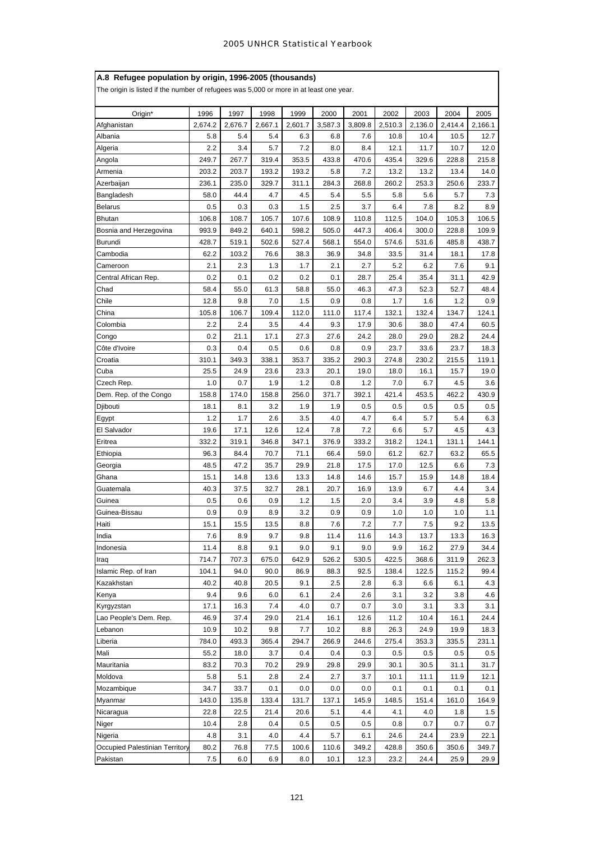| A.8 Refugee population by origin, 1996-2005 (thousands)                                |             |             |             |              |               |              |               |               |               |               |
|----------------------------------------------------------------------------------------|-------------|-------------|-------------|--------------|---------------|--------------|---------------|---------------|---------------|---------------|
| The origin is listed if the number of refugees was 5,000 or more in at least one year. |             |             |             |              |               |              |               |               |               |               |
| Origin*                                                                                | 1996        | 1997        | 1998        | 1999         | 2000          | 2001         | 2002          | 2003          | 2004          | 2005          |
| Afghanistan                                                                            | 2,674.2     | 2,676.7     | 2,667.1     | 2,601.7      | 3,587.3       | 3,809.8      | 2,510.3       | 2,136.0       | 2,414.4       | 2,166.1       |
| Albania                                                                                | 5.8         | 5.4         | 5.4         | 6.3          | 6.8           | 7.6          | 10.8          | 10.4          | 10.5          | 12.7          |
| Algeria                                                                                | 2.2         | 3.4         | 5.7         | 7.2          | 8.0           | 8.4          | 12.1          | 11.7          | 10.7          | 12.0          |
| Angola                                                                                 | 249.7       | 267.7       | 319.4       | 353.5        | 433.8         | 470.6        | 435.4         | 329.6         | 228.8         | 215.8         |
| Armenia                                                                                | 203.2       | 203.7       | 193.2       | 193.2        | 5.8           | 7.2          | 13.2          | 13.2          | 13.4          | 14.0          |
| Azerbaijan                                                                             | 236.1       | 235.0       | 329.7       | 311.1        | 284.3         | 268.8        | 260.2         | 253.3         | 250.6         | 233.7         |
| Bangladesh                                                                             | 58.0        | 44.4        | 4.7         | 4.5          | 5.4           | 5.5          | 5.8           | 5.6           | 5.7           | 7.3           |
| <b>Belarus</b>                                                                         | 0.5         | 0.3         | 0.3         | 1.5          | 2.5           | 3.7          | 6.4           | 7.8           | 8.2           | 8.9           |
| <b>Bhutan</b>                                                                          | 106.8       | 108.7       | 105.7       | 107.6        | 108.9         | 110.8        | 112.5         | 104.0         | 105.3         | 106.5         |
| Bosnia and Herzegovina                                                                 | 993.9       | 849.2       | 640.1       | 598.2        | 505.0         | 447.3        | 406.4         | 300.0         | 228.8         | 109.9         |
| Burundi                                                                                | 428.7       | 519.1       | 502.6       | 527.4        | 568.1         | 554.0        | 574.6         | 531.6         | 485.8         | 438.7         |
| Cambodia                                                                               | 62.2        | 103.2       | 76.6        | 38.3         | 36.9          | 34.8         | 33.5          | 31.4          | 18.1          | 17.8          |
| Cameroon                                                                               | 2.1         | 2.3         | 1.3         | 1.7          | 2.1           | 2.7          | 5.2           | 6.2           | 7.6           | 9.1           |
| Central African Rep.                                                                   | 0.2         | 0.1         | 0.2         | 0.2          | 0.1           | 28.7         | 25.4          | 35.4          | 31.1          | 42.9          |
| Chad                                                                                   | 58.4        | 55.0        | 61.3        | 58.8         | 55.0          | 46.3         | 47.3          | 52.3          | 52.7          | 48.4          |
| Chile                                                                                  | 12.8        | 9.8         | 7.0         | 1.5          | 0.9           | 0.8          | 1.7           | 1.6           | 1.2           | 0.9           |
| China                                                                                  | 105.8       | 106.7       | 109.4       | 112.0        | 111.0         | 117.4        | 132.1         | 132.4         | 134.7         | 124.1         |
| Colombia                                                                               | 2.2         | 2.4         | 3.5         | 4.4          | 9.3           | 17.9         | 30.6          | 38.0          | 47.4          | 60.5          |
| Congo                                                                                  | 0.2         | 21.1        | 17.1        | 27.3         | 27.6          | 24.2         | 28.0          | 29.0          | 28.2          | 24.4          |
| Côte d'Ivoire                                                                          | 0.3         | 0.4         | 0.5         | 0.6          | 0.8           | 0.9          | 23.7          | 33.6          | 23.7          | 18.3          |
| Croatia                                                                                | 310.1       | 349.3       | 338.1       | 353.7        | 335.2         | 290.3        | 274.8         | 230.2         | 215.5         | 119.1         |
| Cuba                                                                                   | 25.5        | 24.9        | 23.6        | 23.3         | 20.1          | 19.0         | 18.0          | 16.1          | 15.7          | 19.0          |
| Czech Rep.                                                                             | 1.0         | 0.7         | 1.9         | 1.2          | 0.8           | 1.2          | 7.0           | 6.7           | 4.5           | 3.6           |
| Dem. Rep. of the Congo                                                                 | 158.8       | 174.0       | 158.8       | 256.0        | 371.7         | 392.1        | 421.4         | 453.5         | 462.2         | 430.9         |
| Djibouti                                                                               | 18.1        | 8.1         | 3.2         | 1.9          | 1.9           | 0.5          | 0.5           | 0.5           | 0.5           | 0.5           |
| Egypt                                                                                  | 1.2         | 1.7         | 2.6         | 3.5          | 4.0           | 4.7          | 6.4           | 5.7           | 5.4           | 6.3           |
| El Salvador                                                                            | 19.6        | 17.1        | 12.6        | 12.4         | 7.8           | 7.2          | 6.6           | 5.7           | 4.5           | 4.3           |
| Eritrea                                                                                | 332.2       | 319.1       | 346.8       | 347.1        | 376.9         | 333.2        | 318.2         | 124.1         | 131.1         | 144.1         |
| Ethiopia                                                                               | 96.3        | 84.4        | 70.7        | 71.1         | 66.4          | 59.0         | 61.2          | 62.7          | 63.2          | 65.5          |
| Georgia                                                                                | 48.5        | 47.2        | 35.7        | 29.9         | 21.8          | 17.5         | 17.0          | 12.5          | 6.6           | 7.3           |
| Ghana                                                                                  | 15.1        | 14.8        | 13.6        | 13.3         | 14.8          | 14.6         | 15.7          | 15.9          | 14.8          | 18.4          |
| Guatemala                                                                              | 40.3        | 37.5        | 32.7        | 28.1         | 20.7          | 16.9         | 13.9          | 6.7           | 4.4           | 3.4           |
| Guinea                                                                                 | 0.5         | 0.6         | 0.9         | 1.2          | 1.5           | 2.0          | 3.4           | 3.9           | 4.8           | 5.8           |
| Guinea-Bissau                                                                          | 0.9         | 0.9         | 8.9         | 3.2          | 0.9           | 0.9          | 1.0           | 1.0           | 1.0           | 1.1           |
| Haiti                                                                                  | 15.1        | 15.5        | 13.5        | 8.8          | 7.6           | 7.2          | 7.7           | 7.5           | 9.2           | 13.5          |
| India                                                                                  | 7.6         | 8.9         | 9.7         | 9.8          | 11.4          | 11.6         | 14.3          | 13.7          | 13.3          | 16.3          |
| Indonesia                                                                              | 11.4        | 8.8         | 9.1         | 9.0          | 9.1           | 9.0          | 9.9           | 16.2          | 27.9          | 34.4          |
| Iraq                                                                                   | 714.7       | 707.3       | 675.0       | 642.9        | 526.2         | 530.5        | 422.5         | 368.6         | 311.9         | 262.3         |
| Islamic Rep. of Iran                                                                   | 104.1       | 94.0        | 90.0        | 86.9         | 88.3          | 92.5         | 138.4         | 122.5         | 115.2         | 99.4          |
| Kazakhstan                                                                             | 40.2        | 40.8        | 20.5        | 9.1          | 2.5           | 2.8          | 6.3           | 6.6           | 6.1           | 4.3           |
| Kenya                                                                                  | 9.4         | 9.6         | 6.0         | 6.1          | 2.4           | 2.6          | 3.1           | 3.2           | 3.8           | 4.6           |
| Kyrgyzstan                                                                             | 17.1        | 16.3        | 7.4         | 4.0          | 0.7           | 0.7          | 3.0           | 3.1           | 3.3           | 3.1           |
| Lao People's Dem. Rep.                                                                 | 46.9        | 37.4        | 29.0        | 21.4         | 16.1          | 12.6         | 11.2          | 10.4          | 16.1          | 24.4          |
| Lebanon                                                                                | 10.9        | 10.2        | 9.8         | 7.7          | 10.2          | 8.8          | 26.3          | 24.9          | 19.9          | 18.3          |
| Liberia                                                                                | 784.0       | 493.3       | 365.4       | 294.7        | 266.9         | 244.6        | 275.4         | 353.3         | 335.5         | 231.1         |
| Mali                                                                                   | 55.2        | 18.0        | 3.7         | 0.4          | 0.4           | 0.3          | 0.5           | 0.5           | 0.5           | 0.5           |
| Mauritania                                                                             | 83.2        | 70.3        | 70.2        | 29.9         | 29.8          | 29.9         | 30.1          | 30.5          | 31.1          | 31.7          |
| Moldova                                                                                | 5.8         | 5.1         | 2.8         | 2.4          | 2.7           | 3.7          | 10.1          | 11.1          | 11.9          | 12.1          |
| Mozambique                                                                             | 34.7        | 33.7        | 0.1         | 0.0          | 0.0           | 0.0          | 0.1           | 0.1           | 0.1           | 0.1           |
| Myanmar                                                                                | 143.0       | 135.8       | 133.4       | 131.7        | 137.1         | 145.9        | 148.5         | 151.4         | 161.0         | 164.9         |
| Nicaragua                                                                              | 22.8        | 22.5        | 21.4        | 20.6         | 5.1           | 4.4          | 4.1           | 4.0           | 1.8           | 1.5           |
| Niger                                                                                  | 10.4        | 2.8         | 0.4         | 0.5          | 0.5           | 0.5          | 0.8           | 0.7           | 0.7           | 0.7           |
| Nigeria                                                                                | 4.8         | 3.1         | 4.0         | 4.4          |               |              | 24.6          | 24.4          | 23.9          | 22.1          |
|                                                                                        |             |             |             |              | 5.7           | 6.1<br>349.2 |               |               |               |               |
| Occupied Palestinian Territory<br>Pakistan                                             | 80.2<br>7.5 | 76.8<br>6.0 | 77.5<br>6.9 | 100.6<br>8.0 | 110.6<br>10.1 | 12.3         | 428.8<br>23.2 | 350.6<br>24.4 | 350.6<br>25.9 | 349.7<br>29.9 |
|                                                                                        |             |             |             |              |               |              |               |               |               |               |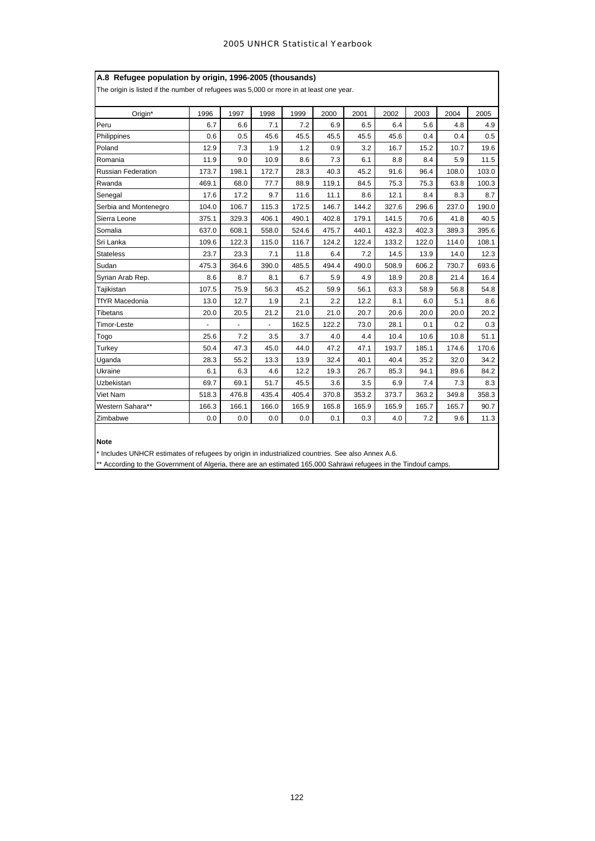| A.8 Refugee population by origin, 1996-2005 (thousands)<br>The origin is listed if the number of refugees was 5,000 or more in at least one year. |       |       |       |       |       |       |       |       |       |       |  |  |
|---------------------------------------------------------------------------------------------------------------------------------------------------|-------|-------|-------|-------|-------|-------|-------|-------|-------|-------|--|--|
|                                                                                                                                                   |       |       |       |       |       |       |       |       |       |       |  |  |
| Origin*                                                                                                                                           | 1996  | 1997  | 1998  | 1999  | 2000  | 2001  | 2002  | 2003  | 2004  | 2005  |  |  |
| Peru                                                                                                                                              | 6.7   | 6.6   | 7.1   | 7.2   | 6.9   | 6.5   | 6.4   | 5.6   | 4.8   | 4.9   |  |  |
| Philippines                                                                                                                                       | 0.6   | 0.5   | 45.6  | 45.5  | 45.5  | 45.5  | 45.6  | 0.4   | 0.4   | 0.5   |  |  |
| Poland                                                                                                                                            | 12.9  | 7.3   | 1.9   | 1.2   | 0.9   | 3.2   | 16.7  | 15.2  | 10.7  | 19.6  |  |  |
| Romania                                                                                                                                           | 11.9  | 9.0   | 10.9  | 8.6   | 7.3   | 6.1   | 8.8   | 8.4   | 5.9   | 11.5  |  |  |
| Russian Federation                                                                                                                                | 173.7 | 198.1 | 172.7 | 28.3  | 40.3  | 45.2  | 91.6  | 96.4  | 108.0 | 103.0 |  |  |
| Rwanda                                                                                                                                            | 469.1 | 68.0  | 77.7  | 88.9  | 119.1 | 84.5  | 75.3  | 75.3  | 63.8  | 100.3 |  |  |
| Senegal                                                                                                                                           | 17.6  | 17.2  | 9.7   | 11.6  | 11.1  | 8.6   | 12.1  | 8.4   | 8.3   | 8.7   |  |  |
| Serbia and Montenegro                                                                                                                             | 104.0 | 106.7 | 115.3 | 172.5 | 146.7 | 144.2 | 327.6 | 296.6 | 237.0 | 190.0 |  |  |
| Sierra Leone                                                                                                                                      | 375.1 | 329.3 | 406.1 | 490.1 | 402.8 | 179.1 | 141.5 | 70.6  | 41.8  | 40.5  |  |  |
| Somalia                                                                                                                                           | 637.0 | 608.1 | 558.0 | 524.6 | 475.7 | 440.1 | 432.3 | 402.3 | 389.3 | 395.6 |  |  |
| Sri Lanka                                                                                                                                         | 109.6 | 122.3 | 115.0 | 116.7 | 124.2 | 122.4 | 133.2 | 122.0 | 114.0 | 108.1 |  |  |
| <b>Stateless</b>                                                                                                                                  | 23.7  | 23.3  | 7.1   | 11.8  | 6.4   | 7.2   | 14.5  | 13.9  | 14.0  | 12.3  |  |  |
| Sudan                                                                                                                                             | 475.3 | 364.6 | 390.0 | 485.5 | 494.4 | 490.0 | 508.9 | 606.2 | 730.7 | 693.6 |  |  |
| Syrian Arab Rep.                                                                                                                                  | 8.6   | 8.7   | 8.1   | 6.7   | 5.9   | 4.9   | 18.9  | 20.8  | 21.4  | 16.4  |  |  |
| Tajikistan                                                                                                                                        | 107.5 | 75.9  | 56.3  | 45.2  | 59.9  | 56.1  | 63.3  | 58.9  | 56.8  | 54.8  |  |  |
| <b>TfYR Macedonia</b>                                                                                                                             | 13.0  | 12.7  | 1.9   | 2.1   | 2.2   | 12.2  | 8.1   | 6.0   | 5.1   | 8.6   |  |  |
| Tibetans                                                                                                                                          | 20.0  | 20.5  | 21.2  | 21.0  | 21.0  | 20.7  | 20.6  | 20.0  | 20.0  | 20.2  |  |  |
| <b>Timor-Leste</b>                                                                                                                                |       |       | ä,    | 162.5 | 122.2 | 73.0  | 28.1  | 0.1   | 0.2   | 0.3   |  |  |
| Togo                                                                                                                                              | 25.6  | 7.2   | 3.5   | 3.7   | 4.0   | 4.4   | 10.4  | 10.6  | 10.8  | 51.1  |  |  |
| Turkey                                                                                                                                            | 50.4  | 47.3  | 45.0  | 44.0  | 47.2  | 47.1  | 193.7 | 185.1 | 174.6 | 170.6 |  |  |
| Uganda                                                                                                                                            | 28.3  | 55.2  | 13.3  | 13.9  | 32.4  | 40.1  | 40.4  | 35.2  | 32.0  | 34.2  |  |  |
| Ukraine                                                                                                                                           | 6.1   | 6.3   | 4.6   | 12.2  | 19.3  | 26.7  | 85.3  | 94.1  | 89.6  | 84.2  |  |  |
| Uzbekistan                                                                                                                                        | 69.7  | 69.1  | 51.7  | 45.5  | 3.6   | 3.5   | 6.9   | 7.4   | 7.3   | 8.3   |  |  |
| Viet Nam                                                                                                                                          | 518.3 | 476.8 | 435.4 | 405.4 | 370.8 | 353.2 | 373.7 | 363.2 | 349.8 | 358.3 |  |  |
| Western Sahara**                                                                                                                                  | 166.3 | 166.1 | 166.0 | 165.9 | 165.8 | 165.9 | 165.9 | 165.7 | 165.7 | 90.7  |  |  |
| Zimbabwe                                                                                                                                          | 0.0   | 0.0   | 0.0   | 0.0   | 0.1   | 0.3   | 4.0   | 7.2   | 9.6   | 11.3  |  |  |

# **Note**

\* Includes UNHCR estimates of refugees by origin in industrialized countries. See also Annex A.6.

\*\* According to the Government of Algeria, there are an estimated 165,000 Sahrawi refugees in the Tindouf camps.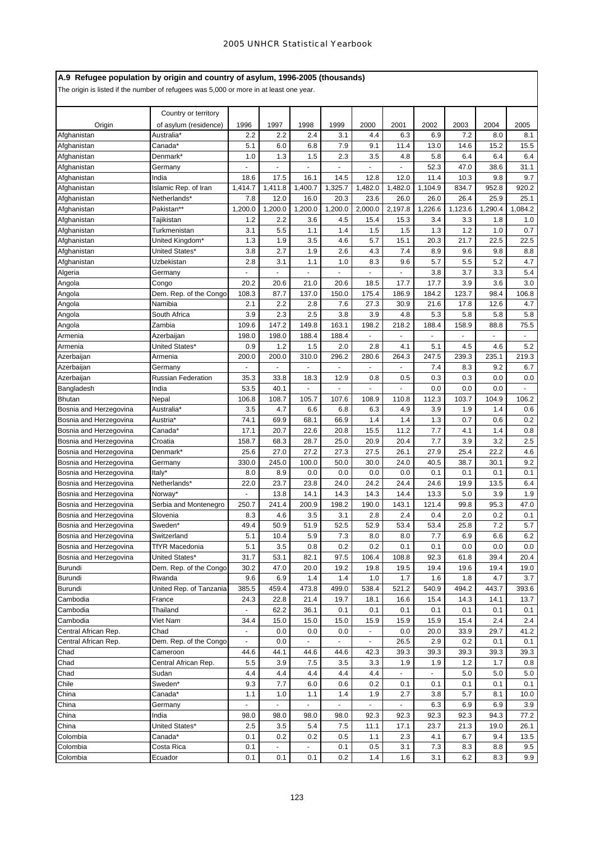# **A.9 Refugee population by origin and country of asylum, 1996-2005 (thousands)**

|                        | Country or territory      |                |                |                                                                                                                                                                                                                                                                                                                                                                                                                                                                            |                |                |                |         |         |         |         |
|------------------------|---------------------------|----------------|----------------|----------------------------------------------------------------------------------------------------------------------------------------------------------------------------------------------------------------------------------------------------------------------------------------------------------------------------------------------------------------------------------------------------------------------------------------------------------------------------|----------------|----------------|----------------|---------|---------|---------|---------|
| Origin                 | of asylum (residence)     | 1996           | 1997           | 1998                                                                                                                                                                                                                                                                                                                                                                                                                                                                       | 1999           | 2000           | 2001           | 2002    | 2003    | 2004    | 2005    |
| Afghanistan            | Australia*                | 2.2            | 2.2            | 2.4                                                                                                                                                                                                                                                                                                                                                                                                                                                                        | 3.1            | 4.4            | 6.3            | 6.9     | 7.2     | 8.0     | 8.1     |
| Afghanistan            | Canada*                   | 5.1            | 6.0            | 6.8                                                                                                                                                                                                                                                                                                                                                                                                                                                                        | 7.9            | 9.1            | 11.4           | 13.0    | 14.6    | 15.2    | 15.5    |
| Afghanistan            | Denmark*                  | 1.0            | 1.3            | 1.5                                                                                                                                                                                                                                                                                                                                                                                                                                                                        | 2.3            | 3.5            | 4.8            | 5.8     | 6.4     | 6.4     | 6.4     |
| Afghanistan            | Germany                   |                |                |                                                                                                                                                                                                                                                                                                                                                                                                                                                                            |                |                |                | 52.3    | 47.0    | 38.6    | 31.1    |
| Afghanistan            | India                     | 18.6           | 17.5           | 16.1                                                                                                                                                                                                                                                                                                                                                                                                                                                                       | 14.5           | 12.8           | 12.0           | 11.4    | 10.3    | 9.8     | 9.7     |
| Afghanistan            | Islamic Rep. of Iran      | 1,414.7        | 1,411.8        | 1,400.7                                                                                                                                                                                                                                                                                                                                                                                                                                                                    | 1,325.7        | 1,482.0        | 1,482.0        | 1,104.9 | 834.7   | 952.8   | 920.2   |
| Afghanistan            | Netherlands*              | 7.8            | 12.0           | 16.0                                                                                                                                                                                                                                                                                                                                                                                                                                                                       | 20.3           | 23.6           | 26.0           | 26.0    | 26.4    | 25.9    | 25.1    |
| Afghanistan            | Pakistan**                | 1,200.0        | 1,200.0        | 1,200.0                                                                                                                                                                                                                                                                                                                                                                                                                                                                    | 1,200.0        | 2,000.0        | 2,197.8        | 1,226.6 | 1,123.6 | 1,290.4 | 1,084.2 |
| Afghanistan            | Tajikistan                | 1.2            | 2.2            | 3.6                                                                                                                                                                                                                                                                                                                                                                                                                                                                        | 4.5            | 15.4           | 15.3           | 3.4     | 3.3     | 1.8     | 1.0     |
| Afghanistan            | Turkmenistan              | 3.1            | 5.5            | 1.1                                                                                                                                                                                                                                                                                                                                                                                                                                                                        | 1.4            | 1.5            | 1.5            | 1.3     | 1.2     | 1.0     | 0.7     |
| Afghanistan            | United Kingdom*           | 1.3            | 1.9            | 3.5                                                                                                                                                                                                                                                                                                                                                                                                                                                                        | 4.6            | 5.7            | 15.1           | 20.3    | 21.7    | 22.5    | 22.5    |
| Afghanistan            | United States*            | 3.8            | 2.7            | 1.9                                                                                                                                                                                                                                                                                                                                                                                                                                                                        | 2.6            | 4.3            | 7.4            | 8.9     | 9.6     | 9.8     | 8.8     |
| Afghanistan            | Uzbekistan                | 2.8            | 3.1            | 1.1                                                                                                                                                                                                                                                                                                                                                                                                                                                                        | 1.0            | 8.3            | 9.6            | 5.7     | 5.5     | 5.2     | 4.7     |
| Algeria                | Germany                   |                |                |                                                                                                                                                                                                                                                                                                                                                                                                                                                                            |                |                |                | 3.8     | 3.7     | 3.3     | 5.4     |
| Angola                 | Congo                     | 20.2           | 20.6           | 21.0                                                                                                                                                                                                                                                                                                                                                                                                                                                                       | 20.6           | 18.5           | 17.7           | 17.7    | 3.9     | 3.6     | 3.0     |
| Angola                 | Dem. Rep. of the Congo    | 108.3          | 87.7           | 137.0                                                                                                                                                                                                                                                                                                                                                                                                                                                                      | 150.0          | 175.4          | 186.9          | 184.2   | 123.7   | 98.4    | 106.8   |
| Angola                 | Namibia                   | 2.1            | 2.2            | 2.8                                                                                                                                                                                                                                                                                                                                                                                                                                                                        | 7.6            | 27.3           | 30.9           | 21.6    | 17.8    | 12.6    | 4.7     |
| Angola                 | South Africa              | 3.9            | 2.3            | 2.5                                                                                                                                                                                                                                                                                                                                                                                                                                                                        | 3.8            | 3.9            | 4.8            | 5.3     | 5.8     | 5.8     | 5.8     |
| Angola                 | Zambia                    | 109.6          | 147.2          | 149.8                                                                                                                                                                                                                                                                                                                                                                                                                                                                      | 163.1          | 198.2          | 218.2          | 188.4   | 158.9   | 88.8    | 75.5    |
| Armenia                | Azerbaijan                | 198.0          | 198.0          | 188.4                                                                                                                                                                                                                                                                                                                                                                                                                                                                      | 188.4          |                |                |         |         |         |         |
| Armenia                | United States*            | 0.9            | 1.2            | 1.5                                                                                                                                                                                                                                                                                                                                                                                                                                                                        | 2.0            | 2.8            | 4.1            | 5.1     | 4.5     | 4.6     | 5.2     |
| Azerbaijan             | Armenia                   | 200.0          | 200.0          | 310.0                                                                                                                                                                                                                                                                                                                                                                                                                                                                      | 296.2          | 280.6          | 264.3          | 247.5   | 239.3   | 235.1   | 219.3   |
| Azerbaijan             | Germany                   |                |                |                                                                                                                                                                                                                                                                                                                                                                                                                                                                            |                |                |                | 7.4     | 8.3     | 9.2     | 6.7     |
| Azerbaijan             | <b>Russian Federation</b> | 35.3           | 33.8           | 18.3                                                                                                                                                                                                                                                                                                                                                                                                                                                                       | 12.9           | 0.8            | 0.5            | 0.3     | 0.3     | 0.0     | 0.0     |
| Bangladesh             | India                     | 53.5           | 40.1           |                                                                                                                                                                                                                                                                                                                                                                                                                                                                            |                |                |                | 0.0     | 0.0     | 0.0     |         |
| <b>Bhutan</b>          | Nepal                     | 106.8          | 108.7          | 105.7                                                                                                                                                                                                                                                                                                                                                                                                                                                                      | 107.6          | 108.9          | 110.8          | 112.3   | 103.7   | 104.9   | 106.2   |
| Bosnia and Herzegovina | Australia*                | 3.5            | 4.7            | 6.6                                                                                                                                                                                                                                                                                                                                                                                                                                                                        | 6.8            | 6.3            | 4.9            | 3.9     | 1.9     | 1.4     | 0.6     |
| Bosnia and Herzegovina | Austria*                  | 74.1           | 69.9           | 68.1                                                                                                                                                                                                                                                                                                                                                                                                                                                                       | 66.9           | 1.4            | 1.4            | 1.3     | 0.7     | 0.6     | 0.2     |
| Bosnia and Herzegovina | Canada*                   | 17.1           | 20.7           | 22.6                                                                                                                                                                                                                                                                                                                                                                                                                                                                       | 20.8           | 15.5           | 11.2           | 7.7     | 4.1     | 1.4     | 0.8     |
| Bosnia and Herzegovina | Croatia                   | 158.7          | 68.3           | 28.7                                                                                                                                                                                                                                                                                                                                                                                                                                                                       | 25.0           | 20.9           | 20.4           | 7.7     | 3.9     | 3.2     | 2.5     |
| Bosnia and Herzegovina | Denmark*                  | 25.6           | 27.0           | 27.2                                                                                                                                                                                                                                                                                                                                                                                                                                                                       | 27.3           | 27.5           | 26.1           | 27.9    | 25.4    | 22.2    | 4.6     |
| Bosnia and Herzegovina | Germany                   | 330.0          | 245.0          | 100.0                                                                                                                                                                                                                                                                                                                                                                                                                                                                      | 50.0           | 30.0           | 24.0           | 40.5    | 38.7    | 30.1    | 9.2     |
| Bosnia and Herzegovina | Italy*                    | 8.0            | 8.9            | 0.0                                                                                                                                                                                                                                                                                                                                                                                                                                                                        | 0.0            | 0.0            | 0.0            | 0.1     | 0.1     | 0.1     | 0.1     |
| Bosnia and Herzegovina | Netherlands*              | 22.0           | 23.7           | 23.8                                                                                                                                                                                                                                                                                                                                                                                                                                                                       | 24.0           | 24.2           | 24.4           | 24.6    | 19.9    | 13.5    | 6.4     |
| Bosnia and Herzegovina | Norway*                   |                | 13.8           | 14.1                                                                                                                                                                                                                                                                                                                                                                                                                                                                       | 14.3           | 14.3           | 14.4           | 13.3    | 5.0     | 3.9     | 1.9     |
| Bosnia and Herzegovina | Serbia and Montenegro     | 250.7          | 241.4          | 200.9                                                                                                                                                                                                                                                                                                                                                                                                                                                                      | 198.2          | 190.0          | 143.1          | 121.4   | 99.8    | 95.3    | 47.0    |
| Bosnia and Herzegovina | Slovenia                  | 8.3            | 4.6            | 3.5                                                                                                                                                                                                                                                                                                                                                                                                                                                                        | 3.1            | 2.8            | 2.4            | 0.4     | 2.0     | 0.2     | 0.1     |
| Bosnia and Herzegovina | Sweden*                   | 49.4           | 50.9           | 51.9                                                                                                                                                                                                                                                                                                                                                                                                                                                                       | 52.5           | 52.9           | 53.4           | 53.4    | 25.8    | 7.2     | 5.7     |
| Bosnia and Herzegovina | Switzerland               | 5.1            | 10.4           | 5.9                                                                                                                                                                                                                                                                                                                                                                                                                                                                        | 7.3            | 8.0            | 8.0            | 7.7     | 6.9     | 6.6     | 6.2     |
| Bosnia and Herzegovina | <b>TfYR Macedonia</b>     | 5.1            | 3.5            | 0.8                                                                                                                                                                                                                                                                                                                                                                                                                                                                        | $0.2\,$        | 0.2            | 0.1            | 0.1     | 0.0     | $0.0\,$ | $0.0\,$ |
| Bosnia and Herzegovina | United States*            | 31.7           | 53.1           | 82.1                                                                                                                                                                                                                                                                                                                                                                                                                                                                       | 97.5           | 106.4          | 108.8          | 92.3    | 61.8    | 39.4    | 20.4    |
| Burundi                | Dem. Rep. of the Congo    | 30.2           | 47.0           | 20.0                                                                                                                                                                                                                                                                                                                                                                                                                                                                       | 19.2           | 19.8           | 19.5           | 19.4    | 19.6    | 19.4    | 19.0    |
| Burundi                | Rwanda                    | 9.6            | 6.9            | 1.4                                                                                                                                                                                                                                                                                                                                                                                                                                                                        | 1.4            | 1.0            | 1.7            | 1.6     | 1.8     | 4.7     | 3.7     |
| Burundi                | United Rep. of Tanzania   | 385.5          | 459.4          | 473.8                                                                                                                                                                                                                                                                                                                                                                                                                                                                      | 499.0          | 538.4          | 521.2          | 540.9   | 494.2   | 443.7   | 393.6   |
| Cambodia               | France                    | 24.3           | 22.8           | 21.4                                                                                                                                                                                                                                                                                                                                                                                                                                                                       | 19.7           | 18.1           | 16.6           | 15.4    | 14.3    | 14.1    | 13.7    |
| Cambodia               | Thailand                  | $\blacksquare$ | 62.2           | 36.1                                                                                                                                                                                                                                                                                                                                                                                                                                                                       | 0.1            | 0.1            | 0.1            | 0.1     | 0.1     | 0.1     | 0.1     |
| Cambodia               | Viet Nam                  | 34.4           | 15.0           | 15.0                                                                                                                                                                                                                                                                                                                                                                                                                                                                       | 15.0           | 15.9           | 15.9           | 15.9    | 15.4    | 2.4     | 2.4     |
| Central African Rep.   | Chad                      |                | 0.0            | 0.0                                                                                                                                                                                                                                                                                                                                                                                                                                                                        | 0.0            | $\blacksquare$ | 0.0            | 20.0    | 33.9    | 29.7    | 41.2    |
| Central African Rep.   | Dem. Rep. of the Congo    | $\blacksquare$ | 0.0            | $\blacksquare$                                                                                                                                                                                                                                                                                                                                                                                                                                                             | $\blacksquare$ | $\blacksquare$ | 26.5           | 2.9     | 0.2     | 0.1     | 0.1     |
| Chad                   | Cameroon                  | 44.6           | 44.1           | 44.6                                                                                                                                                                                                                                                                                                                                                                                                                                                                       | 44.6           | 42.3           | 39.3           | 39.3    | 39.3    | 39.3    | 39.3    |
| Chad                   | Central African Rep.      | 5.5            | 3.9            | 7.5                                                                                                                                                                                                                                                                                                                                                                                                                                                                        | 3.5            | 3.3            | 1.9            | 1.9     | 1.2     | 1.7     | 0.8     |
| Chad                   | Sudan                     | 4.4            | 4.4            | 4.4                                                                                                                                                                                                                                                                                                                                                                                                                                                                        | 4.4            | 4.4            |                |         | 5.0     | 5.0     | 5.0     |
| Chile                  | Sweden*                   | 9.3            | 7.7            | 6.0                                                                                                                                                                                                                                                                                                                                                                                                                                                                        | 0.6            | 0.2            | 0.1            | 0.1     | 0.1     | 0.1     | 0.1     |
| China                  | Canada*                   | 1.1            | 1.0            | 1.1                                                                                                                                                                                                                                                                                                                                                                                                                                                                        | 1.4            | 1.9            | 2.7            | 3.8     | 5.7     | 8.1     | 10.0    |
| China                  | Germany                   | $\blacksquare$ | $\blacksquare$ | $\blacksquare$                                                                                                                                                                                                                                                                                                                                                                                                                                                             | $\sim$         | $\sim$         | $\blacksquare$ | 6.3     | 6.9     | 6.9     | 3.9     |
| China                  | India                     | 98.0           | 98.0           | 98.0                                                                                                                                                                                                                                                                                                                                                                                                                                                                       | 98.0           | 92.3           | 92.3           | 92.3    | 92.3    | 94.3    | 77.2    |
| China                  | United States*            | 2.5            | 3.5            | 5.4                                                                                                                                                                                                                                                                                                                                                                                                                                                                        | 7.5            | 11.1           | 17.1           | 23.7    | 21.3    | 19.0    | 26.1    |
| Colombia               | Canada*                   | 0.1            | 0.2            | 0.2                                                                                                                                                                                                                                                                                                                                                                                                                                                                        | 0.5            | 1.1            | 2.3            | 4.1     | 6.7     | 9.4     | 13.5    |
| Colombia               | Costa Rica                | 0.1            | ٠              | $\frac{1}{2} \left( \frac{1}{2} \right) \left( \frac{1}{2} \right) \left( \frac{1}{2} \right) \left( \frac{1}{2} \right) \left( \frac{1}{2} \right) \left( \frac{1}{2} \right) \left( \frac{1}{2} \right) \left( \frac{1}{2} \right) \left( \frac{1}{2} \right) \left( \frac{1}{2} \right) \left( \frac{1}{2} \right) \left( \frac{1}{2} \right) \left( \frac{1}{2} \right) \left( \frac{1}{2} \right) \left( \frac{1}{2} \right) \left( \frac{1}{2} \right) \left( \frac$ | 0.1            | 0.5            | 3.1            | 7.3     | 8.3     | 8.8     | 9.5     |
| Colombia               | Ecuador                   | 0.1            | 0.1            | 0.1                                                                                                                                                                                                                                                                                                                                                                                                                                                                        | 0.2            | 1.4            | 1.6            | 3.1     | 6.2     | 8.3     | 9.9     |
|                        |                           |                |                |                                                                                                                                                                                                                                                                                                                                                                                                                                                                            |                |                |                |         |         |         |         |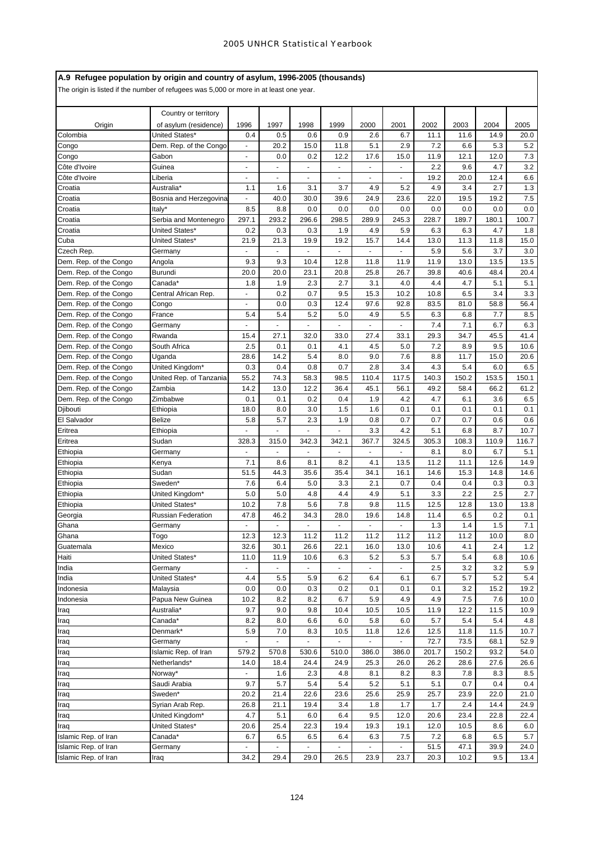# **A.9 Refugee population by origin and country of asylum, 1996-2005 (thousands)**

|                        | Country or territory             |                |                |                |                |             |            |             |             |             |             |
|------------------------|----------------------------------|----------------|----------------|----------------|----------------|-------------|------------|-------------|-------------|-------------|-------------|
| Origin                 | of asylum (residence)            | 1996           | 1997           | 1998           | 1999           | 2000        | 2001       | 2002        | 2003        | 2004        | 2005        |
| Colombia               | United States*                   | 0.4            | 0.5            | 0.6            | 0.9            | 2.6         | 6.7        | 11.1        | 11.6        | 14.9        | 20.0        |
| Congo                  | Dem. Rep. of the Congo           | ÷,             | 20.2           | 15.0           | 11.8           | 5.1         | 2.9        | 7.2         | 6.6         | 5.3         | 5.2         |
| Congo                  | Gabon                            | $\frac{1}{2}$  | 0.0            | 0.2            | 12.2           | 17.6        | 15.0       | 11.9        | 12.1        | 12.0        | 7.3         |
| Côte d'Ivoire          | Guinea                           | ä,             | ä,             | $\blacksquare$ | ä,             | ä,          | ÷.         | 2.2         | 9.6         | 4.7         | 3.2         |
| Côte d'Ivoire          | Liberia                          |                |                |                |                |             |            | 19.2        | 20.0        | 12.4        | 6.6         |
| Croatia                | Australia*                       | 1.1            | 1.6            | 3.1            | 3.7            | 4.9         | 5.2        | 4.9         | 3.4         | 2.7         | 1.3         |
| Croatia                | Bosnia and Herzegovina           |                | 40.0           | 30.0           | 39.6           | 24.9        | 23.6       | 22.0        | 19.5        | 19.2        | 7.5         |
| Croatia                | Italy*                           | 8.5            | 8.8            | 0.0            | 0.0            | 0.0         | 0.0        | 0.0         | 0.0         | 0.0         | 0.0         |
| Croatia                | Serbia and Montenegro            | 297.1          | 293.2          | 296.6          | 298.5          | 289.9       | 245.3      | 228.7       | 189.7       | 180.1       | 100.7       |
| Croatia                | United States*<br>United States* | 0.2<br>21.9    | 0.3            | 0.3<br>19.9    | 1.9<br>19.2    | 4.9<br>15.7 | 5.9        | 6.3         | 6.3         | 4.7         | 1.8<br>15.0 |
| Cuba<br>Czech Rep.     | Germany                          |                | 21.3           |                |                |             | 14.4       | 13.0<br>5.9 | 11.3<br>5.6 | 11.8<br>3.7 | 3.0         |
| Dem. Rep. of the Congo | Angola                           | 9.3            | 9.3            | 10.4           | 12.8           | 11.8        | 11.9       | 11.9        | 13.0        | 13.5        | 13.5        |
| Dem. Rep. of the Congo | Burundi                          | 20.0           | 20.0           | 23.1           | 20.8           | 25.8        | 26.7       | 39.8        | 40.6        | 48.4        | 20.4        |
| Dem. Rep. of the Congo | Canada*                          | 1.8            | 1.9            | 2.3            | 2.7            | 3.1         | 4.0        | 4.4         | 4.7         | 5.1         | 5.1         |
| Dem. Rep. of the Congo | Central African Rep.             | ä,             | 0.2            | 0.7            | 9.5            | 15.3        | 10.2       | 10.8        | 6.5         | 3.4         | 3.3         |
| Dem. Rep. of the Congo | Congo                            | $\blacksquare$ | 0.0            | 0.3            | 12.4           | 97.6        | 92.8       | 83.5        | 81.0        | 58.8        | 56.4        |
| Dem. Rep. of the Congo | France                           | 5.4            | 5.4            | 5.2            | 5.0            | 4.9         | 5.5        | 6.3         | 6.8         | 7.7         | 8.5         |
| Dem. Rep. of the Congo | Germany                          | ä,             | $\blacksquare$ | $\blacksquare$ | ÷              | ÷,          | $\sim$     | 7.4         | 7.1         | 6.7         | 6.3         |
| Dem. Rep. of the Congo | Rwanda                           | 15.4           | 27.1           | 32.0           | 33.0           | 27.4        | 33.1       | 29.3        | 34.7        | 45.5        | 41.4        |
| Dem. Rep. of the Congo | South Africa                     | 2.5            | 0.1            | 0.1            | 4.1            | 4.5         | 5.0        | 7.2         | 8.9         | 9.5         | 10.6        |
| Dem. Rep. of the Congo | Uganda                           | 28.6           | 14.2           | 5.4            | 8.0            | 9.0         | 7.6        | 8.8         | 11.7        | 15.0        | 20.6        |
| Dem. Rep. of the Congo | United Kingdom*                  | 0.3            | 0.4            | 0.8            | 0.7            | 2.8         | 3.4        | 4.3         | 5.4         | 6.0         | 6.5         |
| Dem. Rep. of the Congo | United Rep. of Tanzania          | 55.2           | 74.3           | 58.3           | 98.5           | 110.4       | 117.5      | 140.3       | 150.2       | 153.5       | 150.1       |
| Dem. Rep. of the Congo | Zambia                           | 14.2           | 13.0           | 12.2           | 36.4           | 45.1        | 56.1       | 49.2        | 58.4        | 66.2        | 61.2        |
| Dem. Rep. of the Congo | Zimbabwe                         | 0.1            | 0.1            | 0.2            | 0.4            | 1.9         | 4.2        | 4.7         | 6.1         | 3.6         | 6.5         |
| Djibouti               | Ethiopia                         | 18.0           | 8.0            | 3.0            | 1.5            | 1.6         | 0.1        | 0.1         | 0.1         | 0.1         | 0.1         |
| El Salvador            | <b>Belize</b>                    | 5.8            | 5.7            | 2.3            | 1.9            | 0.8         | 0.7        | 0.7         | 0.7         | 0.6         | 0.6         |
| Eritrea                | Ethiopia                         | ä,             |                | ÷.             | ä,             | 3.3         | 4.2        | 5.1         | 6.8         | 8.7         | 10.7        |
| Eritrea                | Sudan                            | 328.3          | 315.0          | 342.3          | 342.1          | 367.7       | 324.5      | 305.3       | 108.3       | 110.9       | 116.7       |
| Ethiopia               | Germany                          | L.             |                | $\omega$       | $\overline{a}$ | ÷,          | ÷,         | 8.1         | 8.0         | 6.7         | 5.1         |
| Ethiopia               | Kenya                            | 7.1            | 8.6            | 8.1            | 8.2            | 4.1         | 13.5       | 11.2        | 11.1        | 12.6        | 14.9        |
| Ethiopia               | Sudan                            | 51.5           | 44.3           | 35.6           | 35.4           | 34.1        | 16.1       | 14.6        | 15.3        | 14.8        | 14.6        |
| Ethiopia               | Sweden*                          | 7.6            | 6.4            | 5.0            | 3.3            | 2.1         | 0.7        | 0.4         | 0.4         | 0.3         | 0.3         |
| Ethiopia               | United Kingdom*                  | 5.0            | 5.0            | 4.8            | 4.4            | 4.9         | 5.1        | 3.3         | 2.2         | 2.5         | 2.7         |
| Ethiopia               | United States*                   | 10.2           | 7.8            | 5.6            | 7.8            | 9.8         | 11.5       | 12.5        | 12.8        | 13.0        | 13.8        |
| Georgia                | <b>Russian Federation</b>        | 47.8           | 46.2           | 34.3           | 28.0           | 19.6        | 14.8       | 11.4        | 6.5         | 0.2         | 0.1         |
| Ghana                  | Germany                          |                |                |                |                |             |            | 1.3         | 1.4         | 1.5         | 7.1         |
| Ghana                  | Togo                             | 12.3           | 12.3           | 11.2           | 11.2           | 11.2        | 11.2       | 11.2        | 11.2        | 10.0        | 8.0         |
| Guatemala              | Mexico                           | 32.6           | 30.1           | 26.6           | 22.1           | 16.0        | 13.0       | 10.6        | 4.1         | 2.4         | 1.2         |
| Haiti                  | United States*                   | 11.0           | 11.9           | 10.6           | 6.3            | 5.2         | 5.3        | 5.7         | 5.4         | 6.8         | 10.6        |
| India                  | Germany                          | $\blacksquare$ | $\blacksquare$ | ÷.             |                |             |            | 2.5<br>6.7  | 3.2         | 3.2         | 5.9         |
| India                  | United States*<br>Malaysia       | 4.4            | 5.5            | 5.9            | 6.2            | 6.4         | 6.1        |             | 5.7         | 5.2         | 5.4<br>19.2 |
| Indonesia<br>Indonesia | Papua New Guinea                 | 0.0<br>10.2    | 0.0<br>8.2     | 0.3<br>8.2     | 0.2<br>6.7     | 0.1<br>5.9  | 0.1<br>4.9 | 0.1<br>4.9  | 3.2<br>7.5  | 15.2<br>7.6 | 10.0        |
| Iraq                   | Australia*                       | 9.7            | 9.0            | 9.8            | 10.4           | 10.5        | 10.5       | 11.9        | 12.2        | 11.5        | 10.9        |
| Iraq                   | Canada*                          | 8.2            | 8.0            | 6.6            | 6.0            | 5.8         | 6.0        | 5.7         | 5.4         | 5.4         | 4.8         |
| Iraq                   | Denmark*                         | 5.9            | 7.0            | 8.3            | 10.5           | 11.8        | 12.6       | 12.5        | 11.8        | 11.5        | 10.7        |
| Iraq                   | Germany                          |                |                | $\blacksquare$ |                |             |            | 72.7        | 73.5        | 68.1        | 52.9        |
| Iraq                   | Islamic Rep. of Iran             | 579.2          | 570.8          | 530.6          | 510.0          | 386.0       | 386.0      | 201.7       | 150.2       | 93.2        | 54.0        |
| Iraq                   | Netherlands*                     | 14.0           | 18.4           | 24.4           | 24.9           | 25.3        | 26.0       | 26.2        | 28.6        | 27.6        | 26.6        |
| Iraq                   | Norway*                          | ä,             | 1.6            | 2.3            | 4.8            | 8.1         | 8.2        | 8.3         | 7.8         | 8.3         | 8.5         |
| Iraq                   | Saudi Arabia                     | 9.7            | 5.7            | 5.4            | 5.4            | 5.2         | 5.1        | 5.1         | 0.7         | 0.4         | 0.4         |
| Iraq                   | Sweden*                          | 20.2           | 21.4           | 22.6           | 23.6           | 25.6        | 25.9       | 25.7        | 23.9        | 22.0        | 21.0        |
| Iraq                   | Syrian Arab Rep.                 | 26.8           | 21.1           | 19.4           | 3.4            | 1.8         | 1.7        | 1.7         | 2.4         | 14.4        | 24.9        |
| Iraq                   | United Kingdom*                  | 4.7            | 5.1            | 6.0            | 6.4            | 9.5         | 12.0       | 20.6        | 23.4        | 22.8        | 22.4        |
| Iraq                   | United States*                   | 20.6           | 25.4           | 22.3           | 19.4           | 19.3        | 19.1       | 12.0        | 10.5        | 8.6         | 6.0         |
| Islamic Rep. of Iran   | Canada*                          | 6.7            | 6.5            | 6.5            | 6.4            | 6.3         | 7.5        | 7.2         | 6.8         | 6.5         | 5.7         |
| Islamic Rep. of Iran   | Germany                          |                |                |                |                |             |            | 51.5        | 47.1        | 39.9        | 24.0        |
| Islamic Rep. of Iran   | Iraq                             | 34.2           | 29.4           | 29.0           | 26.5           | 23.9        | 23.7       | 20.3        | 10.2        | 9.5         | 13.4        |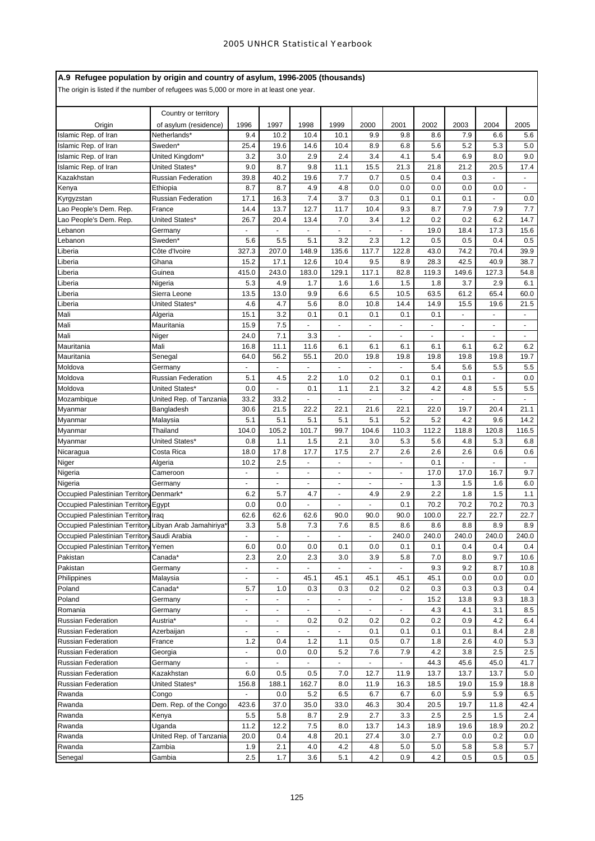# **A.9 Refugee population by origin and country of asylum, 1996-2005 (thousands)**

| Country or territory<br>Origin<br>of asylum (residence)<br>1996<br>1997<br>1998<br>1999<br>2000<br>2001<br>2002<br>2003<br>2004<br>Islamic Rep. of Iran<br>9.4<br>10.4<br>7.9<br>Netherlands*<br>10.2<br>10.1<br>9.9<br>9.8<br>8.6<br>6.6<br>5.2<br>25.4<br>14.6<br>10.4<br>8.9<br>6.8<br>5.6<br>5.3<br>Islamic Rep. of Iran<br>Sweden*<br>19.6<br>3.2<br>2.9<br>2.4<br>3.4<br>5.4<br>6.9<br>Islamic Rep. of Iran<br>United Kingdom*<br>3.0<br>4.1<br>8.0<br>8.7<br>9.8<br>15.5<br>21.3<br>21.2<br>Islamic Rep. of Iran<br>United States*<br>9.0<br>11.1<br>21.8<br>20.5<br>39.8<br>40.2<br>19.6<br>0.7<br>0.5<br>0.3<br>Russian Federation<br>7.7<br>0.4<br>Kazakhstan<br>8.7<br>8.7<br>4.9<br>0.0<br>0.0<br>0.0<br>0.0<br>Ethiopia<br>4.8<br>0.0<br>Kenya<br>7.4<br>0.3<br><b>Russian Federation</b><br>17.1<br>16.3<br>3.7<br>0.1<br>0.1<br>0.1<br>Kyrgyzstan<br>Lao People's Dem. Rep.<br>12.7<br>9.3<br>7.9<br>14.4<br>13.7<br>11.7<br>10.4<br>8.7<br>7.9<br>France<br>United States*<br>26.7<br>1.2<br>0.2<br>0.2<br>Lao People's Dem. Rep.<br>20.4<br>13.4<br>7.0<br>3.4<br>6.2<br>18.4<br>19.0<br>17.3<br>Lebanon<br>Germany<br>1.2<br>0.5<br>Sweden*<br>5.6<br>5.5<br>5.1<br>3.2<br>2.3<br>0.5<br>0.4<br>Lebanon<br>327.3<br>207.0<br>148.9<br>135.6<br>117.7<br>122.8<br>74.2<br>Côte d'Ivoire<br>43.0<br>70.4<br>Liberia<br>15.2<br>17.1<br>12.6<br>10.4<br>9.5<br>8.9<br>28.3<br>42.5<br>40.9<br>Ghana<br>Liberia<br>415.0<br>243.0<br>183.0<br>129.1<br>117.1<br>82.8<br>119.3<br>149.6<br>127.3<br>Liberia<br>Guinea<br>5.3<br>4.9<br>1.7<br>1.6<br>1.5<br>1.8<br>3.7<br>2.9<br>1.6<br>Liberia<br>Nigeria<br>6.5<br>61.2<br>13.5<br>13.0<br>9.9<br>10.5<br>63.5<br>65.4<br>6.6<br>Liberia<br>Sierra Leone<br>5.6<br>4.6<br>4.7<br>10.8<br>14.4<br>14.9<br>15.5<br>United States*<br>8.0<br>19.6<br>Liberia<br>15.1<br>3.2<br>0.1<br>0.1<br>0.1<br>0.1<br>0.1<br>Mali<br>Algeria<br>ä,<br>15.9<br>7.5<br>Mali<br>Mauritania<br>÷.<br>÷,<br>ä,<br>ä,<br>$\blacksquare$<br>$\blacksquare$ |                                 |
|------------------------------------------------------------------------------------------------------------------------------------------------------------------------------------------------------------------------------------------------------------------------------------------------------------------------------------------------------------------------------------------------------------------------------------------------------------------------------------------------------------------------------------------------------------------------------------------------------------------------------------------------------------------------------------------------------------------------------------------------------------------------------------------------------------------------------------------------------------------------------------------------------------------------------------------------------------------------------------------------------------------------------------------------------------------------------------------------------------------------------------------------------------------------------------------------------------------------------------------------------------------------------------------------------------------------------------------------------------------------------------------------------------------------------------------------------------------------------------------------------------------------------------------------------------------------------------------------------------------------------------------------------------------------------------------------------------------------------------------------------------------------------------------------------------------------------------------------------------------------------------------------------------------------------------------------------------------------------------------------------|---------------------------------|
|                                                                                                                                                                                                                                                                                                                                                                                                                                                                                                                                                                                                                                                                                                                                                                                                                                                                                                                                                                                                                                                                                                                                                                                                                                                                                                                                                                                                                                                                                                                                                                                                                                                                                                                                                                                                                                                                                                                                                                                                      |                                 |
|                                                                                                                                                                                                                                                                                                                                                                                                                                                                                                                                                                                                                                                                                                                                                                                                                                                                                                                                                                                                                                                                                                                                                                                                                                                                                                                                                                                                                                                                                                                                                                                                                                                                                                                                                                                                                                                                                                                                                                                                      | 2005                            |
|                                                                                                                                                                                                                                                                                                                                                                                                                                                                                                                                                                                                                                                                                                                                                                                                                                                                                                                                                                                                                                                                                                                                                                                                                                                                                                                                                                                                                                                                                                                                                                                                                                                                                                                                                                                                                                                                                                                                                                                                      | 5.6                             |
|                                                                                                                                                                                                                                                                                                                                                                                                                                                                                                                                                                                                                                                                                                                                                                                                                                                                                                                                                                                                                                                                                                                                                                                                                                                                                                                                                                                                                                                                                                                                                                                                                                                                                                                                                                                                                                                                                                                                                                                                      | 5.0                             |
|                                                                                                                                                                                                                                                                                                                                                                                                                                                                                                                                                                                                                                                                                                                                                                                                                                                                                                                                                                                                                                                                                                                                                                                                                                                                                                                                                                                                                                                                                                                                                                                                                                                                                                                                                                                                                                                                                                                                                                                                      | 9.0                             |
|                                                                                                                                                                                                                                                                                                                                                                                                                                                                                                                                                                                                                                                                                                                                                                                                                                                                                                                                                                                                                                                                                                                                                                                                                                                                                                                                                                                                                                                                                                                                                                                                                                                                                                                                                                                                                                                                                                                                                                                                      | 17.4                            |
|                                                                                                                                                                                                                                                                                                                                                                                                                                                                                                                                                                                                                                                                                                                                                                                                                                                                                                                                                                                                                                                                                                                                                                                                                                                                                                                                                                                                                                                                                                                                                                                                                                                                                                                                                                                                                                                                                                                                                                                                      | $\blacksquare$                  |
|                                                                                                                                                                                                                                                                                                                                                                                                                                                                                                                                                                                                                                                                                                                                                                                                                                                                                                                                                                                                                                                                                                                                                                                                                                                                                                                                                                                                                                                                                                                                                                                                                                                                                                                                                                                                                                                                                                                                                                                                      | $\overline{a}$                  |
|                                                                                                                                                                                                                                                                                                                                                                                                                                                                                                                                                                                                                                                                                                                                                                                                                                                                                                                                                                                                                                                                                                                                                                                                                                                                                                                                                                                                                                                                                                                                                                                                                                                                                                                                                                                                                                                                                                                                                                                                      | 0.0                             |
|                                                                                                                                                                                                                                                                                                                                                                                                                                                                                                                                                                                                                                                                                                                                                                                                                                                                                                                                                                                                                                                                                                                                                                                                                                                                                                                                                                                                                                                                                                                                                                                                                                                                                                                                                                                                                                                                                                                                                                                                      | 7.7                             |
|                                                                                                                                                                                                                                                                                                                                                                                                                                                                                                                                                                                                                                                                                                                                                                                                                                                                                                                                                                                                                                                                                                                                                                                                                                                                                                                                                                                                                                                                                                                                                                                                                                                                                                                                                                                                                                                                                                                                                                                                      | 14.7                            |
|                                                                                                                                                                                                                                                                                                                                                                                                                                                                                                                                                                                                                                                                                                                                                                                                                                                                                                                                                                                                                                                                                                                                                                                                                                                                                                                                                                                                                                                                                                                                                                                                                                                                                                                                                                                                                                                                                                                                                                                                      | 15.6                            |
|                                                                                                                                                                                                                                                                                                                                                                                                                                                                                                                                                                                                                                                                                                                                                                                                                                                                                                                                                                                                                                                                                                                                                                                                                                                                                                                                                                                                                                                                                                                                                                                                                                                                                                                                                                                                                                                                                                                                                                                                      | 0.5                             |
|                                                                                                                                                                                                                                                                                                                                                                                                                                                                                                                                                                                                                                                                                                                                                                                                                                                                                                                                                                                                                                                                                                                                                                                                                                                                                                                                                                                                                                                                                                                                                                                                                                                                                                                                                                                                                                                                                                                                                                                                      | 39.9                            |
|                                                                                                                                                                                                                                                                                                                                                                                                                                                                                                                                                                                                                                                                                                                                                                                                                                                                                                                                                                                                                                                                                                                                                                                                                                                                                                                                                                                                                                                                                                                                                                                                                                                                                                                                                                                                                                                                                                                                                                                                      | 38.7                            |
|                                                                                                                                                                                                                                                                                                                                                                                                                                                                                                                                                                                                                                                                                                                                                                                                                                                                                                                                                                                                                                                                                                                                                                                                                                                                                                                                                                                                                                                                                                                                                                                                                                                                                                                                                                                                                                                                                                                                                                                                      | 54.8                            |
|                                                                                                                                                                                                                                                                                                                                                                                                                                                                                                                                                                                                                                                                                                                                                                                                                                                                                                                                                                                                                                                                                                                                                                                                                                                                                                                                                                                                                                                                                                                                                                                                                                                                                                                                                                                                                                                                                                                                                                                                      | 6.1                             |
|                                                                                                                                                                                                                                                                                                                                                                                                                                                                                                                                                                                                                                                                                                                                                                                                                                                                                                                                                                                                                                                                                                                                                                                                                                                                                                                                                                                                                                                                                                                                                                                                                                                                                                                                                                                                                                                                                                                                                                                                      | 60.0                            |
|                                                                                                                                                                                                                                                                                                                                                                                                                                                                                                                                                                                                                                                                                                                                                                                                                                                                                                                                                                                                                                                                                                                                                                                                                                                                                                                                                                                                                                                                                                                                                                                                                                                                                                                                                                                                                                                                                                                                                                                                      | 21.5                            |
|                                                                                                                                                                                                                                                                                                                                                                                                                                                                                                                                                                                                                                                                                                                                                                                                                                                                                                                                                                                                                                                                                                                                                                                                                                                                                                                                                                                                                                                                                                                                                                                                                                                                                                                                                                                                                                                                                                                                                                                                      | $\blacksquare$                  |
|                                                                                                                                                                                                                                                                                                                                                                                                                                                                                                                                                                                                                                                                                                                                                                                                                                                                                                                                                                                                                                                                                                                                                                                                                                                                                                                                                                                                                                                                                                                                                                                                                                                                                                                                                                                                                                                                                                                                                                                                      | ä,                              |
| 24.0<br>7.1<br>3.3<br>Mali<br>Niger<br>$\blacksquare$<br>ä,<br>ä,<br>ä,<br>ä,                                                                                                                                                                                                                                                                                                                                                                                                                                                                                                                                                                                                                                                                                                                                                                                                                                                                                                                                                                                                                                                                                                                                                                                                                                                                                                                                                                                                                                                                                                                                                                                                                                                                                                                                                                                                                                                                                                                        | $\blacksquare$                  |
| 11.1<br>Mauritania<br>Mali<br>16.8<br>11.6<br>6.1<br>6.1<br>6.1<br>6.1<br>6.1<br>6.2                                                                                                                                                                                                                                                                                                                                                                                                                                                                                                                                                                                                                                                                                                                                                                                                                                                                                                                                                                                                                                                                                                                                                                                                                                                                                                                                                                                                                                                                                                                                                                                                                                                                                                                                                                                                                                                                                                                 | 6.2                             |
| 56.2<br>55.1<br>19.8<br>19.8<br>Mauritania<br>64.0<br>20.0<br>19.8<br>19.8<br>19.8<br>Senegal                                                                                                                                                                                                                                                                                                                                                                                                                                                                                                                                                                                                                                                                                                                                                                                                                                                                                                                                                                                                                                                                                                                                                                                                                                                                                                                                                                                                                                                                                                                                                                                                                                                                                                                                                                                                                                                                                                        | 19.7                            |
| 5.4<br>5.6<br>Moldova<br>$\overline{a}$<br>5.5<br>Germany<br>$\overline{a}$                                                                                                                                                                                                                                                                                                                                                                                                                                                                                                                                                                                                                                                                                                                                                                                                                                                                                                                                                                                                                                                                                                                                                                                                                                                                                                                                                                                                                                                                                                                                                                                                                                                                                                                                                                                                                                                                                                                          | 5.5                             |
| Moldova<br>5.1<br>4.5<br>2.2<br>0.2<br>0.1<br><b>Russian Federation</b><br>1.0<br>0.1<br>0.1                                                                                                                                                                                                                                                                                                                                                                                                                                                                                                                                                                                                                                                                                                                                                                                                                                                                                                                                                                                                                                                                                                                                                                                                                                                                                                                                                                                                                                                                                                                                                                                                                                                                                                                                                                                                                                                                                                         | 0.0                             |
| 0.0<br>2.1<br>3.2<br>4.2<br>4.8<br>Moldova<br>United States*<br>0.1<br>1.1<br>5.5                                                                                                                                                                                                                                                                                                                                                                                                                                                                                                                                                                                                                                                                                                                                                                                                                                                                                                                                                                                                                                                                                                                                                                                                                                                                                                                                                                                                                                                                                                                                                                                                                                                                                                                                                                                                                                                                                                                    | 5.5                             |
| 33.2<br>Mozambique<br>United Rep. of Tanzania<br>33.2<br>÷,<br>$\blacksquare$<br>ä,<br>$\overline{a}$<br>ä,<br>$\blacksquare$                                                                                                                                                                                                                                                                                                                                                                                                                                                                                                                                                                                                                                                                                                                                                                                                                                                                                                                                                                                                                                                                                                                                                                                                                                                                                                                                                                                                                                                                                                                                                                                                                                                                                                                                                                                                                                                                        | ä,                              |
| 30.6<br>21.5<br>22.2<br>19.7<br>22.1<br>21.6<br>22.1<br>22.0<br>20.4<br>Myanmar<br>Bangladesh                                                                                                                                                                                                                                                                                                                                                                                                                                                                                                                                                                                                                                                                                                                                                                                                                                                                                                                                                                                                                                                                                                                                                                                                                                                                                                                                                                                                                                                                                                                                                                                                                                                                                                                                                                                                                                                                                                        | 21.1                            |
| 5.1<br>5.1<br>5.1<br>5.1<br>5.2<br>5.2<br>4.2<br>5.1<br>9.6<br>Myanmar<br>Malaysia                                                                                                                                                                                                                                                                                                                                                                                                                                                                                                                                                                                                                                                                                                                                                                                                                                                                                                                                                                                                                                                                                                                                                                                                                                                                                                                                                                                                                                                                                                                                                                                                                                                                                                                                                                                                                                                                                                                   | 14.2                            |
| 105.2<br>101.7<br>99.7<br>104.6<br>110.3<br>112.2<br>118.8<br>Thailand<br>104.0<br>120.8<br>Myanmar                                                                                                                                                                                                                                                                                                                                                                                                                                                                                                                                                                                                                                                                                                                                                                                                                                                                                                                                                                                                                                                                                                                                                                                                                                                                                                                                                                                                                                                                                                                                                                                                                                                                                                                                                                                                                                                                                                  | 116.5                           |
| United States*<br>0.8<br>1.5<br>3.0<br>5.3<br>4.8<br>1.1<br>2.1<br>5.6<br>5.3<br>Myanmar                                                                                                                                                                                                                                                                                                                                                                                                                                                                                                                                                                                                                                                                                                                                                                                                                                                                                                                                                                                                                                                                                                                                                                                                                                                                                                                                                                                                                                                                                                                                                                                                                                                                                                                                                                                                                                                                                                             | 6.8                             |
| 17.7<br>2.7<br>18.0<br>17.8<br>17.5<br>2.6<br>2.6<br>2.6<br>Costa Rica<br>0.6<br>Nicaragua                                                                                                                                                                                                                                                                                                                                                                                                                                                                                                                                                                                                                                                                                                                                                                                                                                                                                                                                                                                                                                                                                                                                                                                                                                                                                                                                                                                                                                                                                                                                                                                                                                                                                                                                                                                                                                                                                                           | 0.6                             |
| 10.2<br>2.5<br>0.1<br>Niger<br>Algeria<br>$\blacksquare$<br>$\blacksquare$<br>$\blacksquare$<br>$\blacksquare$<br>$\blacksquare$<br>$\frac{1}{2}$<br>٠<br>$\sim$                                                                                                                                                                                                                                                                                                                                                                                                                                                                                                                                                                                                                                                                                                                                                                                                                                                                                                                                                                                                                                                                                                                                                                                                                                                                                                                                                                                                                                                                                                                                                                                                                                                                                                                                                                                                                                     | $\overline{\phantom{a}}$<br>9.7 |
| Nigeria<br>17.0<br>17.0<br>16.7<br>Cameroon<br>$\overline{a}$<br>$\overline{\phantom{a}}$<br>$\overline{\phantom{a}}$<br>$\overline{\phantom{a}}$<br>$\mathbf{r}$                                                                                                                                                                                                                                                                                                                                                                                                                                                                                                                                                                                                                                                                                                                                                                                                                                                                                                                                                                                                                                                                                                                                                                                                                                                                                                                                                                                                                                                                                                                                                                                                                                                                                                                                                                                                                                    |                                 |
| 1.3<br>1.5<br>1.6<br>Nigeria<br>Germany<br>٠<br>٠<br>$\blacksquare$<br>$\sim$<br>٠<br>2.2<br>1.8<br>Denmark*<br>6.2<br>5.7<br>4.7<br>4.9<br>2.9<br>1.5<br>$\frac{1}{2}$                                                                                                                                                                                                                                                                                                                                                                                                                                                                                                                                                                                                                                                                                                                                                                                                                                                                                                                                                                                                                                                                                                                                                                                                                                                                                                                                                                                                                                                                                                                                                                                                                                                                                                                                                                                                                              | 6.0<br>1.1                      |
| Occupied Palestinian Territory<br>0.0<br>0.1<br>70.2<br>70.2<br>70.2<br>Occupied Palestinian Territory Egypt<br>0.0<br>÷.<br>$\tilde{\phantom{a}}$<br>$\blacksquare$                                                                                                                                                                                                                                                                                                                                                                                                                                                                                                                                                                                                                                                                                                                                                                                                                                                                                                                                                                                                                                                                                                                                                                                                                                                                                                                                                                                                                                                                                                                                                                                                                                                                                                                                                                                                                                 | 70.3                            |
| 62.6<br>62.6<br>62.6<br>90.0<br>22.7<br>22.7<br>Occupied Palestinian Territory Iraq<br>90.0<br>90.0<br>100.0                                                                                                                                                                                                                                                                                                                                                                                                                                                                                                                                                                                                                                                                                                                                                                                                                                                                                                                                                                                                                                                                                                                                                                                                                                                                                                                                                                                                                                                                                                                                                                                                                                                                                                                                                                                                                                                                                         | 22.7                            |
| 3.3<br>5.8<br>7.3<br>7.6<br>8.5<br>8.6<br>8.6<br>8.8<br>8.9<br>Occupied Palestinian Territory Libyan Arab Jamahiriya'                                                                                                                                                                                                                                                                                                                                                                                                                                                                                                                                                                                                                                                                                                                                                                                                                                                                                                                                                                                                                                                                                                                                                                                                                                                                                                                                                                                                                                                                                                                                                                                                                                                                                                                                                                                                                                                                                | 8.9                             |
| 240.0<br>240.0<br>240.0<br>240.0<br>Occupied Palestinian Territory Saudi Arabia<br>ä,                                                                                                                                                                                                                                                                                                                                                                                                                                                                                                                                                                                                                                                                                                                                                                                                                                                                                                                                                                                                                                                                                                                                                                                                                                                                                                                                                                                                                                                                                                                                                                                                                                                                                                                                                                                                                                                                                                                | 240.0                           |
| Occupied Palestinian Territory Yemen<br>6.0<br>0.0<br>$0.0\,$<br>0.1<br>$0.0\,$<br>0.1<br>0.1<br>0.4<br>0.4                                                                                                                                                                                                                                                                                                                                                                                                                                                                                                                                                                                                                                                                                                                                                                                                                                                                                                                                                                                                                                                                                                                                                                                                                                                                                                                                                                                                                                                                                                                                                                                                                                                                                                                                                                                                                                                                                          | 0.4                             |
| 2.3<br>2.0<br>2.3<br>3.0<br>3.9<br>5.8<br>7.0<br>8.0<br>9.7<br>Pakistan<br>Canada*                                                                                                                                                                                                                                                                                                                                                                                                                                                                                                                                                                                                                                                                                                                                                                                                                                                                                                                                                                                                                                                                                                                                                                                                                                                                                                                                                                                                                                                                                                                                                                                                                                                                                                                                                                                                                                                                                                                   | 10.6                            |
| Pakistan<br>9.3<br>9.2<br>8.7<br>Germany<br>$\blacksquare$<br>$\blacksquare$<br>÷.                                                                                                                                                                                                                                                                                                                                                                                                                                                                                                                                                                                                                                                                                                                                                                                                                                                                                                                                                                                                                                                                                                                                                                                                                                                                                                                                                                                                                                                                                                                                                                                                                                                                                                                                                                                                                                                                                                                   | 10.8                            |
| 45.1<br>45.1<br>0.0<br>Philippines<br>Malaysia<br>45.1<br>45.1<br>45.1<br>0.0                                                                                                                                                                                                                                                                                                                                                                                                                                                                                                                                                                                                                                                                                                                                                                                                                                                                                                                                                                                                                                                                                                                                                                                                                                                                                                                                                                                                                                                                                                                                                                                                                                                                                                                                                                                                                                                                                                                        | 0.0                             |
| 0.3<br>Poland<br>Canada*<br>5.7<br>1.0<br>0.3<br>0.2<br>0.2<br>0.3<br>0.3<br>0.3                                                                                                                                                                                                                                                                                                                                                                                                                                                                                                                                                                                                                                                                                                                                                                                                                                                                                                                                                                                                                                                                                                                                                                                                                                                                                                                                                                                                                                                                                                                                                                                                                                                                                                                                                                                                                                                                                                                     | 0.4                             |
| Poland<br>Germany<br>15.2<br>13.8<br>9.3<br>$\blacksquare$<br>$\blacksquare$<br>$\blacksquare$<br>$\blacksquare$<br>$\blacksquare$<br>$\overline{\phantom{a}}$                                                                                                                                                                                                                                                                                                                                                                                                                                                                                                                                                                                                                                                                                                                                                                                                                                                                                                                                                                                                                                                                                                                                                                                                                                                                                                                                                                                                                                                                                                                                                                                                                                                                                                                                                                                                                                       | 18.3                            |
| 4.3<br>4.1<br>3.1<br>Romania<br>Germany<br>$\blacksquare$<br>$\blacksquare$<br>۰                                                                                                                                                                                                                                                                                                                                                                                                                                                                                                                                                                                                                                                                                                                                                                                                                                                                                                                                                                                                                                                                                                                                                                                                                                                                                                                                                                                                                                                                                                                                                                                                                                                                                                                                                                                                                                                                                                                     | 8.5                             |
| 0.2<br><b>Russian Federation</b><br>Austria*<br>0.2<br>0.2<br>0.2<br>0.2<br>0.9<br>4.2<br>٠<br>٠                                                                                                                                                                                                                                                                                                                                                                                                                                                                                                                                                                                                                                                                                                                                                                                                                                                                                                                                                                                                                                                                                                                                                                                                                                                                                                                                                                                                                                                                                                                                                                                                                                                                                                                                                                                                                                                                                                     | 6.4                             |
| <b>Russian Federation</b><br>Azerbaijan<br>0.1<br>0.1<br>0.1<br>0.1<br>8.4                                                                                                                                                                                                                                                                                                                                                                                                                                                                                                                                                                                                                                                                                                                                                                                                                                                                                                                                                                                                                                                                                                                                                                                                                                                                                                                                                                                                                                                                                                                                                                                                                                                                                                                                                                                                                                                                                                                           | 2.8                             |
| 1.2<br>0.5<br><b>Russian Federation</b><br>France<br>1.2<br>0.4<br>1.1<br>0.7<br>1.8<br>2.6<br>4.0                                                                                                                                                                                                                                                                                                                                                                                                                                                                                                                                                                                                                                                                                                                                                                                                                                                                                                                                                                                                                                                                                                                                                                                                                                                                                                                                                                                                                                                                                                                                                                                                                                                                                                                                                                                                                                                                                                   | 5.3                             |
| <b>Russian Federation</b><br>Georgia<br>0.0<br>0.0<br>5.2<br>7.6<br>7.9<br>4.2<br>3.8<br>2.5<br>٠                                                                                                                                                                                                                                                                                                                                                                                                                                                                                                                                                                                                                                                                                                                                                                                                                                                                                                                                                                                                                                                                                                                                                                                                                                                                                                                                                                                                                                                                                                                                                                                                                                                                                                                                                                                                                                                                                                    | 2.5                             |
| 44.3<br>45.6<br><b>Russian Federation</b><br>Germany<br>45.0<br>$\blacksquare$<br>÷.<br>$\sim$<br>$\blacksquare$<br>٠                                                                                                                                                                                                                                                                                                                                                                                                                                                                                                                                                                                                                                                                                                                                                                                                                                                                                                                                                                                                                                                                                                                                                                                                                                                                                                                                                                                                                                                                                                                                                                                                                                                                                                                                                                                                                                                                                | 41.7                            |
| 13.7<br><b>Russian Federation</b><br>Kazakhstan<br>0.5<br>0.5<br>7.0<br>12.7<br>11.9<br>13.7<br>13.7<br>6.0                                                                                                                                                                                                                                                                                                                                                                                                                                                                                                                                                                                                                                                                                                                                                                                                                                                                                                                                                                                                                                                                                                                                                                                                                                                                                                                                                                                                                                                                                                                                                                                                                                                                                                                                                                                                                                                                                          |                                 |
| United States*<br><b>Russian Federation</b><br>156.8<br>188.1<br>162.7<br>8.0<br>11.9<br>16.3<br>18.5<br>19.0<br>15.9                                                                                                                                                                                                                                                                                                                                                                                                                                                                                                                                                                                                                                                                                                                                                                                                                                                                                                                                                                                                                                                                                                                                                                                                                                                                                                                                                                                                                                                                                                                                                                                                                                                                                                                                                                                                                                                                                | 5.0                             |
| Rwanda<br>5.2<br>6.5<br>6.7<br>6.7<br>6.0<br>5.9<br>5.9<br>Congo<br>÷,<br>0.0                                                                                                                                                                                                                                                                                                                                                                                                                                                                                                                                                                                                                                                                                                                                                                                                                                                                                                                                                                                                                                                                                                                                                                                                                                                                                                                                                                                                                                                                                                                                                                                                                                                                                                                                                                                                                                                                                                                        | 18.8                            |
| Dem. Rep. of the Congo<br>35.0<br>19.7<br>Rwanda<br>423.6<br>37.0<br>33.0<br>46.3<br>30.4<br>20.5<br>11.8                                                                                                                                                                                                                                                                                                                                                                                                                                                                                                                                                                                                                                                                                                                                                                                                                                                                                                                                                                                                                                                                                                                                                                                                                                                                                                                                                                                                                                                                                                                                                                                                                                                                                                                                                                                                                                                                                            | 6.5                             |
| 5.5<br>2.7<br>3.3<br>2.5<br>Rwanda<br>5.8<br>8.7<br>2.9<br>2.5<br>1.5<br>Kenya                                                                                                                                                                                                                                                                                                                                                                                                                                                                                                                                                                                                                                                                                                                                                                                                                                                                                                                                                                                                                                                                                                                                                                                                                                                                                                                                                                                                                                                                                                                                                                                                                                                                                                                                                                                                                                                                                                                       | 42.4                            |
| Rwanda<br>Uganda<br>11.2<br>12.2<br>7.5<br>13.7<br>14.3<br>18.9<br>19.6<br>18.9<br>8.0                                                                                                                                                                                                                                                                                                                                                                                                                                                                                                                                                                                                                                                                                                                                                                                                                                                                                                                                                                                                                                                                                                                                                                                                                                                                                                                                                                                                                                                                                                                                                                                                                                                                                                                                                                                                                                                                                                               | 2.4                             |
| United Rep. of Tanzania<br>Rwanda<br>20.0<br>0.4<br>4.8<br>20.1<br>27.4<br>3.0<br>2.7<br>0.0<br>0.2                                                                                                                                                                                                                                                                                                                                                                                                                                                                                                                                                                                                                                                                                                                                                                                                                                                                                                                                                                                                                                                                                                                                                                                                                                                                                                                                                                                                                                                                                                                                                                                                                                                                                                                                                                                                                                                                                                  | 20.2                            |
| 2.1<br>5.8<br>1.9<br>4.0<br>4.2<br>4.8<br>5.0<br>5.0<br>5.8<br>Rwanda<br>Zambia                                                                                                                                                                                                                                                                                                                                                                                                                                                                                                                                                                                                                                                                                                                                                                                                                                                                                                                                                                                                                                                                                                                                                                                                                                                                                                                                                                                                                                                                                                                                                                                                                                                                                                                                                                                                                                                                                                                      | 0.0                             |
| 1.7<br>4.2<br>2.5<br>4.2<br>0.9<br>0.5<br>Gambia<br>3.6<br>5.1<br>0.5<br>Senegal                                                                                                                                                                                                                                                                                                                                                                                                                                                                                                                                                                                                                                                                                                                                                                                                                                                                                                                                                                                                                                                                                                                                                                                                                                                                                                                                                                                                                                                                                                                                                                                                                                                                                                                                                                                                                                                                                                                     | 5.7                             |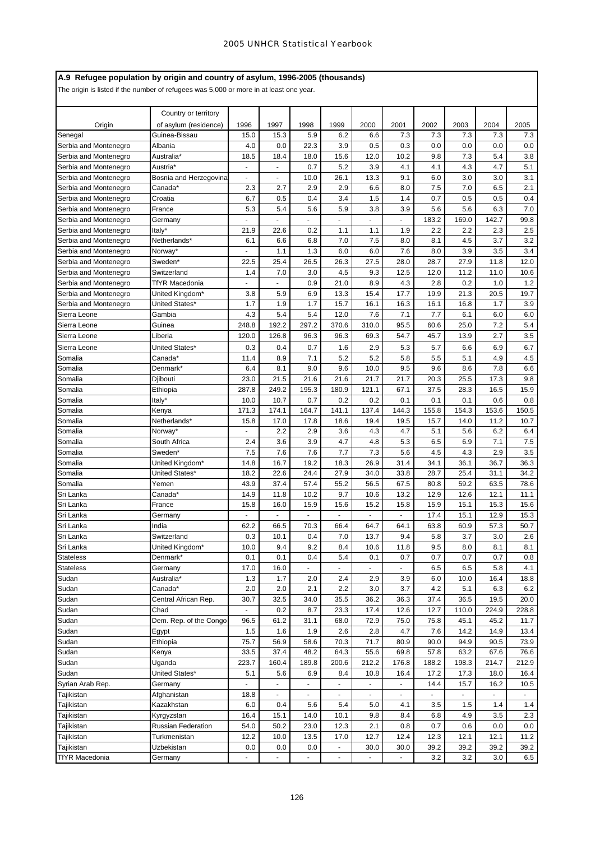# **A.9 Refugee population by origin and country of asylum, 1996-2005 (thousands)**

|                                                | Country or territory   |                |                          |                       |                       |                       |                |               |                             |               |               |
|------------------------------------------------|------------------------|----------------|--------------------------|-----------------------|-----------------------|-----------------------|----------------|---------------|-----------------------------|---------------|---------------|
| Origin                                         | of asylum (residence)  | 1996           | 1997                     | 1998                  | 1999                  | 2000                  | 2001           | 2002          | 2003                        | 2004          | 2005          |
| Senegal                                        | Guinea-Bissau          | 15.0           | 15.3                     | 5.9                   | 6.2                   | 6.6                   | 7.3            | 7.3           | 7.3                         | 7.3           | 7.3           |
| Serbia and Montenegro                          | Albania                | 4.0            | 0.0                      | 22.3                  | 3.9                   | 0.5                   | 0.3            | 0.0           | 0.0                         | 0.0           | 0.0           |
| Serbia and Montenegro                          | Australia*             | 18.5           | 18.4                     | 18.0                  | 15.6                  | 12.0                  | 10.2           | 9.8           | 7.3                         | 5.4           | 3.8           |
| Serbia and Montenegro                          | Austria*               | $\blacksquare$ | ä,                       | 0.7                   | 5.2                   | 3.9                   | 4.1            | 4.1           | 4.3                         | 4.7           | 5.1           |
| Serbia and Montenegro                          | Bosnia and Herzegovina |                | ٠                        | 10.0                  | 26.1                  | 13.3                  | 9.1            | 6.0           | 3.0                         | 3.0           | 3.1           |
| Serbia and Montenegro                          | Canada*                | 2.3            | 2.7                      | 2.9                   | 2.9                   | 6.6                   | 8.0            | 7.5           | 7.0                         | 6.5           | 2.1           |
| Serbia and Montenegro                          | Croatia                | 6.7            | 0.5                      | 0.4                   | 3.4                   | 1.5                   | 1.4            | 0.7           | 0.5<br>5.6                  | 0.5           | 0.4<br>7.0    |
| Serbia and Montenegro                          | France                 | 5.3            | 5.4<br>ä,                | 5.6<br>$\overline{a}$ | 5.9<br>$\blacksquare$ | 3.8<br>$\overline{a}$ | 3.9<br>L,      | 5.6<br>183.2  | 169.0                       | 6.3<br>142.7  | 99.8          |
| Serbia and Montenegro<br>Serbia and Montenegro | Germany<br>Italy*      | 21.9           |                          | 0.2                   |                       |                       | 1.9            | 2.2           | 2.2                         |               | 2.5           |
|                                                | Netherlands*           | 6.1            | 22.6<br>6.6              | 6.8                   | 1.1<br>7.0            | 1.1<br>7.5            | 8.0            | 8.1           | 4.5                         | 2.3<br>3.7    | 3.2           |
| Serbia and Montenegro<br>Serbia and Montenegro | Norway*                |                | 1.1                      | 1.3                   | 6.0                   | 6.0                   | 7.6            | 8.0           | 3.9                         | 3.5           | 3.4           |
| Serbia and Montenegro                          | Sweden*                | 22.5           | 25.4                     | 26.5                  | 26.3                  | 27.5                  | 28.0           | 28.7          | 27.9                        | 11.8          | 12.0          |
| Serbia and Montenegro                          | Switzerland            | 1.4            | 7.0                      | 3.0                   | 4.5                   | 9.3                   | 12.5           | 12.0          | 11.2                        | 11.0          | 10.6          |
| Serbia and Montenegro                          | TfYR Macedonia         |                | ä,                       | 0.9                   | 21.0                  | 8.9                   | 4.3            | 2.8           | 0.2                         | 1.0           | 1.2           |
| Serbia and Montenegro                          | United Kingdom*        | 3.8            | 5.9                      | 6.9                   | 13.3                  | 15.4                  | 17.7           | 19.9          | 21.3                        | 20.5          | 19.7          |
| Serbia and Montenegro                          | United States*         | 1.7            | 1.9                      | 1.7                   | 15.7                  | 16.1                  | 16.3           | 16.1          | 16.8                        | 1.7           | 3.9           |
| Sierra Leone                                   | Gambia                 | 4.3            | 5.4                      | 5.4                   | 12.0                  | 7.6                   | 7.1            | 7.7           | 6.1                         | 6.0           | 6.0           |
| Sierra Leone                                   | Guinea                 | 248.8          | 192.2                    | 297.2                 | 370.6                 | 310.0                 | 95.5           | 60.6          | 25.0                        | 7.2           | 5.4           |
| Sierra Leone                                   | Liberia                | 120.0          | 126.8                    | 96.3                  | 96.3                  | 69.3                  | 54.7           | 45.7          | 13.9                        | 2.7           | 3.5           |
| Sierra Leone                                   | United States*         | 0.3            | 0.4                      | 0.7                   | 1.6                   | 2.9                   | 5.3            | 5.7           | 6.6                         | 6.9           | 6.7           |
| Somalia                                        | Canada*                | 11.4           | 8.9                      | 7.1                   | 5.2                   | 5.2                   | 5.8            | 5.5           | 5.1                         | 4.9           | 4.5           |
| Somalia                                        | Denmark*               | 6.4            | 8.1                      | 9.0                   | 9.6                   | 10.0                  | 9.5            | 9.6           | 8.6                         | 7.8           | 6.6           |
| Somalia                                        | Djibouti               | 23.0           | 21.5                     | 21.6                  | 21.6                  | 21.7                  | 21.7           | 20.3          | 25.5                        | 17.3          | 9.8           |
| Somalia                                        | Ethiopia               | 287.8          | 249.2                    | 195.3                 | 180.9                 | 121.1                 | 67.1           | 37.5          | 28.3                        | 16.5          | 15.9          |
| Somalia                                        | Italy*                 | 10.0           | 10.7                     | 0.7                   | 0.2                   | 0.2                   | 0.1            | 0.1           | 0.1                         | 0.6           | 0.8           |
| Somalia                                        | Kenya                  | 171.3          | 174.1                    | 164.7                 | 141.1                 | 137.4                 | 144.3          | 155.8         | 154.3                       | 153.6         | 150.5         |
| Somalia                                        | Netherlands*           | 15.8           | 17.0                     | 17.8                  | 18.6                  | 19.4                  | 19.5           | 15.7          | 14.0                        | 11.2          | 10.7          |
| Somalia                                        | Norway*                |                | 2.2                      | 2.9                   | 3.6                   | 4.3                   | 4.7            | 5.1           | 5.6                         | 6.2           | 6.4           |
| Somalia                                        | South Africa           | 2.4            | 3.6                      | 3.9                   | 4.7                   | 4.8                   | 5.3            | 6.5           | 6.9                         | 7.1           | 7.5           |
| Somalia                                        | Sweden*                | 7.5            | 7.6                      | 7.6                   | 7.7                   | 7.3                   | 5.6            | 4.5           | 4.3                         | 2.9           | 3.5           |
| Somalia                                        | United Kingdom*        | 14.8           | 16.7                     | 19.2                  | 18.3                  | 26.9                  | 31.4           | 34.1          | 36.1                        | 36.7          | 36.3          |
| Somalia                                        | United States*         | 18.2           | 22.6                     | 24.4                  | 27.9                  | 34.0                  | 33.8           | 28.7          | 25.4                        | 31.1          | 34.2          |
| Somalia                                        | Yemen                  | 43.9           | 37.4                     | 57.4                  | 55.2                  | 56.5                  | 67.5           | 80.8          | 59.2                        | 63.5          | 78.6          |
| Sri Lanka                                      | Canada*                | 14.9           | 11.8                     | 10.2                  | 9.7                   | 10.6                  | 13.2           | 12.9          | 12.6                        | 12.1          | 11.1          |
| Sri Lanka                                      | France                 | 15.8           | 16.0                     | 15.9                  | 15.6                  | 15.2                  | 15.8           | 15.9          | 15.1                        | 15.3          | 15.6          |
| Sri Lanka                                      | Germany                | ä,             | $\overline{a}$           | ä,                    |                       | $\sim$                | ä,             | 17.4          | 15.1                        | 12.9          | 15.3          |
| Sri Lanka                                      | India                  | 62.2           | 66.5                     | 70.3                  | 66.4                  | 64.7                  | 64.1           | 63.8          | 60.9                        | 57.3          | 50.7          |
| Sri Lanka                                      | Switzerland            | 0.3            | 10.1                     | 0.4                   | 7.0                   | 13.7                  | 9.4            | 5.8           | 3.7                         | 3.0           | 2.6           |
| Sri Lanka                                      | United Kingdom*        | 10.0           | 9.4                      | 9.2                   | 8.4                   | 10.6                  | 11.8           | 9.5           | 8.0                         | 8.1           | 8.1           |
| <b>Stateless</b>                               | Denmark*               | 0.1            | 0.1                      | 0.4                   | 5.4                   | 0.1                   | 0.7            | 0.7           | 0.7                         | 0.7           | 0.8           |
| <b>Stateless</b>                               | Germany                | 17.0           | 16.0                     | $\blacksquare$        | $\sim$                | $\blacksquare$        |                | 6.5           | 6.5                         | 5.8           | 4.1           |
| Sudan                                          | Australia*             | 1.3            | 1.7                      | 2.0                   | 2.4                   | 2.9                   | 3.9            | 6.0           | 10.0                        | 16.4          | 18.8          |
| Sudan                                          | Canada*                | 2.0            | 2.0                      | 2.1                   | 2.2                   | 3.0                   | 3.7            | 4.2           | 5.1                         | 6.3           | 6.2           |
| Sudan                                          | Central African Rep.   | 30.7           | 32.5                     | 34.0                  | 35.5                  | 36.2                  | 36.3           | 37.4          | 36.5                        | 19.5          | 20.0          |
| Sudan<br>Sudan                                 | Chad                   | $\blacksquare$ | 0.2                      | 8.7                   | 23.3                  | 17.4                  | 12.6           | 12.7          | 110.0                       | 224.9         | 228.8         |
| Sudan                                          | Dem. Rep. of the Congo | 96.5<br>1.5    | 61.2<br>1.6              | 31.1<br>1.9           | 68.0<br>2.6           | 72.9<br>2.8           | 75.0<br>4.7    | 75.8<br>7.6   | 45.1<br>14.2                | 45.2<br>14.9  | 11.7<br>13.4  |
| Sudan                                          | Egypt<br>Ethiopia      | 75.7           |                          |                       |                       | 71.7                  |                |               | 94.9                        |               |               |
|                                                |                        |                | 56.9<br>37.4             | 58.6<br>48.2          | 70.3                  |                       | 80.9           | 90.0          |                             | 90.5          | 73.9          |
| Sudan<br>Sudan                                 | Kenya<br>Uganda        | 33.5<br>223.7  | 160.4                    | 189.8                 | 64.3<br>200.6         | 55.6<br>212.2         | 69.8<br>176.8  | 57.8<br>188.2 | 63.2<br>198.3               | 67.6<br>214.7 | 76.6<br>212.9 |
| Sudan                                          | United States*         | 5.1            | 5.6                      | 6.9                   | 8.4                   | 10.8                  | 16.4           | 17.2          | 17.3                        | 18.0          | 16.4          |
| Syrian Arab Rep.                               | Germany                | ÷,             | $\blacksquare$           | $\blacksquare$        | $\blacksquare$        | $\blacksquare$        | $\blacksquare$ | 14.4          | 15.7                        | 16.2          | 10.5          |
| Tajikistan                                     | Afghanistan            | 18.8           | $\overline{\phantom{a}}$ | ÷.                    |                       | $\blacksquare$        | $\blacksquare$ | $\omega$      | $\mathcal{L}_{\mathcal{A}}$ |               | $\mathbf{r}$  |
| Tajikistan                                     | Kazakhstan             | 6.0            | 0.4                      | 5.6                   | 5.4                   | 5.0                   | 4.1            | 3.5           | 1.5                         | 1.4           | 1.4           |
| Tajikistan                                     | Kyrgyzstan             | 16.4           | 15.1                     | 14.0                  | 10.1                  | 9.8                   | 8.4            | 6.8           | 4.9                         | 3.5           | 2.3           |
| Tajikistan                                     | Russian Federation     | 54.0           | 50.2                     | 23.0                  | 12.3                  | 2.1                   | 0.8            | 0.7           | 0.6                         | 0.0           | 0.0           |
| Tajikistan                                     | Turkmenistan           | 12.2           | 10.0                     | 13.5                  | 17.0                  | 12.7                  | 12.4           | 12.3          | 12.1                        | 12.1          | 11.2          |
| Tajikistan                                     | Uzbekistan             | 0.0            | 0.0                      | 0.0                   | $\blacksquare$        | 30.0                  | 30.0           | 39.2          | 39.2                        | 39.2          | 39.2          |
| <b>TfYR Macedonia</b>                          | Germany                |                |                          |                       |                       |                       |                | 3.2           | 3.2                         | 3.0           | 6.5           |
|                                                |                        |                |                          |                       |                       |                       |                |               |                             |               |               |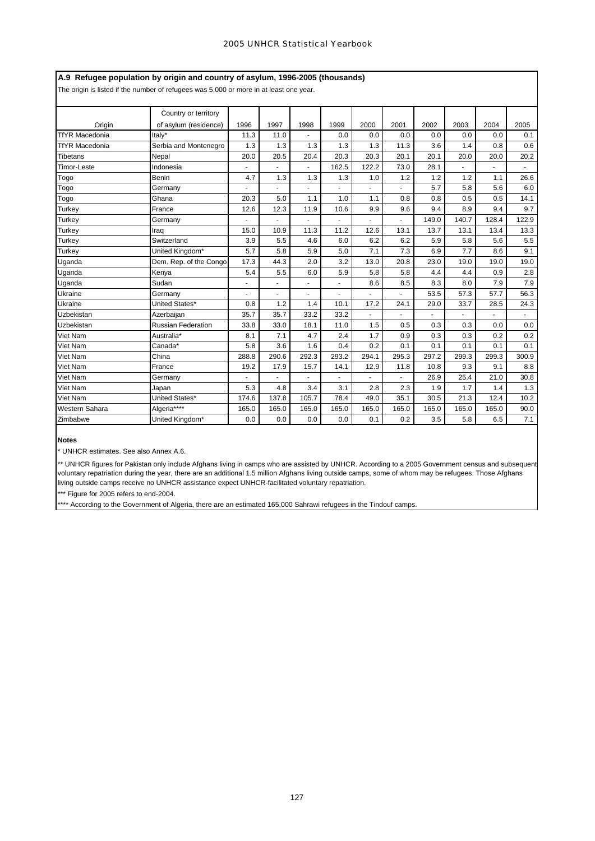# **A.9 Refugee population by origin and country of asylum, 1996-2005 (thousands)**

The origin is listed if the number of refugees was 5,000 or more in at least one year.

|                       | Country or territory      |       |                |                          |                      |       |                      |       |                |       |       |
|-----------------------|---------------------------|-------|----------------|--------------------------|----------------------|-------|----------------------|-------|----------------|-------|-------|
| Origin                | of asylum (residence)     | 1996  | 1997           | 1998                     | 1999                 | 2000  | 2001                 | 2002  | 2003           | 2004  | 2005  |
| <b>TfYR Macedonia</b> | Italv*                    | 11.3  | 11.0           |                          | 0.0                  | 0.0   | 0.0                  | 0.0   | 0.0            | 0.0   | 0.1   |
| <b>TfYR Macedonia</b> | Serbia and Montenegro     | 1.3   | 1.3            | 1.3                      | 1.3                  | 1.3   | 11.3                 | 3.6   | 1.4            | 0.8   | 0.6   |
| <b>Tibetans</b>       | Nepal                     | 20.0  | 20.5           | 20.4                     | 20.3                 | 20.3  | 20.1                 | 20.1  | 20.0           | 20.0  | 20.2  |
| <b>Timor-Leste</b>    | Indonesia                 | ä,    | $\mathbf{r}$   | ä,                       | 162.5                | 122.2 | 73.0                 | 28.1  | $\blacksquare$ |       |       |
| Togo                  | Benin                     | 4.7   | 1.3            | 1.3                      | 1.3                  | 1.0   | 1.2                  | 1.2   | 1.2            | 1.1   | 26.6  |
| Togo                  | Germany                   |       |                | $\overline{\phantom{a}}$ | $\blacksquare$       | ٠     | ٠                    | 5.7   | 5.8            | 5.6   | 6.0   |
| Togo                  | Ghana                     | 20.3  | 5.0            | 1.1                      | 1.0                  | 1.1   | 0.8                  | 0.8   | 0.5            | 0.5   | 14.1  |
| <b>Turkey</b>         | France                    | 12.6  | 12.3           | 11.9                     | 10.6                 | 9.9   | 9.6                  | 9.4   | 8.9            | 9.4   | 9.7   |
| Turkey                | Germany                   |       |                |                          |                      |       |                      | 149.0 | 140.7          | 128.4 | 122.9 |
| <b>Turkey</b>         | Iraq                      | 15.0  | 10.9           | 11.3                     | 11.2                 | 12.6  | 13.1                 | 13.7  | 13.1           | 13.4  | 13.3  |
| Turkey                | Switzerland               | 3.9   | 5.5            | 4.6                      | 6.0                  | 6.2   | 6.2                  | 5.9   | 5.8            | 5.6   | 5.5   |
| <b>Turkey</b>         | United Kingdom*           | 5.7   | 5.8            | 5.9                      | 5.0                  | 7.1   | 7.3                  | 6.9   | 7.7            | 8.6   | 9.1   |
| Uganda                | Dem. Rep. of the Congo    | 17.3  | 44.3           | 2.0                      | 3.2                  | 13.0  | 20.8                 | 23.0  | 19.0           | 19.0  | 19.0  |
| Uganda                | Kenya                     | 5.4   | 5.5            | 6.0                      | 5.9                  | 5.8   | 5.8                  | 4.4   | 4.4            | 0.9   | 2.8   |
| Uganda                | Sudan                     |       |                |                          |                      | 8.6   | 8.5                  | 8.3   | 8.0            | 7.9   | 7.9   |
| Ukraine               | Germany                   | ä,    | $\blacksquare$ | $\sim$                   | $\ddot{\phantom{1}}$ | ٠     | $\ddot{\phantom{1}}$ | 53.5  | 57.3           | 57.7  | 56.3  |
| Ukraine               | United States*            | 0.8   | 1.2            | 1.4                      | 10.1                 | 17.2  | 24.1                 | 29.0  | 33.7           | 28.5  | 24.3  |
| Uzbekistan            | Azerbaiian                | 35.7  | 35.7           | 33.2                     | 33.2                 |       |                      |       |                |       |       |
| Uzbekistan            | <b>Russian Federation</b> | 33.8  | 33.0           | 18.1                     | 11.0                 | 1.5   | 0.5                  | 0.3   | 0.3            | 0.0   | 0.0   |
| Viet Nam              | Australia*                | 8.1   | 7.1            | 4.7                      | 2.4                  | 1.7   | 0.9                  | 0.3   | 0.3            | 0.2   | 0.2   |
| Viet Nam              | Canada*                   | 5.8   | 3.6            | 1.6                      | 0.4                  | 0.2   | 0.1                  | 0.1   | 0.1            | 0.1   | 0.1   |
| Viet Nam              | China                     | 288.8 | 290.6          | 292.3                    | 293.2                | 294.1 | 295.3                | 297.2 | 299.3          | 299.3 | 300.9 |
| <b>Viet Nam</b>       | France                    | 19.2  | 17.9           | 15.7                     | 14.1                 | 12.9  | 11.8                 | 10.8  | 9.3            | 9.1   | 8.8   |
| <b>Viet Nam</b>       | Germany                   |       |                |                          |                      |       |                      | 26.9  | 25.4           | 21.0  | 30.8  |
| Viet Nam              | Japan                     | 5.3   | 4.8            | 3.4                      | 3.1                  | 2.8   | 2.3                  | 1.9   | 1.7            | 1.4   | 1.3   |
| <b>Viet Nam</b>       | United States*            | 174.6 | 137.8          | 105.7                    | 78.4                 | 49.0  | 35.1                 | 30.5  | 21.3           | 12.4  | 10.2  |
| Western Sahara        | Algeria****               | 165.0 | 165.0          | 165.0                    | 165.0                | 165.0 | 165.0                | 165.0 | 165.0          | 165.0 | 90.0  |
| Zimbabwe              | United Kingdom*           | 0.0   | 0.0            | 0.0                      | 0.0                  | 0.1   | 0.2                  | 3.5   | 5.8            | 6.5   | 7.1   |

**Notes**

\* UNHCR estimates. See also Annex A.6.

\*\* UNHCR figures for Pakistan only include Afghans living in camps who are assisted by UNHCR. According to a 2005 Government census and subsequent voluntary repatriation during the year, there are an additional 1.5 million Afghans living outside camps, some of whom may be refugees. Those Afghans living outside camps receive no UNHCR assistance expect UNHCR-facilitated voluntary repatriation.

\*\*\* Figure for 2005 refers to end-2004.

\*\*\* According to the Government of Algeria, there are an estimated 165,000 Sahrawi refugees in the Tindouf camps.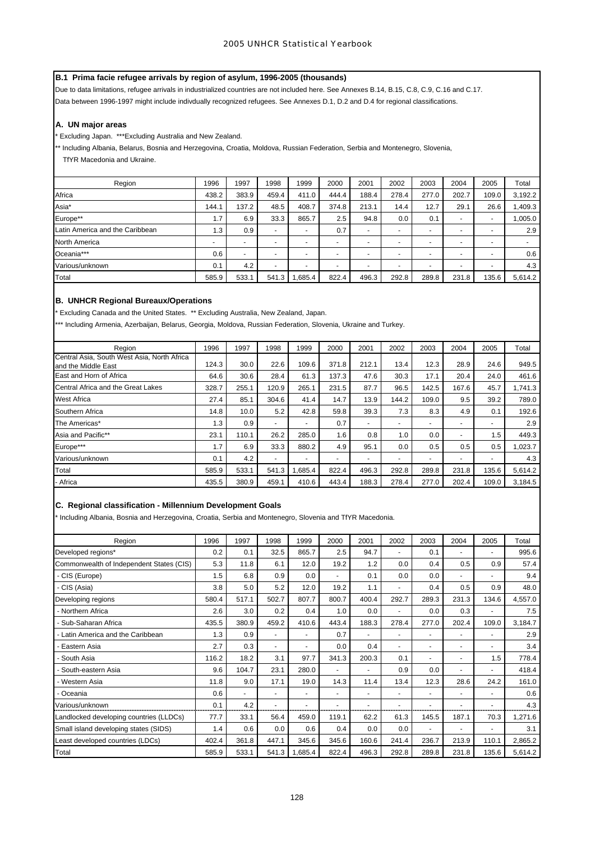# **B.1 Prima facie refugee arrivals by region of asylum, 1996-2005 (thousands)**

Due to data limitations, refugee arrivals in industrialized countries are not included here. See Annexes B.14, B.15, C.8, C.9, C.16 and C.17. Data between 1996-1997 might include indivdually recognized refugees. See Annexes D.1, D.2 and D.4 for regional classifications.

## **A. UN major areas**

\* Excluding Japan. \*\*\*Excluding Australia and New Zealand.

\*\* Including Albania, Belarus, Bosnia and Herzegovina, Croatia, Moldova, Russian Federation, Serbia and Montenegro, Slovenia, TfYR Macedonia and Ukraine.

| Region                          | 1996                     | 1997                     | 1998                     | 1999                     | 2000                     | 2001                     | 2002  | 2003                     | 2004  | 2005  | Total   |
|---------------------------------|--------------------------|--------------------------|--------------------------|--------------------------|--------------------------|--------------------------|-------|--------------------------|-------|-------|---------|
| Africa                          | 438.2                    | 383.9                    | 459.4                    | 411.0                    | 444.4                    | 188.4                    | 278.4 | 277.0                    | 202.7 | 109.0 | 3,192.2 |
| Asia*                           | 144.1                    | 137.2                    | 48.5                     | 408.7                    | 374.8                    | 213.1                    | 14.4  | 12.7                     | 29.1  | 26.6  | 1,409.3 |
| Europe**                        | 1.7                      | 6.9                      | 33.3                     | 865.7                    | 2.5                      | 94.8                     | 0.0   | 0.1                      | -     | -     | 1,005.0 |
| Latin America and the Caribbean | 1.3                      | 0.9                      | $\overline{\phantom{a}}$ |                          | 0.7                      | $\overline{a}$           |       | -                        |       | -     | 2.9     |
| North America                   | $\overline{\phantom{a}}$ | $\overline{\phantom{0}}$ | $\overline{\phantom{0}}$ | $\overline{\phantom{0}}$ | $\overline{\phantom{0}}$ | $\overline{\phantom{a}}$ |       | $\overline{\phantom{0}}$ |       | -     |         |
| Oceania***                      | 0.6                      | $\overline{\phantom{0}}$ | $\overline{\phantom{0}}$ | -                        | $\overline{\phantom{0}}$ | $\sim$                   |       | $\overline{\phantom{0}}$ |       | -     | 0.6     |
| Various/unknown                 | 0.1                      | 4.2                      | -                        |                          |                          | $\overline{\phantom{a}}$ |       | -                        |       | -     | 4.3     |
| Total                           | 585.9                    | 533.1                    | 541.3                    | .685.4                   | 822.4                    | 496.3                    | 292.8 | 289.8                    | 231.8 | 135.6 | 5,614.2 |

# **B. UNHCR Regional Bureaux/Operations**

\* Excluding Canada and the United States. \*\* Excluding Australia, New Zealand, Japan.

\*\* Including Armenia, Azerbaijan, Belarus, Georgia, Moldova, Russian Federation, Slovenia, Ukraine and Turkey.

| Region                                                             | 1996  | 1997  | 1998           | 1999                     | 2000                     | 2001                     | 2002  | 2003                     | 2004                     | 2005                     | Total   |
|--------------------------------------------------------------------|-------|-------|----------------|--------------------------|--------------------------|--------------------------|-------|--------------------------|--------------------------|--------------------------|---------|
| Central Asia, South West Asia, North Africa<br>and the Middle East | 124.3 | 30.0  | 22.6           | 109.6                    | 371.8                    | 212.1                    | 13.4  | 12.3                     | 28.9                     | 24.6                     | 949.5   |
| East and Horn of Africa                                            | 64.6  | 30.6  | 28.4           | 61.3                     | 137.3                    | 47.6                     | 30.3  | 17.1                     | 20.4                     | 24.0                     | 461.6   |
| Central Africa and the Great Lakes                                 | 328.7 | 255.1 | 120.9          | 265.1                    | 231.5                    | 87.7                     | 96.5  | 142.5                    | 167.6                    | 45.7                     | 1.741.3 |
| <b>West Africa</b>                                                 | 27.4  | 85.1  | 304.6          | 41.4                     | 14.7                     | 13.9                     | 144.2 | 109.0                    | 9.5                      | 39.2                     | 789.0   |
| Southern Africa                                                    | 14.8  | 10.0  | 5.2            | 42.8                     | 59.8                     | 39.3                     | 7.3   | 8.3                      | 4.9                      | 0.1                      | 192.6   |
| The Americas*                                                      | 1.3   | 0.9   | $\blacksquare$ | $\overline{a}$           | 0.7                      | $\sim$                   | -     | $\overline{\phantom{0}}$ | $\overline{\phantom{a}}$ | $\overline{\phantom{a}}$ | 2.9     |
| Asia and Pacific**                                                 | 23.1  | 110.1 | 26.2           | 285.0                    | 1.6                      | 0.8                      | 1.0   | 0.0                      | $\overline{\phantom{a}}$ | 1.5                      | 449.3   |
| Europe***                                                          | 1.7   | 6.9   | 33.3           | 880.2                    | 4.9                      | 95.1                     | 0.0   | 0.5                      | 0.5                      | 0.5                      | 1,023.7 |
| Various/unknown                                                    | 0.1   | 4.2   | $\blacksquare$ | $\overline{\phantom{0}}$ | $\overline{\phantom{0}}$ | $\overline{\phantom{a}}$ | ۰     |                          | $\overline{\phantom{a}}$ | ٠                        | 4.3     |
| Total                                                              | 585.9 | 533.1 | 541.3          | .685.4                   | 822.4                    | 496.3                    | 292.8 | 289.8                    | 231.8                    | 135.6                    | 5,614.2 |
| - Africa                                                           | 435.5 | 380.9 | 459.1          | 410.6                    | 443.4                    | 188.3                    | 278.4 | 277.0                    | 202.4                    | 109.0                    | 3,184.5 |
|                                                                    |       |       |                |                          |                          |                          |       |                          |                          |                          |         |

# **C. Regional classification - Millennium Development Goals**

Including Albania, Bosnia and Herzegovina, Croatia, Serbia and Montenegro, Slovenia and TfYR Macedonia.

| Region                                   | 1996  | 1997  | 1998           | 1999   | 2000  | 2001  | 2002  | 2003  | 2004                     | 2005  | Total   |
|------------------------------------------|-------|-------|----------------|--------|-------|-------|-------|-------|--------------------------|-------|---------|
| Developed regions*                       | 0.2   | 0.1   | 32.5           | 865.7  | 2.5   | 94.7  |       | 0.1   |                          |       | 995.6   |
| Commonwealth of Independent States (CIS) | 5.3   | 11.8  | 6.1            | 12.0   | 19.2  | 1.2   | 0.0   | 0.4   | 0.5                      | 0.9   | 57.4    |
| - CIS (Europe)                           | 1.5   | 6.8   | 0.9            | 0.0    |       | 0.1   | 0.0   | 0.0   |                          |       | 9.4     |
| - CIS (Asia)                             | 3.8   | 5.0   | 5.2            | 12.0   | 19.2  | 1.1   |       | 0.4   | 0.5                      | 0.9   | 48.0    |
| Developing regions                       | 580.4 | 517.1 | 502.7          | 807.7  | 800.7 | 400.4 | 292.7 | 289.3 | 231.3                    | 134.6 | 4,557.0 |
| - Northern Africa                        | 2.6   | 3.0   | 0.2            | 0.4    | 1.0   | 0.0   |       | 0.0   | 0.3                      |       | 7.5     |
| - Sub-Saharan Africa                     | 435.5 | 380.9 | 459.2          | 410.6  | 443.4 | 188.3 | 278.4 | 277.0 | 202.4                    | 109.0 | 3,184.7 |
| - Latin America and the Caribbean        | 1.3   | 0.9   | $\overline{a}$ |        | 0.7   | ٠     |       |       | $\overline{\phantom{a}}$ |       | 2.9     |
| - Eastern Asia                           | 2.7   | 0.3   | $\blacksquare$ |        | 0.0   | 0.4   | ٠     |       | $\overline{\phantom{a}}$ |       | 3.4     |
| - South Asia                             | 116.2 | 18.2  | 3.1            | 97.7   | 341.3 | 200.3 | 0.1   |       | $\overline{\phantom{a}}$ | 1.5   | 778.4   |
| - South-eastern Asia                     | 9.6   | 104.7 | 23.1           | 280.0  |       | ٠     | 0.9   | 0.0   |                          |       | 418.4   |
| - Western Asia                           | 11.8  | 9.0   | 17.1           | 19.0   | 14.3  | 11.4  | 13.4  | 12.3  | 28.6                     | 24.2  | 161.0   |
| - Oceania                                | 0.6   |       | $\blacksquare$ |        | ٠     |       |       |       | $\overline{\phantom{a}}$ |       | 0.6     |
| Various/unknown                          | 0.1   | 4.2   |                |        |       |       |       |       |                          |       | 4.3     |
| Landlocked developing countries (LLDCs)  | 77.7  | 33.1  | 56.4           | 459.0  | 119.1 | 62.2  | 61.3  | 145.5 | 187.1                    | 70.3  | 1,271.6 |
| Small island developing states (SIDS)    | 1.4   | 0.6   | 0.0            | 0.6    | 0.4   | 0.0   | 0.0   |       |                          |       | 3.1     |
| Least developed countries (LDCs)         | 402.4 | 361.8 | 447.1          | 345.6  | 345.6 | 160.6 | 241.4 | 236.7 | 213.9                    | 110.1 | 2,865.2 |
| Total                                    | 585.9 | 533.1 | 541.3          | .685.4 | 822.4 | 496.3 | 292.8 | 289.8 | 231.8                    | 135.6 | 5,614.2 |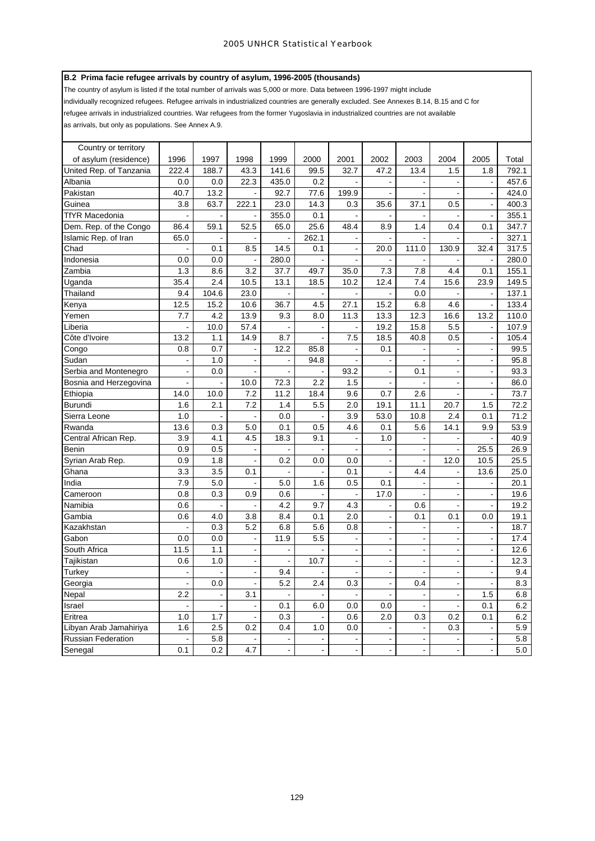# **B.2 Prima facie refugee arrivals by country of asylum, 1996-2005 (thousands)**

The country of asylum is listed if the total number of arrivals was 5,000 or more. Data between 1996-1997 might include individually recognized refugees. Refugee arrivals in industrialized countries are generally excluded. See Annexes B.14, B.15 and C for refugee arrivals in industrialized countries. War refugees from the former Yugoslavia in industrialized countries are not available as arrivals, but only as populations. See Annex A.9.

| Country or territory    |                |                |                          |                          |                          |                |                          |                          |                              |                          |         |
|-------------------------|----------------|----------------|--------------------------|--------------------------|--------------------------|----------------|--------------------------|--------------------------|------------------------------|--------------------------|---------|
| of asylum (residence)   | 1996           | 1997           | 1998                     | 1999                     | 2000                     | 2001           | 2002                     | 2003                     | 2004                         | 2005                     | Total   |
| United Rep. of Tanzania | 222.4          | 188.7          | 43.3                     | 141.6                    | 99.5                     | 32.7           | 47.2                     | 13.4                     | 1.5                          | 1.8                      | 792.1   |
| Albania                 | 0.0            | 0.0            | 22.3                     | 435.0                    | 0.2                      |                | $\blacksquare$           |                          | $\blacksquare$               | $\blacksquare$           | 457.6   |
| Pakistan                | 40.7           | 13.2           |                          | 92.7                     | 77.6                     | 199.9          |                          |                          | $\ddot{\phantom{1}}$         | $\overline{a}$           | 424.0   |
| Guinea                  | 3.8            | 63.7           | 222.1                    | 23.0                     | 14.3                     | 0.3            | 35.6                     | 37.1                     | 0.5                          | $\overline{\phantom{a}}$ | 400.3   |
| <b>TfYR Macedonia</b>   |                |                |                          | 355.0                    | 0.1                      |                |                          |                          |                              | $\blacksquare$           | 355.1   |
| Dem. Rep. of the Congo  | 86.4           | 59.1           | 52.5                     | 65.0                     | 25.6                     | 48.4           | 8.9                      | 1.4                      | 0.4                          | 0.1                      | 347.7   |
| Islamic Rep. of Iran    | 65.0           | $\blacksquare$ |                          |                          | 262.1                    | $\blacksquare$ |                          |                          | $\overline{a}$               | $\blacksquare$           | 327.1   |
| Chad                    |                | 0.1            | 8.5                      | 14.5                     | 0.1                      | $\sim$         | 20.0                     | 111.0                    | 130.9                        | 32.4                     | 317.5   |
| Indonesia               | 0.0            | 0.0            |                          | 280.0                    | $\overline{a}$           |                |                          |                          |                              | ä,                       | 280.0   |
| Zambia                  | 1.3            | 8.6            | 3.2                      | 37.7                     | 49.7                     | 35.0           | 7.3                      | 7.8                      | 4.4                          | 0.1                      | 155.1   |
| Uganda                  | 35.4           | 2.4            | 10.5                     | 13.1                     | 18.5                     | 10.2           | 12.4                     | 7.4                      | 15.6                         | 23.9                     | 149.5   |
| Thailand                | 9.4            | 104.6          | 23.0                     | $\blacksquare$           | $\overline{\phantom{0}}$ |                |                          | 0.0                      | $\blacksquare$               | $\blacksquare$           | 137.1   |
| Kenya                   | 12.5           | 15.2           | 10.6                     | 36.7                     | 4.5                      | 27.1           | 15.2                     | 6.8                      | 4.6                          | $\overline{\phantom{a}}$ | 133.4   |
| Yemen                   | 7.7            | 4.2            | 13.9                     | 9.3                      | 8.0                      | 11.3           | 13.3                     | 12.3                     | 16.6                         | 13.2                     | 110.0   |
| Liberia                 | $\overline{a}$ | 10.0           | 57.4                     |                          | $\blacksquare$           |                | 19.2                     | 15.8                     | 5.5                          | $\blacksquare$           | 107.9   |
| Côte d'Ivoire           | 13.2           | 1.1            | 14.9                     | 8.7                      |                          | 7.5            | 18.5                     | 40.8                     | 0.5                          | $\blacksquare$           | 105.4   |
| Congo                   | 0.8            | 0.7            | ä,                       | 12.2                     | 85.8                     | $\sim$         | 0.1                      |                          | $\overline{\phantom{a}}$     | $\blacksquare$           | 99.5    |
| Sudan                   | $\overline{a}$ | 1.0            | $\overline{a}$           | $\overline{\phantom{a}}$ | 94.8                     |                |                          |                          | ÷,                           | ä,                       | 95.8    |
| Serbia and Montenegro   | L,             | 0.0            |                          |                          |                          | 93.2           | ä,                       | 0.1                      | $\overline{\phantom{a}}$     | $\overline{a}$           | 93.3    |
| Bosnia and Herzegovina  | $\overline{a}$ |                | 10.0                     | 72.3                     | 2.2                      | 1.5            |                          |                          | $\qquad \qquad \blacksquare$ | $\blacksquare$           | 86.0    |
| Ethiopia                | 14.0           | 10.0           | 7.2                      | 11.2                     | 18.4                     | 9.6            | 0.7                      | 2.6                      |                              | $\overline{\phantom{a}}$ | 73.7    |
| <b>Burundi</b>          | 1.6            | 2.1            | 7.2                      | 1.4                      | 5.5                      | 2.0            | 19.1                     | 11.1                     | 20.7                         | 1.5                      | 72.2    |
| Sierra Leone            | 1.0            | $\sim$         |                          | 0.0                      | ÷,                       | 3.9            | 53.0                     | 10.8                     | 2.4                          | 0.1                      | 71.2    |
| Rwanda                  | 13.6           | 0.3            | 5.0                      | 0.1                      | 0.5                      | 4.6            | 0.1                      | 5.6                      | 14.1                         | 9.9                      | 53.9    |
| Central African Rep.    | 3.9            | 4.1            | 4.5                      | 18.3                     | 9.1                      | $\blacksquare$ | 1.0                      |                          | $\qquad \qquad \blacksquare$ |                          | 40.9    |
| Benin                   | 0.9            | 0.5            | $\overline{\phantom{a}}$ |                          | $\ddot{\phantom{a}}$     | $\sim$         | $\overline{a}$           | Ĩ.                       | $\overline{\phantom{a}}$     | 25.5                     | 26.9    |
| Syrian Arab Rep.        | 0.9            | 1.8            |                          | 0.2                      | 0.0                      | 0.0            | $\tilde{\phantom{a}}$    | L.                       | 12.0                         | 10.5                     | 25.5    |
| Ghana                   | 3.3            | 3.5            | 0.1                      |                          |                          | 0.1            | ä,                       | 4.4                      | $\blacksquare$               | 13.6                     | 25.0    |
| India                   | 7.9            | 5.0            |                          | 5.0                      | 1.6                      | 0.5            | 0.1                      |                          |                              |                          | 20.1    |
| Cameroon                | 0.8            | 0.3            | 0.9                      | 0.6                      |                          |                | 17.0                     | $\blacksquare$           | $\blacksquare$               | $\blacksquare$           | 19.6    |
| Namibia                 | 0.6            | $\sim$         |                          | 4.2                      | 9.7                      | 4.3            | L.                       | 0.6                      | $\overline{\phantom{a}}$     | $\Box$                   | 19.2    |
| Gambia                  | 0.6            | 4.0            | 3.8                      | 8.4                      | 0.1                      | 2.0            | $\ddot{\phantom{a}}$     | 0.1                      | 0.1                          | 0.0                      | 19.1    |
| Kazakhstan              |                | 0.3            | 5.2                      | 6.8                      | 5.6                      | 0.8            | $\overline{a}$           |                          | ÷                            | $\blacksquare$           | 18.7    |
| Gabon                   | 0.0            | 0.0            | $\overline{a}$           | 11.9                     | 5.5                      |                | $\blacksquare$           |                          | $\overline{a}$               | $\blacksquare$           | 17.4    |
| South Africa            | 11.5           | 1.1            | $\blacksquare$           | $\blacksquare$           |                          | $\sim$         | $\overline{a}$           | $\overline{\phantom{a}}$ | $\overline{\phantom{a}}$     | ä,                       | 12.6    |
| Tajikistan              | 0.6            | 1.0            | L,                       | $\ddot{\phantom{a}}$     | 10.7                     | $\sim$         | $\overline{\phantom{a}}$ | J.                       | ä,                           | ä,                       | 12.3    |
| Turkey                  | L,             |                | $\overline{\phantom{a}}$ | 9.4                      |                          |                | $\sim$                   | ÷,                       | $\overline{\phantom{a}}$     | ä,                       | 9.4     |
| Georgia                 | $\overline{a}$ | 0.0            | $\overline{a}$           | 5.2                      | 2.4                      | 0.3            | $\blacksquare$           | 0.4                      | $\qquad \qquad \blacksquare$ | $\blacksquare$           | 8.3     |
| Nepal                   | 2.2            |                | 3.1                      | $\blacksquare$           | $\overline{\phantom{a}}$ |                | $\overline{\phantom{a}}$ | $\overline{\phantom{a}}$ | $\ddot{\phantom{a}}$         | 1.5                      | $6.8\,$ |
| Israel                  | ÷,             | ä,             | $\blacksquare$           | 0.1                      | 6.0                      | 0.0            | 0.0                      | $\ddot{\phantom{a}}$     | $\overline{\phantom{a}}$     | 0.1                      | 6.2     |
| Eritrea                 | 1.0            | 1.7            | $\overline{\phantom{a}}$ | 0.3                      |                          | 0.6            | 2.0                      | 0.3                      | 0.2                          | 0.1                      | 6.2     |
| Libyan Arab Jamahiriya  | 1.6            | 2.5            | 0.2                      | 0.4                      | 1.0                      | 0.0            |                          |                          | 0.3                          |                          | 5.9     |
| Russian Federation      |                | 5.8            |                          |                          | $\blacksquare$           |                | $\blacksquare$           | $\blacksquare$           | $\blacksquare$               | $\blacksquare$           | 5.8     |
| Senegal                 | 0.1            | 0.2            | 4.7                      | $\overline{a}$           | $\overline{a}$           | $\sim$         | $\overline{a}$           |                          | ÷,                           | L.                       | 5.0     |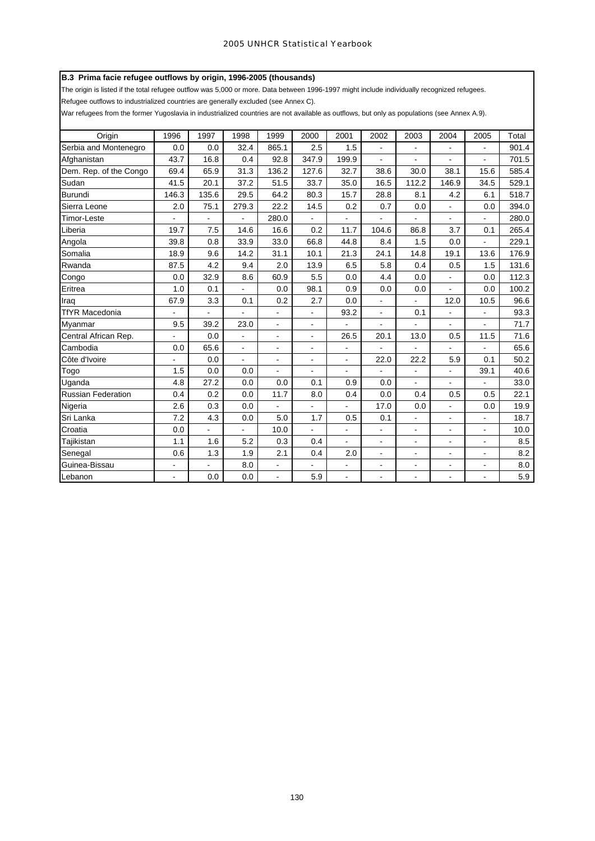# **B.3 Prima facie refugee outflows by origin, 1996-2005 (thousands)**

The origin is listed if the total refugee outflow was 5,000 or more. Data between 1996-1997 might include individually recognized refugees.

Refugee outflows to industrialized countries are generally excluded (see Annex C).

War refugees from the former Yugoslavia in industrialized countries are not available as outflows, but only as populations (see Annex A.9).

| Origin                    | 1996           | 1997  | 1998           | 1999                         | 2000                     | 2001           | 2002                     | 2003           | 2004                 | 2005                     | Total |
|---------------------------|----------------|-------|----------------|------------------------------|--------------------------|----------------|--------------------------|----------------|----------------------|--------------------------|-------|
| Serbia and Montenegro     | 0.0            | 0.0   | 32.4           | 865.1                        | 2.5                      | 1.5            | $\overline{\phantom{a}}$ | $\frac{1}{2}$  | $\blacksquare$       | $\blacksquare$           | 901.4 |
| Afghanistan               | 43.7           | 16.8  | 0.4            | 92.8                         | 347.9                    | 199.9          | ÷                        | ۰              | $\blacksquare$       | $\blacksquare$           | 701.5 |
| Dem. Rep. of the Congo    | 69.4           | 65.9  | 31.3           | 136.2                        | 127.6                    | 32.7           | 38.6                     | 30.0           | 38.1                 | 15.6                     | 585.4 |
| Sudan                     | 41.5           | 20.1  | 37.2           | 51.5                         | 33.7                     | 35.0           | 16.5                     | 112.2          | 146.9                | 34.5                     | 529.1 |
| <b>Burundi</b>            | 146.3          | 135.6 | 29.5           | 64.2                         | 80.3                     | 15.7           | 28.8                     | 8.1            | 4.2                  | 6.1                      | 518.7 |
| Sierra Leone              | 2.0            | 75.1  | 279.3          | 22.2                         | 14.5                     | 0.2            | 0.7                      | 0.0            | $\overline{a}$       | 0.0                      | 394.0 |
| <b>Timor-Leste</b>        |                |       |                | 280.0                        |                          |                |                          |                |                      |                          | 280.0 |
| Liberia                   | 19.7           | 7.5   | 14.6           | 16.6                         | 0.2                      | 11.7           | 104.6                    | 86.8           | 3.7                  | 0.1                      | 265.4 |
| Angola                    | 39.8           | 0.8   | 33.9           | 33.0                         | 66.8                     | 44.8           | 8.4                      | 1.5            | 0.0                  |                          | 229.1 |
| Somalia                   | 18.9           | 9.6   | 14.2           | 31.1                         | 10.1                     | 21.3           | 24.1                     | 14.8           | 19.1                 | 13.6                     | 176.9 |
| Rwanda                    | 87.5           | 4.2   | 9.4            | 2.0                          | 13.9                     | 6.5            | 5.8                      | 0.4            | 0.5                  | 1.5                      | 131.6 |
| Congo                     | 0.0            | 32.9  | 8.6            | 60.9                         | 5.5                      | 0.0            | 4.4                      | 0.0            | $\blacksquare$       | 0.0                      | 112.3 |
| Eritrea                   | 1.0            | 0.1   |                | 0.0                          | 98.1                     | 0.9            | 0.0                      | 0.0            | $\blacksquare$       | 0.0                      | 100.2 |
| Iraq                      | 67.9           | 3.3   | 0.1            | 0.2                          | 2.7                      | 0.0            | $\overline{\phantom{a}}$ | ÷,             | 12.0                 | 10.5                     | 96.6  |
| <b>TfYR Macedonia</b>     | $\overline{a}$ |       |                | $\blacksquare$               | $\overline{\phantom{0}}$ | 93.2           | $\blacksquare$           | 0.1            | $\blacksquare$       |                          | 93.3  |
| Myanmar                   | 9.5            | 39.2  | 23.0           |                              |                          |                |                          |                |                      |                          | 71.7  |
| Central African Rep.      |                | 0.0   |                | $\qquad \qquad \blacksquare$ | $\frac{1}{2}$            | 26.5           | 20.1                     | 13.0           | 0.5                  | 11.5                     | 71.6  |
| Cambodia                  | 0.0            | 65.6  | $\blacksquare$ | $\blacksquare$               | $\overline{a}$           | $\blacksquare$ |                          |                |                      |                          | 65.6  |
| Côte d'Ivoire             | ÷.             | 0.0   | $\blacksquare$ | $\blacksquare$               | $\blacksquare$           | $\blacksquare$ | 22.0                     | 22.2           | 5.9                  | 0.1                      | 50.2  |
| Togo                      | 1.5            | 0.0   | 0.0            | ÷,                           | $\blacksquare$           | $\blacksquare$ |                          | ä,             | ä,                   | 39.1                     | 40.6  |
| Uganda                    | 4.8            | 27.2  | 0.0            | 0.0                          | 0.1                      | 0.9            | 0.0                      | ÷.             |                      |                          | 33.0  |
| <b>Russian Federation</b> | 0.4            | 0.2   | 0.0            | 11.7                         | 8.0                      | 0.4            | 0.0                      | 0.4            | 0.5                  | 0.5                      | 22.1  |
| Nigeria                   | 2.6            | 0.3   | 0.0            | ÷,                           | $\overline{\phantom{0}}$ | $\blacksquare$ | 17.0                     | 0.0            | $\blacksquare$       | 0.0                      | 19.9  |
| Sri Lanka                 | 7.2            | 4.3   | 0.0            | 5.0                          | 1.7                      | 0.5            | 0.1                      | ä,             | $\blacksquare$       | $\blacksquare$           | 18.7  |
| Croatia                   | 0.0            |       |                | 10.0                         |                          | $\overline{a}$ | $\overline{\phantom{a}}$ | $\blacksquare$ | $\blacksquare$       | $\overline{\phantom{a}}$ | 10.0  |
| Tajikistan                | 1.1            | 1.6   | 5.2            | 0.3                          | 0.4                      | ÷.             | $\blacksquare$           | ۰              | $\blacksquare$       | $\blacksquare$           | 8.5   |
| Senegal                   | 0.6            | 1.3   | 1.9            | 2.1                          | 0.4                      | 2.0            | $\overline{\phantom{a}}$ | ÷,             | $\overline{a}$       | $\mathbf{r}$             | 8.2   |
| Guinea-Bissau             | $\overline{a}$ |       | 8.0            | $\frac{1}{2}$                |                          | $\blacksquare$ | $\overline{\phantom{a}}$ | $\blacksquare$ | $\ddot{\phantom{a}}$ | $\overline{\phantom{a}}$ | 8.0   |
| Lebanon                   | $\blacksquare$ | 0.0   | 0.0            |                              | 5.9                      | $\blacksquare$ |                          |                |                      |                          | 5.9   |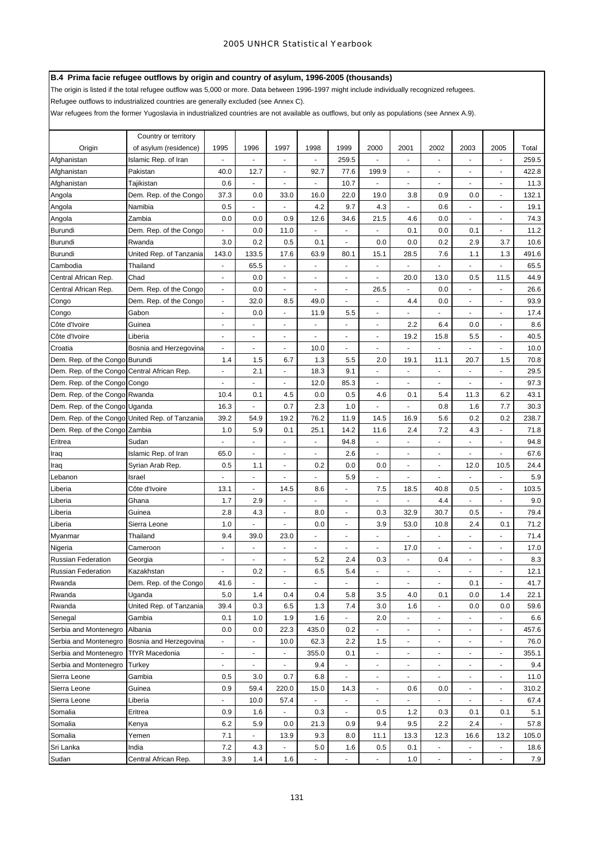# **B.4 Prima facie refugee outflows by origin and country of asylum, 1996-2005 (thousands)**

The origin is listed if the total refugee outflow was 5,000 or more. Data between 1996-1997 might include individually recognized refugees.

Refugee outflows to industrialized countries are generally excluded (see Annex C).

War refugees from the former Yugoslavia in industrialized countries are not available as outflows, but only as populations (see Annex A.9).

|                                             | Country or territory                           |                          |                          |                |                          |                          |                          |                          |                          |                          |                                  |       |
|---------------------------------------------|------------------------------------------------|--------------------------|--------------------------|----------------|--------------------------|--------------------------|--------------------------|--------------------------|--------------------------|--------------------------|----------------------------------|-------|
| Origin                                      | of asylum (residence)                          | 1995                     | 1996                     | 1997           | 1998                     | 1999                     | 2000                     | 2001                     | 2002                     | 2003                     | 2005                             | Total |
| Afghanistan                                 | Islamic Rep. of Iran                           |                          |                          | ä,             | ÷,                       | 259.5                    | ÷,                       | ä,                       | ÷,                       | ä,                       | ä,                               | 259.5 |
| Afghanistan                                 | Pakistan                                       | 40.0                     | 12.7                     | $\overline{a}$ | 92.7                     | 77.6                     | 199.9                    | ÷                        | L,                       | $\overline{\phantom{a}}$ | ۳                                | 422.8 |
| Afghanistan                                 | Tajikistan                                     | 0.6                      |                          | $\overline{a}$ | ÷,                       | 10.7                     | Ĭ.                       |                          |                          |                          |                                  | 11.3  |
| Angola                                      | Dem. Rep. of the Congo                         | 37.3                     | 0.0                      | 33.0           | 16.0                     | 22.0                     | 19.0                     | 3.8                      | 0.9                      | 0.0                      | $\sim$                           | 132.1 |
| Angola                                      | Namibia                                        | 0.5                      | ÷                        | ä,             | 4.2                      | 9.7                      | 4.3                      | $\sim$                   | 0.6                      | ä,                       | $\sim$                           | 19.1  |
| Angola                                      | Zambia                                         | 0.0                      | 0.0                      | 0.9            | 12.6                     | 34.6                     | 21.5                     | 4.6                      | 0.0                      | $\blacksquare$           | $\sim$                           | 74.3  |
| Burundi                                     | Dem. Rep. of the Congo                         |                          | 0.0                      | 11.0           |                          |                          |                          | 0.1                      | 0.0                      | 0.1                      | $\overline{\phantom{a}}$         | 11.2  |
| Burundi                                     | Rwanda                                         | 3.0                      | 0.2                      | 0.5            | 0.1                      | $\overline{\phantom{a}}$ | 0.0                      | 0.0                      | 0.2                      | 2.9                      | 3.7                              | 10.6  |
| Burundi                                     | United Rep. of Tanzania                        | 143.0                    | 133.5                    | 17.6           | 63.9                     | 80.1                     | 15.1                     | 28.5                     | 7.6                      | 1.1                      | 1.3                              | 491.6 |
| Cambodia                                    | Thailand                                       | ä,                       | 65.5                     | L.             | ÷,                       | $\overline{a}$           | $\mathbf{r}$             | ä,                       |                          |                          | $\mathcal{L}_{\mathcal{A}}$      | 65.5  |
| Central African Rep.                        | Chad                                           | $\blacksquare$           | 0.0                      | $\overline{a}$ | $\blacksquare$           | $\blacksquare$           | ÷,                       | 20.0                     | 13.0                     | 0.5                      | 11.5                             | 44.9  |
| Central African Rep.                        | Dem. Rep. of the Congo                         | $\overline{\phantom{a}}$ | 0.0                      | $\overline{a}$ | ٠                        | $\blacksquare$           | 26.5                     |                          | 0.0                      | ä,                       | $\blacksquare$                   | 26.6  |
| Congo                                       | Dem. Rep. of the Congo                         | $\overline{\phantom{a}}$ | 32.0                     | 8.5            | 49.0                     | ä,                       | ÷,                       | 4.4                      | 0.0                      | ٠                        | $\blacksquare$                   | 93.9  |
| Congo                                       | Gabon                                          | ä,                       | 0.0                      | ä,             | 11.9                     | 5.5                      | ÷,                       | ä,                       | L.                       | ÷,                       | $\blacksquare$                   | 17.4  |
| Côte d'Ivoire                               | Guinea                                         | ÷,                       | ä,                       | $\overline{a}$ | $\blacksquare$           | ä,                       | ÷,                       | 2.2                      | 6.4                      | 0.0                      | $\overline{\phantom{a}}$         | 8.6   |
| Côte d'Ivoire                               | Liberia                                        | ٠                        | $\overline{\phantom{a}}$ | $\overline{a}$ | $\blacksquare$           | $\overline{\phantom{a}}$ |                          | 19.2                     | 15.8                     | 5.5                      | $\blacksquare$                   | 40.5  |
| Croatia                                     | Bosnia and Herzegovina                         | $\overline{\phantom{a}}$ | $\sim$                   | $\frac{1}{2}$  | 10.0                     | $\overline{\phantom{a}}$ | $\overline{\phantom{a}}$ | $\overline{\phantom{a}}$ | $\blacksquare$           | $\blacksquare$           | ۰                                | 10.0  |
| Dem. Rep. of the Congo Burundi              |                                                | 1.4                      | 1.5                      | 6.7            | 1.3                      | 5.5                      | 2.0                      | 19.1                     | 11.1                     | 20.7                     | 1.5                              | 70.8  |
| Dem. Rep. of the Congo Central African Rep. |                                                | $\blacksquare$           | 2.1                      | ä,             | 18.3                     | 9.1                      | ÷,                       | ٠                        | $\blacksquare$           | $\overline{\phantom{a}}$ | ٠                                | 29.5  |
| Dem. Rep. of the Congo Congo                |                                                | $\overline{a}$           | $\blacksquare$           | $\overline{a}$ | 12.0                     | 85.3                     | ÷,                       | $\overline{\phantom{a}}$ | $\overline{\phantom{a}}$ | $\overline{\phantom{a}}$ | $\overline{\phantom{a}}$         | 97.3  |
| Dem. Rep. of the Congo Rwanda               |                                                | 10.4                     | 0.1                      | 4.5            | 0.0                      | 0.5                      | 4.6                      | 0.1                      | 5.4                      | 11.3                     | 6.2                              | 43.1  |
| Dem. Rep. of the Congo Uganda               |                                                | 16.3                     |                          | 0.7            | 2.3                      | 1.0                      |                          |                          | 0.8                      | 1.6                      | 7.7                              | 30.3  |
|                                             | Dem. Rep. of the Congo United Rep. of Tanzania | 39.2                     | 54.9                     | 19.2           | 76.2                     | 11.9                     | 14.5                     | 16.9                     | 5.6                      | 0.2                      | 0.2                              | 238.7 |
| Dem. Rep. of the Congo Zambia               |                                                | 1.0                      | 5.9                      | 0.1            | 25.1                     | 14.2                     | 11.6                     | 2.4                      | 7.2                      | 4.3                      | ÷.                               | 71.8  |
| Eritrea                                     | Sudan                                          |                          |                          | ä,             | $\blacksquare$           | 94.8                     | $\blacksquare$           | $\blacksquare$           |                          |                          | $\blacksquare$                   | 94.8  |
| Iraq                                        | Islamic Rep. of Iran                           | 65.0                     | $\mathbf{r}$             | $\overline{a}$ | $\blacksquare$           | 2.6                      | ÷,                       | $\overline{\phantom{a}}$ | $\blacksquare$           | $\blacksquare$           | $\overline{\phantom{a}}$         | 67.6  |
| Iraq                                        | Syrian Arab Rep.                               | 0.5                      | 1.1                      | ä,             | 0.2                      | 0.0                      | 0.0                      | $\blacksquare$           | L.                       | 12.0                     | 10.5                             | 24.4  |
| Lebanon                                     | Israel                                         |                          | ä,                       | $\overline{a}$ | L,                       | 5.9                      | L                        | $\blacksquare$           | $\overline{a}$           | $\blacksquare$           | L.                               | 5.9   |
| Liberia                                     | Côte d'Ivoire                                  | 13.1                     | $\omega$                 | 14.5           | 8.6                      | ÷                        | 7.5                      | 18.5                     | 40.8                     | 0.5                      | ÷.                               | 103.5 |
| Liberia                                     | Ghana                                          | 1.7                      | 2.9                      | $\blacksquare$ |                          | $\overline{a}$           | ä,                       | $\overline{\phantom{a}}$ | 4.4                      | $\ddot{\phantom{1}}$     | ٠                                | 9.0   |
| Liberia                                     | Guinea                                         | 2.8                      | 4.3                      | $\blacksquare$ | 8.0                      | $\blacksquare$           | 0.3                      | 32.9                     | 30.7                     | 0.5                      | ٠                                | 79.4  |
| Liberia                                     | Sierra Leone                                   | 1.0                      | $\sim$                   | ä,             | 0.0                      | $\blacksquare$           | 3.9                      | 53.0                     | 10.8                     | 2.4                      | 0.1                              | 71.2  |
| Myanmar                                     | Thailand                                       | 9.4                      | 39.0                     | 23.0           | $\overline{\phantom{a}}$ | ä,                       | L,                       |                          | $\blacksquare$           | $\overline{\phantom{a}}$ | ÷.                               | 71.4  |
| Nigeria                                     | Cameroon                                       | $\overline{\phantom{a}}$ | $\overline{\phantom{a}}$ | $\overline{a}$ | $\overline{\phantom{a}}$ | $\blacksquare$           | ÷,                       | 17.0                     | $\blacksquare$           | $\overline{\phantom{a}}$ |                                  | 17.0  |
| <b>Russian Federation</b>                   | Georgia                                        | $\overline{\phantom{a}}$ |                          | $\overline{a}$ | 5.2                      | 2.4                      | 0.3                      |                          | 0.4                      | $\overline{\phantom{a}}$ |                                  | 8.3   |
| <b>Russian Federation</b>                   | Kazakhstan                                     |                          | 0.2                      |                | 6.5                      | 5.4                      |                          |                          |                          |                          |                                  | 12.1  |
| Rwanda                                      | Dem. Rep. of the Congo                         | 41.6                     | $\blacksquare$           | $\blacksquare$ | $\blacksquare$           | $\blacksquare$           | $\blacksquare$           | $\blacksquare$           | $\blacksquare$           | 0.1                      | $\blacksquare$                   | 41.7  |
| Rwanda                                      | Uganda                                         | 5.0                      | 1.4                      | 0.4            | 0.4                      | 5.8                      | 3.5                      | 4.0                      | 0.1                      | 0.0                      | 1.4                              | 22.1  |
| Rwanda                                      | United Rep. of Tanzania                        | 39.4                     | 0.3                      | 6.5            | 1.3                      | 7.4                      | 3.0                      | 1.6                      | ÷,                       | 0.0                      | 0.0                              | 59.6  |
| Senegal                                     | Gambia                                         | 0.1                      | 1.0                      | 1.9            | 1.6                      | $\blacksquare$           | 2.0                      | ÷                        | $\blacksquare$           |                          | $\blacksquare$                   | 6.6   |
| Serbia and Montenegro                       | Albania                                        | 0.0                      | 0.0                      | 22.3           | 435.0                    | 0.2                      |                          | ÷                        | ÷,                       | $\overline{\phantom{a}}$ | $\overline{\phantom{a}}$         | 457.6 |
| Serbia and Montenegro                       | Bosnia and Herzegovina                         | ÷,                       | $\omega$                 | 10.0           | 62.3                     | 2.2                      | 1.5                      | $\blacksquare$           | $\blacksquare$           | $\overline{\phantom{a}}$ | $\blacksquare$                   | 76.0  |
| Serbia and Montenegro                       | <b>TfYR Macedonia</b>                          | $\overline{\phantom{a}}$ | $\sim$                   | $\blacksquare$ | 355.0                    | 0.1                      | ÷,                       | $\overline{\phantom{a}}$ | $\blacksquare$           | $\overline{\phantom{a}}$ | $\blacksquare$                   | 355.1 |
| Serbia and Montenegro                       | Turkey                                         | $\blacksquare$           | $\overline{\phantom{a}}$ | $\frac{1}{2}$  | 9.4                      | $\blacksquare$           | $\ddot{\phantom{0}}$     | $\overline{\phantom{a}}$ | $\overline{\phantom{a}}$ | $\blacksquare$           | $\overline{\phantom{a}}$         | 9.4   |
| Sierra Leone                                | Gambia                                         | 0.5                      | 3.0                      | 0.7            | 6.8                      | $\blacksquare$           | $\blacksquare$           | $\overline{\phantom{a}}$ | $\overline{\phantom{a}}$ | $\overline{\phantom{a}}$ | $\blacksquare$                   | 11.0  |
| Sierra Leone                                | Guinea                                         | 0.9                      | 59.4                     | 220.0          | 15.0                     | 14.3                     | $\blacksquare$           | 0.6                      | 0.0                      | $\overline{\phantom{a}}$ | $\blacksquare$                   | 310.2 |
| Sierra Leone                                | Liberia                                        | $\blacksquare$           | 10.0                     | 57.4           | $\blacksquare$           | $\overline{\phantom{a}}$ | $\overline{\phantom{a}}$ | $\frac{1}{2}$            | $\blacksquare$           | $\overline{\phantom{a}}$ | $\blacksquare$                   | 67.4  |
| Somalia                                     | Eritrea                                        | 0.9                      | 1.6                      | $\overline{a}$ | 0.3                      | $\blacksquare$           | 0.5                      | 1.2                      | 0.3                      | 0.1                      | 0.1                              | 5.1   |
| Somalia                                     | Kenya                                          | 6.2                      | 5.9                      | 0.0            | 21.3                     | 0.9                      | 9.4                      | 9.5                      | 2.2                      | 2.4                      | $\frac{1}{2}$                    | 57.8  |
| Somalia                                     | Yemen                                          | 7.1                      | $\blacksquare$           | 13.9<br>ä,     | 9.3                      | 8.0                      | 11.1                     | 13.3                     | 12.3                     | 16.6                     | 13.2                             | 105.0 |
| Sri Lanka                                   | India                                          | 7.2                      | 4.3                      |                | $5.0\,$<br>÷,            | 1.6                      | 0.5<br>L                 | 0.1                      | $\blacksquare$<br>÷,     | $\blacksquare$<br>٠      | $\blacksquare$<br>$\blacksquare$ | 18.6  |
| Sudan                                       | Central African Rep.                           | 3.9                      | 1.4                      | 1.6            |                          |                          |                          | 1.0                      |                          |                          |                                  | 7.9   |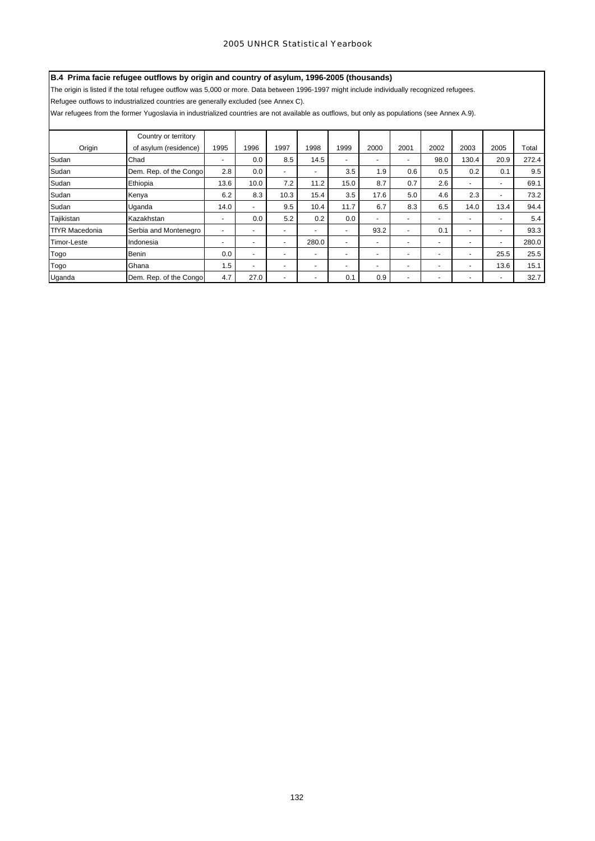# **B.4 Prima facie refugee outflows by origin and country of asylum, 1996-2005 (thousands)**

The origin is listed if the total refugee outflow was 5,000 or more. Data between 1996-1997 might include individually recognized refugees.

Refugee outflows to industrialized countries are generally excluded (see Annex C).

War refugees from the former Yugoslavia in industrialized countries are not available as outflows, but only as populations (see Annex A.9).

|                       | Country or territory   |      |                          |                          |                |                          |                          |                          |                |                          |                          |       |
|-----------------------|------------------------|------|--------------------------|--------------------------|----------------|--------------------------|--------------------------|--------------------------|----------------|--------------------------|--------------------------|-------|
| Origin                | of asylum (residence)  | 1995 | 1996                     | 1997                     | 1998           | 1999                     | 2000                     | 2001                     | 2002           | 2003                     | 2005                     | Total |
| Sudan                 | Chad                   | ٠    | 0.0                      | 8.5                      | 14.5           |                          | $\overline{\phantom{a}}$ | $\overline{\phantom{0}}$ | 98.0           | 130.4                    | 20.9                     | 272.4 |
| Sudan                 | Dem. Rep. of the Congo | 2.8  | 0.0                      | $\sim$                   | $\overline{a}$ | 3.5                      | 1.9                      | 0.6                      | 0.5            | 0.2                      | 0.1                      | 9.5   |
| Sudan                 | Ethiopia               | 13.6 | 10.0                     | 7.2                      | 11.2           | 15.0                     | 8.7                      | 0.7                      | 2.6            | $\overline{\phantom{a}}$ | $\overline{\phantom{0}}$ | 69.1  |
| Sudan                 | Kenya                  | 6.2  | 8.3                      | 10.3                     | 15.4           | 3.5                      | 17.6                     | 5.0                      | 4.6            | 2.3                      | ٠                        | 73.2  |
| Sudan                 | Uganda                 | 14.0 | $\overline{\phantom{0}}$ | 9.5                      | 10.4           | 11.7                     | 6.7                      | 8.3                      | 6.5            | 14.0                     | 13.4                     | 94.4  |
| Tajikistan            | Kazakhstan             | ٠    | 0.0                      | 5.2                      | 0.2            | 0.0                      | $\overline{\phantom{a}}$ | ٠                        | -              | $\overline{\phantom{a}}$ | $\overline{\phantom{0}}$ | 5.4   |
| <b>TfYR Macedonia</b> | Serbia and Montenegro  | ۰    | -                        | $\overline{\phantom{0}}$ | ٠              | -                        | 93.2                     | ٠                        | 0.1            | $\overline{\phantom{0}}$ | ٠                        | 93.3  |
| Timor-Leste           | Indonesia              | ۰    | -                        | $\overline{\phantom{0}}$ | 280.0          | $\overline{\phantom{0}}$ | $\overline{\phantom{a}}$ | $\overline{\phantom{0}}$ |                | $\overline{\phantom{a}}$ | ٠                        | 280.0 |
| Togo                  | <b>Benin</b>           | 0.0  | $\overline{\phantom{0}}$ |                          | ٠              | $\overline{\phantom{0}}$ | $\overline{\phantom{a}}$ | $\overline{a}$           | $\overline{a}$ |                          | 25.5                     | 25.5  |
| Togo                  | Ghana                  | 1.5  | н.                       | $\sim$                   | $\overline{a}$ | $\overline{\phantom{0}}$ | $\overline{\phantom{a}}$ | $\overline{a}$           | -              | $\overline{\phantom{a}}$ | 13.6                     | 15.1  |
| Uganda                | Dem. Rep. of the Congo | 4.7  | 27.0                     | <b>-</b>                 | $\overline{a}$ | 0.1                      | 0.9                      | $\overline{\phantom{a}}$ | -              | $\overline{\phantom{a}}$ | -                        | 32.7  |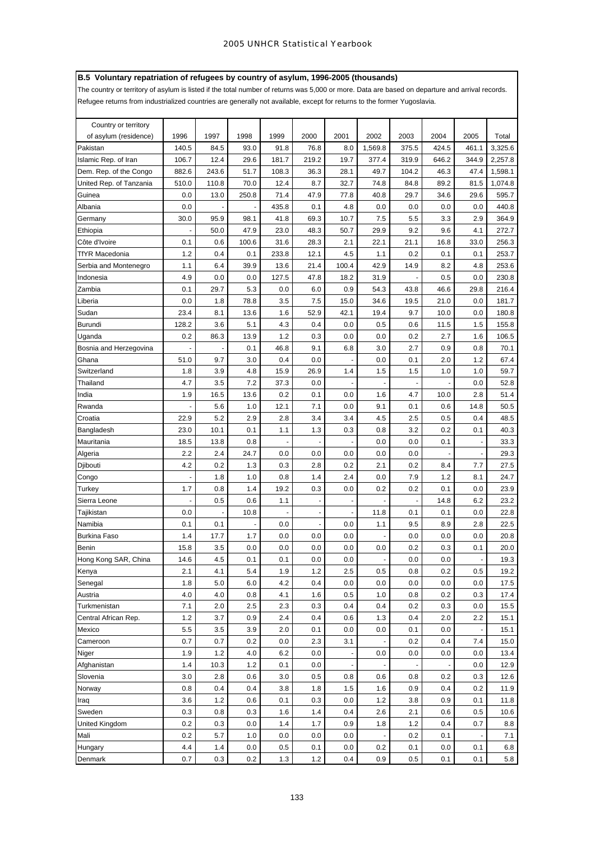# **B.5 Voluntary repatriation of refugees by country of asylum, 1996-2005 (thousands)**

The country or territory of asylum is listed if the total number of returns was 5,000 or more. Data are based on departure and arrival records.

Refugee returns from industrialized countries are generally not available, except for returns to the former Yugoslavia.

| Country or territory    |                |       |       |                          |       |       |                          |                      |       |                          |         |
|-------------------------|----------------|-------|-------|--------------------------|-------|-------|--------------------------|----------------------|-------|--------------------------|---------|
| of asylum (residence)   | 1996           | 1997  | 1998  | 1999                     | 2000  | 2001  | 2002                     | 2003                 | 2004  | 2005                     | Total   |
| Pakistan                | 140.5          | 84.5  | 93.0  | 91.8                     | 76.8  | 8.0   | 1,569.8                  | 375.5                | 424.5 | 461.1                    | 3,325.6 |
| Islamic Rep. of Iran    | 106.7          | 12.4  | 29.6  | 181.7                    | 219.2 | 19.7  | 377.4                    | 319.9                | 646.2 | 344.9                    | 2,257.8 |
| Dem. Rep. of the Congo  | 882.6          | 243.6 | 51.7  | 108.3                    | 36.3  | 28.1  | 49.7                     | 104.2                | 46.3  | 47.4                     | 1,598.1 |
| United Rep. of Tanzania | 510.0          | 110.8 | 70.0  | 12.4                     | 8.7   | 32.7  | 74.8                     | 84.8                 | 89.2  | 81.5                     | 1.074.8 |
| Guinea                  | 0.0            | 13.0  | 250.8 | 71.4                     | 47.9  | 77.8  | 40.8                     | 29.7                 | 34.6  | 29.6                     | 595.7   |
| Albania                 | 0.0            |       |       | 435.8                    | 0.1   | 4.8   | 0.0                      | 0.0                  | 0.0   | 0.0                      | 440.8   |
| Germany                 | 30.0           | 95.9  | 98.1  | 41.8                     | 69.3  | 10.7  | 7.5                      | 5.5                  | 3.3   | 2.9                      | 364.9   |
| Ethiopia                | ÷,             | 50.0  | 47.9  | 23.0                     | 48.3  | 50.7  | 29.9                     | 9.2                  | 9.6   | 4.1                      | 272.7   |
| Côte d'Ivoire           | 0.1            | 0.6   | 100.6 | 31.6                     | 28.3  | 2.1   | 22.1                     | 21.1                 | 16.8  | 33.0                     | 256.3   |
| TfYR Macedonia          | 1.2            | 0.4   | 0.1   | 233.8                    | 12.1  | 4.5   | 1.1                      | 0.2                  | 0.1   | 0.1                      | 253.7   |
| Serbia and Montenegro   | 1.1            | 6.4   | 39.9  | 13.6                     | 21.4  | 100.4 | 42.9                     | 14.9                 | 8.2   | 4.8                      | 253.6   |
| Indonesia               | 4.9            | 0.0   | 0.0   | 127.5                    | 47.8  | 18.2  | 31.9                     |                      | 0.5   | 0.0                      | 230.8   |
| Zambia                  | 0.1            | 29.7  | 5.3   | 0.0                      | 6.0   | 0.9   | 54.3                     | 43.8                 | 46.6  | 29.8                     | 216.4   |
| Liberia                 | 0.0            | 1.8   | 78.8  | 3.5                      | 7.5   | 15.0  | 34.6                     | 19.5                 | 21.0  | 0.0                      | 181.7   |
| Sudan                   | 23.4           | 8.1   | 13.6  | 1.6                      | 52.9  | 42.1  | 19.4                     | 9.7                  | 10.0  | 0.0                      | 180.8   |
| Burundi                 | 128.2          | 3.6   | 5.1   | 4.3                      | 0.4   | 0.0   | 0.5                      | 0.6                  | 11.5  | 1.5                      | 155.8   |
| Uganda                  | 0.2            | 86.3  | 13.9  | 1.2                      | 0.3   | 0.0   | 0.0                      | 0.2                  | 2.7   | 1.6                      | 106.5   |
| Bosnia and Herzegovina  | $\blacksquare$ |       | 0.1   | 46.8                     | 9.1   | 6.8   | 3.0                      | 2.7                  | 0.9   | 0.8                      | 70.1    |
| Ghana                   | 51.0           | 9.7   | 3.0   | 0.4                      | 0.0   |       | 0.0                      | 0.1                  | 2.0   | 1.2                      | 67.4    |
| Switzerland             | 1.8            | 3.9   | 4.8   | 15.9                     | 26.9  | 1.4   | 1.5                      | 1.5                  | 1.0   | 1.0                      | 59.7    |
| Thailand                | 4.7            | 3.5   | 7.2   | 37.3                     | 0.0   |       | $\overline{\phantom{a}}$ | $\blacksquare$       |       | 0.0                      | 52.8    |
| India                   | 1.9            | 16.5  | 13.6  | 0.2                      | 0.1   | 0.0   | 1.6                      | 4.7                  | 10.0  | 2.8                      | 51.4    |
| Rwanda                  |                | 5.6   | 1.0   | 12.1                     | 7.1   | 0.0   | 9.1                      | 0.1                  | 0.6   | 14.8                     | 50.5    |
| Croatia                 | 22.9           | 5.2   | 2.9   | 2.8                      | 3.4   | 3.4   | 4.5                      | 2.5                  | 0.5   | 0.4                      | 48.5    |
| Bangladesh              | 23.0           | 10.1  | 0.1   | 1.1                      | 1.3   | 0.3   | 0.8                      | 3.2                  | 0.2   | 0.1                      | 40.3    |
| Mauritania              | 18.5           | 13.8  | 0.8   | $\overline{\phantom{a}}$ | ÷     | ÷,    | 0.0                      | 0.0                  | 0.1   | -                        | 33.3    |
| Algeria                 | 2.2            | 2.4   | 24.7  | 0.0                      | 0.0   | 0.0   | 0.0                      | 0.0                  |       | $\frac{1}{2}$            | 29.3    |
| Djibouti                | 4.2            | 0.2   | 1.3   | 0.3                      | 2.8   | 0.2   | 2.1                      | 0.2                  | 8.4   | 7.7                      | 27.5    |
| Congo                   |                | 1.8   | 1.0   | 0.8                      | 1.4   | 2.4   | 0.0                      | 7.9                  | 1.2   | 8.1                      | 24.7    |
| Turkey                  | 1.7            | 0.8   | 1.4   | 19.2                     | 0.3   | 0.0   | 0.2                      | 0.2                  | 0.1   | 0.0                      | 23.9    |
| Sierra Leone            | ٠              | 0.5   | 0.6   | 1.1                      |       | ÷,    | ÷                        | $\ddot{\phantom{0}}$ | 14.8  | 6.2                      | 23.2    |
| Tajikistan              | 0.0            |       | 10.8  |                          |       |       | 11.8                     | 0.1                  | 0.1   | 0.0                      | 22.8    |
| Namibia                 | 0.1            | 0.1   |       | 0.0                      |       | 0.0   | 1.1                      | 9.5                  | 8.9   | 2.8                      | 22.5    |
| Burkina Faso            | 1.4            | 17.7  | 1.7   | 0.0                      | 0.0   | 0.0   |                          | 0.0                  | 0.0   | 0.0                      | 20.8    |
| Benin                   | 15.8           | 3.5   | 0.0   | 0.0                      | 0.0   | 0.0   | 0.0                      | 0.2                  | 0.3   | 0.1                      | 20.0    |
| Hong Kong SAR, China    | 14.6           | 4.5   | 0.1   | 0.1                      | 0.0   | 0.0   | ÷                        | 0.0                  | 0.0   | ÷.                       | 19.3    |
| Kenya                   | 2.1            | 4.1   | 5.4   | 1.9                      | 1.2   | 2.5   | 0.5                      | 0.8                  | 0.2   | 0.5                      | 19.2    |
| Senegal                 | 1.8            | 5.0   | 6.0   | 4.2                      | 0.4   | 0.0   | 0.0                      | 0.0                  | 0.0   | 0.0                      | 17.5    |
| Austria                 | 4.0            | 4.0   | 0.8   | 4.1                      | 1.6   | 0.5   | 1.0                      | 0.8                  | 0.2   | 0.3                      | 17.4    |
| Turkmenistan            | 7.1            | 2.0   | 2.5   | 2.3                      | 0.3   | 0.4   | 0.4                      | 0.2                  | 0.3   | 0.0                      | 15.5    |
| Central African Rep.    | 1.2            | 3.7   | 0.9   | 2.4                      | 0.4   | 0.6   | 1.3                      | 0.4                  | 2.0   | 2.2                      | 15.1    |
| Mexico                  | 5.5            | 3.5   | 3.9   | 2.0                      | 0.1   | 0.0   | 0.0                      | 0.1                  | 0.0   |                          | 15.1    |
| Cameroon                | 0.7            | 0.7   | 0.2   | 0.0                      | 2.3   | 3.1   |                          | 0.2                  | 0.4   | 7.4                      | 15.0    |
| Niger                   | 1.9            | 1.2   | 4.0   | 6.2                      | 0.0   | ÷,    | 0.0                      | 0.0                  | 0.0   | 0.0                      | 13.4    |
| Afghanistan             | 1.4            | 10.3  | 1.2   | 0.1                      | 0.0   |       |                          |                      |       | 0.0                      | 12.9    |
| Slovenia                | 3.0            | 2.8   | 0.6   | 3.0                      | 0.5   | 0.8   | 0.6                      | 0.8                  | 0.2   | 0.3                      | 12.6    |
| Norway                  | 0.8            | 0.4   | 0.4   | 3.8                      | 1.8   | 1.5   | 1.6                      | 0.9                  | 0.4   | 0.2                      | 11.9    |
| Iraq                    | 3.6            | 1.2   | 0.6   | 0.1                      | 0.3   | 0.0   | 1.2                      | 3.8                  | 0.9   | 0.1                      | 11.8    |
| Sweden                  | 0.3            | 0.8   | 0.3   | 1.6                      | 1.4   | 0.4   | 2.6                      | 2.1                  | 0.6   | 0.5                      | 10.6    |
| United Kingdom          | 0.2            | 0.3   | 0.0   | 1.4                      | 1.7   | 0.9   | 1.8                      | 1.2                  | 0.4   | 0.7                      | 8.8     |
| Mali                    | 0.2            | 5.7   | 1.0   | 0.0                      | 0.0   | 0.0   | $\overline{a}$           | 0.2                  | 0.1   | $\overline{\phantom{a}}$ | 7.1     |
| Hungary                 | 4.4            | 1.4   | 0.0   | 0.5                      | 0.1   | 0.0   | 0.2                      | 0.1                  | 0.0   | 0.1                      | 6.8     |
| Denmark                 | 0.7            | 0.3   | 0.2   | 1.3                      | 1.2   | 0.4   | 0.9                      | 0.5                  | 0.1   | 0.1                      | 5.8     |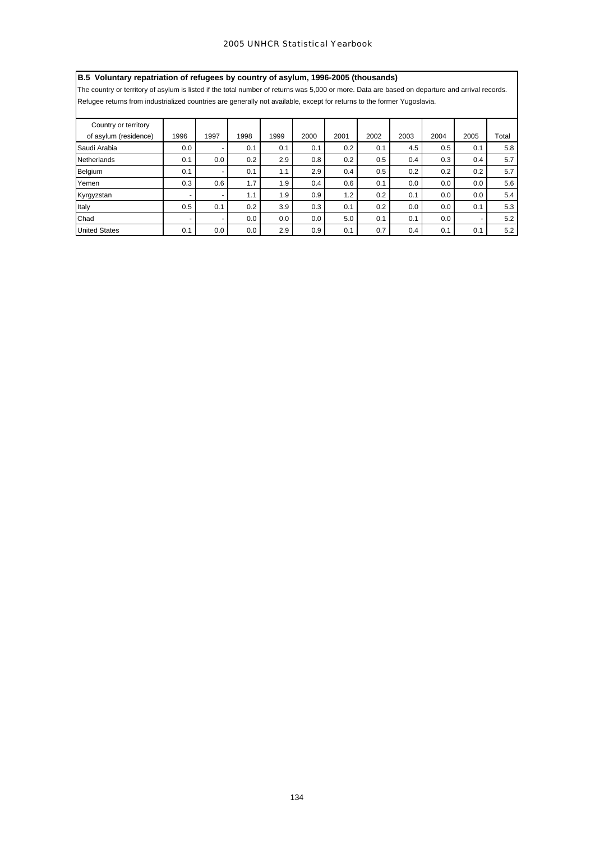# **B.5 Voluntary repatriation of refugees by country of asylum, 1996-2005 (thousands)**

The country or territory of asylum is listed if the total number of returns was 5,000 or more. Data are based on departure and arrival records.

Refugee returns from industrialized countries are generally not available, except for returns to the former Yugoslavia.

| Country or territory  |                          |      |      |      |      |      |      |      |      |      |       |
|-----------------------|--------------------------|------|------|------|------|------|------|------|------|------|-------|
| of asylum (residence) | 1996                     | 1997 | 1998 | 1999 | 2000 | 2001 | 2002 | 2003 | 2004 | 2005 | Total |
| Saudi Arabia          | 0.0                      | -    | 0.1  | 0.1  | 0.1  | 0.2  | 0.1  | 4.5  | 0.5  | 0.1  | 5.8   |
| <b>Netherlands</b>    | 0.1                      | 0.0  | 0.2  | 2.9  | 0.8  | 0.2  | 0.5  | 0.4  | 0.3  | 0.4  | 5.7   |
| Belgium               | 0.1                      | -    | 0.1  | 1.1  | 2.9  | 0.4  | 0.5  | 0.2  | 0.2  | 0.2  | 5.7   |
| Yemen                 | 0.3                      | 0.6  | 1.7  | 1.9  | 0.4  | 0.6  | 0.1  | 0.0  | 0.0  | 0.0  | 5.6   |
| Kyrgyzstan            | $\overline{\phantom{0}}$ | -    | 1.1  | 1.9  | 0.9  | 1.2  | 0.2  | 0.1  | 0.0  | 0.0  | 5.4   |
| Italy                 | 0.5                      | 0.1  | 0.2  | 3.9  | 0.3  | 0.1  | 0.2  | 0.0  | 0.0  | 0.1  | 5.3   |
| Chad                  | $\overline{\phantom{0}}$ | ۰    | 0.0  | 0.0  | 0.0  | 5.0  | 0.1  | 0.1  | 0.0  | -    | 5.2   |
| <b>United States</b>  | 0.1                      | 0.0  | 0.0  | 2.9  | 0.9  | 0.1  | 0.7  | 0.4  | 0.1  | 0.1  | 5.2   |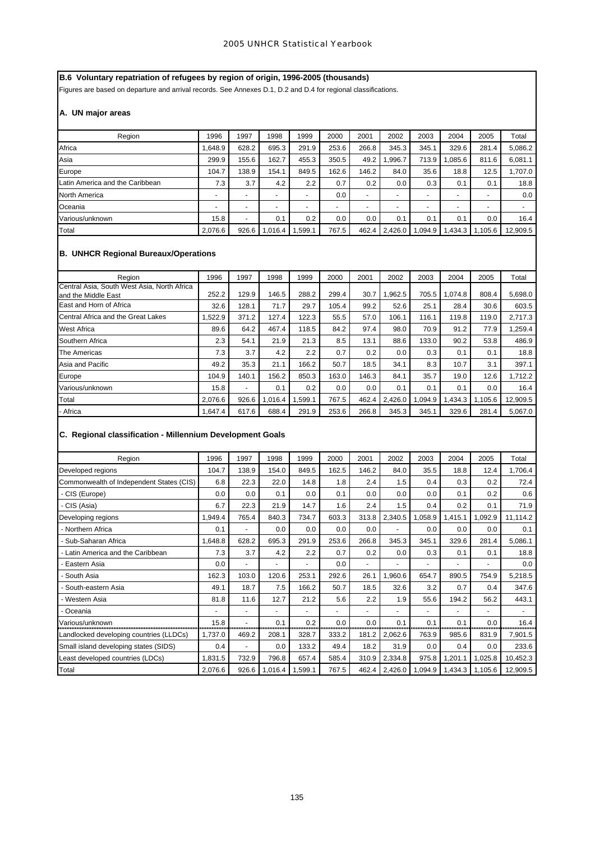# **B.6 Voluntary repatriation of refugees by region of origin, 1996-2005 (thousands)**

Figures are based on departure and arrival records. See Annexes D.1, D.2 and D.4 for regional classifications.

# **A. UN major areas**

| Region                          | 1996                     | 1997                     | 1998                     | 1999                     | 2000           | 2001           | 2002                     | 2003    | 2004                     | 2005                     | Total                    |
|---------------------------------|--------------------------|--------------------------|--------------------------|--------------------------|----------------|----------------|--------------------------|---------|--------------------------|--------------------------|--------------------------|
| Africa                          | 1.648.9                  | 628.2                    | 695.3                    | 291.9                    | 253.6          | 266.8          | 345.3                    | 345.1   | 329.6                    | 281.4                    | 5,086.2                  |
| Asia                            | 299.9                    | 155.6                    | 162.7                    | 455.3                    | 350.5          | 49.2           | .996.7                   | 713.9   | .085.6                   | 811.6                    | 6,081.1                  |
| Europe                          | 104.7                    | 138.9                    | 154.1                    | 849.5                    | 162.6          | 146.2          | 84.0                     | 35.6    | 18.8                     | 12.5                     | 1,707.0                  |
| Latin America and the Caribbean | 7.3                      | 3.7                      | 4.2                      | 2.2                      | 0.7            | 0.2            | 0.0                      | 0.3     | 0.1                      | 0.1                      | 18.8                     |
| North America                   | $\overline{\phantom{0}}$ | $\overline{\phantom{a}}$ | $\overline{\phantom{0}}$ | $\overline{\phantom{0}}$ | 0.0            | $\blacksquare$ | $\overline{\phantom{0}}$ |         | $\overline{\phantom{0}}$ | $\overline{\phantom{0}}$ | 0.0                      |
| Oceania                         | $\overline{\phantom{0}}$ | $\overline{\phantom{a}}$ | $\blacksquare$           |                          | $\overline{a}$ | $\overline{a}$ |                          |         | $\overline{\phantom{0}}$ | $\overline{\phantom{0}}$ | $\overline{\phantom{0}}$ |
| Various/unknown                 | 15.8                     | $\overline{\phantom{0}}$ | 0.1                      | 0.2                      | 0.0            | 0.0            | 0.1                      | 0.1     | 0.1                      | 0.0                      | 16.4                     |
| <b>Total</b>                    | 2,076.6                  | 926.6                    | 016.4                    | .599.1                   | 767.5          | 462.4          | 2,426.0                  | 0.094.9 | .434.3                   | 1.105.6                  | 12,909.5                 |

# **B. UNHCR Regional Bureaux/Operations**

| Region                                                             | 1996    | 1997  | 1998    | 1999   | 2000  | 2001  | 2002    | 2003   | 2004    | 2005    | Total    |
|--------------------------------------------------------------------|---------|-------|---------|--------|-------|-------|---------|--------|---------|---------|----------|
| Central Asia, South West Asia, North Africa<br>and the Middle East | 252.2   | 129.9 | 146.5   | 288.2  | 299.4 | 30.7  | 1.962.5 | 705.5  | 1.074.8 | 808.4   | 5,698.0  |
| East and Horn of Africa                                            | 32.6    | 128.1 | 71.7    | 29.7   | 105.4 | 99.2  | 52.6    | 25.1   | 28.4    | 30.6    | 603.5    |
| Central Africa and the Great Lakes                                 | 1,522.9 | 371.2 | 127.4   | 122.3  | 55.5  | 57.0  | 106.1   | 116.1  | 119.8   | 119.0   | 2.717.3  |
| <b>West Africa</b>                                                 | 89.6    | 64.2  | 467.4   | 118.5  | 84.2  | 97.4  | 98.0    | 70.9   | 91.2    | 77.9    | 1,259.4  |
| Southern Africa                                                    | 2.3     | 54.1  | 21.9    | 21.3   | 8.5   | 13.1  | 88.6    | 133.0  | 90.2    | 53.8    | 486.9    |
| The Americas                                                       | 7.3     | 3.7   | 4.2     | 2.2    | 0.7   | 0.2   | 0.0     | 0.3    | 0.1     | 0.1     | 18.8     |
| Asia and Pacific                                                   | 49.2    | 35.3  | 21.1    | 166.2  | 50.7  | 18.5  | 34.1    | 8.3    | 10.7    | 3.1     | 397.1    |
| Europe                                                             | 104.9   | 140.1 | 156.2   | 850.3  | 163.0 | 146.3 | 84.1    | 35.7   | 19.0    | 12.6    | 1.712.2  |
| Various/unknown                                                    | 15.8    | ٠     | 0.1     | 0.2    | 0.0   | 0.0   | 0.1     | 0.1    | 0.1     | 0.0     | 16.4     |
| Total                                                              | 2,076.6 | 926.6 | 1,016.4 | .599.1 | 767.5 | 462.4 | 2,426.0 | ,094.9 | 1,434.3 | 1.105.6 | 12,909.5 |
| - Africa                                                           | 1.647.4 | 617.6 | 688.4   | 291.9  | 253.6 | 266.8 | 345.3   | 345.1  | 329.6   | 281.4   | 5,067.0  |

# **C. Regional classification - Millennium Development Goals**

| Region                                   | 1996    | 1997                     | 1998    | 1999    | 2000  | 2001  | 2002    | 2003          | 2004    | 2005    | Total    |
|------------------------------------------|---------|--------------------------|---------|---------|-------|-------|---------|---------------|---------|---------|----------|
| Developed regions                        | 104.7   | 138.9                    | 154.0   | 849.5   | 162.5 | 146.2 | 84.0    | 35.5          | 18.8    | 12.4    | 1,706.4  |
| Commonwealth of Independent States (CIS) | 6.8     | 22.3                     | 22.0    | 14.8    | 1.8   | 2.4   | 1.5     | 0.4           | 0.3     | 0.2     | 72.4     |
| - CIS (Europe)                           | 0.0     | 0.0                      | 0.1     | 0.0     | 0.1   | 0.0   | 0.0     | 0.0           | 0.1     | 0.2     | 0.6      |
| - CIS (Asia)                             | 6.7     | 22.3                     | 21.9    | 14.7    | 1.6   | 2.4   | 1.5     | 0.4           | 0.2     | 0.1     | 71.9     |
| Developing regions                       | 1,949.4 | 765.4                    | 840.3   | 734.7   | 603.3 | 313.8 | 2,340.5 | 1,058.9       | 1,415.1 | ,092.9  | 11,114.2 |
| - Northern Africa                        | 0.1     |                          | 0.0     | 0.0     | 0.0   | 0.0   |         | 0.0           | 0.0     | 0.0     | 0.1      |
| - Sub-Saharan Africa                     | 1,648.8 | 628.2                    | 695.3   | 291.9   | 253.6 | 266.8 | 345.3   | 345.1         | 329.6   | 281.4   | 5,086.1  |
| - Latin America and the Caribbean        | 7.3     | 3.7                      | 4.2     | 2.2     | 0.7   | 0.2   | 0.0     | 0.3           | 0.1     | 0.1     | 18.8     |
| Eastern Asia                             | 0.0     |                          | ٠       |         | 0.0   |       |         |               | ۰       | ٠       | 0.0      |
| South Asia                               | 162.3   | 103.0                    | 120.6   | 253.1   | 292.6 | 26.1  | 1,960.6 | 654.7         | 890.5   | 754.9   | 5,218.5  |
| - South-eastern Asia                     | 49.1    | 18.7                     | 7.5     | 166.2   | 50.7  | 18.5  | 32.6    | 3.2           | 0.7     | 0.4     | 347.6    |
| - Western Asia                           | 81.8    | 11.6                     | 12.7    | 21.2    | 5.6   | 2.2   | 1.9     | 55.6          | 194.2   | 56.2    | 443.1    |
| - Oceania                                |         | $\overline{\phantom{a}}$ | ۰       |         |       |       |         | ۰             |         |         |          |
| Various/unknown                          | 15.8    |                          | 0.1     | 0.2     | 0.0   | 0.0   | 0.1     | 0.1<br>------ | 0.1     | 0.0     | 16.4     |
| Landlocked developing countries (LLDCs)  | 1,737.0 | 469.2                    | 208.1   | 328.7   | 333.2 | 181.2 | 2,062.6 | 763.9         | 985.6   | 831.9   | 7,901.5  |
| Small island developing states (SIDS)    | 0.4     |                          | 0.0     | 133.2   | 49.4  | 18.2  | 31.9    | 0.0           | 0.4     | 0.0     | 233.6    |
| Least developed countries (LDCs)         | 1,831.5 | 732.9                    | 796.8   | 657.4   | 585.4 | 310.9 | 2,334.8 | 975.8         | 1,201.1 | 1,025.8 | 10,452.3 |
| Total                                    | 2,076.6 | 926.6                    | 1,016.4 | 1,599.1 | 767.5 | 462.4 | 2,426.0 | 1,094.9       | 1,434.3 | 1,105.6 | 12,909.5 |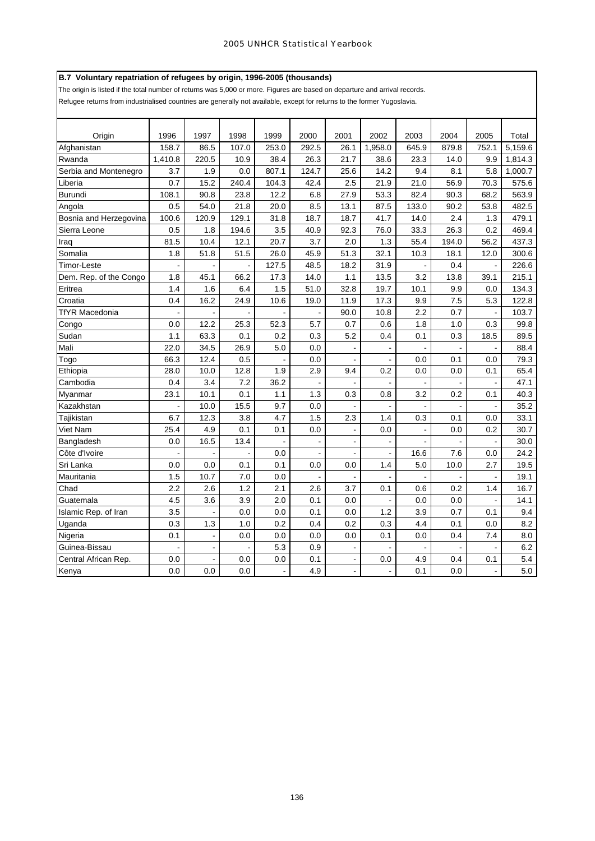# **B.7 Voluntary repatriation of refugees by origin, 1996-2005 (thousands)**

The origin is listed if the total number of returns was 5,000 or more. Figures are based on departure and arrival records.

Refugee returns from industrialised countries are generally not available, except for returns to the former Yugoslavia.

| Origin                 | 1996    | 1997                     | 1998  | 1999         | 2000  | 2001           | 2002    | 2003  | 2004  | 2005           | Total   |
|------------------------|---------|--------------------------|-------|--------------|-------|----------------|---------|-------|-------|----------------|---------|
| Afghanistan            | 158.7   | 86.5                     | 107.0 | 253.0        | 292.5 | 26.1           | 1,958.0 | 645.9 | 879.8 | 752.1          | 5,159.6 |
| Rwanda                 | 1,410.8 | 220.5                    | 10.9  | 38.4         | 26.3  | 21.7           | 38.6    | 23.3  | 14.0  | 9.9            | 1,814.3 |
| Serbia and Montenegro  | 3.7     | 1.9                      | 0.0   | 807.1        | 124.7 | 25.6           | 14.2    | 9.4   | 8.1   | 5.8            | 1,000.7 |
| Liberia                | 0.7     | 15.2                     | 240.4 | 104.3        | 42.4  | 2.5            | 21.9    | 21.0  | 56.9  | 70.3           | 575.6   |
| Burundi                | 108.1   | 90.8                     | 23.8  | 12.2         | 6.8   | 27.9           | 53.3    | 82.4  | 90.3  | 68.2           | 563.9   |
| Angola                 | 0.5     | 54.0                     | 21.8  | 20.0         | 8.5   | 13.1           | 87.5    | 133.0 | 90.2  | 53.8           | 482.5   |
| Bosnia and Herzegovina | 100.6   | 120.9                    | 129.1 | 31.8         | 18.7  | 18.7           | 41.7    | 14.0  | 2.4   | 1.3            | 479.1   |
| Sierra Leone           | 0.5     | 1.8                      | 194.6 | 3.5          | 40.9  | 92.3           | 76.0    | 33.3  | 26.3  | 0.2            | 469.4   |
| Iraq                   | 81.5    | 10.4                     | 12.1  | 20.7         | 3.7   | 2.0            | 1.3     | 55.4  | 194.0 | 56.2           | 437.3   |
| Somalia                | 1.8     | 51.8                     | 51.5  | 26.0         | 45.9  | 51.3           | 32.1    | 10.3  | 18.1  | 12.0           | 300.6   |
| Timor-Leste            |         |                          |       | 127.5        | 48.5  | 18.2           | 31.9    |       | 0.4   |                | 226.6   |
| Dem. Rep. of the Congo | 1.8     | 45.1                     | 66.2  | 17.3         | 14.0  | 1.1            | 13.5    | 3.2   | 13.8  | 39.1           | 215.1   |
| Eritrea                | 1.4     | 1.6                      | 6.4   | 1.5          | 51.0  | 32.8           | 19.7    | 10.1  | 9.9   | 0.0            | 134.3   |
| Croatia                | 0.4     | 16.2                     | 24.9  | 10.6         | 19.0  | 11.9           | 17.3    | 9.9   | 7.5   | 5.3            | 122.8   |
| <b>TfYR Macedonia</b>  | ÷,      | $\overline{\phantom{a}}$ |       |              |       | 90.0           | 10.8    | 2.2   | 0.7   |                | 103.7   |
| Congo                  | 0.0     | 12.2                     | 25.3  | 52.3         | 5.7   | 0.7            | 0.6     | 1.8   | 1.0   | 0.3            | 99.8    |
| Sudan                  | 1.1     | 63.3                     | 0.1   | 0.2          | 0.3   | 5.2            | 0.4     | 0.1   | 0.3   | 18.5           | 89.5    |
| Mali                   | 22.0    | 34.5                     | 26.9  | 5.0          | 0.0   | $\blacksquare$ |         |       |       |                | 88.4    |
| Togo                   | 66.3    | 12.4                     | 0.5   |              | 0.0   |                |         | 0.0   | 0.1   | 0.0            | 79.3    |
| Ethiopia               | 28.0    | 10.0                     | 12.8  | 1.9          | 2.9   | 9.4            | 0.2     | 0.0   | 0.0   | 0.1            | 65.4    |
| Cambodia               | 0.4     | 3.4                      | 7.2   | 36.2         |       |                |         |       |       |                | 47.1    |
| Mvanmar                | 23.1    | 10.1                     | 0.1   | 1.1          | 1.3   | 0.3            | 0.8     | 3.2   | 0.2   | 0.1            | 40.3    |
| Kazakhstan             |         | 10.0                     | 15.5  | 9.7          | 0.0   |                |         |       |       |                | 35.2    |
| Tajikistan             | 6.7     | 12.3                     | 3.8   | 4.7          | 1.5   | 2.3            | 1.4     | 0.3   | 0.1   | 0.0            | 33.1    |
| Viet Nam               | 25.4    | 4.9                      | 0.1   | 0.1          | 0.0   | $\blacksquare$ | 0.0     |       | 0.0   | 0.2            | 30.7    |
| Bangladesh             | 0.0     | 16.5                     | 13.4  |              |       | $\blacksquare$ |         |       |       |                | 30.0    |
| Côte d'Ivoire          |         |                          |       | 0.0          |       |                |         | 16.6  | 7.6   | 0.0            | 24.2    |
| Sri Lanka              | 0.0     | 0.0                      | 0.1   | 0.1          | 0.0   | 0.0            | 1.4     | 5.0   | 10.0  | 2.7            | 19.5    |
| Mauritania             | 1.5     | 10.7                     | 7.0   | 0.0          |       |                |         |       |       |                | 19.1    |
| Chad                   | 2.2     | 2.6                      | 1.2   | 2.1          | 2.6   | 3.7            | 0.1     | 0.6   | 0.2   | 1.4            | 16.7    |
| Guatemala              | 4.5     | 3.6                      | 3.9   | 2.0          | 0.1   | 0.0            |         | 0.0   | 0.0   |                | 14.1    |
| Islamic Rep. of Iran   | 3.5     | $\ddot{\phantom{a}}$     | 0.0   | 0.0          | 0.1   | 0.0            | 1.2     | 3.9   | 0.7   | 0.1            | 9.4     |
| Uganda                 | 0.3     | 1.3                      | 1.0   | 0.2          | 0.4   | 0.2            | 0.3     | 4.4   | 0.1   | 0.0            | 8.2     |
| Nigeria                | 0.1     | $\blacksquare$           | 0.0   | 0.0          | 0.0   | 0.0            | 0.1     | 0.0   | 0.4   | 7.4            | 8.0     |
| Guinea-Bissau          |         |                          |       | 5.3          | 0.9   |                |         |       |       |                | 6.2     |
| Central African Rep.   | 0.0     |                          | 0.0   | 0.0          | 0.1   | $\blacksquare$ | 0.0     | 4.9   | 0.4   | 0.1            | 5.4     |
| Kenya                  | 0.0     | 0.0                      | 0.0   | $\mathbf{r}$ | 4.9   | $\overline{a}$ |         | 0.1   | 0.0   | $\blacksquare$ | 5.0     |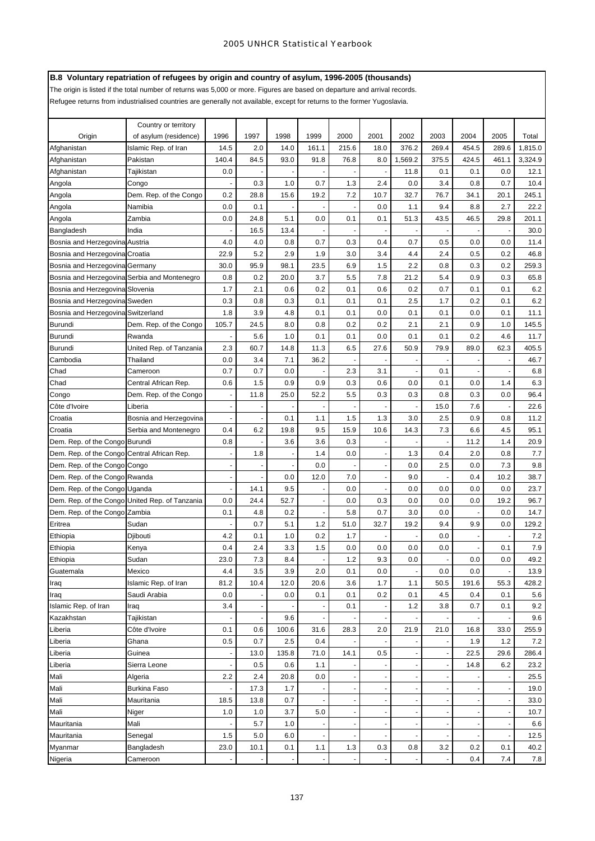# **B.8 Voluntary repatriation of refugees by origin and country of asylum, 1996-2005 (thousands)**

The origin is listed if the total number of returns was 5,000 or more. Figures are based on departure and arrival records.

Refugee returns from industrialised countries are generally not available, except for returns to the former Yugoslavia.

|                                                | Country or territory    |                          |      |       |                          |       |                          |            |                          |                |            |            |
|------------------------------------------------|-------------------------|--------------------------|------|-------|--------------------------|-------|--------------------------|------------|--------------------------|----------------|------------|------------|
| Origin                                         | of asylum (residence)   | 1996                     | 1997 | 1998  | 1999                     | 2000  | 2001                     | 2002       | 2003                     | 2004           | 2005       | Total      |
| Afghanistan                                    | Islamic Rep. of Iran    | 14.5                     | 2.0  | 14.0  | 161.1                    | 215.6 | 18.0                     | 376.2      | 269.4                    | 454.5          | 289.6      | 1,815.0    |
| Afghanistan                                    | Pakistan                | 140.4                    | 84.5 | 93.0  | 91.8                     | 76.8  | 8.0                      | 1,569.2    | 375.5                    | 424.5          | 461.1      | 3,324.9    |
| Afghanistan                                    | Tajikistan              | 0.0                      |      |       |                          |       |                          | 11.8       | 0.1                      | 0.1            | 0.0        | 12.1       |
| Angola                                         | Congo                   |                          | 0.3  | 1.0   | 0.7                      | 1.3   | 2.4                      | 0.0        | 3.4                      | 0.8            | 0.7        | 10.4       |
| Angola                                         | Dem. Rep. of the Congo  | 0.2                      | 28.8 | 15.6  | 19.2                     | 7.2   | 10.7                     | 32.7       | 76.7                     | 34.1           | 20.1       | 245.1      |
| Angola                                         | Namibia                 | 0.0                      | 0.1  |       |                          |       | 0.0                      | 1.1        | 9.4                      | 8.8            | 2.7        | 22.2       |
| Angola                                         | Zambia                  | 0.0                      | 24.8 | 5.1   | 0.0                      | 0.1   | 0.1                      | 51.3       | 43.5                     | 46.5           | 29.8       | 201.1      |
| Bangladesh                                     | India                   |                          | 16.5 | 13.4  |                          |       |                          |            |                          |                |            | 30.0       |
| Bosnia and Herzegovina Austria                 |                         | 4.0                      | 4.0  | 0.8   | 0.7                      | 0.3   | 0.4                      | 0.7        | 0.5                      | 0.0            | 0.0        | 11.4       |
| Bosnia and Herzegovina Croatia                 |                         | 22.9                     | 5.2  | 2.9   | 1.9                      | 3.0   | 3.4                      | 4.4        | 2.4                      | 0.5            | 0.2        | 46.8       |
| Bosnia and Herzegovina Germany                 |                         | 30.0                     | 95.9 | 98.1  | 23.5                     | 6.9   | 1.5                      | 2.2        | 0.8                      | 0.3            | 0.2        | 259.3      |
|                                                |                         | 0.8                      | 0.2  | 20.0  | 3.7                      | 5.5   | 7.8                      | 21.2       | 5.4                      | 0.9            | 0.3        | 65.8       |
| Bosnia and Herzegovina Serbia and Montenegro   |                         | 1.7                      | 2.1  | 0.6   | 0.2                      | 0.1   | 0.6                      |            | 0.7                      | 0.1            |            |            |
| Bosnia and Herzegovina Slovenia                |                         | 0.3                      | 0.8  | 0.3   | 0.1                      | 0.1   | 0.1                      | 0.2<br>2.5 | 1.7                      | 0.2            | 0.1<br>0.1 | 6.2<br>6.2 |
| Bosnia and Herzegovina Sweden                  |                         |                          |      |       |                          |       |                          |            |                          |                |            |            |
| Bosnia and Herzegovina Switzerland             |                         | 1.8                      | 3.9  | 4.8   | 0.1                      | 0.1   | 0.0                      | 0.1        | 0.1                      | 0.0            | 0.1        | 11.1       |
| <b>Burundi</b>                                 | Dem. Rep. of the Congo  | 105.7                    | 24.5 | 8.0   | 0.8                      | 0.2   | 0.2                      | 2.1        | 2.1                      | 0.9            | 1.0        | 145.5      |
| <b>Burundi</b>                                 | Rwanda                  |                          | 5.6  | 1.0   | 0.1                      | 0.1   | 0.0                      | 0.1        | 0.1                      | 0.2            | 4.6        | 11.7       |
| <b>Burundi</b>                                 | United Rep. of Tanzania | 2.3                      | 60.7 | 14.8  | 11.3                     | 6.5   | 27.6                     | 50.9       | 79.9                     | 89.0           | 62.3       | 405.5      |
| Cambodia                                       | Thailand                | 0.0                      | 3.4  | 7.1   | 36.2                     |       |                          |            |                          |                |            | 46.7       |
| Chad                                           | Cameroon                | 0.7                      | 0.7  | 0.0   |                          | 2.3   | 3.1                      |            | 0.1                      |                |            | 6.8        |
| Chad                                           | Central African Rep.    | 0.6                      | 1.5  | 0.9   | 0.9                      | 0.3   | 0.6                      | 0.0        | 0.1                      | 0.0            | 1.4        | 6.3        |
| Congo                                          | Dem. Rep. of the Congo  | $\overline{\phantom{a}}$ | 11.8 | 25.0  | 52.2                     | 5.5   | 0.3                      | 0.3        | 0.8                      | 0.3            | 0.0        | 96.4       |
| Côte d'Ivoire                                  | Liberia                 |                          |      |       | ÷,                       |       |                          |            | 15.0                     | 7.6            |            | 22.6       |
| Croatia                                        | Bosnia and Herzegovina  |                          |      | 0.1   | 1.1                      | 1.5   | 1.3                      | 3.0        | 2.5                      | 0.9            | 0.8        | 11.2       |
| Croatia                                        | Serbia and Montenegro   | 0.4                      | 6.2  | 19.8  | 9.5                      | 15.9  | 10.6                     | 14.3       | 7.3                      | 6.6            | 4.5        | 95.1       |
| Dem. Rep. of the Congo Burundi                 |                         | 0.8                      |      | 3.6   | 3.6                      | 0.3   | $\overline{\phantom{a}}$ |            |                          | 11.2           | 1.4        | 20.9       |
| Dem. Rep. of the Congo Central African Rep.    |                         |                          | 1.8  |       | 1.4                      | 0.0   | ÷                        | 1.3        | 0.4                      | 2.0            | 0.8        | 7.7        |
| Dem. Rep. of the Congo Congo                   |                         |                          |      |       | 0.0                      |       | ٠                        | 0.0        | 2.5                      | 0.0            | 7.3        | 9.8        |
| Dem. Rep. of the Congo Rwanda                  |                         |                          |      | 0.0   | 12.0                     | 7.0   | $\overline{\phantom{a}}$ | 9.0        |                          | 0.4            | 10.2       | 38.7       |
| Dem. Rep. of the Congo Uganda                  |                         |                          | 14.1 | 9.5   | $\blacksquare$           | 0.0   | $\overline{a}$           | 0.0        | 0.0                      | 0.0            | 0.0        | 23.7       |
| Dem. Rep. of the Congo United Rep. of Tanzania |                         | 0.0                      | 24.4 | 52.7  | $\blacksquare$           | 0.0   | 0.3                      | 0.0        | 0.0                      | 0.0            | 19.2       | 96.7       |
| Dem. Rep. of the Congo Zambia                  |                         | 0.1                      | 4.8  | 0.2   | $\overline{\phantom{a}}$ | 5.8   | 0.7                      | 3.0        | 0.0                      |                | 0.0        | 14.7       |
| Eritrea                                        | Sudan                   |                          | 0.7  | 5.1   | $1.2$                    | 51.0  | 32.7                     | 19.2       | 9.4                      | 9.9            | 0.0        | 129.2      |
| Ethiopia                                       | Djibouti                | 4.2                      | 0.1  | 1.0   | 0.2                      | 1.7   |                          |            | 0.0                      |                |            | 7.2        |
| Ethiopia                                       | Kenya                   | 0.4                      | 2.4  | 3.3   | 1.5                      | 0.0   | 0.0                      | 0.0        | 0.0                      | $\blacksquare$ | 0.1        | 7.9        |
| Ethiopia                                       | Sudan                   | 23.0                     | 7.3  | 8.4   | $\blacksquare$           | 1.2   | 9.3                      | 0.0        | $\overline{\phantom{a}}$ | 0.0            | 0.0        | 49.2       |
| Guatemala                                      | Mexico                  | 4.4                      | 3.5  | 3.9   | 2.0                      | 0.1   | 0.0                      |            | 0.0                      | 0.0            |            | 13.9       |
| Iraq                                           | Islamic Rep. of Iran    | 81.2                     | 10.4 | 12.0  | 20.6                     | 3.6   | 1.7                      | 1.1        | 50.5                     | 191.6          | 55.3       | 428.2      |
| Iraq                                           | Saudi Arabia            | 0.0                      |      | 0.0   | 0.1                      | 0.1   | 0.2                      | 0.1        | 4.5                      | 0.4            | 0.1        | 5.6        |
| Islamic Rep. of Iran                           | Iraq                    | 3.4                      |      |       |                          | 0.1   |                          | 1.2        | 3.8                      | 0.7            | 0.1        | 9.2        |
| Kazakhstan                                     | Tajikistan              |                          |      | 9.6   |                          |       | $\overline{\phantom{a}}$ |            |                          |                |            | 9.6        |
| Liberia                                        | Côte d'Ivoire           | 0.1                      | 0.6  | 100.6 | 31.6                     | 28.3  | 2.0                      | 21.9       | 21.0                     | 16.8           | 33.0       | 255.9      |
| Liberia                                        | Ghana                   | 0.5                      | 0.7  | 2.5   | 0.4                      |       |                          |            |                          | 1.9            | 1.2        | 7.2        |
| Liberia                                        | Guinea                  |                          | 13.0 | 135.8 | 71.0                     | 14.1  | 0.5                      |            |                          | 22.5           | 29.6       | 286.4      |
| Liberia                                        | Sierra Leone            |                          | 0.5  | 0.6   | 1.1                      |       |                          |            | $\overline{\phantom{a}}$ | 14.8           | 6.2        | 23.2       |
| Mali                                           | Algeria                 | 2.2                      | 2.4  | 20.8  | 0.0                      |       | $\overline{\phantom{a}}$ |            |                          |                |            | 25.5       |
| Mali                                           | Burkina Faso            |                          | 17.3 | 1.7   |                          |       | $\overline{\phantom{a}}$ |            |                          |                |            | 19.0       |
| Mali                                           | Mauritania              | 18.5                     | 13.8 | 0.7   |                          |       | $\overline{a}$           |            |                          |                |            | 33.0       |
| Mali                                           | Niger                   | 1.0                      | 1.0  | 3.7   | 5.0                      |       | ÷                        |            |                          |                |            | 10.7       |
| Mauritania                                     | Mali                    |                          | 5.7  | 1.0   |                          |       | $\blacksquare$           |            |                          | $\blacksquare$ |            | 6.6        |
| Mauritania                                     | Senegal                 | 1.5                      | 5.0  | 6.0   |                          |       |                          |            |                          |                |            | 12.5       |
| Myanmar                                        | Bangladesh              | 23.0                     | 10.1 | 0.1   | 1.1                      | 1.3   | 0.3                      | 0.8        | 3.2                      | 0.2            | 0.1        | 40.2       |
| Nigeria                                        | Cameroon                |                          |      |       |                          |       |                          |            |                          | 0.4            | 7.4        | 7.8        |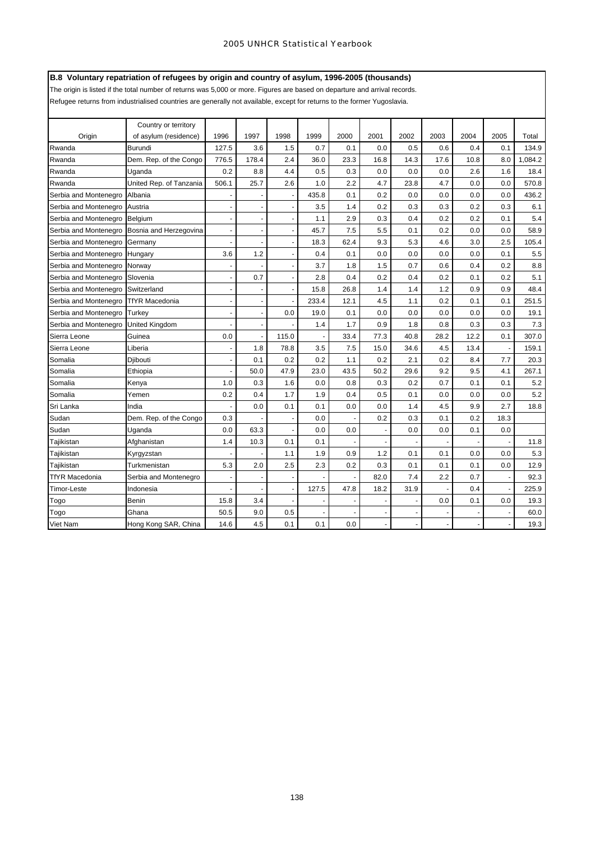# **B.8 Voluntary repatriation of refugees by origin and country of asylum, 1996-2005 (thousands)**

The origin is listed if the total number of returns was 5,000 or more. Figures are based on departure and arrival records.

Refugee returns from industrialised countries are generally not available, except for returns to the former Yugoslavia.

|                       | Country or territory    |                          |       |                          |       |      |                          |      |      |                          |      |         |
|-----------------------|-------------------------|--------------------------|-------|--------------------------|-------|------|--------------------------|------|------|--------------------------|------|---------|
| Origin                | of asylum (residence)   | 1996                     | 1997  | 1998                     | 1999  | 2000 | 2001                     | 2002 | 2003 | 2004                     | 2005 | Total   |
| Rwanda                | Burundi                 | 127.5                    | 3.6   | 1.5                      | 0.7   | 0.1  | 0.0                      | 0.5  | 0.6  | 0.4                      | 0.1  | 134.9   |
| Rwanda                | Dem. Rep. of the Congo  | 776.5                    | 178.4 | 2.4                      | 36.0  | 23.3 | 16.8                     | 14.3 | 17.6 | 10.8                     | 8.0  | 1,084.2 |
| Rwanda                | Uganda                  | 0.2                      | 8.8   | 4.4                      | 0.5   | 0.3  | 0.0                      | 0.0  | 0.0  | 2.6                      | 1.6  | 18.4    |
| Rwanda                | United Rep. of Tanzania | 506.1                    | 25.7  | 2.6                      | 1.0   | 2.2  | 4.7                      | 23.8 | 4.7  | 0.0                      | 0.0  | 570.8   |
| Serbia and Montenegro | Albania                 |                          |       |                          | 435.8 | 0.1  | 0.2                      | 0.0  | 0.0  | 0.0                      | 0.0  | 436.2   |
| Serbia and Montenegro | Austria                 | ä,                       |       | ÷,                       | 3.5   | 1.4  | 0.2                      | 0.3  | 0.3  | 0.2                      | 0.3  | 6.1     |
| Serbia and Montenegro | Belgium                 | $\overline{\phantom{a}}$ |       | ٠                        | 1.1   | 2.9  | 0.3                      | 0.4  | 0.2  | 0.2                      | 0.1  | 5.4     |
| Serbia and Montenegro | Bosnia and Herzegovina  | ä,                       |       | ä,                       | 45.7  | 7.5  | 5.5                      | 0.1  | 0.2  | 0.0                      | 0.0  | 58.9    |
| Serbia and Montenegro | Germany                 |                          |       |                          | 18.3  | 62.4 | 9.3                      | 5.3  | 4.6  | 3.0                      | 2.5  | 105.4   |
| Serbia and Montenegro | Hungary                 | 3.6                      | 1.2   | ÷,                       | 0.4   | 0.1  | 0.0                      | 0.0  | 0.0  | 0.0                      | 0.1  | 5.5     |
| Serbia and Montenegro | Norway                  | $\blacksquare$           |       | $\overline{\phantom{a}}$ | 3.7   | 1.8  | 1.5                      | 0.7  | 0.6  | 0.4                      | 0.2  | 8.8     |
| Serbia and Montenegro | Slovenia                | $\ddot{\phantom{1}}$     | 0.7   | $\ddot{\phantom{1}}$     | 2.8   | 0.4  | 0.2                      | 0.4  | 0.2  | 0.1                      | 0.2  | 5.1     |
| Serbia and Montenegro | Switzerland             |                          |       |                          | 15.8  | 26.8 | 1.4                      | 1.4  | 1.2  | 0.9                      | 0.9  | 48.4    |
| Serbia and Montenegro | <b>TfYR Macedonia</b>   |                          |       |                          | 233.4 | 12.1 | 4.5                      | 1.1  | 0.2  | 0.1                      | 0.1  | 251.5   |
| Serbia and Montenegro | Turkey                  | ÷                        |       | 0.0                      | 19.0  | 0.1  | 0.0                      | 0.0  | 0.0  | 0.0                      | 0.0  | 19.1    |
| Serbia and Montenegro | United Kingdom          |                          |       |                          | 1.4   | 1.7  | 0.9                      | 1.8  | 0.8  | 0.3                      | 0.3  | 7.3     |
| Sierra Leone          | Guinea                  | 0.0                      |       | 115.0                    |       | 33.4 | 77.3                     | 40.8 | 28.2 | 12.2                     | 0.1  | 307.0   |
| Sierra Leone          | Liberia                 |                          | 1.8   | 78.8                     | 3.5   | 7.5  | 15.0                     | 34.6 | 4.5  | 13.4                     |      | 159.1   |
| Somalia               | Djibouti                |                          | 0.1   | 0.2                      | 0.2   | 1.1  | 0.2                      | 2.1  | 0.2  | 8.4                      | 7.7  | 20.3    |
| Somalia               | Ethiopia                | ٠                        | 50.0  | 47.9                     | 23.0  | 43.5 | 50.2                     | 29.6 | 9.2  | 9.5                      | 4.1  | 267.1   |
| Somalia               | Kenya                   | 1.0                      | 0.3   | 1.6                      | 0.0   | 0.8  | 0.3                      | 0.2  | 0.7  | 0.1                      | 0.1  | 5.2     |
| Somalia               | Yemen                   | 0.2                      | 0.4   | 1.7                      | 1.9   | 0.4  | 0.5                      | 0.1  | 0.0  | 0.0                      | 0.0  | 5.2     |
| Sri Lanka             | India                   | ÷                        | 0.0   | 0.1                      | 0.1   | 0.0  | 0.0                      | 1.4  | 4.5  | 9.9                      | 2.7  | 18.8    |
| Sudan                 | Dem. Rep. of the Congo  | 0.3                      |       |                          | 0.0   |      | 0.2                      | 0.3  | 0.1  | 0.2                      | 18.3 |         |
| Sudan                 | Uganda                  | 0.0                      | 63.3  |                          | 0.0   | 0.0  |                          | 0.0  | 0.0  | 0.1                      | 0.0  |         |
| Tajikistan            | Afghanistan             | 1.4                      | 10.3  | 0.1                      | 0.1   |      |                          |      |      |                          |      | 11.8    |
| Tajikistan            | Kyrgyzstan              |                          |       | 1.1                      | 1.9   | 0.9  | 1.2                      | 0.1  | 0.1  | 0.0                      | 0.0  | 5.3     |
| Tajikistan            | Turkmenistan            | 5.3                      | 2.0   | 2.5                      | 2.3   | 0.2  | 0.3                      | 0.1  | 0.1  | 0.1                      | 0.0  | 12.9    |
| <b>TfYR Macedonia</b> | Serbia and Montenegro   | $\blacksquare$           |       | $\overline{\phantom{a}}$ |       |      | 82.0                     | 7.4  | 2.2  | 0.7                      |      | 92.3    |
| Timor-Leste           | Indonesia               |                          |       | ä,                       | 127.5 | 47.8 | 18.2                     | 31.9 |      | 0.4                      |      | 225.9   |
| Togo                  | Benin                   | 15.8                     | 3.4   |                          |       |      |                          |      | 0.0  | 0.1                      | 0.0  | 19.3    |
| Togo                  | Ghana                   | 50.5                     | 9.0   | 0.5                      |       |      |                          |      |      |                          |      | 60.0    |
| <b>Viet Nam</b>       | Hong Kong SAR, China    | 14.6                     | 4.5   | 0.1                      | 0.1   | 0.0  | $\overline{\phantom{a}}$ |      |      | $\overline{\phantom{a}}$ |      | 19.3    |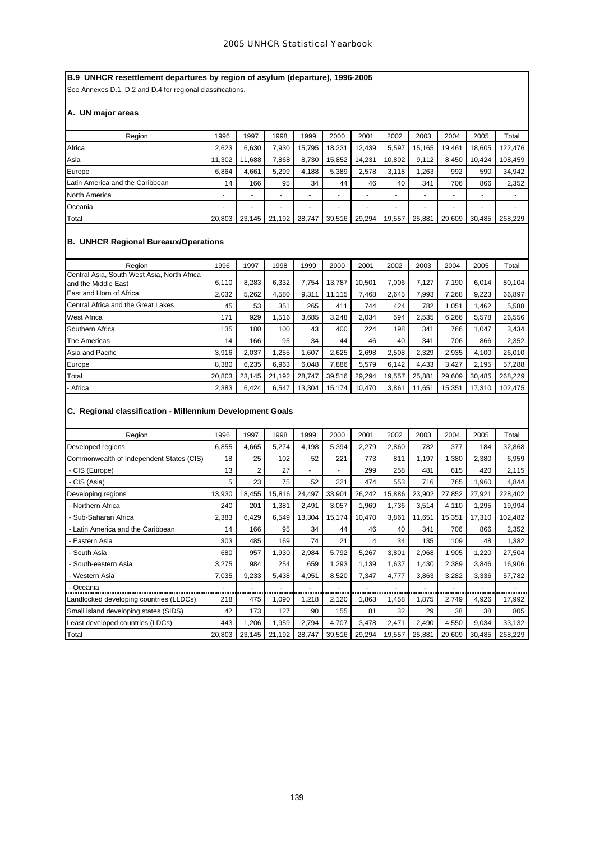# **B.9 UNHCR resettlement departures by region of asylum (departure), 1996-2005**

See Annexes D.1, D.2 and D.4 for regional classifications.

# **A. UN major areas**

| Region                          | 1996                     | 1997                     | 1998           | 1999                     | 2000   | 2001                     | 2002                     | 2003   | 2004   | 2005                     | Total   |
|---------------------------------|--------------------------|--------------------------|----------------|--------------------------|--------|--------------------------|--------------------------|--------|--------|--------------------------|---------|
| Africa                          | 2.623                    | 6.630                    | 7.930          | 15.795                   | 18.231 | 12.439                   | 5.597                    | 15.165 | 19.461 | 18.605                   | 122.476 |
| Asia                            | 11,302                   | .688                     | 868,           | 8.730                    | 15,852 | 14.231                   | 10,802                   | 9.112  | 8.450  | 10.424                   | 108,459 |
| Europe                          | 6.864                    | 4.661                    | 5.299          | 4.188                    | 5.389  | 2,578                    | 3,118                    | 1.263  | 992    | 590                      | 34,942  |
| Latin America and the Caribbean | 14                       | 166                      | 95             | 34                       | 44     | 46                       | 40                       | 341    | 706    | 866                      | 2,352   |
| North America                   | $\overline{\phantom{0}}$ |                          |                | $\overline{\phantom{0}}$ |        |                          | $\overline{\phantom{0}}$ |        |        | $\overline{\phantom{0}}$ |         |
| Oceania                         | $\overline{\phantom{a}}$ | $\overline{\phantom{0}}$ | $\overline{a}$ | $\overline{\phantom{0}}$ | -      | $\overline{\phantom{a}}$ | $\overline{\phantom{0}}$ | -      |        | $\overline{\phantom{0}}$ |         |
| Total                           | 20.803                   | 23.145                   | 21,192         | 28.747                   | 39,516 | 29.294                   | 19.557                   | 25,881 | 29.609 | 30.485                   | 268.229 |

# **B. UNHCR Regional Bureaux/Operations**

| Region                                                             | 1996   | 1997   | 1998   | 1999   | 2000   | 2001   | 2002   | 2003   | 2004   | 2005   | Total   |
|--------------------------------------------------------------------|--------|--------|--------|--------|--------|--------|--------|--------|--------|--------|---------|
| Central Asia, South West Asia, North Africa<br>and the Middle East | 6,110  | 8,283  | 6,332  | 7.754  | 13,787 | 10.501 | 7.006  | 7,127  | 7,190  | 6.014  | 80,104  |
| East and Horn of Africa                                            | 2.032  | 5.262  | 4.580  | 9.311  | 11.115 | 7,468  | 2.645  | 7.993  | 7.268  | 9,223  | 66,897  |
| Central Africa and the Great Lakes                                 | 45     | 53     | 351    | 265    | 411    | 744    | 424    | 782    | 1.051  | 1.462  | 5,588   |
| <b>West Africa</b>                                                 | 171    | 929    | 1.516  | 3.685  | 3.248  | 2.034  | 594    | 2.535  | 6.266  | 5.578  | 26.556  |
| Southern Africa                                                    | 135    | 180    | 100    | 43     | 400    | 224    | 198    | 341    | 766    | 1,047  | 3,434   |
| The Americas                                                       | 14     | 166    | 95     | 34     | 44     | 46     | 40     | 341    | 706    | 866    | 2,352   |
| Asia and Pacific                                                   | 3.916  | 2.037  | 1.255  | 1.607  | 2.625  | 2,698  | 2,508  | 2.329  | 2,935  | 4.100  | 26,010  |
| Europe                                                             | 8,380  | 6,235  | 6,963  | 6.048  | 7,886  | 5,579  | 6.142  | 4,433  | 3,427  | 2.195  | 57,288  |
| Total                                                              | 20,803 | 23,145 | 21,192 | 28.747 | 39.516 | 29,294 | 19,557 | 25,881 | 29,609 | 30.485 | 268,229 |
| - Africa                                                           | 2,383  | 6,424  | 6,547  | 13,304 | 15,174 | 10.470 | 3,861  | 11.651 | 15.351 | 17.310 | 102.475 |

# **C. Regional classification - Millennium Development Goals**

| Region                                   | 1996   | 1997           | 1998   | 1999                     | 2000           | 2001   | 2002   | 2003   | 2004   | 2005   | Total   |
|------------------------------------------|--------|----------------|--------|--------------------------|----------------|--------|--------|--------|--------|--------|---------|
| Developed regions                        | 6,855  | 4,665          | 5,274  | 4,198                    | 5,394          | 2,279  | 2,860  | 782    | 377    | 184    | 32,868  |
| Commonwealth of Independent States (CIS) | 18     | 25             | 102    | 52                       | 221            | 773    | 811    | 1,197  | 1,380  | 2,380  | 6,959   |
| - CIS (Europe)                           | 13     | $\overline{2}$ | 27     | $\overline{\phantom{0}}$ | $\blacksquare$ | 299    | 258    | 481    | 615    | 420    | 2,115   |
| - CIS (Asia)                             | 5      | 23             | 75     | 52                       | 221            | 474    | 553    | 716    | 765    | 1,960  | 4,844   |
| Developing regions                       | 13,930 | 18,455         | 15,816 | 24,497                   | 33,901         | 26,242 | 15,886 | 23,902 | 27,852 | 27,921 | 228,402 |
| - Northern Africa                        | 240    | 201            | 1,381  | 2,491                    | 3,057          | 1,969  | 1,736  | 3,514  | 4,110  | 1,295  | 19,994  |
| Sub-Saharan Africa                       | 2,383  | 6,429          | 6,549  | 13,304                   | 15,174         | 10,470 | 3,861  | 11,651 | 15,351 | 17,310 | 102,482 |
| - Latin America and the Caribbean        | 14     | 166            | 95     | 34                       | 44             | 46     | 40     | 341    | 706    | 866    | 2,352   |
| Eastern Asia                             | 303    | 485            | 169    | 74                       | 21             | 4      | 34     | 135    | 109    | 48     | 1,382   |
| South Asia                               | 680    | 957            | 1,930  | 2,984                    | 5,792          | 5,267  | 3,801  | 2,968  | 1,905  | 1,220  | 27,504  |
| South-eastern Asia                       | 3,275  | 984            | 254    | 659                      | 1,293          | 1,139  | 1,637  | 1,430  | 2,389  | 3,846  | 16,906  |
| - Western Asia                           | 7,035  | 9,233          | 5,438  | 4,951                    | 8,520          | 7,347  | 4,777  | 3,863  | 3,282  | 3,336  | 57,782  |
| Oceania                                  |        |                |        |                          |                |        |        |        |        |        |         |
| Landlocked developing countries (LLDCs)  | 218    | 475            | 1,090  | 1,218                    | 2,120          | 1,863  | 1,458  | 1,875  | 2,749  | 4,926  | 17,992  |
| Small island developing states (SIDS)    | 42     | 173            | 127    | 90                       | 155            | 81     | 32     | 29     | 38     | 38     | 805     |
| Least developed countries (LDCs)         | 443    | 1,206          | 1,959  | 2,794                    | 4,707          | 3,478  | 2,471  | 2,490  | 4,550  | 9,034  | 33,132  |
| Total                                    | 20,803 | 23,145         | 21,192 | 28,747                   | 39,516         | 29,294 | 19,557 | 25,881 | 29,609 | 30,485 | 268,229 |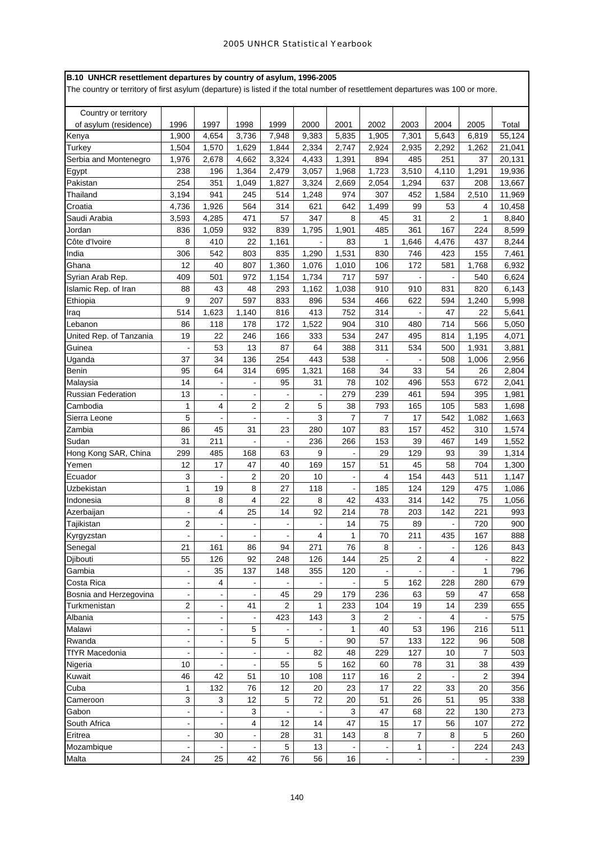|  | B.10 UNHCR resettlement departures by country of asylum, 1996-2005 |  |  |
|--|--------------------------------------------------------------------|--|--|
|  |                                                                    |  |  |

The country or territory of first asylum (departure) is listed if the total number of resettlement departures was 100 or more.

| Country or territory      |                          |                |                |                |       |                |                |                |                |                |        |
|---------------------------|--------------------------|----------------|----------------|----------------|-------|----------------|----------------|----------------|----------------|----------------|--------|
| of asylum (residence)     | 1996                     | 1997           | 1998           | 1999           | 2000  | 2001           | 2002           | 2003           | 2004           | 2005           | Total  |
| Kenya                     | 1,900                    | 4,654          | 3,736          | 7,948          | 9,383 | 5.835          | 1,905          | 7,301          | 5.643          | 6,819          | 55,124 |
| Turkey                    | 1,504                    | 1,570          | 1,629          | 1,844          | 2,334 | 2,747          | 2,924          | 2,935          | 2,292          | 1,262          | 21,041 |
| Serbia and Montenegro     | 1,976                    | 2,678          | 4,662          | 3,324          | 4,433 | 1,391          | 894            | 485            | 251            | 37             | 20,131 |
| Egypt                     | 238                      | 196            | 1,364          | 2,479          | 3,057 | 1,968          | 1,723          | 3,510          | 4,110          | 1,291          | 19,936 |
| Pakistan                  | 254                      | 351            | 1,049          | 1,827          | 3,324 | 2,669          | 2,054          | 1,294          | 637            | 208            | 13,667 |
| Thailand                  | 3,194                    | 941            | 245            | 514            | 1,248 | 974            | 307            | 452            | 1,584          | 2,510          | 11,969 |
| Croatia                   | 4,736                    | 1,926          | 564            | 314            | 621   | 642            | 1,499          | 99             | 53             | 4              | 10,458 |
| Saudi Arabia              | 3,593                    | 4.285          | 471            | 57             | 347   | 8              | 45             | 31             | $\overline{2}$ | 1              | 8,840  |
| Jordan                    | 836                      | 1,059          | 932            | 839            | 1,795 | 1,901          | 485            | 361            | 167            | 224            | 8,599  |
| Côte d'Ivoire             | 8                        | 410            | 22             | 1,161          |       | 83             | 1              | 1,646          | 4,476          | 437            | 8,244  |
| India                     | 306                      | 542            | 803            | 835            | 1,290 | 1,531          | 830            | 746            | 423            | 155            | 7,461  |
| Ghana                     | 12                       | 40             | 807            | 1,360          | 1,076 | 1,010          | 106            | 172            | 581            | 1,768          | 6,932  |
| Syrian Arab Rep.          | 409                      | 501            | 972            | 1,154          | 1,734 | 717            | 597            |                |                | 540            | 6,624  |
| Islamic Rep. of Iran      | 88                       | 43             | 48             | 293            | 1,162 | 1,038          | 910            | 910            | 831            | 820            | 6,143  |
| Ethiopia                  | 9                        | 207            | 597            | 833            | 896   | 534            | 466            | 622            | 594            | 1,240          | 5,998  |
| Iraq                      | 514                      | 1,623          | 1,140          | 816            | 413   | 752            | 314            |                | 47             | 22             | 5,641  |
| Lebanon                   | 86                       | 118            | 178            | 172            | 1,522 | 904            | 310            | 480            | 714            | 566            | 5,050  |
| United Rep. of Tanzania   | 19                       | 22             | 246            | 166            | 333   | 534            | 247            | 495            | 814            | 1,195          | 4,071  |
| Guinea                    |                          | 53             | 13             | 87             | 64    | 388            | 311            | 534            | 500            | 1,931          | 3,881  |
| Uganda                    | 37                       | 34             | 136            | 254            | 443   | 538            |                |                | 508            | 1,006          | 2,956  |
| Benin                     | 95                       | 64             | 314            | 695            | 1,321 | 168            | 34             | 33             | 54             | 26             | 2,804  |
| Malaysia                  | 14                       |                | $\overline{a}$ | 95             | 31    | 78             | 102            | 496            | 553            | 672            | 2,041  |
| <b>Russian Federation</b> | 13                       | $\blacksquare$ | $\blacksquare$ |                |       | 279            | 239            | 461            | 594            | 395            | 1,981  |
| Cambodia                  | 1                        | 4              | $\overline{2}$ | $\overline{2}$ | 5     | 38             | 793            | 165            | 105            | 583            | 1,698  |
| Sierra Leone              | 5                        |                | L,             |                | 3     | $\overline{7}$ | 7              | 17             | 542            | 1,082          | 1,663  |
| Zambia                    | 86                       | 45             | 31             | 23             | 280   | 107            | 83             | 157            | 452            | 310            | 1,574  |
| Sudan                     | 31                       | 211            | $\blacksquare$ |                | 236   | 266            | 153            | 39             | 467            | 149            | 1,552  |
| Hong Kong SAR, China      | 299                      | 485            | 168            | 63             | 9     |                | 29             | 129            | 93             | 39             | 1,314  |
| Yemen                     | 12                       | 17             | 47             | 40             | 169   | 157            | 51             | 45             | 58             | 704            | 1,300  |
| Ecuador                   | 3                        |                | $\overline{c}$ | 20             | 10    |                | 4              | 154            | 443            | 511            | 1,147  |
| Uzbekistan                | $\mathbf{1}$             | 19             | 8              | 27             | 118   |                | 185            | 124            | 129            | 475            | 1,086  |
| Indonesia                 | 8                        | 8              | 4              | 22             | 8     | 42             | 433            | 314            | 142            | 75             | 1,056  |
| Azerbaijan                |                          | 4              | 25             | 14             | 92    | 214            | 78             | 203            | 142            | 221            | 993    |
| Tajikistan                | 2                        |                | $\blacksquare$ |                |       | 14             | 75             | 89             |                | 720            | 900    |
| Kyrgyzstan                |                          |                |                |                | 4     | 1              | 70             | 211            | 435            | 167            | 888    |
| Senegal                   | 21                       | 161            | 86             | 94             | 271   | 76             | 8              | $\blacksquare$ | $\blacksquare$ | 126            | 843    |
| Djibouti                  | 55                       | 126            | 92             | 248            | 126   | 144            | 25             | 2              | 4              |                | 822    |
| Gambia                    |                          | 35             | 137            | 148            | 355   | 120            |                |                |                | 1              | 796    |
| Costa Rica                |                          | 4              |                |                |       |                | 5              | 162            | 228            | 280            | 679    |
| Bosnia and Herzegovina    |                          |                |                | 45             | 29    | 179            | 236            | 63             | 59             | 47             | 658    |
| Turkmenistan              | 2                        | $\blacksquare$ | 41             | 2              | 1     | 233            | 104            | 19             | 14             | 239            | 655    |
| Albania                   |                          |                |                | 423            | 143   | 3              | 2              |                | 4              |                | 575    |
| Malawi                    | $\frac{1}{2}$            |                | 5              |                |       | 1              | 40             | 53             | 196            | 216            | 511    |
| Rwanda                    | $\blacksquare$           |                | 5              | 5              |       | 90             | 57             | 133            | 122            | 96             | 508    |
| <b>TfYR Macedonia</b>     |                          |                | $\Box$         |                | 82    | 48             | 229            | 127            | 10             | $\overline{7}$ | 503    |
| Nigeria                   | 10                       |                | $\centerdot$   | 55             | 5     | 162            | 60             | 78             | 31             | 38             | 439    |
| Kuwait                    | 46                       | 42             | 51             | 10             | 108   | 117            | 16             | $\overline{c}$ |                | $\overline{2}$ | 394    |
| Cuba                      | 1                        | 132            | 76             | 12             | 20    | 23             | 17             | 22             | 33             | 20             | 356    |
| Cameroon                  | 3                        | 3              | 12             | 5              | 72    | 20             | 51             | 26             | 51             | 95             | 338    |
| Gabon                     | $\blacksquare$           |                | 3              |                |       | 3              | 47             | 68             | 22             | 130            | 273    |
| South Africa              | $\blacksquare$           |                | 4              | 12             | 14    | 47             | 15             | 17             | 56             | 107            | 272    |
| Eritrea                   | $\blacksquare$           | 30             | $\blacksquare$ | 28             | 31    | 143            | 8              | 7              | 8              | 5              | 260    |
| Mozambique                | $\overline{\phantom{a}}$ |                | $\blacksquare$ | 5              | 13    |                |                | 1              | $\blacksquare$ | 224            | 243    |
| Malta                     | 24                       | 25             | 42             | 76             | 56    | 16             | $\blacksquare$ |                | $\blacksquare$ |                | 239    |
|                           |                          |                |                |                |       |                |                |                |                |                |        |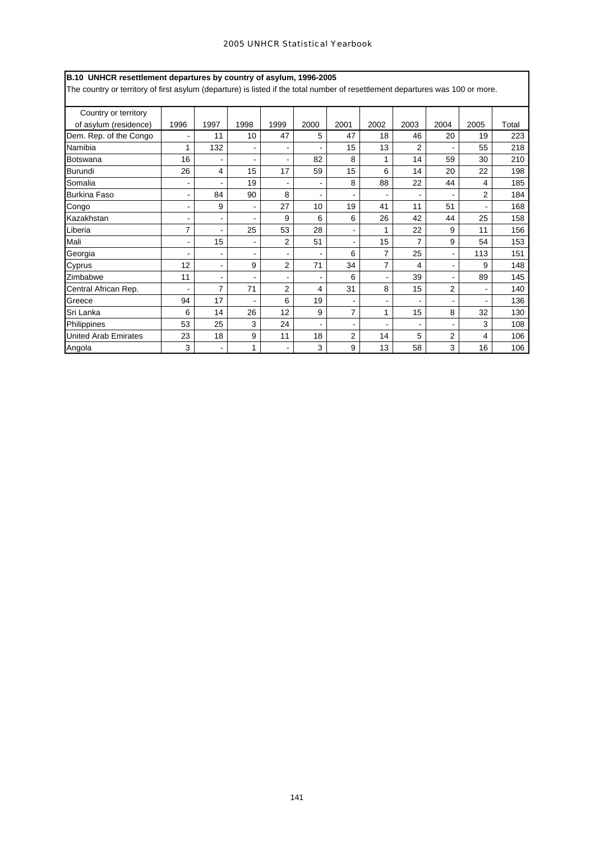| B.10 UNHCR resettlement departures by country of asylum, 1996-2005                                                             |                              |                |                |                |      |                |      |                |                |                |       |
|--------------------------------------------------------------------------------------------------------------------------------|------------------------------|----------------|----------------|----------------|------|----------------|------|----------------|----------------|----------------|-------|
| The country or territory of first asylum (departure) is listed if the total number of resettlement departures was 100 or more. |                              |                |                |                |      |                |      |                |                |                |       |
|                                                                                                                                |                              |                |                |                |      |                |      |                |                |                |       |
| Country or territory                                                                                                           |                              |                |                |                |      |                |      |                |                |                |       |
| of asylum (residence)                                                                                                          | 1996                         | 1997           | 1998           | 1999           | 2000 | 2001           | 2002 | 2003           | 2004           | 2005           | Total |
| Dem. Rep. of the Congo                                                                                                         |                              | 11             | 10             | 47             | 5    | 47             | 18   | 46             | 20             | 19             | 223   |
| Namibia                                                                                                                        | 1                            | 132            |                |                |      | 15             | 13   | $\overline{2}$ |                | 55             | 218   |
| Botswana                                                                                                                       | 16                           |                |                |                | 82   | 8              |      | 14             | 59             | 30             | 210   |
| Burundi                                                                                                                        | 26                           | 4              | 15             | 17             | 59   | 15             | 6    | 14             | 20             | 22             | 198   |
| Somalia                                                                                                                        |                              |                | 19             |                |      | 8              | 88   | 22             | 44             | 4              | 185   |
| <b>Burkina Faso</b>                                                                                                            | ۰                            | 84             | 90             | 8              |      |                |      |                |                | 2              | 184   |
| Congo                                                                                                                          | ۰                            | 9              | $\blacksquare$ | 27             | 10   | 19             | 41   | 11             | 51             | $\blacksquare$ | 168   |
| Kazakhstan                                                                                                                     |                              |                |                | 9              | 6    | 6              | 26   | 42             | 44             | 25             | 158   |
| Liberia                                                                                                                        | 7                            |                | 25             | 53             | 28   |                | 1    | 22             | 9              | 11             | 156   |
| Mali                                                                                                                           | $\qquad \qquad \blacksquare$ | 15             |                | $\overline{2}$ | 51   |                | 15   | 7              | 9              | 54             | 153   |
| Georgia                                                                                                                        |                              |                |                |                |      | 6              | 7    | 25             | $\blacksquare$ | 113            | 151   |
| Cyprus                                                                                                                         | 12                           | $\blacksquare$ | 9              | $\overline{2}$ | 71   | 34             | 7    | 4              |                | 9              | 148   |
| Zimbabwe                                                                                                                       | 11                           |                |                |                |      | 6              |      | 39             |                | 89             | 145   |
| Central African Rep.                                                                                                           |                              | $\overline{7}$ | 71             | $\overline{2}$ | 4    | 31             | 8    | 15             | $\overline{2}$ |                | 140   |
| Greece                                                                                                                         | 94                           | 17             |                | 6              | 19   |                |      |                |                |                | 136   |
| Sri Lanka                                                                                                                      | 6                            | 14             | 26             | 12             | 9    | $\overline{7}$ | 1    | 15             | 8              | 32             | 130   |
| Philippines                                                                                                                    | 53                           | 25             | 3              | 24             |      |                |      |                |                | 3              | 108   |
| <b>United Arab Emirates</b>                                                                                                    | 23                           | 18             | 9              | 11             | 18   | 2              | 14   | 5              | 2              | 4              | 106   |
| Angola                                                                                                                         | 3                            | $\blacksquare$ | $\mathbf{1}$   |                | 3    | 9              | 13   | 58             | 3              | 16             | 106   |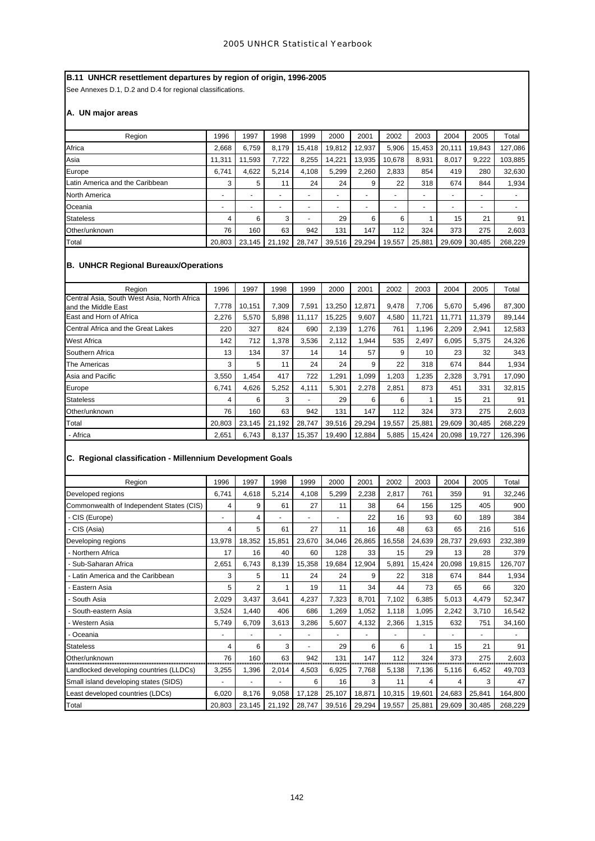# **B.11 UNHCR resettlement departures by region of origin, 1996-2005**

See Annexes D.1, D.2 and D.4 for regional classifications.

# **A. UN major areas**

| Region                          | 1996                     | 1997                     | 1998                     | 1999                     | 2000   | 2001                     | 2002                     | 2003                     | 2004   | 2005   | Total   |
|---------------------------------|--------------------------|--------------------------|--------------------------|--------------------------|--------|--------------------------|--------------------------|--------------------------|--------|--------|---------|
| Africa                          | 2.668                    | 6.759                    | 8.179                    | 15.418                   | 19.812 | 12.937                   | 5,906                    | 15.453                   | 20.111 | 19.843 | 127,086 |
| Asia                            | 11,311                   | 11.593                   | 7,722                    | 8,255                    | 14,221 | 13,935                   | 10.678                   | 8,931                    | 8,017  | 9,222  | 103,885 |
| Europe                          | 6.741                    | 4.622                    | 5,214                    | 4.108                    | 5,299  | 2,260                    | 2,833                    | 854                      | 419    | 280    | 32,630  |
| Latin America and the Caribbean | 3                        | 5                        | 11                       | 24                       | 24     | 9                        | 22                       | 318                      | 674    | 844    | 1,934   |
| North America                   | $\overline{\phantom{0}}$ |                          | $\overline{\phantom{a}}$ |                          | -      | $\overline{\phantom{0}}$ | ۰                        |                          | -      |        |         |
| Oceania                         | $\overline{a}$           | $\overline{\phantom{0}}$ | $\overline{a}$           | $\overline{\phantom{0}}$ | -      | $\overline{\phantom{0}}$ | $\overline{\phantom{0}}$ | $\overline{\phantom{0}}$ | ۰      | -      |         |
| <b>Stateless</b>                | 4                        | 6                        | 3                        | $\overline{\phantom{0}}$ | 29     | 6                        | 6                        |                          | 15     | 21     | 91      |
| Other/unknown                   | 76                       | 160                      | 63                       | 942                      | 131    | 147                      | 112                      | 324                      | 373    | 275    | 2,603   |
| Total                           | 20,803                   | 23,145                   | 21.192                   | 28,747                   | 39.516 | 29,294                   | 19,557                   | 25,881                   | 29,609 | 30.485 | 268,229 |

# **B. UNHCR Regional Bureaux/Operations**

| Region                                                             | 1996   | 1997   | 1998   | 1999   | 2000   | 2001   | 2002   | 2003   | 2004   | 2005   | Total   |
|--------------------------------------------------------------------|--------|--------|--------|--------|--------|--------|--------|--------|--------|--------|---------|
| Central Asia, South West Asia, North Africa<br>and the Middle East | 7,778  | 10,151 | 7,309  | 7,591  | 13.250 | 12,871 | 9,478  | 7.706  | 5.670  | 5,496  | 87,300  |
| East and Horn of Africa                                            | 2,276  | 5,570  | 5,898  | 11.117 | 15,225 | 9,607  | 4,580  | 11,721 | 11.771 | 11.379 | 89,144  |
| Central Africa and the Great Lakes                                 | 220    | 327    | 824    | 690    | 2,139  | 1,276  | 761    | 1,196  | 2,209  | 2,941  | 12,583  |
| West Africa                                                        | 142    | 712    | 1,378  | 3,536  | 2,112  | 944,   | 535    | 2,497  | 6,095  | 5,375  | 24,326  |
| Southern Africa                                                    | 13     | 134    | 37     | 14     | 14     | 57     | 9      | 10     | 23     | 32     | 343     |
| The Americas                                                       | 3      | 5      | 11     | 24     | 24     | 9      | 22     | 318    | 674    | 844    | 1,934   |
| Asia and Pacific                                                   | 3.550  | 1.454  | 417    | 722    | 1,291  | 1,099  | 1,203  | 1,235  | 2,328  | 3.791  | 17,090  |
| Europe                                                             | 6,741  | 4,626  | 5,252  | 4,111  | 5,301  | 2,278  | 2,851  | 873    | 451    | 331    | 32,815  |
| <b>Stateless</b>                                                   | 4      | 6      | 3      | $\sim$ | 29     | 6      | 6      |        | 15     | 21     | 91      |
| Other/unknown                                                      | 76     | 160    | 63     | 942    | 131    | 147    | 112    | 324    | 373    | 275    | 2,603   |
| Total                                                              | 20,803 | 23,145 | 21,192 | 28,747 | 39,516 | 29,294 | 19,557 | 25,881 | 29,609 | 30,485 | 268,229 |
| - Africa                                                           | 2,651  | 6,743  | 8,137  | 15,357 | 19,490 | 12,884 | 5,885  | 15.424 | 20.098 | 19.727 | 126,396 |

# **C. Regional classification - Millennium Development Goals**

| Region                                   | 1996   | 1997                     | 1998   | 1999   | 2000   | 2001   | 2002   | 2003   | 2004   | 2005   | Total   |
|------------------------------------------|--------|--------------------------|--------|--------|--------|--------|--------|--------|--------|--------|---------|
| Developed regions                        | 6,741  | 4,618                    | 5,214  | 4,108  | 5,299  | 2,238  | 2,817  | 761    | 359    | 91     | 32,246  |
| Commonwealth of Independent States (CIS) | 4      | 9                        | 61     | 27     | 11     | 38     | 64     | 156    | 125    | 405    | 900     |
| - CIS (Europe)                           |        | 4                        |        |        | ٠      | 22     | 16     | 93     | 60     | 189    | 384     |
| - CIS (Asia)                             | 4      | 5                        | 61     | 27     | 11     | 16     | 48     | 63     | 65     | 216    | 516     |
| Developing regions                       | 13,978 | 18,352                   | 15,851 | 23,670 | 34,046 | 26,865 | 16,558 | 24,639 | 28,737 | 29,693 | 232,389 |
| - Northern Africa                        | 17     | 16                       | 40     | 60     | 128    | 33     | 15     | 29     | 13     | 28     | 379     |
| Sub-Saharan Africa                       | 2,651  | 6.743                    | 8,139  | 15,358 | 19,684 | 12,904 | 5,891  | 15,424 | 20,098 | 19,815 | 126,707 |
| Latin America and the Caribbean          | 3      | 5                        | 11     | 24     | 24     | 9      | 22     | 318    | 674    | 844    | 1,934   |
| Eastern Asia                             | 5      | $\overline{2}$           |        | 19     | 11     | 34     | 44     | 73     | 65     | 66     | 320     |
| South Asia                               | 2,029  | 3,437                    | 3,641  | 4,237  | 7,323  | 8,701  | 7,102  | 6,385  | 5,013  | 4,479  | 52,347  |
| South-eastern Asia                       | 3,524  | 1,440                    | 406    | 686    | 1,269  | 1,052  | 1,118  | 1,095  | 2,242  | 3,710  | 16,542  |
| Western Asia                             | 5,749  | 6,709                    | 3,613  | 3,286  | 5,607  | 4,132  | 2,366  | 1,315  | 632    | 751    | 34,160  |
| Oceania                                  |        |                          |        |        |        |        |        |        |        |        |         |
| <b>Stateless</b>                         | 4      | 6                        | 3      |        | 29     | 6      | 6      |        | 15     | 21     | 91      |
| Other/unknown                            | 76     | 160                      | 63     | 942    | 131    | 147    | 112    | 324    | 373    | 275    | 2,603   |
| Landlocked developing countries (LLDCs)  | 3,255  | 1,396                    | 2,014  | 4,503  | 6,925  | 7,768  | 5,138  | 7,136  | 5,116  | 6,452  | 49,703  |
| Small island developing states (SIDS)    |        | $\overline{\phantom{a}}$ |        | 6      | 16     | 3      | 11     | 4      | 4      | 3      | 47      |
| Least developed countries (LDCs)         | 6,020  | 8,176                    | 9,058  | 17,128 | 25,107 | 18,871 | 10,315 | 19,601 | 24,683 | 25,841 | 164,800 |
| Total                                    | 20,803 | 23,145                   | 21,192 | 28,747 | 39,516 | 29,294 | 19,557 | 25,881 | 29,609 | 30,485 | 268,229 |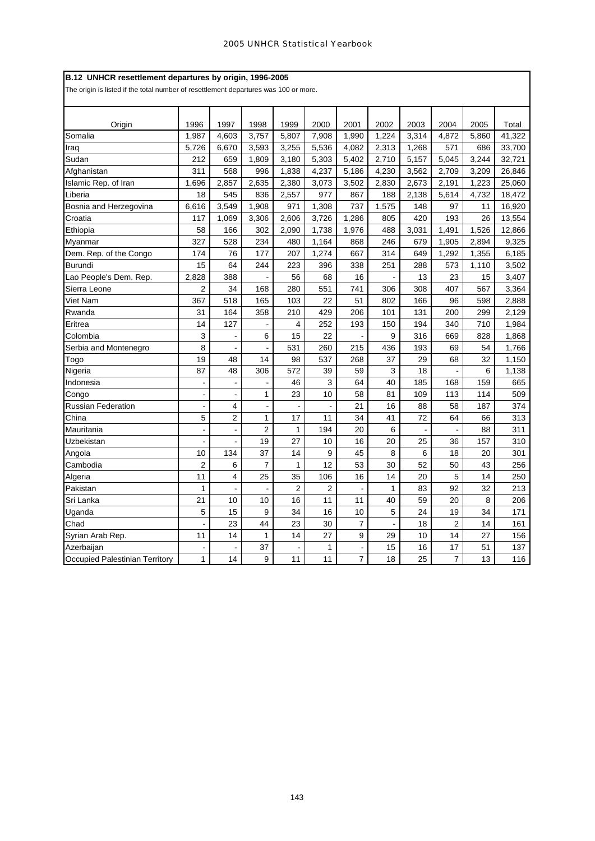|  |  | B.12 UNHCR resettlement departures by origin, 1996-2005 |  |  |  |
|--|--|---------------------------------------------------------|--|--|--|
|--|--|---------------------------------------------------------|--|--|--|

The origin is listed if the total number of resettlement departures was 100 or more.

| Origin                         | 1996                     | 1997                    | 1998                         | 1999           | 2000           | 2001           | 2002  | 2003  | 2004           | 2005  | Total  |
|--------------------------------|--------------------------|-------------------------|------------------------------|----------------|----------------|----------------|-------|-------|----------------|-------|--------|
| Somalia                        | 1,987                    | 4,603                   | 3,757                        | 5,807          | 7,908          | 1,990          | 1,224 | 3,314 | 4,872          | 5,860 | 41,322 |
| Iraq                           | 5,726                    | 6,670                   | 3,593                        | 3,255          | 5,536          | 4,082          | 2,313 | 1,268 | 571            | 686   | 33,700 |
| Sudan                          | 212                      | 659                     | 1,809                        | 3,180          | 5,303          | 5,402          | 2,710 | 5,157 | 5,045          | 3,244 | 32,721 |
| Afghanistan                    | 311                      | 568                     | 996                          | 1,838          | 4,237          | 5,186          | 4,230 | 3,562 | 2,709          | 3,209 | 26,846 |
| Islamic Rep. of Iran           | 1,696                    | 2,857                   | 2,635                        | 2,380          | 3,073          | 3,502          | 2,830 | 2,673 | 2,191          | 1,223 | 25,060 |
| Liberia                        | 18                       | 545                     | 836                          | 2,557          | 977            | 867            | 188   | 2,138 | 5,614          | 4,732 | 18,472 |
| Bosnia and Herzegovina         | 6,616                    | 3,549                   | 1,908                        | 971            | 1,308          | 737            | 1,575 | 148   | 97             | 11    | 16,920 |
| Croatia                        | 117                      | 1,069                   | 3,306                        | 2,606          | 3,726          | 1,286          | 805   | 420   | 193            | 26    | 13,554 |
| Ethiopia                       | 58                       | 166                     | 302                          | 2,090          | 1,738          | 1,976          | 488   | 3,031 | 1,491          | 1,526 | 12,866 |
| Myanmar                        | 327                      | 528                     | 234                          | 480            | 1,164          | 868            | 246   | 679   | 1,905          | 2,894 | 9,325  |
| Dem. Rep. of the Congo         | 174                      | 76                      | 177                          | 207            | 1,274          | 667            | 314   | 649   | 1,292          | 1,355 | 6,185  |
| <b>Burundi</b>                 | 15                       | 64                      | 244                          | 223            | 396            | 338            | 251   | 288   | 573            | 1,110 | 3,502  |
| Lao People's Dem. Rep.         | 2,828                    | 388                     |                              | 56             | 68             | 16             |       | 13    | 23             | 15    | 3,407  |
| Sierra Leone                   | 2                        | 34                      | 168                          | 280            | 551            | 741            | 306   | 308   | 407            | 567   | 3,364  |
| Viet Nam                       | 367                      | 518                     | 165                          | 103            | 22             | 51             | 802   | 166   | 96             | 598   | 2,888  |
| Rwanda                         | 31                       | 164                     | 358                          | 210            | 429            | 206            | 101   | 131   | 200            | 299   | 2,129  |
| Eritrea                        | 14                       | 127                     |                              | 4              | 252            | 193            | 150   | 194   | 340            | 710   | 1,984  |
| Colombia                       | 3                        |                         | 6                            | 15             | 22             |                | 9     | 316   | 669            | 828   | 1,868  |
| Serbia and Montenegro          | 8                        | Ĭ.                      |                              | 531            | 260            | 215            | 436   | 193   | 69             | 54    | 1,766  |
| Togo                           | 19                       | 48                      | 14                           | 98             | 537            | 268            | 37    | 29    | 68             | 32    | 1,150  |
| Nigeria                        | 87                       | 48                      | 306                          | 572            | 39             | 59             | 3     | 18    |                | 6     | 1,138  |
| Indonesia                      | ÷,                       | $\overline{a}$          |                              | 46             | 3              | 64             | 40    | 185   | 168            | 159   | 665    |
| Congo                          | $\overline{\phantom{a}}$ | $\overline{a}$          | $\mathbf{1}$                 | 23             | 10             | 58             | 81    | 109   | 113            | 114   | 509    |
| <b>Russian Federation</b>      | $\blacksquare$           | 4                       | $\qquad \qquad \blacksquare$ |                |                | 21             | 16    | 88    | 58             | 187   | 374    |
| China                          | 5                        | $\overline{\mathbf{c}}$ | $\mathbf{1}$                 | 17             | 11             | 34             | 41    | 72    | 64             | 66    | 313    |
| Mauritania                     | $\overline{\phantom{a}}$ | $\overline{a}$          | $\overline{2}$               | $\mathbf{1}$   | 194            | 20             | 6     |       |                | 88    | 311    |
| Uzbekistan                     | $\overline{a}$           |                         | 19                           | 27             | 10             | 16             | 20    | 25    | 36             | 157   | 310    |
| Angola                         | 10                       | 134                     | 37                           | 14             | 9              | 45             | 8     | 6     | 18             | 20    | 301    |
| Cambodia                       | $\overline{2}$           | 6                       | $\overline{7}$               | 1              | 12             | 53             | 30    | 52    | 50             | 43    | 256    |
| Algeria                        | 11                       | 4                       | 25                           | 35             | 106            | 16             | 14    | 20    | 5              | 14    | 250    |
| Pakistan                       | 1                        | $\overline{a}$          | $\blacksquare$               | $\overline{2}$ | $\overline{2}$ |                | 1     | 83    | 92             | 32    | 213    |
| Sri Lanka                      | 21                       | 10                      | 10                           | 16             | 11             | 11             | 40    | 59    | 20             | 8     | 206    |
| Uganda                         | 5                        | 15                      | 9                            | 34             | 16             | 10             | 5     | 24    | 19             | 34    | 171    |
| Chad                           | $\overline{a}$           | 23                      | 44                           | 23             | 30             | $\overline{7}$ |       | 18    | $\overline{c}$ | 14    | 161    |
| Syrian Arab Rep.               | 11                       | 14                      | $\mathbf{1}$                 | 14             | 27             | 9              | 29    | 10    | 14             | 27    | 156    |
| Azerbaijan                     | $\overline{a}$           |                         | 37                           |                | 1              |                | 15    | 16    | 17             | 51    | 137    |
| Occupied Palestinian Territory | $\mathbf{1}$             | 14                      | 9                            | 11             | 11             | $\overline{7}$ | 18    | 25    | $\overline{7}$ | 13    | 116    |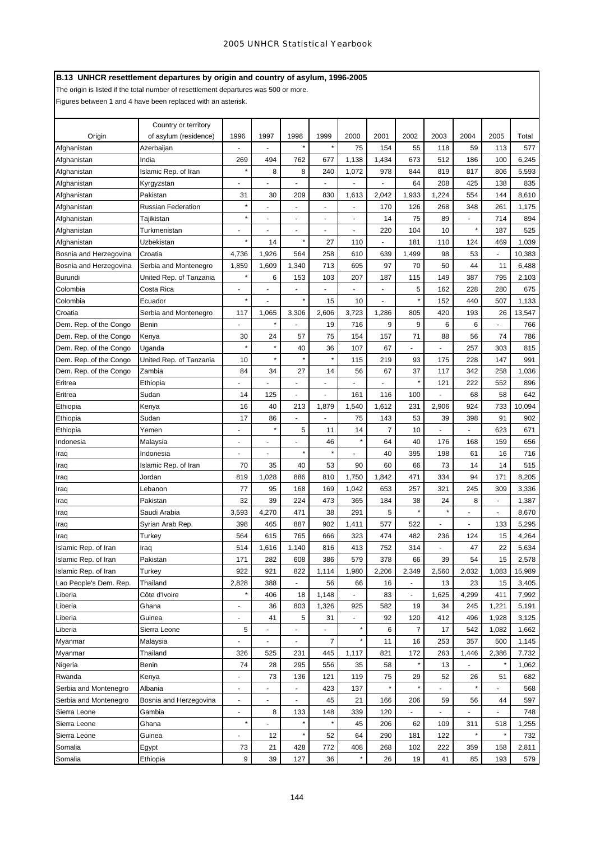# **B.13 UNHCR resettlement departures by origin and country of asylum, 1996-2005**

The origin is listed if the total number of resettlement departures was 500 or more.

Figures between 1 and 4 have been replaced with an asterisk.

|                        | Country or territory      |                          |                |                          |                          |              |                |                          |               |                      |       |        |
|------------------------|---------------------------|--------------------------|----------------|--------------------------|--------------------------|--------------|----------------|--------------------------|---------------|----------------------|-------|--------|
| Origin                 | of asylum (residence)     | 1996                     | 1997           | 1998                     | 1999                     | 2000         | 2001           | 2002                     | 2003          | 2004                 | 2005  | Total  |
| Afghanistan            | Azerbaijan                |                          |                | $\star$                  |                          | 75           | 154            | 55                       | 118           | 59                   | 113   | 577    |
| Afghanistan            | India                     | 269                      | 494            | 762                      | 677                      | 1,138        | 1,434          | 673                      | 512           | 186                  | 100   | 6,245  |
| Afghanistan            | Islamic Rep. of Iran      | $\star$                  | 8              | 8                        | 240                      | 1,072        | 978            | 844                      | 819           | 817                  | 806   | 5,593  |
| Afghanistan            | Kyrgyzstan                | $\ddot{\phantom{1}}$     |                |                          |                          |              |                | 64                       | 208           | 425                  | 138   | 835    |
| Afghanistan            | Pakistan                  | 31                       | 30             | 209                      | 830                      | 1,613        | 2,042          | 1,933                    | 1,224         | 554                  | 144   | 8,610  |
| Afghanistan            | <b>Russian Federation</b> | $\star$                  |                | $\ddot{\phantom{0}}$     | $\ddot{\phantom{0}}$     |              | 170            | 126                      | 268           | 348                  | 261   | 1,175  |
| Afghanistan            | Tajikistan                | $\star$                  | ٠              | $\ddot{\phantom{0}}$     | $\ddot{\phantom{0}}$     | ٠            | 14             | 75                       | 89            | $\ddot{\phantom{0}}$ | 714   | 894    |
| Afghanistan            | Turkmenistan              |                          |                |                          |                          |              | 220            | 104                      | 10            | $\star$              | 187   | 525    |
| Afghanistan            | Uzbekistan                | $\star$                  | 14             | $\star$                  | 27                       | 110          |                | 181                      | 110           | 124                  | 469   | 1,039  |
| Bosnia and Herzegovina | Croatia                   | 4,736                    | 1,926          | 564                      | 258                      | 610          | 639            | 1,499                    | 98            | 53                   |       | 10,383 |
| Bosnia and Herzegovina | Serbia and Montenegro     | 1,859                    | 1,609          | 1,340                    | 713                      | 695          | 97             | 70                       | 50            | 44                   | 11    | 6,488  |
| <b>Burundi</b>         | United Rep. of Tanzania   | ×                        | 6              | 153                      | 103                      | 207          | 187            | 115                      | 149           | 387                  | 795   | 2,103  |
| Colombia               | Costa Rica                | $\blacksquare$           |                |                          |                          |              | ä,             | 5                        | 162           | 228                  | 280   | 675    |
| Colombia               | Ecuador                   | ×                        |                | $\star$                  | 15                       | 10           |                |                          | 152           | 440                  | 507   | 1,133  |
| Croatia                | Serbia and Montenegro     | 117                      | 1,065          | 3,306                    | 2,606                    | 3,723        | 1,286          | 805                      | 420           | 193                  | 26    | 13,547 |
| Dem. Rep. of the Congo | Benin                     |                          |                |                          | 19                       | 716          | 9              | 9                        | 6             | 6                    |       | 766    |
| Dem. Rep. of the Congo | Kenya                     | 30                       | 24             | 57                       | 75                       | 154          | 157            | 71                       | 88            | 56                   | 74    | 786    |
| Dem. Rep. of the Congo | Uqanda                    | $\star$                  |                | 40                       | 36                       | 107          | 67             |                          |               | 257                  | 303   | 815    |
| Dem. Rep. of the Congo | United Rep. of Tanzania   | 10                       |                |                          |                          | 115          | 219            | 93                       | 175           | 228                  | 147   | 991    |
| Dem. Rep. of the Congo | Zambia                    | 84                       | 34             | 27                       | 14                       | 56           | 67             | 37                       | 117           | 342                  | 258   | 1,036  |
| Eritrea                | Ethiopia                  |                          |                |                          |                          |              |                |                          | 121           | 222                  | 552   | 896    |
| Eritrea                | Sudan                     | 14                       | 125            |                          |                          | 161          | 116            | 100                      |               | 68                   | 58    | 642    |
| Ethiopia               | Kenya                     | 16                       | 40             | 213                      | 1,879                    | 1,540        | 1,612          | 231                      | 2,906         | 924                  | 733   | 10,094 |
| Ethiopia               | Sudan                     | 17                       | 86             |                          |                          | 75           | 143            | 53                       | 39            | 398                  | 91    | 902    |
| Ethiopia               | Yemen                     |                          |                | 5                        | 11                       | 14           | $\overline{7}$ | 10                       |               |                      | 623   | 671    |
| Indonesia              | Malaysia                  | $\blacksquare$           |                |                          | 46                       |              | 64             | 40                       | 176           | 168                  | 159   | 656    |
| Iraq                   | Indonesia                 |                          |                | $\star$                  |                          |              | 40             | 395                      | 198           | 61                   | 16    | 716    |
| Iraq                   | Islamic Rep. of Iran      | 70                       | 35             | 40                       | 53                       | 90           | 60             | 66                       | 73            | 14                   | 14    | 515    |
| Iraq                   | Jordan                    | 819                      | 1,028          | 886                      | 810                      | 1,750        | 1,842          | 471                      | 334           | 94                   | 171   | 8,205  |
| Iraq                   | Lebanon                   | 77                       | 95             | 168                      | 169                      | 1,042        | 653            | 257                      | 321           | 245                  | 309   | 3,336  |
| raq                    | Pakistan                  | 32                       | 39             | 224                      | 473                      | 365          | 184            | 38                       | 24            | 8                    | ä,    | 1,387  |
| Iraq                   | Saudi Arabia              | 3,593                    | 4,270          | 471                      | 38                       | 291          | 5              |                          |               | $\ddot{\phantom{0}}$ |       | 8,670  |
| Iraq                   | Syrian Arab Rep.          | 398                      | 465            | 887                      | 902                      | 1,411        | 577            | 522                      | $\frac{1}{2}$ | $\ddot{\phantom{0}}$ | 133   | 5,295  |
| Iraq                   | Turkey                    | 564                      | 615            | 765                      | 666                      | 323          | 474            | 482                      | 236           | 124                  | 15    | 4,264  |
| Islamic Rep. of Iran   | Iraq                      | 514                      | 1,616          | 1,140                    | 816                      | 413          | 752            | 314                      |               | 47                   | 22    | 5,634  |
| Islamic Rep. of Iran   | Pakistan                  | 171                      | 282            | 608                      | 386                      | 579          | 378            | 66                       | 39            | 54                   | 15    | 2,578  |
| Islamic Rep. of Iran   | Turkey                    | 922                      | 921            | 822                      | 1,114                    | 1,980        | 2,206          | 2,349                    | 2,560         | 2,032                | 1,083 | 15,989 |
| Lao People's Dem. Rep. | Thailand                  | 2,828                    | 388            | $\overline{\phantom{a}}$ | 56                       | 66           | 16             | $\overline{\phantom{a}}$ | 13            | 23                   | 15    | 3,405  |
| Liberia                | Côte d'Ivoire             | ×                        | 406            | 18                       | 1,148                    | ÷,           | 83             | $\blacksquare$           | 1,625         | 4,299                | 411   | 7,992  |
| Liberia                | Ghana                     | $\overline{a}$           | 36             | 803                      | 1,326                    | 925          | 582            | 19                       | 34            | 245                  | 1,221 | 5,191  |
| Liberia                | Guinea                    | $\overline{\phantom{a}}$ | 41             | 5                        | 31                       | ÷.           | 92             | 120                      | 412           | 496                  | 1,928 | 3,125  |
| Liberia                | Sierra Leone              | 5                        | $\overline{a}$ | $\overline{\phantom{a}}$ | $\overline{\phantom{a}}$ | $\star$      | 6              | 7                        | 17            | 542                  | 1,082 | 1,662  |
| Myanmar                | Malaysia                  | $\overline{\phantom{a}}$ | $\frac{1}{2}$  | $\blacksquare$           | 7                        | $\pmb{\ast}$ | 11             | 16                       | 253           | 357                  | 500   | 1,145  |
| Myanmar                | Thailand                  | 326                      | 525            | 231                      | 445                      | 1,117        | 821            | 172                      | 263           | 1,446                | 2,386 | 7,732  |
| Nigeria                | Benin                     | 74                       | 28             | 295                      | 556                      | 35           | 58             |                          | 13            |                      |       | 1,062  |
| Rwanda                 | Kenya                     | $\overline{\phantom{a}}$ | 73             | 136                      | 121                      | 119          | 75             | 29                       | 52            | 26                   | 51    | 682    |
| Serbia and Montenegro  | Albania                   | $\overline{\phantom{a}}$ |                |                          | 423                      | 137          | $\star$        |                          |               |                      |       | 568    |
| Serbia and Montenegro  | Bosnia and Herzegovina    | $\overline{\phantom{a}}$ | $\frac{1}{2}$  |                          | 45                       | 21           | 166            | 206                      | 59            | 56                   | 44    | 597    |
| Sierra Leone           | Gambia                    | $\overline{\phantom{a}}$ | 8              | 133                      | 148                      | 339          | 120            |                          |               |                      |       | 748    |
| Sierra Leone           | Ghana                     | ×                        |                |                          |                          | 45           | 206            | 62                       | 109           | 311                  | 518   | 1,255  |
| Sierra Leone           | Guinea                    |                          | 12             | $\star$                  | 52                       | 64           | 290            | 181                      | 122           |                      |       | 732    |
| Somalia                | Egypt                     | 73                       | 21             | 428                      | 772                      | 408          | 268            | 102                      | 222           | 359                  | 158   | 2,811  |
| Somalia                | Ethiopia                  | 9                        | 39             | 127                      | 36                       |              | 26             | 19                       | 41            | 85                   | 193   | 579    |
|                        |                           |                          |                |                          |                          |              |                |                          |               |                      |       |        |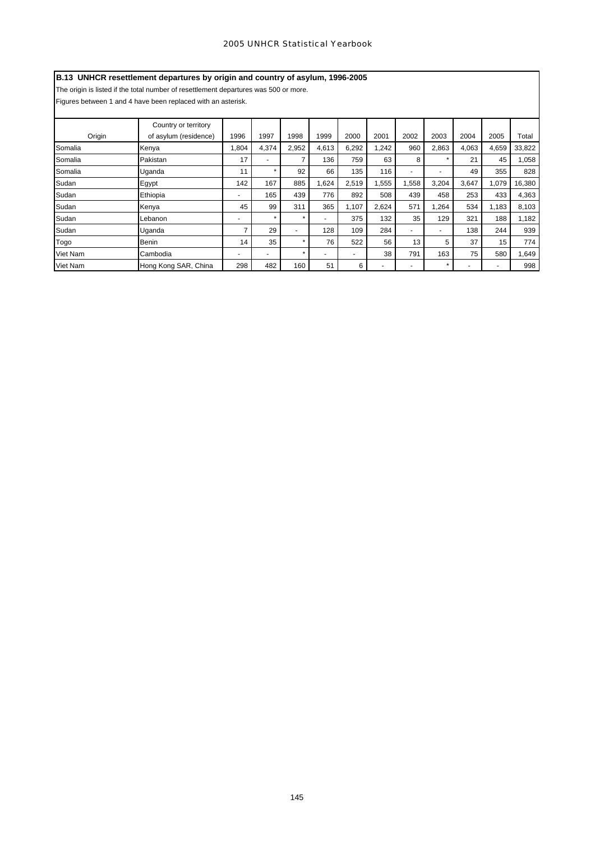# **B.13 UNHCR resettlement departures by origin and country of asylum, 1996-2005**

The origin is listed if the total number of resettlement departures was 500 or more.

Figures between 1 and 4 have been replaced with an asterisk.

| Origin   | Country or territory<br>of asylum (residence) | 1996                     | 1997           | 1998           | 1999  | 2000  | 2001  | 2002           | 2003    | 2004  | 2005                     | Total  |
|----------|-----------------------------------------------|--------------------------|----------------|----------------|-------|-------|-------|----------------|---------|-------|--------------------------|--------|
| Somalia  | Kenya                                         | 1,804                    | 4,374          | 2,952          | 4,613 | 6,292 | 1,242 | 960            | 2,863   | 4,063 | 4,659                    | 33,822 |
| Somalia  | Pakistan                                      | 17                       |                | 7              | 136   | 759   | 63    | 8              |         | 21    | 45                       | 1,058  |
| Somalia  | Uganda                                        | 11                       | ÷              | 92             | 66    | 135   | 116   | $\overline{a}$ | ۰       | 49    | 355                      | 828    |
| Sudan    | Egypt                                         | 142                      | 167            | 885            | 1,624 | 2,519 | 1,555 | 1,558          | 3,204   | 3,647 | 1,079                    | 16,380 |
| Sudan    | Ethiopia                                      | ٠                        | 165            | 439            | 776   | 892   | 508   | 439            | 458     | 253   | 433                      | 4,363  |
| Sudan    | Kenya                                         | 45                       | 99             | 311            | 365   | 1,107 | 2,624 | 571            | 1,264   | 534   | 1,183                    | 8,103  |
| Sudan    | Lebanon                                       | $\overline{\phantom{a}}$ | ÷              | $\star$        |       | 375   | 132   | 35             | 129     | 321   | 188                      | 1,182  |
| Sudan    | Uganda                                        |                          | 29             | $\overline{a}$ | 128   | 109   | 284   | $\blacksquare$ | ۰       | 138   | 244                      | 939    |
| Togo     | Benin                                         | 14                       | 35             | $\star$        | 76    | 522   | 56    | 13             | 5       | 37    | 15                       | 774    |
| Viet Nam | Cambodia                                      | $\blacksquare$           | $\overline{a}$ | $\star$        |       | ٠     | 38    | 791            | 163     | 75    | 580                      | 1,649  |
| Viet Nam | Hong Kong SAR, China                          | 298                      | 482            | 160            | 51    | 6     |       |                | $\star$ | -     | $\overline{\phantom{a}}$ | 998    |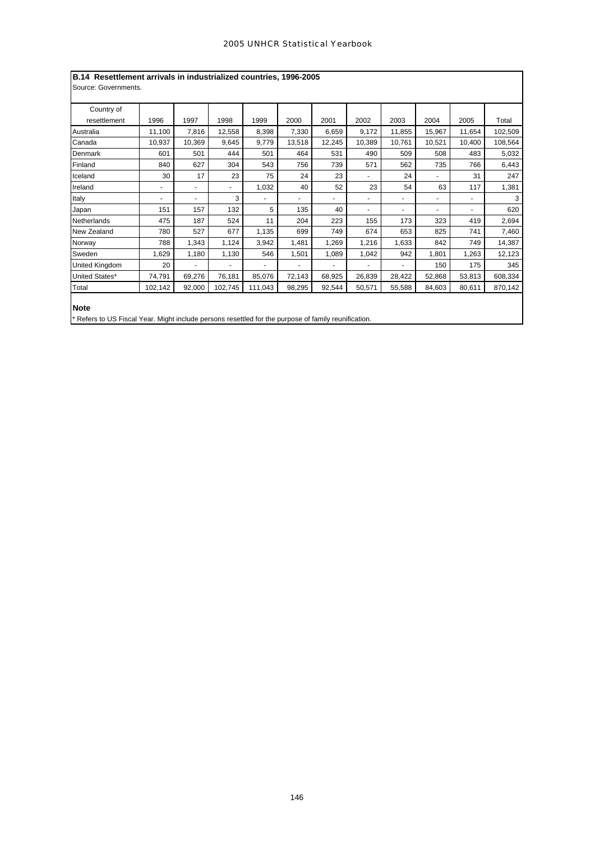| B.14 Resettlement arrivals in industrialized countries, 1996-2005                                    |         |                          |         |         |        |        |        |        |        |                          |         |  |  |
|------------------------------------------------------------------------------------------------------|---------|--------------------------|---------|---------|--------|--------|--------|--------|--------|--------------------------|---------|--|--|
| Source: Governments.                                                                                 |         |                          |         |         |        |        |        |        |        |                          |         |  |  |
| Country of                                                                                           |         |                          |         |         |        |        |        |        |        |                          |         |  |  |
| resettlement                                                                                         | 1996    | 1997                     | 1998    | 1999    | 2000   | 2001   | 2002   | 2003   | 2004   | 2005                     | Total   |  |  |
| Australia                                                                                            | 11,100  | 7,816                    | 12,558  | 8,398   | 7,330  | 6,659  | 9,172  | 11,855 | 15,967 | 11.654                   | 102,509 |  |  |
| Canada                                                                                               | 10,937  | 10.369                   | 9.645   | 9,779   | 13,518 | 12,245 | 10,389 | 10,761 | 10,521 | 10.400                   | 108,564 |  |  |
| Denmark                                                                                              | 601     | 501                      | 444     | 501     | 464    | 531    | 490    | 509    | 508    | 483                      | 5,032   |  |  |
| Finland                                                                                              | 840     | 627                      | 304     | 543     | 756    | 739    | 571    | 562    | 735    | 766                      | 6,443   |  |  |
| Iceland                                                                                              | 30      | 17                       | 23      | 75      | 24     | 23     |        | 24     |        | 31                       | 247     |  |  |
| Ireland                                                                                              | ۰       | $\overline{\phantom{a}}$ | ٠       | 1,032   | 40     | 52     | 23     | 54     | 63     | 117                      | 1,381   |  |  |
| Italy                                                                                                | ٠       | $\overline{\phantom{a}}$ | 3       |         |        | ٠      | ٠      | ٠      |        | ٠                        | 3       |  |  |
| Japan                                                                                                | 151     | 157                      | 132     | 5       | 135    | 40     | ٠      | ۰      |        | $\overline{\phantom{a}}$ | 620     |  |  |
| Netherlands                                                                                          | 475     | 187                      | 524     | 11      | 204    | 223    | 155    | 173    | 323    | 419                      | 2,694   |  |  |
| New Zealand                                                                                          | 780     | 527                      | 677     | 1,135   | 699    | 749    | 674    | 653    | 825    | 741                      | 7,460   |  |  |
| Norway                                                                                               | 788     | 1,343                    | 1,124   | 3,942   | 1,481  | 1,269  | 1,216  | 1,633  | 842    | 749                      | 14,387  |  |  |
| Sweden                                                                                               | 1,629   | 1,180                    | 1,130   | 546     | 1,501  | 1,089  | 1,042  | 942    | 1,801  | 1.263                    | 12,123  |  |  |
| United Kingdom                                                                                       | 20      |                          | ä,      |         |        | L.     |        |        | 150    | 175                      | 345     |  |  |
| United States*                                                                                       | 74,791  | 69,276                   | 76,181  | 85,076  | 72,143 | 68,925 | 26,839 | 28,422 | 52,868 | 53,813                   | 608,334 |  |  |
| Total                                                                                                | 102,142 | 92,000                   | 102,745 | 111,043 | 98,295 | 92,544 | 50,571 | 55,588 | 84,603 | 80,611                   | 870,142 |  |  |
|                                                                                                      |         |                          |         |         |        |        |        |        |        |                          |         |  |  |
| <b>Note</b>                                                                                          |         |                          |         |         |        |        |        |        |        |                          |         |  |  |
| * Refers to US Fiscal Year. Might include persons resettled for the purpose of family reunification. |         |                          |         |         |        |        |        |        |        |                          |         |  |  |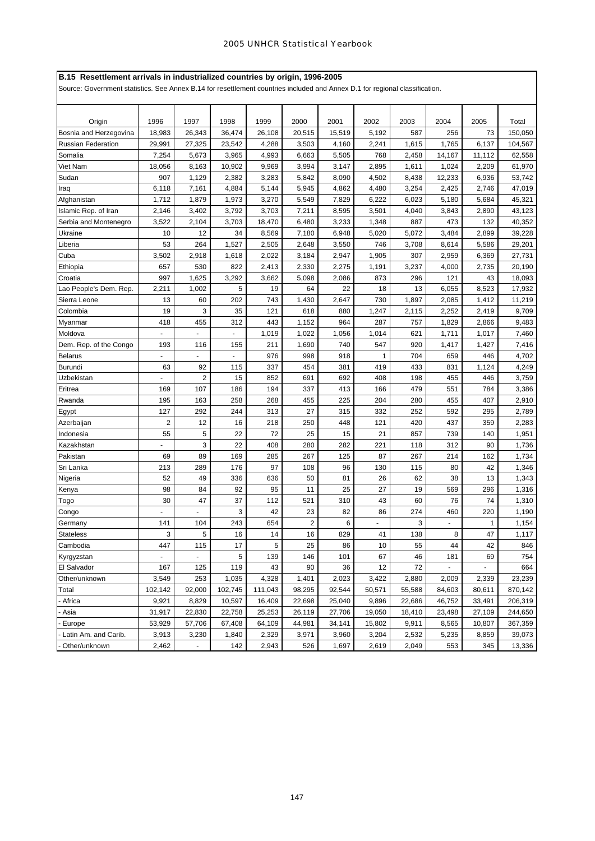# **B.15 Resettlement arrivals in industrialized countries by origin, 1996-2005**

Source: Government statistics. See Annex B.14 for resettlement countries included and Annex D.1 for regional classification.

| Origin                    | 1996                     | 1997           | 1998    | 1999    | 2000                    | 2001   | 2002         | 2003   | 2004   | 2005         | Total   |
|---------------------------|--------------------------|----------------|---------|---------|-------------------------|--------|--------------|--------|--------|--------------|---------|
| Bosnia and Herzegovina    | 18,983                   | 26,343         | 36,474  | 26.108  | 20,515                  | 15,519 | 5,192        | 587    | 256    | 73           | 150,050 |
| <b>Russian Federation</b> | 29,991                   | 27,325         | 23,542  | 4,288   | 3,503                   | 4,160  | 2,241        | 1,615  | 1,765  | 6,137        | 104,567 |
| Somalia                   | 7,254                    | 5,673          | 3,965   | 4,993   | 6,663                   | 5,505  | 768          | 2,458  | 14,167 | 11,112       | 62,558  |
| Viet Nam                  | 18,056                   | 8,163          | 10,902  | 9,969   | 3,994                   | 3,147  | 2,895        | 1,611  | 1,024  | 2,209        | 61,970  |
| Sudan                     | 907                      | 1,129          | 2,382   | 3,283   | 5,842                   | 8,090  | 4,502        | 8,438  | 12,233 | 6,936        | 53,742  |
| Iraq                      | 6,118                    | 7,161          | 4,884   | 5,144   | 5,945                   | 4,862  | 4,480        | 3,254  | 2,425  | 2,746        | 47,019  |
| Afghanistan               | 1,712                    | 1,879          | 1,973   | 3,270   | 5,549                   | 7,829  | 6,222        | 6,023  | 5,180  | 5,684        | 45,321  |
| Islamic Rep. of Iran      | 2,146                    | 3,402          | 3,792   | 3,703   | 7,211                   | 8,595  | 3,501        | 4,040  | 3,843  | 2,890        | 43,123  |
| Serbia and Montenegro     | 3,522                    | 2,104          | 3,703   | 18,470  | 6,480                   | 3,233  | 1,348        | 887    | 473    | 132          | 40,352  |
| Ukraine                   | 10                       | 12             | 34      | 8,569   | 7,180                   | 6,948  | 5,020        | 5,072  | 3,484  | 2,899        | 39,228  |
| Liberia                   | 53                       | 264            | 1,527   | 2,505   | 2,648                   | 3,550  | 746          | 3,708  | 8,614  | 5,586        | 29,201  |
| Cuba                      | 3,502                    | 2,918          | 1,618   | 2,022   | 3,184                   | 2,947  | 1,905        | 307    | 2,959  | 6,369        | 27,731  |
| Ethiopia                  | 657                      | 530            | 822     | 2,413   | 2,330                   | 2,275  | 1,191        | 3,237  | 4,000  | 2,735        | 20,190  |
| Croatia                   | 997                      | 1,625          | 3,292   | 3,662   | 5,098                   | 2,086  | 873          | 296    | 121    | 43           | 18,093  |
| Lao People's Dem. Rep.    | 2,211                    | 1,002          | 5       | 19      | 64                      | 22     | 18           | 13     | 6,055  | 8,523        | 17,932  |
| Sierra Leone              | 13                       | 60             | 202     | 743     | 1,430                   | 2,647  | 730          | 1,897  | 2,085  | 1,412        | 11,219  |
| Colombia                  | 19                       | 3              | 35      | 121     | 618                     | 880    | 1,247        | 2,115  | 2,252  | 2,419        | 9,709   |
| Myanmar                   | 418                      | 455            | 312     | 443     | 1,152                   | 964    | 287          | 757    | 1,829  | 2,866        | 9,483   |
| Moldova                   |                          |                |         | 1,019   | 1,022                   | 1,056  | 1,014        | 621    | 1,711  | 1,017        | 7,460   |
| Dem. Rep. of the Congo    | 193                      | 116            | 155     | 211     | 1,690                   | 740    | 547          | 920    | 1,417  | 1,427        | 7,416   |
| <b>Belarus</b>            |                          |                |         | 976     | 998                     | 918    | $\mathbf{1}$ | 704    | 659    | 446          | 4,702   |
| <b>Burundi</b>            | 63                       | 92             | 115     | 337     | 454                     | 381    | 419          | 433    | 831    | 1,124        | 4,249   |
| Uzbekistan                |                          | 2              | 15      | 852     | 691                     | 692    | 408          | 198    | 455    | 446          | 3,759   |
| Eritrea                   | 169                      | 107            | 186     | 194     | 337                     | 413    | 166          | 479    | 551    | 784          | 3,386   |
| Rwanda                    | 195                      | 163            | 258     | 268     | 455                     | 225    | 204          | 280    | 455    | 407          | 2,910   |
| Egypt                     | 127                      | 292            | 244     | 313     | 27                      | 315    | 332          | 252    | 592    | 295          | 2,789   |
| Azerbaijan                | $\overline{2}$           | 12             | 16      | 218     | 250                     | 448    | 121          | 420    | 437    | 359          | 2,283   |
| Indonesia                 | 55                       | 5              | 22      | 72      | 25                      | 15     | 21           | 857    | 739    | 140          | 1,951   |
| Kazakhstan                |                          | 3              | 22      | 408     | 280                     | 282    | 221          | 118    | 312    | 90           | 1,736   |
| Pakistan                  | 69                       | 89             | 169     | 285     | 267                     | 125    | 87           | 267    | 214    | 162          | 1,734   |
| Sri Lanka                 | 213                      | 289            | 176     | 97      | 108                     | 96     | 130          | 115    | 80     | 42           | 1,346   |
| Nigeria                   | 52                       | 49             | 336     | 636     | 50                      | 81     | 26           | 62     | 38     | 13           | 1,343   |
| Kenya                     | 98                       | 84             | 92      | 95      | 11                      | 25     | 27           | 19     | 569    | 296          | 1,316   |
| Togo                      | 30                       | 47             | 37      | 112     | 521                     | 310    | 43           | 60     | 76     | 74           | 1,310   |
| Congo                     |                          |                | 3       | 42      | 23                      | 82     | 86           | 274    | 460    | 220          | 1,190   |
| Germany                   | 141                      | 104            | 243     | 654     | $\overline{\mathbf{c}}$ | 6      |              | 3      |        | $\mathbf{1}$ | 1,154   |
| <b>Stateless</b>          | 3                        | 5              | 16      | 14      | 16                      | 829    | 41           | 138    | 8      | 47           | 1,117   |
| Cambodia                  | 447                      | 115            | $17\,$  | 5       | 25                      | 86     | $10$         | 55     | 44     | 42           | 846     |
| Kyrgyzstan                | $\overline{\phantom{a}}$ | $\blacksquare$ | 5       | 139     | 146                     | 101    | 67           | 46     | 181    | 69           | 754     |
| El Salvador               | 167                      | 125            | 119     | 43      | 90                      | 36     | 12           | 72     |        |              | 664     |
| Other/unknown             | 3,549                    | 253            | 1,035   | 4,328   | 1,401                   | 2,023  | 3,422        | 2,880  | 2,009  | 2,339        | 23,239  |
| Total                     | 102,142                  | 92,000         | 102,745 | 111,043 | 98,295                  | 92,544 | 50,571       | 55,588 | 84,603 | 80,611       | 870,142 |
| Africa                    | 9,921                    | 8,829          | 10,597  | 16,409  | 22,698                  | 25,040 | 9,896        | 22,686 | 46,752 | 33,491       | 206,319 |
| Asia                      | 31,917                   | 22,830         | 22,758  | 25,253  | 26,119                  | 27,706 | 19,050       | 18,410 | 23,498 | 27,109       | 244,650 |
| Europe                    | 53,929                   | 57,706         | 67,408  | 64,109  | 44,981                  | 34,141 | 15,802       | 9,911  | 8,565  | 10,807       | 367,359 |
| Latin Am. and Carib.      | 3,913                    | 3,230          | 1,840   | 2,329   | 3,971                   | 3,960  | 3,204        | 2,532  | 5,235  | 8,859        | 39,073  |
| Other/unknown             | 2,462                    |                | 142     | 2,943   | 526                     | 1,697  | 2,619        | 2,049  | 553    | 345          | 13,336  |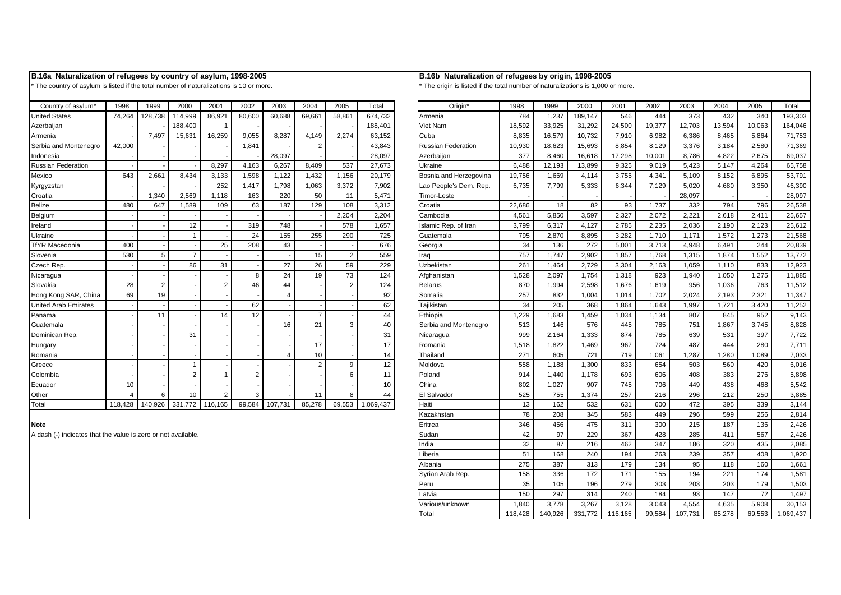### **B.16a Naturalization of refugees by country of asylum, 1998-2005 B.16b Naturalization of refugees by origin, 1998-2005**

\* The country of asylum is listed if the total number of naturalizations is 10 or more. \* \* The origin is listed if the total number of naturalizations is 1,000 or more.

| Country of asylum*          | 1998    | 1999           | 2000           | 2001           | 2002          | 2003    | 2004           | 2005   | Total     |                 | Origin*                   | 1998   | 1999   | 2000    | 2001   | 2002   | 2003   | 2004   | 2005   | Tota           |
|-----------------------------|---------|----------------|----------------|----------------|---------------|---------|----------------|--------|-----------|-----------------|---------------------------|--------|--------|---------|--------|--------|--------|--------|--------|----------------|
| <b>United States</b>        | 74.264  | 128,738        | 114.999        | 86,921         | 80,600        | 60.688  | 69,661         | 58,861 | 674.732   | Armenia         |                           | 784    | 1,237  | 189,147 | 546    | 444    | 373    | 432    | 340    | 193,3          |
| Azerbaijan                  |         |                | 188,400        |                |               |         |                |        | 188,401   | <b>Viet Nam</b> |                           | 18,592 | 33,925 | 31,292  | 24,500 | 19,377 | 12,703 | 13,594 | 10,063 | 164,0          |
| Armenia                     |         | 7,497          | 15,631         | 16,259         | 9,055         | 8,287   | 4,149          | 2,274  | 63,152    | Cuba            |                           | 8,835  | 16,579 | 10,732  | 7,910  | 6,982  | 6,386  | 8,465  | 5.864  | 71,7           |
| Serbia and Montenegro       | 42,000  |                |                |                | 1,841         |         | $\overline{2}$ |        | 43,843    |                 | <b>Russian Federation</b> | 10,930 | 18,623 | 15,693  | 8,854  | 8,129  | 3,376  | 3,184  | 2,580  | 71,3           |
| Indonesia                   |         |                |                |                |               | 28.097  |                |        | 28,097    | Azerbaijan      |                           | 377    | 8.460  | 16,618  | 17,298 | 10.001 | 8,786  | 4.822  | 2.675  | 69,0           |
| <b>Russian Federation</b>   |         |                |                | 8,297          | 4,163         | 6.267   | 8,409          | 537    | 27,673    | Ukraine         |                           | 6,488  | 12,193 | 13,899  | 9,325  | 9,019  | 5,423  | 5,147  | 4.264  | 65,7           |
| Mexico                      | 643     | 2,661          | 8,434          | 3,133          | 1,598         | 1,122   | 1,432          | 1,156  | 20,179    |                 | Bosnia and Herzegovina    | 19,756 | 1,669  | 4,114   | 3,755  | 4,341  | 5,109  | 8,152  | 6.895  | 53,7           |
| Kyrgyzstan                  |         |                |                | 252            | 1,417         | 1,798   | 1,063          | 3,372  | 7,902     |                 | Lao People's Dem. Rep.    | 6,735  | 7,799  | 5,333   | 6,344  | 7,129  | 5,020  | 4,680  | 3,350  | 46,3           |
| Croatia                     |         | 1,340          | 2,569          | 1,118          | 163           | 220     | 50             | 11     | 5,471     | Timor-Leste     |                           |        |        |         |        |        | 28,097 |        |        | 28,0           |
| <b>Belize</b>               | 480     | 647            | 1,589          | 109            | 63            | 187     | 129            | 108    | 3,312     | Croatia         |                           | 22.686 | 18     | 82      | 93     | 1.737  | 332    | 794    | 796    | 26,5           |
| Belgium                     |         |                |                |                |               |         |                | 2,204  | 2,204     | Cambodia        |                           | 4,561  | 5,850  | 3,597   | 2,327  | 2,072  | 2,221  | 2,618  | 2,411  | 25.6           |
| Ireland                     |         |                | 12             |                | 319           | 748     |                | 578    | 1,657     |                 | Islamic Rep. of Iran      | 3,799  | 6.317  | 4.127   | 2,785  | 2,235  | 2,036  | 2,190  | 2.123  | 25.6           |
| Ukraine                     |         |                |                |                | 24            | 155     | 255            | 290    | 725       | Guatemala       |                           | 795    | 2,870  | 8,895   | 3,282  | 1,710  | 1,171  | 1,572  | 1.273  | 21,5           |
| <b>TfYR Macedonia</b>       | 400     |                |                | 25             | 208           | 43      |                |        | 676       | Georgia         |                           | 34     | 136    | 272     | 5,001  | 3,713  | 4,948  | 6,491  | 244    | 20.8           |
| Slovenia                    | 530     | 5              | $\overline{7}$ |                |               |         | 15             | 2      | 559       | Iraq            |                           | 757    | 1,747  | 2,902   | 1,857  | 1,768  | 1,315  | 1,874  | 1,552  | 13,7           |
| Czech Rep.                  |         |                | 86             | 31             |               | 27      | 26             | 59     | 229       | Uzbekistan      |                           | 261    | 1.464  | 2,729   | 3,304  | 2,163  | 1,059  | 1,110  | 833    | 12,9           |
| Nicaragua                   |         |                |                |                | Я             | 24      | 19             | 73     | 124       | Afghanistan     |                           | 1,528  | 2,097  | 1,754   | 1,318  | 923    | 1,940  | 1,050  | 1.275  | 11.8           |
| Slovakia                    | 28      | $\overline{2}$ |                | $\mathfrak{p}$ | 46            | 44      |                |        | 124       | <b>Belarus</b>  |                           | 870    | 1,994  | 2,598   | 1.676  | 1,619  | 956    | 1.036  | 763    | 11.5           |
| Hong Kong SAR, China        | 69      | 19             |                |                |               |         |                |        | 92        | Somalia         |                           | 257    | 832    | 1,004   | 1.014  | 1.702  | 2,024  | 2.193  | 2.321  | 11.3           |
| <b>United Arab Emirates</b> |         |                |                |                | 62            |         |                |        | 62        | Taiikistan      |                           | 34     | 205    | 368     | 1.864  | 1.643  | 1,997  | 1.721  | 3.420  | 11,2           |
| Panama                      |         | 11             |                | 14             | 12            |         |                |        | 44        | Ethiopia        |                           | 1,229  | 1,683  | 1,459   | 1,034  | 1,134  | 807    | 845    | 952    | 9,1            |
| Guatemala                   |         |                |                |                |               | 16      | 21             |        | 40        |                 | Serbia and Montenegro     | 513    | 146    | 576     | 445    | 785    | 751    | 1,867  | 3,745  | 8,8            |
| Dominican Rep.              |         |                | 31             |                |               |         |                |        | 31        | Nicaragua       |                           | 999    | 2.164  | 1,333   | 874    | 785    | 639    | 531    | 397    | 7,7            |
| Hungary                     |         |                |                |                |               |         | 17             |        | 17        | Romania         |                           | 1,518  | 1,822  | 1,469   | 967    | 724    | 487    | 444    | 280    | 7,7            |
| Romania                     |         |                |                |                |               |         | 10             |        | 14        | Thailand        |                           | 271    | 605    | 721     | 719    | 1,061  | 1,287  | 1.280  | 1,089  | 7,0            |
| Greece                      |         |                |                |                |               |         | $\mathfrak{p}$ |        | 12        | Moldova         |                           | 558    | 1.188  | 1,300   | 833    | 654    | 503    | 560    | 420    | 6(             |
| Colombia                    |         |                | $\overline{2}$ |                | 2             |         |                |        | 11        | Poland          |                           | 914    | 1,440  | 1,178   | 693    | 606    | 408    | 383    | 276    | 5,8            |
| Ecuador                     | 10      |                |                |                |               |         |                |        | 10        | China           |                           | 802    | 1,027  | 907     | 745    | 706    | 449    | 438    | 468    | 5,5            |
| Other                       |         | 6              | 10             | $\overline{2}$ | $\mathcal{R}$ |         | 11             |        | 44        | El Salvador     |                           | 525    | 755    | 1,374   | 257    | 216    | 296    | 212    | 250    | 3.8            |
| Total                       | 118 428 | 140.926        | 331 772        | 116 165        | 99584         | 107 731 | 85 278         | 69.553 | 1 069 437 | Haiti           |                           | 1.3    | 162    | 532     | 631    | 600    | 472    | 395    | 339    | 3 <sup>1</sup> |

## United States | 74,264 | 128,738 | 114,999 | 86,921 | 80,600 | 60,688 | 69,661 | 58,861 | 674,732 | Armenia | 784 | 784 | 1,237 | 189,147 | 546 | 444 | 373 | 432 | 340 | 193,303 Azerbaijan - | -| -|188,400 | 1 | -| -| -| -| 188,401 | |Viet Nam | 18,592 33,925 | 31,292 | 24,500 | 19,377 | 12,703 | 13,594 | 10,063 | 164,046 Armenia - | 1,497 | 15,631 | 16,259 | 9,055 | 8,287 | 4,149 | 2,274 | 63,152 | Cuba - | 8,835 | 16,579 | 10,732 | 7,910 | 6,982 | 6,386 | 8,465 | 5,864 | 71,753 Serbia and Montenegro | 42,000 | - | - | 1,841 | - | 2 | - | 43,843 | Russian Federation | 10,930 | 18,623 | 15,693 | 8,854 | 8,129 | 3,376 | 3,184 | 2,580 | 71,369 Indonesia - | -| -| -| -| 28,097 | -| -| 28,097 | Azerbaijan | 377 8,460 16,618 17,298 10,001 | 8,786 | 4,822 2,675 | 69,037 Russian Federation | -| -| 8,297 4,163 6,267 8,409 537 27,673 |Ukraine | 6,488 12,193 13,899 9,325 9,019 5,423 5,147 4,264 65,758 Mexico 643 | 2,661 | 8,434 | 3,133 | 1,598 | 1,122 | 1,432 | 1,156 | 20,179 | Bosnia and Herzegovina | 19,756 | 1,669 | 4,114 | 3,755 | 4,341 | 5,109 | 8,152 | 6,895 | 53,791 Kyrgyzstan - | - | 252 | 1,417 | 1,798 | 1,063 | 3,372 | 7,902 | Lao People's Dem. Rep. | 6,735 | 7,799 | 5,333 | 6,344 | 7,129 | 5,020 | 4,680 | 3,350 | 46,390 Croatia - | 1,340 | 2,569 | 1,118 | 163 | 220 | 50 | 11 | 5,471 | |Timor-Leste - | - | - | - | - | - | 28,097 | - | - | 28,097 | - | 28,097 | - | 28,097 | - | 28,097 | - | 28,097 | - | 28,097 | - | 28,097 | - | 28,097 | - Belize 480 | 647 | 1,589 | 109 | 63 | 187 | 129 | 108 | 3,312 | Croatia 2,586 | 18 | 82 | 93 | 1,737 | 332 | 794 | 796 | 26,538 Belgium - - - - - - - 2,204 2,204 Cambodia 4,561 5,850 3,597 2,327 2,072 2,221 2,618 2,411 25,657 Ireland - | -| 12| -| 319| 748| -| 578| 1,657 | Islamic Rep. of Iran | 3,799| 6,317 | 4,127 | 2,785 | 2,036 | 2,190 | 2,123 | 25,612 Ukraine - | -| -| 1| -| 24 155 255 290 725 |Guatemala - | 795 2,870 8,895 3,282 1,710 1,171 1,572 1,273 |21,568 TfYR Macedonia | 400 | - | - | 25 | 208 | 43 | - | - | 676 | Georgia | 34 136 | 272 5,001 | 3,713 | 4,948 | 6,491 | 244 | 20,839 Slovenia | 530 | 5 | 7 | - | - | - | 15 | 2 | 559 | |Iraq | 757 | 1,747 | 2,902 | 1,857 | 1,768 | 1,315 | 1,874 | 1,552 | 13,772 Czech Rep. | - | - | 86 | 31 | - | 27 | 26 | 59 | 229 | |Uzbekistan | 261 | 1,464 | 2,729 | 3,304 | 2,163 | 1,059 | 1,110 | 833 | 12,923 Nicaragua - | -| -| -| 8| 24| 19| 73| 124| |Afghanistan | 1,528 2,097 1,754 1,318 923 1,940 1,050 1,275 11,885 Slovakia | 28 | 2 | - | 2 | 46 | 44 | - | 2 | 124 | Belarus | 870 | 1,994 | 2,598 | 1,676 | 1,676 | 956 | 1,036 | 763 | 11,512 Hong Kong SAR, China ┃ 69 ┃ 19 ┃ - ┃ - ┃ 4 ┃ -┃ 92 ┃ 【Somalia ┃ 257 ┃ 832 ┃ 1,004 ┃ 1,014 ┃ 1,702 ┃ 2,024 ┃ 2,193 ┃ 2,321 ┃ 11,347 United Arab Emirates | -| -| -| -| 62 | -| -| -| 62 | Tajikistan | 34 205 368 1,864 1,864 1,897 1,721 3,420 11,252 Panama - 11 - 14 12 - 7 - 44 Ethiopia 1,229 1,683 1,459 1,034 1,134 807 845 952 9,143 Guatemala - | -| -| -| -| 16| 21| 3| 40| |Serbia and Montenegro | 513| 146| 576| 445| 785| 751| 1,867| 3,745| 8,828 Dominican Rep. ┃ -┃ -┃ 31 | -┃ -┃ -┃ -┃ 31 ┃ ┃Nicaragua ┃ 999 | 2,164 | 1,333 | 874 | 785 | 639 | 531 | 397 | 7,722 Hungary - | - | - | - | - | 17 | -| 17 | |Romania | 1,518 | 1,469 | 967 | 724 | 487 | 444 | 280 | 7,711 Romania - | -| -| -| -| 14 10| -| 14| |Thailand | 271 605 721 719 1,061 1,287 1,280 1,089 7,033 Greece - - | -| -| -| -| -| -| 2| 9| 12| |Moldova - | 558| 1.188| 1.300| 833| 654| 503| 560| 420| 6.016 Colombia - I-I 2 1 2 - I 2 - 6 11 Poland - 1 914 1,440 1,178 693 606 408 383 276 5,898 Ecuador - | 10 | -| -| -| -| -| -| -| 10 | China - | 802 1.027 907 745 706 449 438 468 5.542 Other 4 6 10 2 3 - 11 8 44 El Salvador 525 755 1,374 257 216 296 212 250 3,885 Total 118,428 140,926 331,772 116,165 99,584 107,731 85,278 69,553 1,069,437 Haiti 13 162 532 631 600 472 395 339 3,144 Kazakhstan 78 208 345 583 449 296 599 256 2,814 Eritrea 346 456 475 311 300 215 187 136 2,426 A dash (-) indicates that the value is zero or not available. 
42 97 229 367 428 285 411 567 2.426 India 32 87 216 462 347 186 320 435 2,085 Liberia 51 168 240 194 263 239 357 408 1,920 Albania 275 387 313 179 134 95 118 160 1,661 Syrian Arab Rep. 158 336 172 171 155 194 221 174 1,581 Peru 35 105 196 279 303 203 203 179 1,503 Latvia 150 297 314 240 184 93 147 72 1,497 Various/unknown 1,840 3,778 3,267 3,128 3,043 4,554 4,635 5,908 30,153 Total 118,428 140,926 331,772 116,165 99,584 107,731 85,278 69,553 1,069,437

### **Note**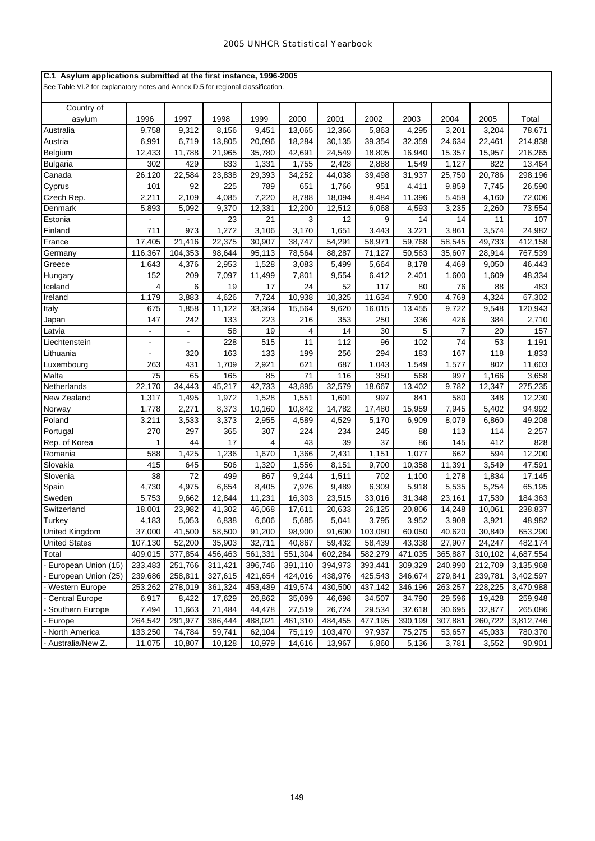## **C.1 Asylum applications submitted at the first instance, 1996-2005**

| Country of            |                |                     |         |         |         |         |         |         |                |         |           |
|-----------------------|----------------|---------------------|---------|---------|---------|---------|---------|---------|----------------|---------|-----------|
| asylum                | 1996           | 1997                | 1998    | 1999    | 2000    | 2001    | 2002    | 2003    | 2004           | 2005    | Total     |
| Australia             | 9,758          | 9,312               | 8,156   | 9,451   | 13,065  | 12,366  | 5,863   | 4,295   | 3,201          | 3,204   | 78,671    |
| Austria               | 6,991          | 6,719               | 13,805  | 20,096  | 18,284  | 30,135  | 39,354  | 32,359  | 24,634         | 22,461  | 214,838   |
| Belgium               | 12,433         | 11,788              | 21,965  | 35,780  | 42,691  | 24,549  | 18,805  | 16,940  | 15,357         | 15,957  | 216,265   |
| <b>Bulgaria</b>       | 302            | 429                 | 833     | 1,331   | 1,755   | 2,428   | 2,888   | 1,549   | 1,127          | 822     | 13,464    |
| Canada                | 26,120         | 22,584              | 23,838  | 29,393  | 34,252  | 44,038  | 39,498  | 31,937  | 25,750         | 20,786  | 298,196   |
| Cyprus                | 101            | 92                  | 225     | 789     | 651     | 1,766   | 951     | 4,411   | 9,859          | 7,745   | 26,590    |
| Czech Rep.            | 2,211          | 2,109               | 4,085   | 7,220   | 8,788   | 18,094  | 8,484   | 11,396  | 5,459          | 4,160   | 72,006    |
| Denmark               | 5,893          | 5,092               | 9,370   | 12,331  | 12,200  | 12,512  | 6,068   | 4,593   | 3,235          | 2,260   | 73,554    |
| Estonia               |                |                     | 23      | 21      | 3       | 12      | 9       | 14      | 14             | 11      | 107       |
| Finland               | 711            | 973                 | 1,272   | 3,106   | 3,170   | 1,651   | 3,443   | 3,221   | 3,861          | 3,574   | 24,982    |
| France                | 17,405         | 21,416              | 22,375  | 30,907  | 38,747  | 54,291  | 58,971  | 59,768  | 58,545         | 49,733  | 412,158   |
| Germany               | 116,367        | 104,353             | 98,644  | 95,113  | 78,564  | 88,287  | 71,127  | 50,563  | 35,607         | 28,914  | 767,539   |
| Greece                | 1,643          | 4,376               | 2,953   | 1,528   | 3,083   | 5,499   | 5,664   | 8,178   | 4,469          | 9,050   | 46,443    |
| Hungary               | 152            | 209                 | 7,097   | 11,499  | 7,801   | 9,554   | 6,412   | 2,401   | 1,600          | 1,609   | 48,334    |
| Iceland               | 4              | 6                   | 19      | 17      | 24      | 52      | 117     | 80      | 76             | 88      | 483       |
| Ireland               | 1,179          | 3,883               | 4,626   | 7,724   | 10,938  | 10,325  | 11,634  | 7,900   | 4,769          | 4,324   | 67,302    |
| Italy                 | 675            | 1,858               | 11,122  | 33,364  | 15,564  | 9,620   | 16,015  | 13,455  | 9,722          | 9,548   | 120,943   |
| Japan                 | 147            | 242                 | 133     | 223     | 216     | 353     | 250     | 336     | 426            | 384     | 2,710     |
| _atvia                |                |                     | 58      | 19      | 4       | 14      | 30      | 5       | $\overline{7}$ | 20      | 157       |
| Liechtenstein         | $\blacksquare$ | $\blacksquare$      | 228     | 515     | 11      | 112     | 96      | 102     | 74             | 53      | 1,191     |
| Lithuania             | $\blacksquare$ | 320                 | 163     | 133     | 199     | 256     | 294     | 183     | 167            | 118     | 1,833     |
| Luxembourg            | 263            | 431                 | 1,709   | 2,921   | 621     | 687     | 1,043   | 1,549   | 1,577          | 802     | 11,603    |
| Malta                 | 75             | 65                  | 165     | 85      | 71      | 116     | 350     | 568     | 997            | 1,166   | 3,658     |
| Netherlands           | 22,170         | $\overline{34,443}$ | 45,217  | 42,733  | 43,895  | 32,579  | 18,667  | 13,402  | 9,782          | 12,347  | 275,235   |
| New Zealand           | 1,317          | 1,495               | 1,972   | 1,528   | 1,551   | 1,601   | 997     | 841     | 580            | 348     | 12,230    |
| Norway                | 1,778          | 2,271               | 8,373   | 10,160  | 10,842  | 14,782  | 17,480  | 15,959  | 7,945          | 5,402   | 94,992    |
| Poland                | 3,211          | 3,533               | 3,373   | 2,955   | 4,589   | 4,529   | 5,170   | 6,909   | 8,079          | 6,860   | 49,208    |
| Portugal              | 270            | 297                 | 365     | 307     | 224     | 234     | 245     | 88      | 113            | 114     | 2,257     |
| Rep. of Korea         | 1              | 44                  | 17      | 4       | 43      | 39      | 37      | 86      | 145            | 412     | 828       |
| Romania               | 588            | 1,425               | 1,236   | 1,670   | 1,366   | 2,431   | 1,151   | 1,077   | 662            | 594     | 12,200    |
| Slovakia              | 415            | 645                 | 506     | 1,320   | 1,556   | 8,151   | 9,700   | 10,358  | 11,391         | 3,549   | 47,591    |
| Slovenia              | 38             | 72                  | 499     | 867     | 9,244   | 1,511   | 702     | 1,100   | 1,278          | 1,834   | 17,145    |
| Spain                 | 4,730          | 4,975               | 6,654   | 8,405   | 7,926   | 9,489   | 6,309   | 5,918   | 5,535          | 5,254   | 65,195    |
| Sweden                | 5,753          | 9,662               | 12,844  | 11,231  | 16,303  | 23,515  | 33,016  | 31,348  | 23,161         | 17,530  | 184,363   |
| Switzerland           | 18,001         | 23,982              | 41,302  | 46,068  | 17,611  | 20,633  | 26,125  | 20,806  | 14,248         | 10,061  | 238,837   |
| <b>Turkey</b>         | 4,183          | 5,053               | 6,838   | 6,606   | 5,685   | 5,041   | 3,795   | 3,952   | 3,908          | 3,921   | 48,982    |
| United Kingdom        | 37,000         | 41,500              | 58,500  | 91,200  | 98,900  | 91,600  | 103,080 | 60,050  | 40,620         | 30,840  | 653,290   |
| <b>United States</b>  | 107,130        | 52,200              | 35,903  | 32,711  | 40,867  | 59,432  | 58,439  | 43,338  | 27,907         | 24,247  | 482,174   |
| Total                 | 409,015        | 377,854             | 456,463 | 561,331 | 551,304 | 602,284 | 582,279 | 471,035 | 365,887        | 310,102 | 4,687,554 |
| European Union (15)   | 233,483        | 251,766             | 311,421 | 396,746 | 391,110 | 394,973 | 393,441 | 309,329 | 240,990        | 212,709 | 3,135,968 |
| European Union (25)   | 239,686        | 258,811             | 327,615 | 421,654 | 424,016 | 438,976 | 425,543 | 346,674 | 279,841        | 239,781 | 3,402,597 |
| Western Europe        | 253,262        | 278,019             | 361,324 | 453,489 | 419,574 | 430,500 | 437,142 | 346,196 | 263,257        | 228,225 | 3,470,988 |
| <b>Central Europe</b> | 6,917          | 8,422               | 17,629  | 26,862  | 35,099  | 46,698  | 34,507  | 34,790  | 29,596         | 19,428  | 259,948   |
| Southern Europe       | 7,494          | 11,663              | 21,484  | 44,478  | 27,519  | 26,724  | 29,534  | 32,618  | 30,695         | 32,877  | 265,086   |
| Europe                | 264,542        | 291,977             | 386,444 | 488,021 | 461,310 | 484,455 | 477,195 | 390,199 | 307,881        | 260,722 | 3,812,746 |
| North America         | 133,250        | 74,784              | 59,741  | 62,104  | 75,119  | 103,470 | 97,937  | 75,275  | 53,657         | 45,033  | 780,370   |
| Australia/New Z.      | 11,075         | 10,807              | 10,128  | 10,979  | 14,616  | 13,967  | 6,860   | 5,136   | 3,781          | 3,552   | 90,901    |
|                       |                |                     |         |         |         |         |         |         |                |         |           |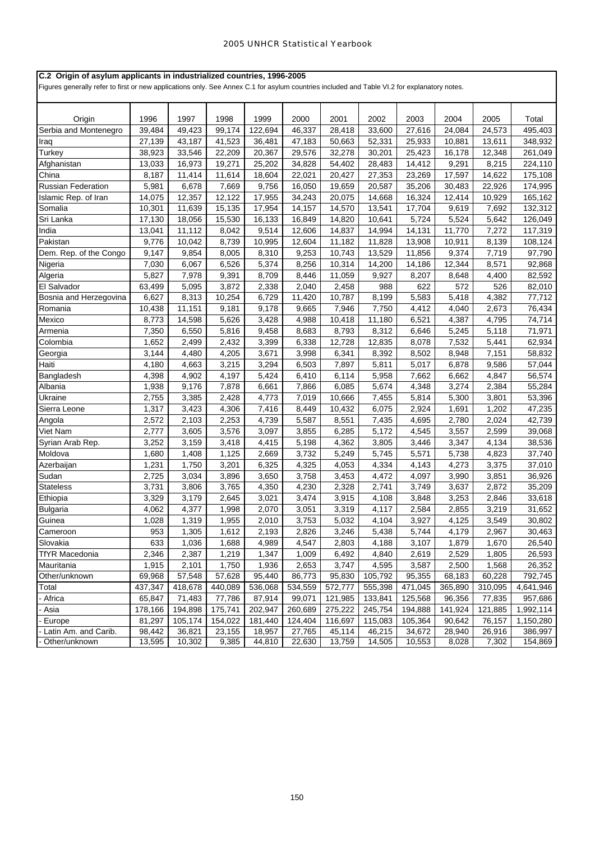# **C.2 Origin of asylum applicants in industrialized countries, 1996-2005**

Figures generally refer to first or new applications only. See Annex C.1 for asylum countries included and Table VI.2 for explanatory notes.

| Origin                 | 1996    | 1997    | 1998    | 1999    | 2000    | 2001    | 2002    | 2003    | 2004    | 2005    | Total     |
|------------------------|---------|---------|---------|---------|---------|---------|---------|---------|---------|---------|-----------|
| Serbia and Montenegro  | 39,484  | 49,423  | 99,174  | 122,694 | 46,337  | 28,418  | 33,600  | 27,616  | 24,084  | 24,573  | 495,403   |
| Iraq                   | 27,139  | 43,187  | 41,523  | 36,481  | 47,183  | 50,663  | 52,331  | 25,933  | 10,881  | 13,611  | 348,932   |
| Turkey                 | 38,923  | 33,546  | 22,209  | 20,367  | 29,576  | 32,278  | 30,201  | 25,423  | 16,178  | 12,348  | 261,049   |
| Afghanistan            | 13,033  | 16,973  | 19,271  | 25,202  | 34,828  | 54,402  | 28,483  | 14,412  | 9,291   | 8,215   | 224,110   |
| China                  | 8,187   | 11,414  | 11,614  | 18,604  | 22,021  | 20,427  | 27,353  | 23,269  | 17,597  | 14,622  | 175,108   |
| Russian Federation     | 5,981   | 6,678   | 7,669   | 9,756   | 16,050  | 19,659  | 20,587  | 35,206  | 30,483  | 22,926  | 174,995   |
| Islamic Rep. of Iran   | 14,075  | 12,357  | 12,122  | 17,955  | 34,243  | 20,075  | 14,668  | 16,324  | 12,414  | 10,929  | 165,162   |
| Somalia                | 10,301  | 11,639  | 15,135  | 17,954  | 14,157  | 14,570  | 13,541  | 17,704  | 9,619   | 7,692   | 132,312   |
| Sri Lanka              | 17,130  | 18,056  | 15,530  | 16,133  | 16,849  | 14,820  | 10,641  | 5,724   | 5,524   | 5,642   | 126,049   |
| India                  | 13,041  | 11,112  | 8,042   | 9,514   | 12,606  | 14,837  | 14,994  | 14,131  | 11,770  | 7,272   | 117,319   |
| Pakistan               | 9,776   | 10,042  | 8,739   | 10,995  | 12,604  | 11,182  | 11,828  | 13,908  | 10,911  | 8,139   | 108,124   |
| Dem. Rep. of the Congo | 9,147   | 9,854   | 8,005   | 8,310   | 9,253   | 10,743  | 13,529  | 11,856  | 9,374   | 7,719   | 97,790    |
| Nigeria                | 7,030   | 6,067   | 6,526   | 5,374   | 8,256   | 10,314  | 14,200  | 14,186  | 12,344  | 8,571   | 92,868    |
| Algeria                | 5,827   | 7,978   | 9,391   | 8,709   | 8,446   | 11,059  | 9,927   | 8,207   | 8,648   | 4,400   | 82,592    |
| El Salvador            | 63,499  | 5,095   | 3,872   | 2,338   | 2,040   | 2,458   | 988     | 622     | 572     | 526     | 82,010    |
| Bosnia and Herzegovina | 6,627   | 8,313   | 10,254  | 6,729   | 11,420  | 10,787  | 8,199   | 5,583   | 5,418   | 4,382   | 77,712    |
| Romania                | 10,438  | 11,151  | 9,181   | 9,178   | 9,665   | 7,946   | 7,750   | 4,412   | 4,040   | 2,673   | 76,434    |
| Mexico                 | 8,773   | 14,598  | 5,626   | 3,428   | 4,988   | 10,418  | 11,180  | 6,521   | 4,387   | 4,795   | 74,714    |
| Armenia                | 7,350   | 6,550   | 5,816   | 9,458   | 8,683   | 8,793   | 8,312   | 6,646   | 5,245   | 5,118   | 71,971    |
| Colombia               | 1,652   | 2,499   | 2,432   | 3,399   | 6,338   | 12,728  | 12,835  | 8,078   | 7,532   | 5,441   | 62,934    |
| Georgia                | 3,144   | 4,480   | 4,205   | 3,671   | 3,998   | 6,341   | 8,392   | 8,502   | 8,948   | 7,151   | 58,832    |
| Haiti                  | 4,180   | 4,663   | 3,215   | 3,294   | 6,503   | 7,897   | 5,811   | 5,017   | 6,878   | 9,586   | 57,044    |
| Bangladesh             | 4,398   | 4,902   | 4,197   | 5,424   | 6,410   | 6,114   | 5,958   | 7,662   | 6,662   | 4,847   | 56,574    |
| Albania                | 1,938   | 9,176   | 7,878   | 6,661   | 7,866   | 6,085   | 5,674   | 4,348   | 3,274   | 2,384   | 55,284    |
| Ukraine                | 2,755   | 3,385   | 2,428   | 4,773   | 7,019   | 10,666  | 7,455   | 5,814   | 5,300   | 3,801   | 53,396    |
| Sierra Leone           | 1,317   | 3,423   | 4,306   | 7,416   | 8,449   | 10,432  | 6,075   | 2,924   | 1,691   | 1,202   | 47,235    |
| Angola                 | 2,572   | 2,103   | 2,253   | 4,739   | 5,587   | 8,551   | 7,435   | 4,695   | 2,780   | 2,024   | 42,739    |
| Viet Nam               | 2,777   | 3,605   | 3,576   | 3,097   | 3,855   | 6,285   | 5,172   | 4,545   | 3,557   | 2,599   | 39,068    |
| Syrian Arab Rep.       | 3,252   | 3,159   | 3,418   | 4,415   | 5,198   | 4,362   | 3,805   | 3,446   | 3,347   | 4,134   | 38,536    |
| Moldova                | 1,680   | 1,408   | 1,125   | 2,669   | 3,732   | 5,249   | 5,745   | 5,571   | 5,738   | 4,823   | 37,740    |
| Azerbaijan             | 1,231   | 1,750   | 3,201   | 6,325   | 4,325   | 4,053   | 4,334   | 4,143   | 4,273   | 3,375   | 37,010    |
| Sudan                  | 2,725   | 3,034   | 3,896   | 3,650   | 3,758   | 3,453   | 4,472   | 4,097   | 3,990   | 3,851   | 36,926    |
| <b>Stateless</b>       | 3,731   | 3,806   | 3,765   | 4,350   | 4,230   | 2,328   | 2,741   | 3,749   | 3,637   | 2,872   | 35,209    |
| Ethiopia               | 3,329   | 3,179   | 2,645   | 3,021   | 3,474   | 3,915   | 4,108   | 3,848   | 3,253   | 2,846   | 33,618    |
| <b>Bulgaria</b>        | 4,062   | 4,377   | 1,998   | 2,070   | 3,051   | 3,319   | 4,117   | 2,584   | 2,855   | 3,219   | 31,652    |
| Guinea                 | 1,028   | 1,319   | 1,955   | 2,010   | 3,753   | 5,032   | 4,104   | 3,927   | 4,125   | 3,549   | 30,802    |
| Cameroon               | 953     | 1,305   | 1,612   | 2,193   | 2,826   | 3,246   | 5,438   | 5,744   | 4,179   | 2,967   | 30,463    |
| Slovakia               | 633     | 1,036   | 1,688   | 4,989   | 4,547   | 2,803   | 4,188   | 3,107   | 1,879   | 1,670   | 26,540    |
| <b>TfYR Macedonia</b>  | 2,346   | 2,387   | 1,219   | 1,347   | 1,009   | 6,492   | 4,840   | 2,619   | 2,529   | 1,805   | 26,593    |
| Mauritania             | 1,915   | 2,101   | 1,750   | 1,936   | 2,653   | 3,747   | 4,595   | 3,587   | 2,500   | 1,568   | 26,352    |
| Other/unknown          | 69,968  | 57,548  | 57,628  | 95,440  | 86,773  | 95,830  | 105,792 | 95,355  | 68,183  | 60,228  | 792,745   |
| Total                  | 437,347 | 418,678 | 440,089 | 536,068 | 534,559 | 572,777 | 555,398 | 471,045 | 365,890 | 310,095 | 4,641,946 |
| Africa                 | 65,847  | 71,483  | 77,786  | 87,914  | 99,071  | 121,985 | 133,841 | 125,568 | 96,356  | 77,835  | 957,686   |
| Asia                   | 178,166 | 194,898 | 175,741 | 202,947 | 260,689 | 275,222 | 245,754 | 194,888 | 141,924 | 121,885 | 1,992,114 |
| Europe                 | 81,297  | 105,174 | 154,022 | 181,440 | 124,404 | 116,697 | 115,083 | 105,364 | 90,642  | 76,157  | 1,150,280 |
| Latin Am. and Carib.   | 98,442  | 36,821  | 23,155  | 18,957  | 27,765  | 45,114  | 46,215  | 34,672  | 28,940  | 26,916  | 386,997   |
| Other/unknown          | 13,595  | 10,302  | 9,385   | 44,810  | 22,630  | 13,759  | 14,505  | 10,553  | 8,028   | 7,302   | 154,869   |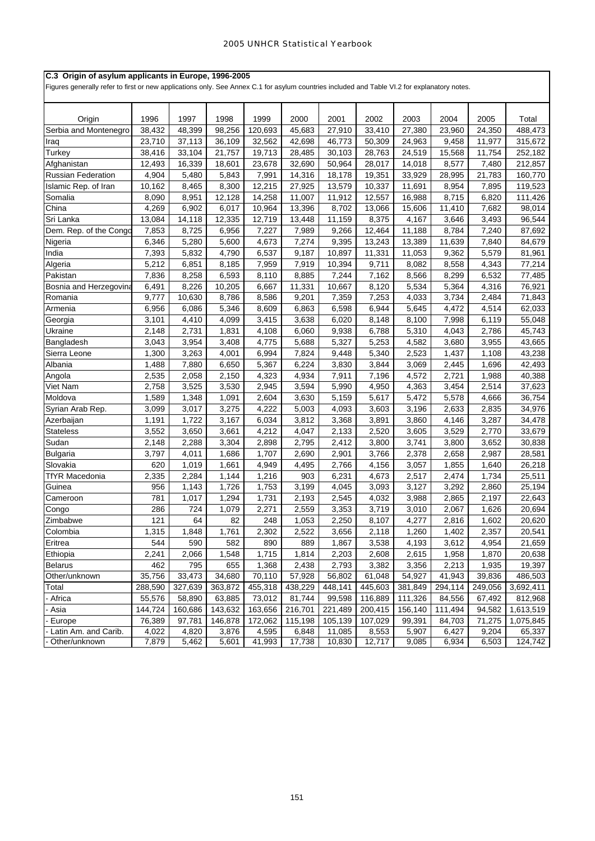| C.3 Origin of asylum applicants in Europe, 1996-2005<br>Figures generally refer to first or new applications only. See Annex C.1 for asylum countries included and Table VI.2 for explanatory notes. |         |         |         |         |         |         |         |         |         |         |           |
|------------------------------------------------------------------------------------------------------------------------------------------------------------------------------------------------------|---------|---------|---------|---------|---------|---------|---------|---------|---------|---------|-----------|
|                                                                                                                                                                                                      |         |         |         |         |         |         |         |         |         |         |           |
| Origin                                                                                                                                                                                               | 1996    | 1997    | 1998    | 1999    | 2000    | 2001    | 2002    | 2003    | 2004    | 2005    | Total     |
| Serbia and Montenegro                                                                                                                                                                                | 38,432  | 48,399  | 98,256  | 120,693 | 45,683  | 27,910  | 33,410  | 27,380  | 23,960  | 24,350  | 488,473   |
| Iraq                                                                                                                                                                                                 | 23,710  | 37,113  | 36,109  | 32,562  | 42,698  | 46,773  | 50,309  | 24,963  | 9,458   | 11,977  | 315,672   |
| Turkey                                                                                                                                                                                               | 38,416  | 33,104  | 21,757  | 19,713  | 28,485  | 30,103  | 28,763  | 24,519  | 15,568  | 11,754  | 252,182   |
| Afghanistan                                                                                                                                                                                          | 12,493  | 16,339  | 18,601  | 23,678  | 32,690  | 50,964  | 28,017  | 14,018  | 8,577   | 7,480   | 212,857   |
| <b>Russian Federation</b>                                                                                                                                                                            | 4,904   | 5,480   | 5,843   | 7,991   | 14,316  | 18,178  | 19,351  | 33,929  | 28,995  | 21,783  | 160,770   |
| Islamic Rep. of Iran                                                                                                                                                                                 | 10,162  | 8,465   | 8,300   | 12,215  | 27,925  | 13,579  | 10,337  | 11,691  | 8,954   | 7,895   | 119,523   |
| Somalia                                                                                                                                                                                              | 8,090   | 8,951   | 12,128  | 14,258  | 11,007  | 11,912  | 12,557  | 16,988  | 8,715   | 6,820   | 111,426   |
| China                                                                                                                                                                                                | 4,269   | 6,902   | 6,017   | 10,964  | 13,396  | 8,702   | 13,066  | 15,606  | 11,410  | 7,682   | 98,014    |
| Sri Lanka                                                                                                                                                                                            | 13,084  | 14,118  | 12,335  | 12,719  | 13,448  | 11,159  | 8,375   | 4,167   | 3,646   | 3,493   | 96,544    |
| Dem. Rep. of the Congo                                                                                                                                                                               | 7,853   | 8,725   | 6,956   | 7,227   | 7,989   | 9,266   | 12,464  | 11,188  | 8,784   | 7,240   | 87,692    |
| Nigeria                                                                                                                                                                                              | 6,346   | 5,280   | 5,600   | 4,673   | 7,274   | 9,395   | 13,243  | 13,389  | 11,639  | 7,840   | 84,679    |
| India                                                                                                                                                                                                | 7,393   | 5,832   | 4,790   | 6,537   | 9,187   | 10,897  | 11,331  | 11,053  | 9,362   | 5,579   | 81,961    |
| Algeria                                                                                                                                                                                              | 5,212   | 6,851   | 8,185   | 7,959   | 7,919   | 10,394  | 9,711   | 8,082   | 8,558   | 4,343   | 77,214    |
| Pakistan                                                                                                                                                                                             | 7,836   | 8,258   | 6,593   | 8,110   | 8,885   | 7,244   | 7,162   | 8,566   | 8,299   | 6,532   | 77,485    |
| Bosnia and Herzegovina                                                                                                                                                                               | 6,491   | 8,226   | 10,205  | 6,667   | 11,331  | 10,667  | 8,120   | 5,534   | 5,364   | 4,316   | 76,921    |
| Romania                                                                                                                                                                                              | 9,777   | 10,630  | 8,786   | 8,586   | 9,201   | 7,359   | 7,253   | 4,033   | 3,734   | 2,484   | 71,843    |
| Armenia                                                                                                                                                                                              | 6,956   | 6,086   | 5,346   | 8,609   | 6,863   | 6,598   | 6,944   | 5,645   | 4,472   | 4,514   | 62,033    |
| Georgia                                                                                                                                                                                              | 3,101   | 4,410   | 4,099   | 3,415   | 3,638   | 6,020   | 8,148   | 8,100   | 7,998   | 6,119   | 55,048    |
| Ukraine                                                                                                                                                                                              | 2,148   | 2,731   | 1,831   | 4,108   | 6,060   | 9,938   | 6,788   | 5,310   | 4,043   | 2,786   | 45,743    |
| Bangladesh                                                                                                                                                                                           | 3,043   | 3,954   | 3,408   | 4,775   | 5,688   | 5,327   | 5,253   | 4,582   | 3,680   | 3,955   | 43,665    |
| Sierra Leone                                                                                                                                                                                         | 1,300   | 3,263   | 4,001   | 6,994   | 7,824   | 9,448   | 5,340   | 2,523   | 1,437   | 1,108   | 43,238    |
| Albania                                                                                                                                                                                              | 1,488   | 7,880   | 6,650   | 5,367   | 6,224   | 3,830   | 3,844   | 3,069   | 2,445   | 1,696   | 42,493    |
| Angola                                                                                                                                                                                               | 2,535   | 2,058   | 2,150   | 4,323   | 4,934   | 7,911   | 7,196   | 4,572   | 2,721   | 1,988   | 40,388    |
| Viet Nam                                                                                                                                                                                             | 2,758   | 3,525   | 3,530   | 2,945   | 3,594   | 5,990   | 4,950   | 4,363   | 3,454   | 2,514   | 37,623    |
| Moldova                                                                                                                                                                                              | 1,589   | 1,348   | 1,091   | 2,604   | 3,630   | 5,159   | 5,617   | 5,472   | 5,578   | 4,666   | 36,754    |
| Syrian Arab Rep.                                                                                                                                                                                     | 3,099   | 3,017   | 3,275   | 4,222   | 5,003   | 4,093   | 3,603   | 3,196   | 2,633   | 2,835   | 34,976    |
| Azerbaijan                                                                                                                                                                                           | 1,191   | 1,722   | 3,167   | 6,034   | 3,812   | 3,368   | 3,891   | 3,860   | 4,146   | 3,287   | 34,478    |
| <b>Stateless</b>                                                                                                                                                                                     | 3,552   | 3,650   | 3,661   | 4,212   | 4,047   | 2,133   | 2,520   | 3,605   | 3,529   | 2,770   | 33,679    |
| Sudan                                                                                                                                                                                                | 2,148   | 2,288   | 3,304   | 2,898   | 2,795   | 2,412   | 3,800   | 3,741   | 3,800   | 3,652   | 30,838    |
| <b>Bulgaria</b>                                                                                                                                                                                      | 3,797   | 4,011   | 1,686   | 1,707   | 2,690   | 2,901   | 3,766   | 2,378   | 2,658   | 2,987   | 28,581    |
| Slovakia                                                                                                                                                                                             | 620     | 1,019   | 1,661   | 4,949   | 4,495   | 2,766   | 4,156   | 3,057   | 1,855   | 1,640   | 26,218    |
| <b>TfYR Macedonia</b>                                                                                                                                                                                | 2,335   | 2,284   | 1,144   | 1,216   | 903     | 6,231   | 4,673   | 2,517   | 2,474   | 1,734   | 25,511    |
| Guinea                                                                                                                                                                                               | 956     | 1,143   | 1,726   | 1,753   | 3,199   | 4,045   | 3,093   | 3,127   | 3,292   | 2,860   | 25,194    |
| Cameroon                                                                                                                                                                                             | 781     | 1,017   | 1,294   | 1,731   | 2,193   | 2,545   | 4,032   | 3,988   | 2,865   | 2,197   | 22,643    |
| Congo                                                                                                                                                                                                | 286     | 724     | 1,079   | 2,271   | 2,559   | 3,353   | 3,719   | 3,010   | 2,067   | 1,626   | 20,694    |
| Zimbabwe                                                                                                                                                                                             | 121     | 64      | 82      | 248     | 1,053   | 2,250   | 8,107   | 4,277   | 2,816   | 1,602   | 20,620    |
| Colombia                                                                                                                                                                                             | 1,315   | 1,848   | 1,761   | 2,302   | 2,522   | 3,656   | 2,118   | 1,260   | 1,402   | 2,357   | 20,541    |
| Eritrea                                                                                                                                                                                              | 544     | 590     | 582     | 890     | 889     | 1,867   | 3,538   | 4,193   | 3,612   | 4,954   | 21,659    |
| Ethiopia                                                                                                                                                                                             | 2,241   | 2,066   | 1,548   | 1,715   | 1,814   | 2,203   | 2,608   | 2,615   | 1,958   | 1,870   | 20,638    |
| <b>Belarus</b>                                                                                                                                                                                       | 462     | 795     | 655     | 1,368   | 2,438   | 2,793   | 3,382   | 3,356   | 2,213   | 1,935   | 19,397    |
| Other/unknown                                                                                                                                                                                        | 35,756  | 33,473  | 34,680  | 70,110  | 57,928  | 56,802  | 61,048  | 54,927  | 41,943  | 39,836  | 486,503   |
| Total                                                                                                                                                                                                | 288,590 | 327,639 | 363,872 | 455,318 | 438,229 | 448,141 | 445,603 | 381,849 | 294,114 | 249,056 | 3,692,411 |
| - Africa                                                                                                                                                                                             | 55,576  | 58,890  | 63,885  | 73,012  | 81,744  | 99,598  | 116,889 | 111,326 | 84,556  | 67,492  | 812,968   |
| Asia                                                                                                                                                                                                 | 144,724 | 160,686 | 143,632 | 163,656 | 216,701 | 221,489 | 200,415 | 156,140 | 111,494 | 94,582  | 1,613,519 |
| - Europe                                                                                                                                                                                             | 76,389  | 97,781  | 146,878 | 172,062 | 115,198 | 105,139 | 107,029 | 99,391  | 84,703  | 71,275  | 1,075,845 |
| Latin Am. and Carib.                                                                                                                                                                                 | 4,022   | 4,820   | 3,876   | 4,595   | 6,848   | 11,085  | 8,553   | 5,907   | 6,427   | 9,204   | 65,337    |
| Other/unknown                                                                                                                                                                                        | 7,879   | 5,462   | 5,601   | 41,993  | 17,738  | 10,830  | 12,717  | 9,085   | 6,934   | 6,503   | 124,742   |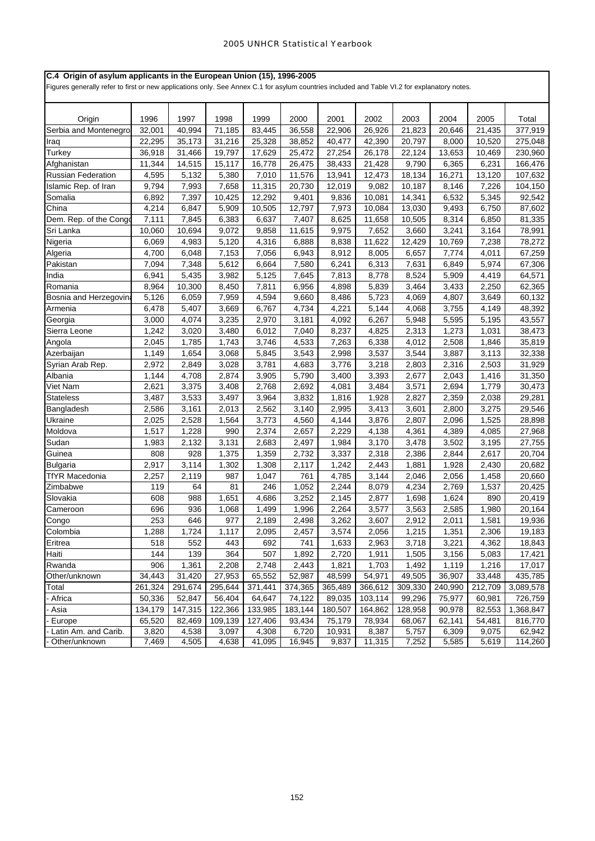## **C.4 Origin of asylum applicants in the European Union (15), 1996-2005**

Figures generally refer to first or new applications only. See Annex C.1 for asylum countries included and Table VI.2 for explanatory notes.

| Origin                    | 1996    | 1997    | 1998    | 1999    | 2000    | 2001    | 2002    | 2003    | 2004    | 2005    | Total     |
|---------------------------|---------|---------|---------|---------|---------|---------|---------|---------|---------|---------|-----------|
| Serbia and Montenegro     | 32,001  | 40,994  | 71,185  | 83,445  | 36,558  | 22,906  | 26,926  | 21,823  | 20,646  | 21,435  | 377,919   |
| Iraq                      | 22,295  | 35,173  | 31,216  | 25,328  | 38,852  | 40,477  | 42,390  | 20,797  | 8,000   | 10,520  | 275,048   |
| Turkey                    | 36,918  | 31,466  | 19,797  | 17,629  | 25,472  | 27,254  | 26,178  | 22,124  | 13,653  | 10,469  | 230,960   |
| Afghanistan               | 11,344  | 14,515  | 15,117  | 16,778  | 26,475  | 38,433  | 21,428  | 9,790   | 6,365   | 6,231   | 166,476   |
| <b>Russian Federation</b> | 4,595   | 5,132   | 5,380   | 7,010   | 11,576  | 13,941  | 12,473  | 18,134  | 16,271  | 13,120  | 107,632   |
| Islamic Rep. of Iran      | 9,794   | 7,993   | 7,658   | 11,315  | 20,730  | 12,019  | 9,082   | 10,187  | 8,146   | 7,226   | 104,150   |
| Somalia                   | 6,892   | 7,397   | 10,425  | 12,292  | 9,401   | 9,836   | 10,081  | 14,341  | 6,532   | 5,345   | 92,542    |
| China                     | 4,214   | 6,847   | 5,909   | 10,505  | 12,797  | 7,973   | 10,084  | 13,030  | 9,493   | 6,750   | 87,602    |
| Dem. Rep. of the Congo    | 7,111   | 7,845   | 6,383   | 6,637   | 7,407   | 8,625   | 11,658  | 10,505  | 8,314   | 6,850   | 81,335    |
| Sri Lanka                 | 10,060  | 10,694  | 9,072   | 9,858   | 11,615  | 9,975   | 7,652   | 3,660   | 3,241   | 3,164   | 78,991    |
| Nigeria                   | 6,069   | 4,983   | 5,120   | 4,316   | 6,888   | 8,838   | 11,622  | 12,429  | 10,769  | 7,238   | 78,272    |
| Algeria                   | 4,700   | 6,048   | 7,153   | 7,056   | 6,943   | 8,912   | 8,005   | 6,657   | 7,774   | 4,011   | 67,259    |
| Pakistan                  | 7,094   | 7,348   | 5,612   | 6,664   | 7,580   | 6,241   | 6,313   | 7,631   | 6,849   | 5,974   | 67,306    |
| India                     | 6,941   | 5,435   | 3,982   | 5,125   | 7,645   | 7,813   | 8,778   | 8,524   | 5,909   | 4,419   | 64,571    |
| Romania                   | 8,964   | 10,300  | 8,450   | 7,811   | 6,956   | 4,898   | 5,839   | 3,464   | 3,433   | 2,250   | 62,365    |
| Bosnia and Herzegovin     | 5,126   | 6,059   | 7,959   | 4,594   | 9,660   | 8,486   | 5,723   | 4,069   | 4,807   | 3,649   | 60,132    |
| Armenia                   | 6,478   | 5,407   | 3,669   | 6,767   | 4,734   | 4,221   | 5,144   | 4,068   | 3,755   | 4,149   | 48,392    |
| Georgia                   | 3,000   | 4,074   | 3,235   | 2,970   | 3,181   | 4,092   | 6,267   | 5,948   | 5,595   | 5,195   | 43,557    |
| Sierra Leone              | 1,242   | 3,020   | 3,480   | 6,012   | 7,040   | 8,237   | 4,825   | 2,313   | 1,273   | 1,031   | 38,473    |
| Angola                    | 2,045   | 1,785   | 1,743   | 3,746   | 4,533   | 7,263   | 6,338   | 4,012   | 2,508   | 1,846   | 35,819    |
| Azerbaijan                | 1,149   | 1,654   | 3,068   | 5,845   | 3,543   | 2,998   | 3,537   | 3,544   | 3,887   | 3,113   | 32,338    |
| Syrian Arab Rep.          | 2,972   | 2,849   | 3,028   | 3,781   | 4,683   | 3,776   | 3,218   | 2,803   | 2,316   | 2,503   | 31,929    |
| Albania                   | 1,144   | 4,708   | 2,874   | 3,905   | 5,790   | 3,400   | 3,393   | 2,677   | 2,043   | 1,416   | 31,350    |
| Viet Nam                  | 2,621   | 3,375   | 3,408   | 2,768   | 2,692   | 4,081   | 3,484   | 3,571   | 2,694   | 1,779   | 30,473    |
| <b>Stateless</b>          | 3,487   | 3,533   | 3,497   | 3,964   | 3,832   | 1,816   | 1,928   | 2,827   | 2,359   | 2,038   | 29,281    |
| Bangladesh                | 2,586   | 3,161   | 2,013   | 2,562   | 3,140   | 2,995   | 3,413   | 3,601   | 2,800   | 3,275   | 29,546    |
| Ukraine                   | 2,025   | 2,528   | 1,564   | 3,773   | 4,560   | 4,144   | 3,876   | 2,807   | 2,096   | 1,525   | 28,898    |
| Moldova                   | 1,517   | 1,228   | 990     | 2,374   | 2,657   | 2,229   | 4,138   | 4,361   | 4,389   | 4,085   | 27,968    |
| Sudan                     | 1,983   | 2,132   | 3,131   | 2,683   | 2,497   | 1,984   | 3,170   | 3,478   | 3,502   | 3,195   | 27,755    |
| Guinea                    | 808     | 928     | 1,375   | 1,359   | 2,732   | 3,337   | 2,318   | 2,386   | 2,844   | 2,617   | 20,704    |
| <b>Bulgaria</b>           | 2,917   | 3,114   | 1,302   | 1,308   | 2,117   | 1,242   | 2,443   | 1,881   | 1,928   | 2,430   | 20,682    |
| TfYR Macedonia            | 2,257   | 2,119   | 987     | 1,047   | 761     | 4,785   | 3,144   | 2,046   | 2,056   | 1,458   | 20,660    |
| Zimbabwe                  | 119     | 64      | 81      | 246     | 1,052   | 2,244   | 8,079   | 4,234   | 2,769   | 1,537   | 20,425    |
| Slovakia                  | 608     | 988     | 1,651   | 4,686   | 3,252   | 2,145   | 2,877   | 1,698   | 1,624   | 890     | 20,419    |
| Cameroon                  | 696     | 936     | 1,068   | 1,499   | 1,996   | 2,264   | 3,577   | 3,563   | 2,585   | 1,980   | 20,164    |
| Congo                     | 253     | 646     | 977     | 2,189   | 2,498   | 3,262   | 3,607   | 2,912   | 2,011   | 1,581   | 19,936    |
| Colombia                  | 1,288   | 1,724   | 1,117   | 2,095   | 2,457   | 3,574   | 2,056   | 1,215   | 1,351   | 2,306   | 19,183    |
| Eritrea                   | 518     | 552     | 443     | 692     | 741     | 1,633   | 2,963   | 3,718   | 3,221   | 4,362   | 18,843    |
| Haiti                     | 144     | 139     | 364     | 507     | 1,892   | 2,720   | 1,911   | 1,505   | 3,156   | 5,083   | 17,421    |
| Rwanda                    | 906     | 1,361   | 2,208   | 2,748   | 2,443   | 1,821   | 1,703   | 1,492   | 1,119   | 1,216   | 17,017    |
| Other/unknown             | 34,443  | 31,420  | 27,953  | 65,552  | 52,987  | 48,599  | 54,971  | 49,505  | 36,907  | 33,448  | 435,785   |
| Total                     | 261,324 | 291,674 | 295,644 | 371,441 | 374,365 | 365,489 | 366,612 | 309,330 | 240,990 | 212,709 | 3,089,578 |
| Africa                    | 50,336  | 52,847  | 56,404  | 64,647  | 74,122  | 89,035  | 103,114 | 99,296  | 75,977  | 60,981  | 726,759   |
| Asia                      | 134,179 | 147,315 | 122,366 | 133,985 | 183,144 | 180,507 | 164,862 | 128,958 | 90,978  | 82,553  | 1,368,847 |
| Europe                    | 65,520  | 82,469  | 109,139 | 127,406 | 93,434  | 75,179  | 78,934  | 68,067  | 62,141  | 54,481  | 816,770   |
| Latin Am. and Carib.      | 3,820   | 4,538   | 3,097   | 4,308   | 6,720   | 10,931  | 8,387   | 5,757   | 6,309   | 9,075   | 62,942    |
| Other/unknown             | 7,469   | 4,505   | 4,638   | 41,095  | 16,945  | 9,837   | 11,315  | 7,252   | 5,585   | 5,619   | 114,260   |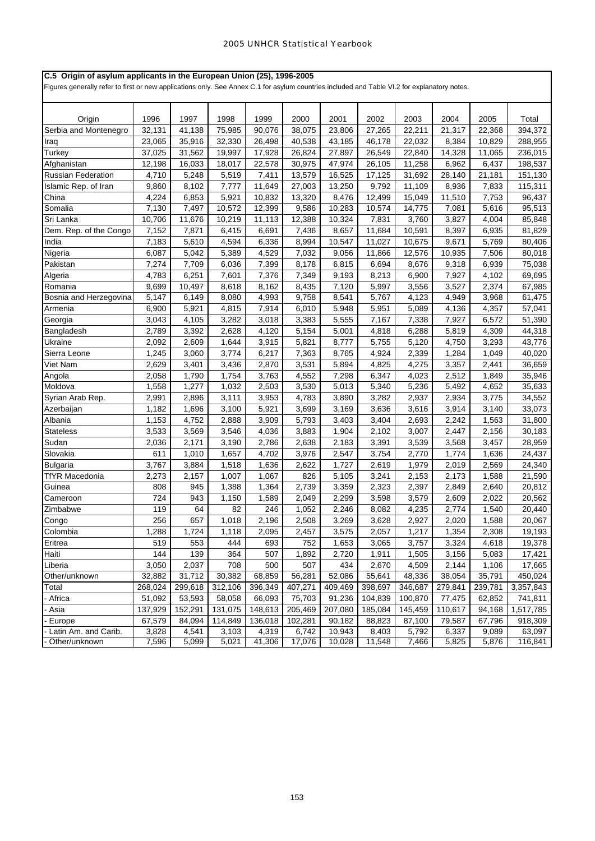## **C.5 Origin of asylum applicants in the European Union (25), 1996-2005**

Figures generally refer to first or new applications only. See Annex C.1 for asylum countries included and Table VI.2 for explanatory notes.

| 1996<br>1997<br>1998<br>1999<br>2000<br>2001<br>2002<br>2003<br>2004<br>2005<br>Total<br>Origin<br>Serbia and Montenegro<br>41,138<br>75,985<br>90,076<br>38,075<br>23,806<br>27,265<br>21,317<br>394,372<br>32,131<br>22.211<br>22,368<br>35,916<br>32,330<br>26,498<br>40,538<br>43,185<br>46,178<br>22,032<br>8,384<br>10,829<br>288,955<br>23,065<br>Iraq<br>Turkey<br>37,025<br>19,997<br>17,928<br>26,824<br>27,897<br>26,549<br>31,562<br>22,840<br>14,328<br>11,065<br>236,015<br>Afghanistan<br>12,198<br>16,033<br>18,017<br>22,578<br>30,975<br>47,974<br>26,105<br>11,258<br>6,962<br>6,437<br>198,537<br>5,519<br>Russian Federation<br>4,710<br>5,248<br>7,411<br>13,579<br>16,525<br>17,125<br>31,692<br>28,140<br>21,181<br>151,130<br>9,792<br>9,860<br>8,102<br>7,777<br>11,649<br>27,003<br>13,250<br>11,109<br>8,936<br>7,833<br>115,311<br>Islamic Rep. of Iran<br>China<br>4,224<br>5,921<br>10,832<br>8,476<br>6,853<br>13,320<br>12,499<br>15,049<br>11,510<br>7,753<br>96,437<br>95,513<br>Somalia<br>7,130<br>7,497<br>10,572<br>9,586<br>10,283<br>10,574<br>14,775<br>5,616<br>12,399<br>7,081<br>Sri Lanka<br>10,706<br>12,388<br>85,848<br>11,676<br>10,219<br>11,113<br>10,324<br>7,831<br>3,760<br>3,827<br>4,004<br>Dem. Rep. of the Congo<br>7,152<br>7,871<br>6,415<br>6,691<br>7,436<br>8,657<br>11,684<br>10,591<br>8,397<br>6,935<br>81,829<br>4,594<br>6,336<br>8,994<br>11,027<br>10,675<br>9,671<br>5,769<br>India<br>7,183<br>5,610<br>10,547<br>80,406<br>6,087<br>5,389<br>4,529<br>7,032<br>11,866<br>12,576<br>10,935<br>80,018<br>Nigeria<br>5,042<br>9,056<br>7,506<br>Pakistan<br>7,709<br>6,036<br>7,399<br>6,694<br>8,676<br>75,038<br>7,274<br>8,178<br>6,815<br>9,318<br>6,939<br>7,376<br>8,213<br>4,783<br>6,251<br>7,601<br>7,349<br>6,900<br>7,927<br>4,102<br>69,695<br>Algeria<br>9,193<br>9,699<br>10,497<br>8,618<br>8,162<br>8,435<br>5,997<br>3,556<br>3,527<br>2,374<br>67,985<br>Romania<br>7,120<br>8,080<br>4,993<br>9,758<br>8,541<br>5,767<br>4,123<br>4,949<br>61,475<br>Bosnia and Herzegovina<br>5,147<br>6,149<br>3,968<br>Armenia<br>6,900<br>5,921<br>4,815<br>7,914<br>6,010<br>5,948<br>5,951<br>5,089<br>4,136<br>4,357<br>57,041<br>3,043<br>4,105<br>3,282<br>3,018<br>3,383<br>5,555<br>7,167<br>7,338<br>7,927<br>6,572<br>51,390<br>Georgia<br>2,789<br>2,628<br>4,120<br>4,818<br>6,288<br>4,309<br>44,318<br>Bangladesh<br>3,392<br>5,154<br>5,001<br>5,819<br>3,915<br>2,092<br>2,609<br>1,644<br>5,821<br>5,755<br>5,120<br>3,293<br>43,776<br>Ukraine<br>8,777<br>4,750<br>Sierra Leone<br>3,774<br>6,217<br>4,924<br>2,339<br>40,020<br>1,245<br>3,060<br>7,363<br>8,765<br>1,284<br>1,049<br>Viet Nam<br>2,629<br>3,401<br>3,436<br>2,870<br>3,531<br>5,894<br>4,825<br>4,275<br>3,357<br>2,441<br>36,659<br>35,946<br>2,058<br>1,790<br>1,754<br>3,763<br>4,552<br>7,298<br>6,347<br>4,023<br>2,512<br>1,849<br>Angola<br>Moldova<br>1,558<br>1,277<br>2,503<br>3,530<br>5,340<br>5,236<br>35,633<br>1,032<br>5,013<br>5,492<br>4,652<br>2,991<br>3,953<br>3,282<br>2,937<br>2,934<br>34,552<br>Syrian Arab Rep.<br>2,896<br>3,111<br>4,783<br>3,890<br>3,775<br>5,921<br>33,073<br>Azerbaijan<br>1,182<br>1,696<br>3,100<br>3,699<br>3,169<br>3,636<br>3,616<br>3,914<br>3,140<br>1,153<br>2,888<br>3,909<br>3,404<br>2,693<br>2,242<br>31,800<br>Albania<br>4,752<br>5,793<br>3,403<br>1,563<br><b>Stateless</b><br>3,533<br>3,569<br>3,546<br>4,036<br>2,102<br>3,007<br>2,156<br>30,183<br>3,883<br>1,904<br>2,447<br>Sudan<br>2,171<br>3,190<br>2,786<br>3,391<br>3,539<br>3,457<br>28,959<br>2,036<br>2,638<br>2,183<br>3,568<br>Slovakia<br>611<br>1,657<br>4,702<br>3,976<br>2,547<br>3,754<br>2,770<br>1,774<br>1,636<br>24,437<br>1,010<br>3,767<br>1,518<br>1,636<br>2,622<br>1,727<br>2,619<br>1,979<br>24,340<br><b>Bulgaria</b><br>3,884<br>2,019<br>2,569<br><b>TfYR Macedonia</b><br>2,273<br>2,157<br>1,007<br>1,067<br>826<br>3,241<br>1,588<br>5,105<br>2,153<br>2,173<br>21,590<br>808<br>1,388<br>1,364<br>2,739<br>2,323<br>2,397<br>2,640<br>20,812<br>Guinea<br>945<br>3,359<br>2,849<br>724<br>943<br>1,150<br>1,589<br>2,299<br>3,598<br>20,562<br>2,049<br>3,579<br>2,609<br>2,022<br>Cameroon<br>119<br>64<br>82<br>246<br>4,235<br>20,440<br>Zimbabwe<br>1,052<br>2,246<br>8,082<br>2,774<br>1,540<br>256<br>657<br>1,018<br>2,196<br>2,508<br>3,269<br>3,628<br>2,927<br>1,588<br>20,067<br>Congo<br>2,020<br>Colombia<br>1,288<br>1,724<br>1,118<br>2,095<br>2,457<br>3,575<br>2,057<br>1,217<br>1,354<br>2,308<br>19,193<br>553<br>693<br>Eritrea<br>519<br>444<br>752<br>1,653<br>3,065<br>3,757<br>3,324<br>4,618<br>19,378<br>Haiti<br>144<br>364<br>507<br>5,083<br>17,421<br>139<br>1,892<br>2,720<br>1,911<br>1,505<br>3,156<br>3,050<br>708<br>500<br>507<br>434<br>2,670<br>4,509<br>Liberia<br>2,037<br>2,144<br>1,106<br>17,665<br>32,882<br>31,712<br>30,382<br>68,859<br>52,086<br>48,336<br>Other/unknown<br>56,281<br>55,641<br>38,054<br>35,791<br>450,024<br>299,618<br>409,469<br>Total<br>268,024<br>312,106<br>396,349<br>407,271<br>398,697<br>346,687<br>279,841<br>239,781<br>3,357,843<br>53,593<br>91,236<br>Africa<br>51,092<br>58,058<br>66,093<br>75,703<br>104,839<br>100,870<br>77,475<br>62,852<br>741,811<br>137,929<br>152,291<br>148,613<br>205,469<br>185,084<br>145,459<br>Asia<br>131,075<br>207,080<br>110,617<br>94,168<br>1,517,785<br>67,579<br>114,849<br>102,281<br>918,309<br>84,094<br>136,018<br>90,182<br>88,823<br>87,100<br>79,587<br>67,796<br>Europe<br>Latin Am. and Carib.<br>3,828<br>4,541<br>3,103<br>4,319<br>6,742<br>10,943<br>8,403<br>5,792<br>6,337<br>9,089<br>63,097<br>7,596<br>Other/unknown<br>5,099<br>5,021<br>41,306<br>17,076<br>10,028<br>11,548<br>7,466<br>5,825<br>5,876<br>116,841 |  |  |  |  |  |  |
|------------------------------------------------------------------------------------------------------------------------------------------------------------------------------------------------------------------------------------------------------------------------------------------------------------------------------------------------------------------------------------------------------------------------------------------------------------------------------------------------------------------------------------------------------------------------------------------------------------------------------------------------------------------------------------------------------------------------------------------------------------------------------------------------------------------------------------------------------------------------------------------------------------------------------------------------------------------------------------------------------------------------------------------------------------------------------------------------------------------------------------------------------------------------------------------------------------------------------------------------------------------------------------------------------------------------------------------------------------------------------------------------------------------------------------------------------------------------------------------------------------------------------------------------------------------------------------------------------------------------------------------------------------------------------------------------------------------------------------------------------------------------------------------------------------------------------------------------------------------------------------------------------------------------------------------------------------------------------------------------------------------------------------------------------------------------------------------------------------------------------------------------------------------------------------------------------------------------------------------------------------------------------------------------------------------------------------------------------------------------------------------------------------------------------------------------------------------------------------------------------------------------------------------------------------------------------------------------------------------------------------------------------------------------------------------------------------------------------------------------------------------------------------------------------------------------------------------------------------------------------------------------------------------------------------------------------------------------------------------------------------------------------------------------------------------------------------------------------------------------------------------------------------------------------------------------------------------------------------------------------------------------------------------------------------------------------------------------------------------------------------------------------------------------------------------------------------------------------------------------------------------------------------------------------------------------------------------------------------------------------------------------------------------------------------------------------------------------------------------------------------------------------------------------------------------------------------------------------------------------------------------------------------------------------------------------------------------------------------------------------------------------------------------------------------------------------------------------------------------------------------------------------------------------------------------------------------------------------------------------------------------------------------------------------------------------------------------------------------------------------------------------------------------------------------------------------------------------------------------------------------------------------------------------------------------------------------------------------------------------------------------------------------------------------------------------------------------------------------------------------------------------------------------------------------------------------------------------------------------------------------------------------------------------------------------------------------------------------------------------------------------------------------------------------------------------------------------------------------------------------------------------------------------------------------------------------------------------------------------------------------------------------------------------------------------------------------------------------------------------------------------------------------------------------------------------------------------------------------------------------------------------------------------------------------------------------------------------------------------------------------------------------------------------------------------------------------------------------------------------------------------------------------------|--|--|--|--|--|--|
|                                                                                                                                                                                                                                                                                                                                                                                                                                                                                                                                                                                                                                                                                                                                                                                                                                                                                                                                                                                                                                                                                                                                                                                                                                                                                                                                                                                                                                                                                                                                                                                                                                                                                                                                                                                                                                                                                                                                                                                                                                                                                                                                                                                                                                                                                                                                                                                                                                                                                                                                                                                                                                                                                                                                                                                                                                                                                                                                                                                                                                                                                                                                                                                                                                                                                                                                                                                                                                                                                                                                                                                                                                                                                                                                                                                                                                                                                                                                                                                                                                                                                                                                                                                                                                                                                                                                                                                                                                                                                                                                                                                                                                                                                                                                                                                                                                                                                                                                                                                                                                                                                                                                                                                                                                                                                                                                                                                                                                                                                                                                                                                                                                                                                                                                                                                          |  |  |  |  |  |  |
|                                                                                                                                                                                                                                                                                                                                                                                                                                                                                                                                                                                                                                                                                                                                                                                                                                                                                                                                                                                                                                                                                                                                                                                                                                                                                                                                                                                                                                                                                                                                                                                                                                                                                                                                                                                                                                                                                                                                                                                                                                                                                                                                                                                                                                                                                                                                                                                                                                                                                                                                                                                                                                                                                                                                                                                                                                                                                                                                                                                                                                                                                                                                                                                                                                                                                                                                                                                                                                                                                                                                                                                                                                                                                                                                                                                                                                                                                                                                                                                                                                                                                                                                                                                                                                                                                                                                                                                                                                                                                                                                                                                                                                                                                                                                                                                                                                                                                                                                                                                                                                                                                                                                                                                                                                                                                                                                                                                                                                                                                                                                                                                                                                                                                                                                                                                          |  |  |  |  |  |  |
|                                                                                                                                                                                                                                                                                                                                                                                                                                                                                                                                                                                                                                                                                                                                                                                                                                                                                                                                                                                                                                                                                                                                                                                                                                                                                                                                                                                                                                                                                                                                                                                                                                                                                                                                                                                                                                                                                                                                                                                                                                                                                                                                                                                                                                                                                                                                                                                                                                                                                                                                                                                                                                                                                                                                                                                                                                                                                                                                                                                                                                                                                                                                                                                                                                                                                                                                                                                                                                                                                                                                                                                                                                                                                                                                                                                                                                                                                                                                                                                                                                                                                                                                                                                                                                                                                                                                                                                                                                                                                                                                                                                                                                                                                                                                                                                                                                                                                                                                                                                                                                                                                                                                                                                                                                                                                                                                                                                                                                                                                                                                                                                                                                                                                                                                                                                          |  |  |  |  |  |  |
|                                                                                                                                                                                                                                                                                                                                                                                                                                                                                                                                                                                                                                                                                                                                                                                                                                                                                                                                                                                                                                                                                                                                                                                                                                                                                                                                                                                                                                                                                                                                                                                                                                                                                                                                                                                                                                                                                                                                                                                                                                                                                                                                                                                                                                                                                                                                                                                                                                                                                                                                                                                                                                                                                                                                                                                                                                                                                                                                                                                                                                                                                                                                                                                                                                                                                                                                                                                                                                                                                                                                                                                                                                                                                                                                                                                                                                                                                                                                                                                                                                                                                                                                                                                                                                                                                                                                                                                                                                                                                                                                                                                                                                                                                                                                                                                                                                                                                                                                                                                                                                                                                                                                                                                                                                                                                                                                                                                                                                                                                                                                                                                                                                                                                                                                                                                          |  |  |  |  |  |  |
|                                                                                                                                                                                                                                                                                                                                                                                                                                                                                                                                                                                                                                                                                                                                                                                                                                                                                                                                                                                                                                                                                                                                                                                                                                                                                                                                                                                                                                                                                                                                                                                                                                                                                                                                                                                                                                                                                                                                                                                                                                                                                                                                                                                                                                                                                                                                                                                                                                                                                                                                                                                                                                                                                                                                                                                                                                                                                                                                                                                                                                                                                                                                                                                                                                                                                                                                                                                                                                                                                                                                                                                                                                                                                                                                                                                                                                                                                                                                                                                                                                                                                                                                                                                                                                                                                                                                                                                                                                                                                                                                                                                                                                                                                                                                                                                                                                                                                                                                                                                                                                                                                                                                                                                                                                                                                                                                                                                                                                                                                                                                                                                                                                                                                                                                                                                          |  |  |  |  |  |  |
|                                                                                                                                                                                                                                                                                                                                                                                                                                                                                                                                                                                                                                                                                                                                                                                                                                                                                                                                                                                                                                                                                                                                                                                                                                                                                                                                                                                                                                                                                                                                                                                                                                                                                                                                                                                                                                                                                                                                                                                                                                                                                                                                                                                                                                                                                                                                                                                                                                                                                                                                                                                                                                                                                                                                                                                                                                                                                                                                                                                                                                                                                                                                                                                                                                                                                                                                                                                                                                                                                                                                                                                                                                                                                                                                                                                                                                                                                                                                                                                                                                                                                                                                                                                                                                                                                                                                                                                                                                                                                                                                                                                                                                                                                                                                                                                                                                                                                                                                                                                                                                                                                                                                                                                                                                                                                                                                                                                                                                                                                                                                                                                                                                                                                                                                                                                          |  |  |  |  |  |  |
|                                                                                                                                                                                                                                                                                                                                                                                                                                                                                                                                                                                                                                                                                                                                                                                                                                                                                                                                                                                                                                                                                                                                                                                                                                                                                                                                                                                                                                                                                                                                                                                                                                                                                                                                                                                                                                                                                                                                                                                                                                                                                                                                                                                                                                                                                                                                                                                                                                                                                                                                                                                                                                                                                                                                                                                                                                                                                                                                                                                                                                                                                                                                                                                                                                                                                                                                                                                                                                                                                                                                                                                                                                                                                                                                                                                                                                                                                                                                                                                                                                                                                                                                                                                                                                                                                                                                                                                                                                                                                                                                                                                                                                                                                                                                                                                                                                                                                                                                                                                                                                                                                                                                                                                                                                                                                                                                                                                                                                                                                                                                                                                                                                                                                                                                                                                          |  |  |  |  |  |  |
|                                                                                                                                                                                                                                                                                                                                                                                                                                                                                                                                                                                                                                                                                                                                                                                                                                                                                                                                                                                                                                                                                                                                                                                                                                                                                                                                                                                                                                                                                                                                                                                                                                                                                                                                                                                                                                                                                                                                                                                                                                                                                                                                                                                                                                                                                                                                                                                                                                                                                                                                                                                                                                                                                                                                                                                                                                                                                                                                                                                                                                                                                                                                                                                                                                                                                                                                                                                                                                                                                                                                                                                                                                                                                                                                                                                                                                                                                                                                                                                                                                                                                                                                                                                                                                                                                                                                                                                                                                                                                                                                                                                                                                                                                                                                                                                                                                                                                                                                                                                                                                                                                                                                                                                                                                                                                                                                                                                                                                                                                                                                                                                                                                                                                                                                                                                          |  |  |  |  |  |  |
|                                                                                                                                                                                                                                                                                                                                                                                                                                                                                                                                                                                                                                                                                                                                                                                                                                                                                                                                                                                                                                                                                                                                                                                                                                                                                                                                                                                                                                                                                                                                                                                                                                                                                                                                                                                                                                                                                                                                                                                                                                                                                                                                                                                                                                                                                                                                                                                                                                                                                                                                                                                                                                                                                                                                                                                                                                                                                                                                                                                                                                                                                                                                                                                                                                                                                                                                                                                                                                                                                                                                                                                                                                                                                                                                                                                                                                                                                                                                                                                                                                                                                                                                                                                                                                                                                                                                                                                                                                                                                                                                                                                                                                                                                                                                                                                                                                                                                                                                                                                                                                                                                                                                                                                                                                                                                                                                                                                                                                                                                                                                                                                                                                                                                                                                                                                          |  |  |  |  |  |  |
|                                                                                                                                                                                                                                                                                                                                                                                                                                                                                                                                                                                                                                                                                                                                                                                                                                                                                                                                                                                                                                                                                                                                                                                                                                                                                                                                                                                                                                                                                                                                                                                                                                                                                                                                                                                                                                                                                                                                                                                                                                                                                                                                                                                                                                                                                                                                                                                                                                                                                                                                                                                                                                                                                                                                                                                                                                                                                                                                                                                                                                                                                                                                                                                                                                                                                                                                                                                                                                                                                                                                                                                                                                                                                                                                                                                                                                                                                                                                                                                                                                                                                                                                                                                                                                                                                                                                                                                                                                                                                                                                                                                                                                                                                                                                                                                                                                                                                                                                                                                                                                                                                                                                                                                                                                                                                                                                                                                                                                                                                                                                                                                                                                                                                                                                                                                          |  |  |  |  |  |  |
|                                                                                                                                                                                                                                                                                                                                                                                                                                                                                                                                                                                                                                                                                                                                                                                                                                                                                                                                                                                                                                                                                                                                                                                                                                                                                                                                                                                                                                                                                                                                                                                                                                                                                                                                                                                                                                                                                                                                                                                                                                                                                                                                                                                                                                                                                                                                                                                                                                                                                                                                                                                                                                                                                                                                                                                                                                                                                                                                                                                                                                                                                                                                                                                                                                                                                                                                                                                                                                                                                                                                                                                                                                                                                                                                                                                                                                                                                                                                                                                                                                                                                                                                                                                                                                                                                                                                                                                                                                                                                                                                                                                                                                                                                                                                                                                                                                                                                                                                                                                                                                                                                                                                                                                                                                                                                                                                                                                                                                                                                                                                                                                                                                                                                                                                                                                          |  |  |  |  |  |  |
|                                                                                                                                                                                                                                                                                                                                                                                                                                                                                                                                                                                                                                                                                                                                                                                                                                                                                                                                                                                                                                                                                                                                                                                                                                                                                                                                                                                                                                                                                                                                                                                                                                                                                                                                                                                                                                                                                                                                                                                                                                                                                                                                                                                                                                                                                                                                                                                                                                                                                                                                                                                                                                                                                                                                                                                                                                                                                                                                                                                                                                                                                                                                                                                                                                                                                                                                                                                                                                                                                                                                                                                                                                                                                                                                                                                                                                                                                                                                                                                                                                                                                                                                                                                                                                                                                                                                                                                                                                                                                                                                                                                                                                                                                                                                                                                                                                                                                                                                                                                                                                                                                                                                                                                                                                                                                                                                                                                                                                                                                                                                                                                                                                                                                                                                                                                          |  |  |  |  |  |  |
|                                                                                                                                                                                                                                                                                                                                                                                                                                                                                                                                                                                                                                                                                                                                                                                                                                                                                                                                                                                                                                                                                                                                                                                                                                                                                                                                                                                                                                                                                                                                                                                                                                                                                                                                                                                                                                                                                                                                                                                                                                                                                                                                                                                                                                                                                                                                                                                                                                                                                                                                                                                                                                                                                                                                                                                                                                                                                                                                                                                                                                                                                                                                                                                                                                                                                                                                                                                                                                                                                                                                                                                                                                                                                                                                                                                                                                                                                                                                                                                                                                                                                                                                                                                                                                                                                                                                                                                                                                                                                                                                                                                                                                                                                                                                                                                                                                                                                                                                                                                                                                                                                                                                                                                                                                                                                                                                                                                                                                                                                                                                                                                                                                                                                                                                                                                          |  |  |  |  |  |  |
|                                                                                                                                                                                                                                                                                                                                                                                                                                                                                                                                                                                                                                                                                                                                                                                                                                                                                                                                                                                                                                                                                                                                                                                                                                                                                                                                                                                                                                                                                                                                                                                                                                                                                                                                                                                                                                                                                                                                                                                                                                                                                                                                                                                                                                                                                                                                                                                                                                                                                                                                                                                                                                                                                                                                                                                                                                                                                                                                                                                                                                                                                                                                                                                                                                                                                                                                                                                                                                                                                                                                                                                                                                                                                                                                                                                                                                                                                                                                                                                                                                                                                                                                                                                                                                                                                                                                                                                                                                                                                                                                                                                                                                                                                                                                                                                                                                                                                                                                                                                                                                                                                                                                                                                                                                                                                                                                                                                                                                                                                                                                                                                                                                                                                                                                                                                          |  |  |  |  |  |  |
|                                                                                                                                                                                                                                                                                                                                                                                                                                                                                                                                                                                                                                                                                                                                                                                                                                                                                                                                                                                                                                                                                                                                                                                                                                                                                                                                                                                                                                                                                                                                                                                                                                                                                                                                                                                                                                                                                                                                                                                                                                                                                                                                                                                                                                                                                                                                                                                                                                                                                                                                                                                                                                                                                                                                                                                                                                                                                                                                                                                                                                                                                                                                                                                                                                                                                                                                                                                                                                                                                                                                                                                                                                                                                                                                                                                                                                                                                                                                                                                                                                                                                                                                                                                                                                                                                                                                                                                                                                                                                                                                                                                                                                                                                                                                                                                                                                                                                                                                                                                                                                                                                                                                                                                                                                                                                                                                                                                                                                                                                                                                                                                                                                                                                                                                                                                          |  |  |  |  |  |  |
|                                                                                                                                                                                                                                                                                                                                                                                                                                                                                                                                                                                                                                                                                                                                                                                                                                                                                                                                                                                                                                                                                                                                                                                                                                                                                                                                                                                                                                                                                                                                                                                                                                                                                                                                                                                                                                                                                                                                                                                                                                                                                                                                                                                                                                                                                                                                                                                                                                                                                                                                                                                                                                                                                                                                                                                                                                                                                                                                                                                                                                                                                                                                                                                                                                                                                                                                                                                                                                                                                                                                                                                                                                                                                                                                                                                                                                                                                                                                                                                                                                                                                                                                                                                                                                                                                                                                                                                                                                                                                                                                                                                                                                                                                                                                                                                                                                                                                                                                                                                                                                                                                                                                                                                                                                                                                                                                                                                                                                                                                                                                                                                                                                                                                                                                                                                          |  |  |  |  |  |  |
|                                                                                                                                                                                                                                                                                                                                                                                                                                                                                                                                                                                                                                                                                                                                                                                                                                                                                                                                                                                                                                                                                                                                                                                                                                                                                                                                                                                                                                                                                                                                                                                                                                                                                                                                                                                                                                                                                                                                                                                                                                                                                                                                                                                                                                                                                                                                                                                                                                                                                                                                                                                                                                                                                                                                                                                                                                                                                                                                                                                                                                                                                                                                                                                                                                                                                                                                                                                                                                                                                                                                                                                                                                                                                                                                                                                                                                                                                                                                                                                                                                                                                                                                                                                                                                                                                                                                                                                                                                                                                                                                                                                                                                                                                                                                                                                                                                                                                                                                                                                                                                                                                                                                                                                                                                                                                                                                                                                                                                                                                                                                                                                                                                                                                                                                                                                          |  |  |  |  |  |  |
|                                                                                                                                                                                                                                                                                                                                                                                                                                                                                                                                                                                                                                                                                                                                                                                                                                                                                                                                                                                                                                                                                                                                                                                                                                                                                                                                                                                                                                                                                                                                                                                                                                                                                                                                                                                                                                                                                                                                                                                                                                                                                                                                                                                                                                                                                                                                                                                                                                                                                                                                                                                                                                                                                                                                                                                                                                                                                                                                                                                                                                                                                                                                                                                                                                                                                                                                                                                                                                                                                                                                                                                                                                                                                                                                                                                                                                                                                                                                                                                                                                                                                                                                                                                                                                                                                                                                                                                                                                                                                                                                                                                                                                                                                                                                                                                                                                                                                                                                                                                                                                                                                                                                                                                                                                                                                                                                                                                                                                                                                                                                                                                                                                                                                                                                                                                          |  |  |  |  |  |  |
|                                                                                                                                                                                                                                                                                                                                                                                                                                                                                                                                                                                                                                                                                                                                                                                                                                                                                                                                                                                                                                                                                                                                                                                                                                                                                                                                                                                                                                                                                                                                                                                                                                                                                                                                                                                                                                                                                                                                                                                                                                                                                                                                                                                                                                                                                                                                                                                                                                                                                                                                                                                                                                                                                                                                                                                                                                                                                                                                                                                                                                                                                                                                                                                                                                                                                                                                                                                                                                                                                                                                                                                                                                                                                                                                                                                                                                                                                                                                                                                                                                                                                                                                                                                                                                                                                                                                                                                                                                                                                                                                                                                                                                                                                                                                                                                                                                                                                                                                                                                                                                                                                                                                                                                                                                                                                                                                                                                                                                                                                                                                                                                                                                                                                                                                                                                          |  |  |  |  |  |  |
|                                                                                                                                                                                                                                                                                                                                                                                                                                                                                                                                                                                                                                                                                                                                                                                                                                                                                                                                                                                                                                                                                                                                                                                                                                                                                                                                                                                                                                                                                                                                                                                                                                                                                                                                                                                                                                                                                                                                                                                                                                                                                                                                                                                                                                                                                                                                                                                                                                                                                                                                                                                                                                                                                                                                                                                                                                                                                                                                                                                                                                                                                                                                                                                                                                                                                                                                                                                                                                                                                                                                                                                                                                                                                                                                                                                                                                                                                                                                                                                                                                                                                                                                                                                                                                                                                                                                                                                                                                                                                                                                                                                                                                                                                                                                                                                                                                                                                                                                                                                                                                                                                                                                                                                                                                                                                                                                                                                                                                                                                                                                                                                                                                                                                                                                                                                          |  |  |  |  |  |  |
|                                                                                                                                                                                                                                                                                                                                                                                                                                                                                                                                                                                                                                                                                                                                                                                                                                                                                                                                                                                                                                                                                                                                                                                                                                                                                                                                                                                                                                                                                                                                                                                                                                                                                                                                                                                                                                                                                                                                                                                                                                                                                                                                                                                                                                                                                                                                                                                                                                                                                                                                                                                                                                                                                                                                                                                                                                                                                                                                                                                                                                                                                                                                                                                                                                                                                                                                                                                                                                                                                                                                                                                                                                                                                                                                                                                                                                                                                                                                                                                                                                                                                                                                                                                                                                                                                                                                                                                                                                                                                                                                                                                                                                                                                                                                                                                                                                                                                                                                                                                                                                                                                                                                                                                                                                                                                                                                                                                                                                                                                                                                                                                                                                                                                                                                                                                          |  |  |  |  |  |  |
|                                                                                                                                                                                                                                                                                                                                                                                                                                                                                                                                                                                                                                                                                                                                                                                                                                                                                                                                                                                                                                                                                                                                                                                                                                                                                                                                                                                                                                                                                                                                                                                                                                                                                                                                                                                                                                                                                                                                                                                                                                                                                                                                                                                                                                                                                                                                                                                                                                                                                                                                                                                                                                                                                                                                                                                                                                                                                                                                                                                                                                                                                                                                                                                                                                                                                                                                                                                                                                                                                                                                                                                                                                                                                                                                                                                                                                                                                                                                                                                                                                                                                                                                                                                                                                                                                                                                                                                                                                                                                                                                                                                                                                                                                                                                                                                                                                                                                                                                                                                                                                                                                                                                                                                                                                                                                                                                                                                                                                                                                                                                                                                                                                                                                                                                                                                          |  |  |  |  |  |  |
|                                                                                                                                                                                                                                                                                                                                                                                                                                                                                                                                                                                                                                                                                                                                                                                                                                                                                                                                                                                                                                                                                                                                                                                                                                                                                                                                                                                                                                                                                                                                                                                                                                                                                                                                                                                                                                                                                                                                                                                                                                                                                                                                                                                                                                                                                                                                                                                                                                                                                                                                                                                                                                                                                                                                                                                                                                                                                                                                                                                                                                                                                                                                                                                                                                                                                                                                                                                                                                                                                                                                                                                                                                                                                                                                                                                                                                                                                                                                                                                                                                                                                                                                                                                                                                                                                                                                                                                                                                                                                                                                                                                                                                                                                                                                                                                                                                                                                                                                                                                                                                                                                                                                                                                                                                                                                                                                                                                                                                                                                                                                                                                                                                                                                                                                                                                          |  |  |  |  |  |  |
|                                                                                                                                                                                                                                                                                                                                                                                                                                                                                                                                                                                                                                                                                                                                                                                                                                                                                                                                                                                                                                                                                                                                                                                                                                                                                                                                                                                                                                                                                                                                                                                                                                                                                                                                                                                                                                                                                                                                                                                                                                                                                                                                                                                                                                                                                                                                                                                                                                                                                                                                                                                                                                                                                                                                                                                                                                                                                                                                                                                                                                                                                                                                                                                                                                                                                                                                                                                                                                                                                                                                                                                                                                                                                                                                                                                                                                                                                                                                                                                                                                                                                                                                                                                                                                                                                                                                                                                                                                                                                                                                                                                                                                                                                                                                                                                                                                                                                                                                                                                                                                                                                                                                                                                                                                                                                                                                                                                                                                                                                                                                                                                                                                                                                                                                                                                          |  |  |  |  |  |  |
|                                                                                                                                                                                                                                                                                                                                                                                                                                                                                                                                                                                                                                                                                                                                                                                                                                                                                                                                                                                                                                                                                                                                                                                                                                                                                                                                                                                                                                                                                                                                                                                                                                                                                                                                                                                                                                                                                                                                                                                                                                                                                                                                                                                                                                                                                                                                                                                                                                                                                                                                                                                                                                                                                                                                                                                                                                                                                                                                                                                                                                                                                                                                                                                                                                                                                                                                                                                                                                                                                                                                                                                                                                                                                                                                                                                                                                                                                                                                                                                                                                                                                                                                                                                                                                                                                                                                                                                                                                                                                                                                                                                                                                                                                                                                                                                                                                                                                                                                                                                                                                                                                                                                                                                                                                                                                                                                                                                                                                                                                                                                                                                                                                                                                                                                                                                          |  |  |  |  |  |  |
|                                                                                                                                                                                                                                                                                                                                                                                                                                                                                                                                                                                                                                                                                                                                                                                                                                                                                                                                                                                                                                                                                                                                                                                                                                                                                                                                                                                                                                                                                                                                                                                                                                                                                                                                                                                                                                                                                                                                                                                                                                                                                                                                                                                                                                                                                                                                                                                                                                                                                                                                                                                                                                                                                                                                                                                                                                                                                                                                                                                                                                                                                                                                                                                                                                                                                                                                                                                                                                                                                                                                                                                                                                                                                                                                                                                                                                                                                                                                                                                                                                                                                                                                                                                                                                                                                                                                                                                                                                                                                                                                                                                                                                                                                                                                                                                                                                                                                                                                                                                                                                                                                                                                                                                                                                                                                                                                                                                                                                                                                                                                                                                                                                                                                                                                                                                          |  |  |  |  |  |  |
|                                                                                                                                                                                                                                                                                                                                                                                                                                                                                                                                                                                                                                                                                                                                                                                                                                                                                                                                                                                                                                                                                                                                                                                                                                                                                                                                                                                                                                                                                                                                                                                                                                                                                                                                                                                                                                                                                                                                                                                                                                                                                                                                                                                                                                                                                                                                                                                                                                                                                                                                                                                                                                                                                                                                                                                                                                                                                                                                                                                                                                                                                                                                                                                                                                                                                                                                                                                                                                                                                                                                                                                                                                                                                                                                                                                                                                                                                                                                                                                                                                                                                                                                                                                                                                                                                                                                                                                                                                                                                                                                                                                                                                                                                                                                                                                                                                                                                                                                                                                                                                                                                                                                                                                                                                                                                                                                                                                                                                                                                                                                                                                                                                                                                                                                                                                          |  |  |  |  |  |  |
|                                                                                                                                                                                                                                                                                                                                                                                                                                                                                                                                                                                                                                                                                                                                                                                                                                                                                                                                                                                                                                                                                                                                                                                                                                                                                                                                                                                                                                                                                                                                                                                                                                                                                                                                                                                                                                                                                                                                                                                                                                                                                                                                                                                                                                                                                                                                                                                                                                                                                                                                                                                                                                                                                                                                                                                                                                                                                                                                                                                                                                                                                                                                                                                                                                                                                                                                                                                                                                                                                                                                                                                                                                                                                                                                                                                                                                                                                                                                                                                                                                                                                                                                                                                                                                                                                                                                                                                                                                                                                                                                                                                                                                                                                                                                                                                                                                                                                                                                                                                                                                                                                                                                                                                                                                                                                                                                                                                                                                                                                                                                                                                                                                                                                                                                                                                          |  |  |  |  |  |  |
|                                                                                                                                                                                                                                                                                                                                                                                                                                                                                                                                                                                                                                                                                                                                                                                                                                                                                                                                                                                                                                                                                                                                                                                                                                                                                                                                                                                                                                                                                                                                                                                                                                                                                                                                                                                                                                                                                                                                                                                                                                                                                                                                                                                                                                                                                                                                                                                                                                                                                                                                                                                                                                                                                                                                                                                                                                                                                                                                                                                                                                                                                                                                                                                                                                                                                                                                                                                                                                                                                                                                                                                                                                                                                                                                                                                                                                                                                                                                                                                                                                                                                                                                                                                                                                                                                                                                                                                                                                                                                                                                                                                                                                                                                                                                                                                                                                                                                                                                                                                                                                                                                                                                                                                                                                                                                                                                                                                                                                                                                                                                                                                                                                                                                                                                                                                          |  |  |  |  |  |  |
|                                                                                                                                                                                                                                                                                                                                                                                                                                                                                                                                                                                                                                                                                                                                                                                                                                                                                                                                                                                                                                                                                                                                                                                                                                                                                                                                                                                                                                                                                                                                                                                                                                                                                                                                                                                                                                                                                                                                                                                                                                                                                                                                                                                                                                                                                                                                                                                                                                                                                                                                                                                                                                                                                                                                                                                                                                                                                                                                                                                                                                                                                                                                                                                                                                                                                                                                                                                                                                                                                                                                                                                                                                                                                                                                                                                                                                                                                                                                                                                                                                                                                                                                                                                                                                                                                                                                                                                                                                                                                                                                                                                                                                                                                                                                                                                                                                                                                                                                                                                                                                                                                                                                                                                                                                                                                                                                                                                                                                                                                                                                                                                                                                                                                                                                                                                          |  |  |  |  |  |  |
|                                                                                                                                                                                                                                                                                                                                                                                                                                                                                                                                                                                                                                                                                                                                                                                                                                                                                                                                                                                                                                                                                                                                                                                                                                                                                                                                                                                                                                                                                                                                                                                                                                                                                                                                                                                                                                                                                                                                                                                                                                                                                                                                                                                                                                                                                                                                                                                                                                                                                                                                                                                                                                                                                                                                                                                                                                                                                                                                                                                                                                                                                                                                                                                                                                                                                                                                                                                                                                                                                                                                                                                                                                                                                                                                                                                                                                                                                                                                                                                                                                                                                                                                                                                                                                                                                                                                                                                                                                                                                                                                                                                                                                                                                                                                                                                                                                                                                                                                                                                                                                                                                                                                                                                                                                                                                                                                                                                                                                                                                                                                                                                                                                                                                                                                                                                          |  |  |  |  |  |  |
|                                                                                                                                                                                                                                                                                                                                                                                                                                                                                                                                                                                                                                                                                                                                                                                                                                                                                                                                                                                                                                                                                                                                                                                                                                                                                                                                                                                                                                                                                                                                                                                                                                                                                                                                                                                                                                                                                                                                                                                                                                                                                                                                                                                                                                                                                                                                                                                                                                                                                                                                                                                                                                                                                                                                                                                                                                                                                                                                                                                                                                                                                                                                                                                                                                                                                                                                                                                                                                                                                                                                                                                                                                                                                                                                                                                                                                                                                                                                                                                                                                                                                                                                                                                                                                                                                                                                                                                                                                                                                                                                                                                                                                                                                                                                                                                                                                                                                                                                                                                                                                                                                                                                                                                                                                                                                                                                                                                                                                                                                                                                                                                                                                                                                                                                                                                          |  |  |  |  |  |  |
|                                                                                                                                                                                                                                                                                                                                                                                                                                                                                                                                                                                                                                                                                                                                                                                                                                                                                                                                                                                                                                                                                                                                                                                                                                                                                                                                                                                                                                                                                                                                                                                                                                                                                                                                                                                                                                                                                                                                                                                                                                                                                                                                                                                                                                                                                                                                                                                                                                                                                                                                                                                                                                                                                                                                                                                                                                                                                                                                                                                                                                                                                                                                                                                                                                                                                                                                                                                                                                                                                                                                                                                                                                                                                                                                                                                                                                                                                                                                                                                                                                                                                                                                                                                                                                                                                                                                                                                                                                                                                                                                                                                                                                                                                                                                                                                                                                                                                                                                                                                                                                                                                                                                                                                                                                                                                                                                                                                                                                                                                                                                                                                                                                                                                                                                                                                          |  |  |  |  |  |  |
|                                                                                                                                                                                                                                                                                                                                                                                                                                                                                                                                                                                                                                                                                                                                                                                                                                                                                                                                                                                                                                                                                                                                                                                                                                                                                                                                                                                                                                                                                                                                                                                                                                                                                                                                                                                                                                                                                                                                                                                                                                                                                                                                                                                                                                                                                                                                                                                                                                                                                                                                                                                                                                                                                                                                                                                                                                                                                                                                                                                                                                                                                                                                                                                                                                                                                                                                                                                                                                                                                                                                                                                                                                                                                                                                                                                                                                                                                                                                                                                                                                                                                                                                                                                                                                                                                                                                                                                                                                                                                                                                                                                                                                                                                                                                                                                                                                                                                                                                                                                                                                                                                                                                                                                                                                                                                                                                                                                                                                                                                                                                                                                                                                                                                                                                                                                          |  |  |  |  |  |  |
|                                                                                                                                                                                                                                                                                                                                                                                                                                                                                                                                                                                                                                                                                                                                                                                                                                                                                                                                                                                                                                                                                                                                                                                                                                                                                                                                                                                                                                                                                                                                                                                                                                                                                                                                                                                                                                                                                                                                                                                                                                                                                                                                                                                                                                                                                                                                                                                                                                                                                                                                                                                                                                                                                                                                                                                                                                                                                                                                                                                                                                                                                                                                                                                                                                                                                                                                                                                                                                                                                                                                                                                                                                                                                                                                                                                                                                                                                                                                                                                                                                                                                                                                                                                                                                                                                                                                                                                                                                                                                                                                                                                                                                                                                                                                                                                                                                                                                                                                                                                                                                                                                                                                                                                                                                                                                                                                                                                                                                                                                                                                                                                                                                                                                                                                                                                          |  |  |  |  |  |  |
|                                                                                                                                                                                                                                                                                                                                                                                                                                                                                                                                                                                                                                                                                                                                                                                                                                                                                                                                                                                                                                                                                                                                                                                                                                                                                                                                                                                                                                                                                                                                                                                                                                                                                                                                                                                                                                                                                                                                                                                                                                                                                                                                                                                                                                                                                                                                                                                                                                                                                                                                                                                                                                                                                                                                                                                                                                                                                                                                                                                                                                                                                                                                                                                                                                                                                                                                                                                                                                                                                                                                                                                                                                                                                                                                                                                                                                                                                                                                                                                                                                                                                                                                                                                                                                                                                                                                                                                                                                                                                                                                                                                                                                                                                                                                                                                                                                                                                                                                                                                                                                                                                                                                                                                                                                                                                                                                                                                                                                                                                                                                                                                                                                                                                                                                                                                          |  |  |  |  |  |  |
|                                                                                                                                                                                                                                                                                                                                                                                                                                                                                                                                                                                                                                                                                                                                                                                                                                                                                                                                                                                                                                                                                                                                                                                                                                                                                                                                                                                                                                                                                                                                                                                                                                                                                                                                                                                                                                                                                                                                                                                                                                                                                                                                                                                                                                                                                                                                                                                                                                                                                                                                                                                                                                                                                                                                                                                                                                                                                                                                                                                                                                                                                                                                                                                                                                                                                                                                                                                                                                                                                                                                                                                                                                                                                                                                                                                                                                                                                                                                                                                                                                                                                                                                                                                                                                                                                                                                                                                                                                                                                                                                                                                                                                                                                                                                                                                                                                                                                                                                                                                                                                                                                                                                                                                                                                                                                                                                                                                                                                                                                                                                                                                                                                                                                                                                                                                          |  |  |  |  |  |  |
|                                                                                                                                                                                                                                                                                                                                                                                                                                                                                                                                                                                                                                                                                                                                                                                                                                                                                                                                                                                                                                                                                                                                                                                                                                                                                                                                                                                                                                                                                                                                                                                                                                                                                                                                                                                                                                                                                                                                                                                                                                                                                                                                                                                                                                                                                                                                                                                                                                                                                                                                                                                                                                                                                                                                                                                                                                                                                                                                                                                                                                                                                                                                                                                                                                                                                                                                                                                                                                                                                                                                                                                                                                                                                                                                                                                                                                                                                                                                                                                                                                                                                                                                                                                                                                                                                                                                                                                                                                                                                                                                                                                                                                                                                                                                                                                                                                                                                                                                                                                                                                                                                                                                                                                                                                                                                                                                                                                                                                                                                                                                                                                                                                                                                                                                                                                          |  |  |  |  |  |  |
|                                                                                                                                                                                                                                                                                                                                                                                                                                                                                                                                                                                                                                                                                                                                                                                                                                                                                                                                                                                                                                                                                                                                                                                                                                                                                                                                                                                                                                                                                                                                                                                                                                                                                                                                                                                                                                                                                                                                                                                                                                                                                                                                                                                                                                                                                                                                                                                                                                                                                                                                                                                                                                                                                                                                                                                                                                                                                                                                                                                                                                                                                                                                                                                                                                                                                                                                                                                                                                                                                                                                                                                                                                                                                                                                                                                                                                                                                                                                                                                                                                                                                                                                                                                                                                                                                                                                                                                                                                                                                                                                                                                                                                                                                                                                                                                                                                                                                                                                                                                                                                                                                                                                                                                                                                                                                                                                                                                                                                                                                                                                                                                                                                                                                                                                                                                          |  |  |  |  |  |  |
|                                                                                                                                                                                                                                                                                                                                                                                                                                                                                                                                                                                                                                                                                                                                                                                                                                                                                                                                                                                                                                                                                                                                                                                                                                                                                                                                                                                                                                                                                                                                                                                                                                                                                                                                                                                                                                                                                                                                                                                                                                                                                                                                                                                                                                                                                                                                                                                                                                                                                                                                                                                                                                                                                                                                                                                                                                                                                                                                                                                                                                                                                                                                                                                                                                                                                                                                                                                                                                                                                                                                                                                                                                                                                                                                                                                                                                                                                                                                                                                                                                                                                                                                                                                                                                                                                                                                                                                                                                                                                                                                                                                                                                                                                                                                                                                                                                                                                                                                                                                                                                                                                                                                                                                                                                                                                                                                                                                                                                                                                                                                                                                                                                                                                                                                                                                          |  |  |  |  |  |  |
|                                                                                                                                                                                                                                                                                                                                                                                                                                                                                                                                                                                                                                                                                                                                                                                                                                                                                                                                                                                                                                                                                                                                                                                                                                                                                                                                                                                                                                                                                                                                                                                                                                                                                                                                                                                                                                                                                                                                                                                                                                                                                                                                                                                                                                                                                                                                                                                                                                                                                                                                                                                                                                                                                                                                                                                                                                                                                                                                                                                                                                                                                                                                                                                                                                                                                                                                                                                                                                                                                                                                                                                                                                                                                                                                                                                                                                                                                                                                                                                                                                                                                                                                                                                                                                                                                                                                                                                                                                                                                                                                                                                                                                                                                                                                                                                                                                                                                                                                                                                                                                                                                                                                                                                                                                                                                                                                                                                                                                                                                                                                                                                                                                                                                                                                                                                          |  |  |  |  |  |  |
|                                                                                                                                                                                                                                                                                                                                                                                                                                                                                                                                                                                                                                                                                                                                                                                                                                                                                                                                                                                                                                                                                                                                                                                                                                                                                                                                                                                                                                                                                                                                                                                                                                                                                                                                                                                                                                                                                                                                                                                                                                                                                                                                                                                                                                                                                                                                                                                                                                                                                                                                                                                                                                                                                                                                                                                                                                                                                                                                                                                                                                                                                                                                                                                                                                                                                                                                                                                                                                                                                                                                                                                                                                                                                                                                                                                                                                                                                                                                                                                                                                                                                                                                                                                                                                                                                                                                                                                                                                                                                                                                                                                                                                                                                                                                                                                                                                                                                                                                                                                                                                                                                                                                                                                                                                                                                                                                                                                                                                                                                                                                                                                                                                                                                                                                                                                          |  |  |  |  |  |  |
|                                                                                                                                                                                                                                                                                                                                                                                                                                                                                                                                                                                                                                                                                                                                                                                                                                                                                                                                                                                                                                                                                                                                                                                                                                                                                                                                                                                                                                                                                                                                                                                                                                                                                                                                                                                                                                                                                                                                                                                                                                                                                                                                                                                                                                                                                                                                                                                                                                                                                                                                                                                                                                                                                                                                                                                                                                                                                                                                                                                                                                                                                                                                                                                                                                                                                                                                                                                                                                                                                                                                                                                                                                                                                                                                                                                                                                                                                                                                                                                                                                                                                                                                                                                                                                                                                                                                                                                                                                                                                                                                                                                                                                                                                                                                                                                                                                                                                                                                                                                                                                                                                                                                                                                                                                                                                                                                                                                                                                                                                                                                                                                                                                                                                                                                                                                          |  |  |  |  |  |  |
|                                                                                                                                                                                                                                                                                                                                                                                                                                                                                                                                                                                                                                                                                                                                                                                                                                                                                                                                                                                                                                                                                                                                                                                                                                                                                                                                                                                                                                                                                                                                                                                                                                                                                                                                                                                                                                                                                                                                                                                                                                                                                                                                                                                                                                                                                                                                                                                                                                                                                                                                                                                                                                                                                                                                                                                                                                                                                                                                                                                                                                                                                                                                                                                                                                                                                                                                                                                                                                                                                                                                                                                                                                                                                                                                                                                                                                                                                                                                                                                                                                                                                                                                                                                                                                                                                                                                                                                                                                                                                                                                                                                                                                                                                                                                                                                                                                                                                                                                                                                                                                                                                                                                                                                                                                                                                                                                                                                                                                                                                                                                                                                                                                                                                                                                                                                          |  |  |  |  |  |  |
|                                                                                                                                                                                                                                                                                                                                                                                                                                                                                                                                                                                                                                                                                                                                                                                                                                                                                                                                                                                                                                                                                                                                                                                                                                                                                                                                                                                                                                                                                                                                                                                                                                                                                                                                                                                                                                                                                                                                                                                                                                                                                                                                                                                                                                                                                                                                                                                                                                                                                                                                                                                                                                                                                                                                                                                                                                                                                                                                                                                                                                                                                                                                                                                                                                                                                                                                                                                                                                                                                                                                                                                                                                                                                                                                                                                                                                                                                                                                                                                                                                                                                                                                                                                                                                                                                                                                                                                                                                                                                                                                                                                                                                                                                                                                                                                                                                                                                                                                                                                                                                                                                                                                                                                                                                                                                                                                                                                                                                                                                                                                                                                                                                                                                                                                                                                          |  |  |  |  |  |  |
|                                                                                                                                                                                                                                                                                                                                                                                                                                                                                                                                                                                                                                                                                                                                                                                                                                                                                                                                                                                                                                                                                                                                                                                                                                                                                                                                                                                                                                                                                                                                                                                                                                                                                                                                                                                                                                                                                                                                                                                                                                                                                                                                                                                                                                                                                                                                                                                                                                                                                                                                                                                                                                                                                                                                                                                                                                                                                                                                                                                                                                                                                                                                                                                                                                                                                                                                                                                                                                                                                                                                                                                                                                                                                                                                                                                                                                                                                                                                                                                                                                                                                                                                                                                                                                                                                                                                                                                                                                                                                                                                                                                                                                                                                                                                                                                                                                                                                                                                                                                                                                                                                                                                                                                                                                                                                                                                                                                                                                                                                                                                                                                                                                                                                                                                                                                          |  |  |  |  |  |  |
|                                                                                                                                                                                                                                                                                                                                                                                                                                                                                                                                                                                                                                                                                                                                                                                                                                                                                                                                                                                                                                                                                                                                                                                                                                                                                                                                                                                                                                                                                                                                                                                                                                                                                                                                                                                                                                                                                                                                                                                                                                                                                                                                                                                                                                                                                                                                                                                                                                                                                                                                                                                                                                                                                                                                                                                                                                                                                                                                                                                                                                                                                                                                                                                                                                                                                                                                                                                                                                                                                                                                                                                                                                                                                                                                                                                                                                                                                                                                                                                                                                                                                                                                                                                                                                                                                                                                                                                                                                                                                                                                                                                                                                                                                                                                                                                                                                                                                                                                                                                                                                                                                                                                                                                                                                                                                                                                                                                                                                                                                                                                                                                                                                                                                                                                                                                          |  |  |  |  |  |  |
|                                                                                                                                                                                                                                                                                                                                                                                                                                                                                                                                                                                                                                                                                                                                                                                                                                                                                                                                                                                                                                                                                                                                                                                                                                                                                                                                                                                                                                                                                                                                                                                                                                                                                                                                                                                                                                                                                                                                                                                                                                                                                                                                                                                                                                                                                                                                                                                                                                                                                                                                                                                                                                                                                                                                                                                                                                                                                                                                                                                                                                                                                                                                                                                                                                                                                                                                                                                                                                                                                                                                                                                                                                                                                                                                                                                                                                                                                                                                                                                                                                                                                                                                                                                                                                                                                                                                                                                                                                                                                                                                                                                                                                                                                                                                                                                                                                                                                                                                                                                                                                                                                                                                                                                                                                                                                                                                                                                                                                                                                                                                                                                                                                                                                                                                                                                          |  |  |  |  |  |  |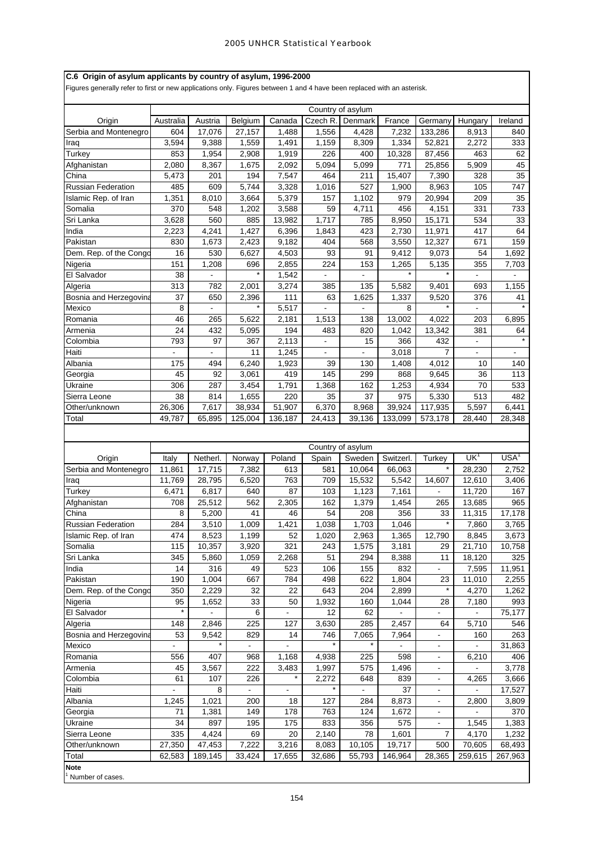# **C.6 Origin of asylum applicants by country of asylum, 1996-2000**

Figures generally refer to first or new applications only. Figures between 1 and 4 have been replaced with an asterisk.

|                        |                |                 |                |                |                | Country of asylum |                |                          |                  |                          |  |
|------------------------|----------------|-----------------|----------------|----------------|----------------|-------------------|----------------|--------------------------|------------------|--------------------------|--|
| Origin                 | Australia      | Austria         | Belgium        | Canada         | Czech R.       | Denmark           | France         | Germany                  | Hungary          | Ireland                  |  |
| Serbia and Montenegro  | 604            | 17,076          | 27,157         | 1,488          | 1,556          | 4,428             | 7,232          | 133,286                  | 8,913            | 840                      |  |
| Iraq                   | 3,594          | 9,388           | 1,559          | 1,491          | 1,159          | 8,309             | 1,334          | 52,821                   | 2,272            | 333                      |  |
| Turkey                 | 853            | 1,954           | 2,908          | 1,919          | 226            | 400               | 10,328         | 87,456                   | 463              | 62                       |  |
| Afghanistan            | 2,080          | 8,367           | 1,675          | 2,092          | 5,094          | 5,099             | 771            | 25,856                   | 5,909            | 45                       |  |
| China                  | 5,473          | 201             | 194            | 7,547          | 464            | 211               | 15,407         | 7,390                    | 328              | 35                       |  |
| Russian Federation     | 485            | 609             | 5,744          | 3,328          | 1,016          | 527               | 1,900          | 8,963                    | 105              | 747                      |  |
| Islamic Rep. of Iran   | 1,351          | 8,010           | 3,664          | 5,379          | 157            | 1,102             | 979            | 20,994                   | 209              | 35                       |  |
| Somalia                | 370            | 548             | 1,202          | 3,588          | 59             | 4,711             | 456            | 4,151                    | 331              | 733                      |  |
| Sri Lanka              | 3,628          | 560             | 885            | 13,982         | 1,717          | 785               | 8,950          | 15,171                   | 534              | 33                       |  |
|                        |                |                 |                |                |                |                   |                |                          |                  |                          |  |
| India                  | 2,223          | 4,241           | 1,427          | 6,396          | 1,843          | 423               | 2,730          | 11,971                   | 417              | 64                       |  |
| Pakistan               | 830            | 1,673           | 2,423          | 9,182          | 404            | 568               | 3,550          | 12,327                   | 671              | 159                      |  |
| Dem. Rep. of the Congo | 16             | 530             | 6,627          | 4,503          | 93             | 91                | 9,412          | 9,073                    | 54               | 1,692                    |  |
| Nigeria                | 151            | 1,208           | 696            | 2,855          | 224            | 153               | 1,265          | 5,135                    | 355              | 7,703                    |  |
| El Salvador            | 38             | $\blacksquare$  | $\star$        | 1,542          | $\blacksquare$ | ÷.                | $\star$        |                          | $\blacksquare$   | ÷.                       |  |
| Algeria                | 313            | 782             | 2,001          | 3,274          | 385            | 135               | 5,582          | 9,401                    | 693              | 1,155                    |  |
| Bosnia and Herzegovina | 37             | 650             | 2,396          | 111            | 63             | 1,625             | 1,337          | 9,520                    | 376              | 41                       |  |
| Mexico                 | 8              | $\blacksquare$  | $\star$        | 5,517          | $\blacksquare$ | $\blacksquare$    | 8              |                          | $\blacksquare$   |                          |  |
| Romania                | 46             | 265             | 5,622          | 2,181          | 1,513          | 138               | 13,002         | 4,022                    | 203              | 6,895                    |  |
| Armenia                | 24             | 432             | 5,095          | 194            | 483            | 820               | 1,042          | 13,342                   | 381              | 64                       |  |
| Colombia               | 793            | 97              | 367            | 2,113          | $\blacksquare$ | 15                | 366            | 432                      | $\omega_{\rm c}$ |                          |  |
| Haiti                  |                | $\blacksquare$  | 11             | 1.245          | $\blacksquare$ | ÷,                | 3,018          | 7                        | ÷,               | $\overline{\phantom{0}}$ |  |
| Albania                | 175            | 494             | 6,240          | 1,923          | 39             | 130               | 1,408          | 4,012                    | 10               | 140                      |  |
| Georgia                | 45             | 92              | 3,061          | 419            | 145            | 299               | 868            | 9,645                    | 36               | 113                      |  |
|                        |                |                 |                |                |                |                   |                |                          |                  |                          |  |
| Ukraine                | 306            | 287             | 3,454          | 1,791          | 1,368          | 162               | 1,253          | 4,934                    | 70               | 533                      |  |
| Sierra Leone           | 38             | 814             | 1,655          | 220            | 35             | 37                | 975            | 5,330                    | 513              | 482                      |  |
| Other/unknown          | 26,306         | 7,617           | 38,934         | 51,907         | 6,370          | 8,968             | 39,924         | 117,935                  | 5,597            | 6,441                    |  |
| Total                  | 49,787         | 65,895          | 125,004        | 136,187        | 24,413         | 39,136            | 133,099        | 573,178                  | 28,440           | 28,348                   |  |
|                        |                |                 |                |                |                |                   |                |                          |                  |                          |  |
|                        |                |                 |                |                |                | Country of asylum |                |                          |                  |                          |  |
|                        |                |                 |                |                |                |                   |                |                          | UK <sup>1</sup>  | USA <sup>1</sup>         |  |
| Origin                 | Italy          | Netherl.        | Norway         | Poland         | Spain          | Sweden            | Switzerl.      | Turkey                   |                  |                          |  |
| Serbia and Montenegro  | 11,861         | 17,715          | 7,382          | 613            | 581            | 10,064            | 66,063         |                          | 28,230           | 2,752                    |  |
| Iraq                   | 11,769         | 28,795          | 6,520          | 763            | 709            | 15,532            | 5,542          | 14,607                   | 12,610           | 3,406                    |  |
| Turkey                 |                |                 |                |                |                | 1,123             | 7,161          | $\blacksquare$           |                  |                          |  |
|                        | 6,471          | 6,817           | 640            | 87             | 103            |                   |                |                          | 11,720           | 167                      |  |
| Afghanistan            | 708            | 25,512          | 562            | 2,305          | 162            | 1,379             | 1,454          | 265                      | 13,685           | 965                      |  |
| China                  | 8              | 5,200           | 41             | 46             | 54             | 208               | 356            | 33                       | 11,315           | 17,178                   |  |
| Russian Federation     | 284            | 3,510           | 1,009          | 1,421          | 1,038          | 1,703             | 1,046          |                          | 7,860            | 3,765                    |  |
| Islamic Rep. of Iran   | 474            | 8,523           | 1,199          | 52             | 1,020          | 2,963             | 1,365          | 12,790                   | 8,845            | 3,673                    |  |
| Somalia                | 115            |                 | 3,920          | 321            | 243            |                   |                | 29                       |                  | 10,758                   |  |
| Sri Lanka              | 345            | 10,357<br>5,860 | 1,059          | 2,268          | 51             | 1,575<br>294      | 3,181<br>8,388 | 11                       | 21,710<br>18,120 | 325                      |  |
| India                  | 14             | 316             | 49             | 523            | 106            | 155               | 832            | $\overline{\phantom{0}}$ | 7,595            | 11,951                   |  |
| Pakistan               |                |                 |                |                |                |                   |                |                          |                  |                          |  |
|                        | 190            | 1,004           | 667            | 784            | 498            | 622               | 1,804          | 23                       | 11,010           | 2,255                    |  |
| Dem. Rep. of the Congo | 350            | 2,229           | 32             | 22             | 643            | 204               | 2,899          |                          | 4,270            | 1,262                    |  |
| Nigeria                | 95<br>$\star$  | 1,652           | 33             | 50             | 1,932          | 160               | 1,044          | 28                       | 7,180            | 993                      |  |
| El Salvador            |                |                 | 6              |                | 12             | 62                |                |                          |                  | 75,177                   |  |
| Algeria                | 148            | 2,846           | 225            | 127            | 3,630          | 285               | 2,457          | 64                       | 5,710            | 546                      |  |
| Bosnia and Herzegovina | 53             | 9,542           | 829            | 14             | 746            | 7,065             | 7,964          | $\blacksquare$           | 160              | 263                      |  |
| Mexico                 | $\blacksquare$ | $\star$         | $\blacksquare$ | $\blacksquare$ | $\star$        | $\star$           | $\blacksquare$ | $\blacksquare$           | ÷,               | 31,863                   |  |
| Romania                | 556            | 407             | 968            | 1,168          | 4,938          | 225               | 598            | $\blacksquare$           | 6,210            | 406                      |  |
| Armenia                | 45             | 3,567           | 222            | 3,483          | 1,997          | 575               | 1,496          | $\blacksquare$           | ÷.               | 3,778                    |  |
| Colombia               | 61             | 107             | 226            | $\star$        | 2,272          | 648               | 839            | $\overline{\phantom{a}}$ | 4,265            | 3,666                    |  |
| Haiti                  |                | 8               |                |                | $\star$        |                   | 37             | $\overline{\phantom{a}}$ |                  | 17,527                   |  |
| Albania                | 1,245          | 1,021           | 200            | 18             | 127            | 284               | 8,873          | $\blacksquare$           | 2,800            | 3,809                    |  |
| Georgia                | 71             | 1,381           | 149            | 178            | 763            | 124               | 1,672          | $\blacksquare$           | ÷,               | 370                      |  |
| Ukraine                | 34             | 897             | 195            | 175            | 833            | 356               | 575            | $\overline{\phantom{a}}$ | 1,545            | 1,383                    |  |
| Sierra Leone           | 335            | 4,424           | 69             | 20             |                | 78                |                | 7                        | 4,170            |                          |  |
| Other/unknown          |                |                 |                |                | 2,140          |                   | 1,601          | 500                      |                  | 1,232                    |  |
|                        | 27,350         | 47,453          | 7,222          | 3,216          | 8,083          | 10,105            | 19,717         |                          | 70,605           | 68,493                   |  |
| Total<br><b>Note</b>   | 62,583         | 189,145         | 33,424         | 17,655         | 32,686         | 55,793            | 146,964        | 28,365                   | 259,615          | 267,963                  |  |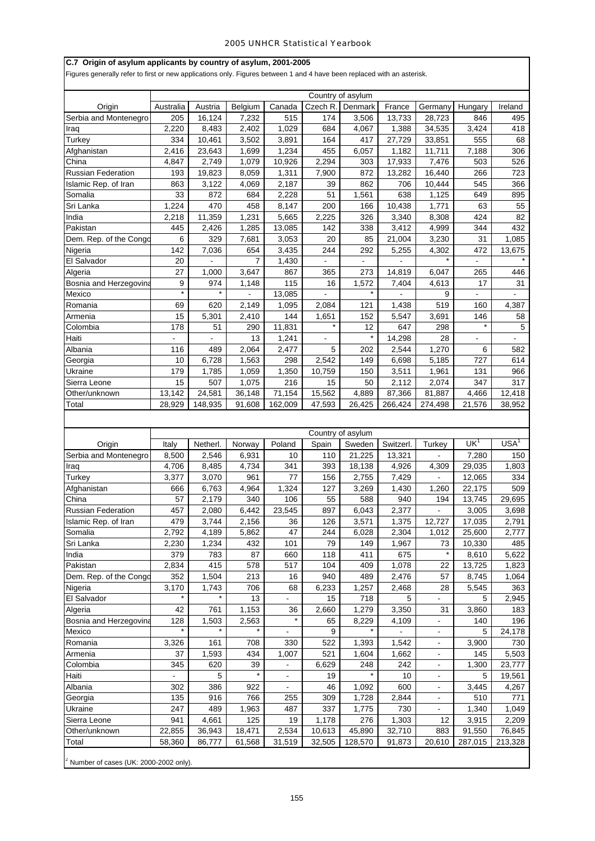# **C.7 Origin of asylum applicants by country of asylum, 2001-2005**

Figures generally refer to first or new applications only. Figures between 1 and 4 have been replaced with an asterisk.

|                           |           |                |                  |                          |                | Country of asylum |                |                                  |                 |                  |
|---------------------------|-----------|----------------|------------------|--------------------------|----------------|-------------------|----------------|----------------------------------|-----------------|------------------|
| Origin                    | Australia | Austria        | Belgium          | Canada                   | Czech R.       | Denmark           | France         | Germany                          | Hungary         | Ireland          |
| Serbia and Montenegro     | 205       | 16,124         | 7,232            | 515                      | 174            | 3,506             | 13,733         | 28,723                           | 846             | 495              |
| Iraq                      | 2,220     | 8,483          | 2,402            | 1,029                    | 684            | 4,067             | 1,388          | 34,535                           | 3,424           | 418              |
| Turkey                    | 334       | 10,461         | 3,502            | 3,891                    | 164            | 417               | 27,729         | 33,851                           | 555             | 68               |
| Afghanistan               | 2,416     | 23,643         | 1,699            | 1,234                    | 455            | 6,057             | 1,182          | 11,711                           | 7,188           | 306              |
| China                     | 4,847     | 2,749          | 1,079            | 10,926                   | 2,294          | 303               | 17,933         | 7,476                            | 503             | 526              |
| Russian Federation        | 193       | 19,823         | 8,059            | 1,311                    | 7,900          | 872               | 13,282         | 16,440                           | 266             | 723              |
| Islamic Rep. of Iran      | 863       | 3,122          | 4,069            | 2,187                    | 39             | 862               | 706            | 10,444                           | 545             | 366              |
| Somalia                   | 33        | 872            | 684              | 2,228                    | 51             | 1,561             | 638            | 1,125                            | 649             | 895              |
| Sri Lanka                 | 1,224     | 470            | 458              | 8,147                    | 200            | 166               | 10,438         | 1,771                            | 63              | 55               |
| India                     | 2,218     | 11,359         | 1,231            | 5,665                    | 2,225          | 326               | 3,340          | 8,308                            | 424             | 82               |
| Pakistan                  | 445       | 2,426          | 1,285            | 13,085                   | 142            | 338               | 3,412          | 4,999                            | 344             | 432              |
| Dem. Rep. of the Congo    | 6         | 329            | 7,681            | 3,053                    | 20             | 85                | 21,004         | 3,230                            | 31              | 1,085            |
| Nigeria                   | 142       | 7,036          | 654              | 3,435                    | 244            | 292               | 5,255          | 4,302                            | 472             | 13,675           |
| El Salvador               | 20        |                | 7                | 1,430                    | ä,             | $\blacksquare$    |                | $\star$                          | $\Box$          |                  |
| Algeria                   | 27        | 1,000          | 3,647            | 867                      | 365            | 273               | 14,819         | 6,047                            | 265             | 446              |
| Bosnia and Herzegovina    | 9         | 974            | 1,148            | 115                      | 16             | 1,572             | 7,404          | 4,613                            | 17              | 31               |
| Mexico                    | $\star$   | $\star$        | $\blacksquare$   | 13,085                   | $\blacksquare$ |                   | $\overline{a}$ | 9                                | $\frac{1}{2}$   | ÷.               |
| Romania                   | 69        | 620            | 2,149            | 1,095                    | 2,084          | 121               | 1,438          | 519                              | 160             | 4,387            |
| Armenia                   | 15        | 5,301          | 2,410            | 144                      | 1,651          | 152               | 5,547          | 3,691                            | 146             | 58               |
| Colombia                  | 178       | 51             | 290              | 11,831                   | $\star$        | 12                | 647            | 298                              | $\star$         | $\sqrt{5}$       |
| Haiti                     |           | $\blacksquare$ | 13               | 1,241                    | $\frac{1}{2}$  | $\star$           | 14,298         | 28                               | $\blacksquare$  | $\blacksquare$   |
| Albania                   | 116       | 489            | 2,064            | 2,477                    | 5              | 202               | 2,544          | 1,270                            | 6               | 582              |
| Georgia                   | 10        | 6,728          | 1,563            | 298                      | 2,542          | 149               | 6,698          | 5,185                            | 727             | 614              |
| Ukraine                   | 179       | 1,785          | 1,059            | 1,350                    | 10,759         | 150               | 3,511          | 1,961                            | 131             | 966              |
| Sierra Leone              | 15        | 507            | 1,075            | 216                      | 15             | 50                | 2,112          | 2,074                            | 347             | 317              |
| Other/unknown             | 13,142    | 24,581         | 36,148           | 71,154                   | 15,562         | 4,889             | 87,366         | 81,887                           | 4,466           | 12,418           |
| Total                     | 28,929    | 148,935        | 91,608           | 162,009                  | 47,593         | 26,425            | 266,424        | 274,498                          | 21,576          | 38,952           |
|                           |           |                |                  |                          |                |                   |                |                                  |                 |                  |
|                           |           |                |                  |                          |                |                   |                |                                  |                 |                  |
|                           |           |                |                  |                          |                | Country of asylum |                |                                  |                 |                  |
| Origin                    | Italy     | Netherl.       | Norway           | Poland                   | Spain          | Sweden            | Switzerl.      | Turkey                           | UK <sup>1</sup> | USA <sup>1</sup> |
| Serbia and Montenegro     | 8,500     | 2,546          | 6,931            | 10                       | 110            | 21,225            | 13,321         |                                  | 7,280           | 150              |
|                           |           |                |                  |                          |                |                   |                |                                  |                 |                  |
| Iraq                      | 4,706     | 8,485          | 4,734            | 341                      | 393            | 18,138            | 4,926          | 4,309                            | 29,035          | 1,803            |
| Turkey                    | 3,377     | 3,070          | 961              | 77                       | 156            | 2,755             | 7,429          | ä,                               | 12,065          | 334              |
| Afghanistan               | 666       | 6,763          | 4,964            | 1,324                    | 127            | 3,269             | 1,430          | 1,260                            | 22,175          | 509              |
| China                     | 57        | 2,179          | 340              | 106                      | 55             | 588               | 940            | 194                              | 13,745          | 29,695           |
| <b>Russian Federation</b> | 457       | 2,080          | 6,442            | 23,545                   | 897            | 6,043             | 2,377          | $\overline{\phantom{a}}$         | 3,005           | 3,698            |
| Islamic Rep. of Iran      | 479       | 3,744          | 2,156            | 36                       | 126            | 3,571             | 1,375          | 12,727                           | 17,035          | 2,791            |
| Somalia                   | 2,792     | 4,189          | 5,862            | $\overline{47}$          | 244            | 6,028             | 2,304          | 1,012                            | 25,600          | 2,777            |
| Sri Lanka                 | 2,230     | 1,234          | 432              | 101                      | 79             | 149               | 1,967          | 73                               | 10,330          | 485              |
| India                     | 379       | 783            | 87               | 660                      | 118            | 411               | 675            |                                  | 8,610           | 5,622            |
| Pakistan                  | 2,834     | 415            | 578              | 517                      | 104            | 409               | 1,078          | 22                               | 13,725          | 1,823            |
| Dem. Rep. of the Congo    | 352       | 1,504          | 213              | 16                       | 940            | 489               | 2,476          | 57                               | 8,745           | 1,064            |
| Nigeria                   | 3,170     | 1,743          | 706              | 68                       | 6,233          | 1,257             | 2,468          | 28                               | 5,545           | 363              |
| El Salvador               | $\star$   |                | 13               |                          | 15             | 718               | 5              |                                  | 5               | 2,945            |
| Algeria                   | 42        | 761            |                  | 36                       | 2,660          |                   |                | 31                               | 3,860           | 183              |
|                           | 128       | 1,503          | 1,153            | $\star$                  | 65             | 1,279             | 3,350<br>4,109 | $\overline{\phantom{a}}$         | 140             | 196              |
| Bosnia and Herzegovina    | $\star$   | $\star$        | 2,563<br>$\star$ | $\overline{\phantom{a}}$ | 9              | 8,229<br>$\star$  |                | $\blacksquare$                   | 5               |                  |
| Mexico                    |           |                |                  |                          |                |                   |                |                                  |                 | 24,178           |
| Romania                   | 3,326     | 161            | 708              | 330                      | 522            | 1,393             | 1,542          | $\blacksquare$<br>$\blacksquare$ | 3,900           | 730              |
| Armenia                   | 37        | 1,593          | 434              | 1,007                    | 521            | 1,604             | 1,662          | $\overline{\phantom{a}}$         | 145             | 5,503            |
| Colombia                  | 345       | 620            | 39               |                          | 6,629          | 248               | 242            | $\blacksquare$                   | 1,300           | 23,777           |
| Haiti                     |           | 5              |                  | $\blacksquare$           | 19             |                   | 10             | $\blacksquare$                   | 5               | 19,561           |
| Albania                   | 302       | 386            | 922              |                          | 46             | 1,092             | 600            |                                  | 3,445           | 4,267            |
| Georgia                   | 135       | 916            | 766              | 255                      | 309            | 1,728             | 2,844          | $\blacksquare$                   | 510             | 771              |
| Ukraine                   | 247       | 489            | 1,963            | 487                      | 337            | 1,775             | 730            |                                  | 1,340           | 1,049            |
| Sierra Leone              | 941       | 4,661          | 125              | 19                       | 1,178          | 276               | 1,303          | 12                               | 3,915           | 2,209            |
| Other/unknown             | 22,855    | 36,943         | 18,471           | 2,534                    | 10,613         | 45,890            | 32,710         | 883                              | 91,550          | 76,845           |
| Total                     | 58,360    | 86,777         | 61,568           | 31,519                   | 32,505         | 128,570           | 91,873         | 20,610                           | 287,015         | 213,328          |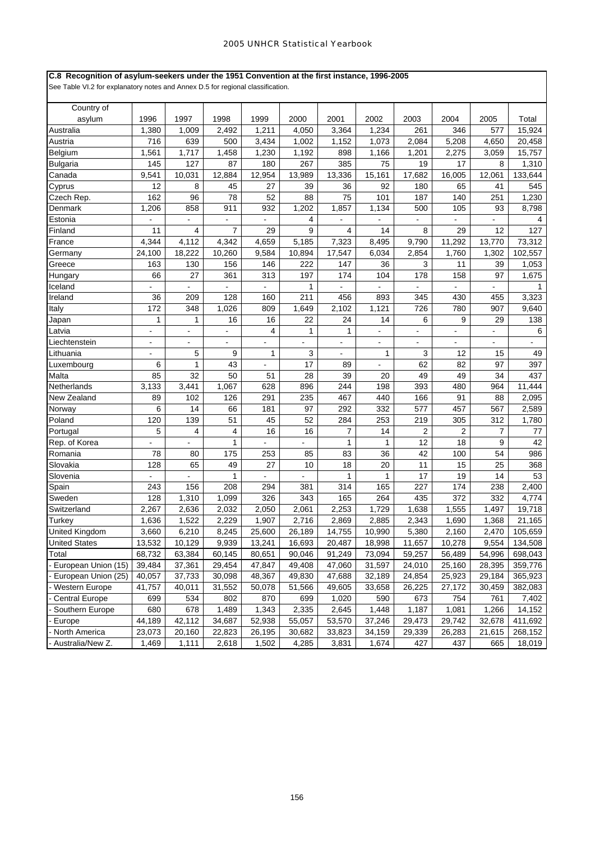## **C.8 Recognition of asylum-seekers under the 1951 Convention at the first instance, 1996-2005**

| Country of            |                |                |                |                          |                |                |                |                |                |                |                |
|-----------------------|----------------|----------------|----------------|--------------------------|----------------|----------------|----------------|----------------|----------------|----------------|----------------|
| asylum                | 1996           | 1997           | 1998           | 1999                     | 2000           | 2001           | 2002           | 2003           | 2004           | 2005           | Total          |
| Australia             | 1,380          | 1,009          | 2,492          | 1,211                    | 4,050          | 3,364          | 1,234          | 261            | 346            | 577            | 15,924         |
| Austria               | 716            | 639            | 500            | 3,434                    | 1,002          | 1,152          | 1,073          | 2,084          | 5,208          | 4,650          | 20,458         |
| Belgium               | 1,561          | 1,717          | 1,458          | 1,230                    | 1,192          | 898            | 1,166          | 1,201          | 2,275          | 3,059          | 15,757         |
| <b>Bulgaria</b>       | 145            | 127            | 87             | 180                      | 267            | 385            | 75             | 19             | 17             | 8              | 1,310          |
| Canada                | 9,541          | 10,031         | 12,884         | 12,954                   | 13,989         | 13,336         | 15,161         | 17,682         | 16,005         | 12,061         | 133,644        |
| Cyprus                | 12             | 8              | 45             | 27                       | 39             | 36             | 92             | 180            | 65             | 41             | 545            |
| Czech Rep.            | 162            | 96             | 78             | 52                       | 88             | 75             | 101            | 187            | 140            | 251            | 1,230          |
| Denmark               | 1,206          | 858            | 911            | 932                      | 1,202          | 1,857          | 1,134          | 500            | 105            | 93             | 8,798          |
| Estonia               | ÷,             | $\overline{a}$ | $\overline{a}$ | $\sim$                   | 4              |                |                |                | L.             | L.             | 4              |
| Finland               | 11             | 4              | 7              | 29                       | 9              | 4              | 14             | 8              | 29             | 12             | 127            |
| France                | 4,344          | 4,112          | 4,342          | 4,659                    | 5,185          | 7,323          | 8,495          | 9,790          | 11,292         | 13,770         | 73,312         |
| Germany               | 24,100         | 18,222         | 10,260         | 9,584                    | 10,894         | 17,547         | 6,034          | 2,854          | 1,760          | 1,302          | 102,557        |
| Greece                | 163            | 130            | 156            | 146                      | 222            | 147            | 36             | 3              | 11             | 39             | 1,053          |
| Hungary               | 66             | 27             | 361            | 313                      | 197            | 174            | 104            | 178            | 158            | 97             | 1,675          |
| Iceland               |                |                |                |                          | $\mathbf{1}$   |                |                |                |                |                |                |
| Ireland               | 36             | 209            | 128            | 160                      | 211            | 456            | 893            | 345            | 430            | 455            | 3,323          |
| Italy                 | 172            | 348            | 1,026          | 809                      | 1,649          | 2,102          | 1,121          | 726            | 780            | 907            | 9,640          |
| Japan                 | $\mathbf{1}$   | 1              | 16             | 16                       | 22             | 24             | 14             | 6              | 9              | 29             | 138            |
| Latvia                | $\overline{a}$ | ä,             | ۰              | $\overline{4}$           | $\mathbf{1}$   | 1              |                | $\blacksquare$ |                |                | 6              |
| Liechtenstein         | $\overline{a}$ | ÷.             | ÷,             | $\overline{\phantom{a}}$ | $\blacksquare$ | ä,             | $\overline{a}$ |                | $\blacksquare$ | ÷.             | $\blacksquare$ |
| Lithuania             | $\overline{a}$ | 5              | 9              | $\mathbf{1}$             | 3              |                | 1              | 3              | 12             | 15             | 49             |
| Luxembourg            | 6              | 1              | 43             |                          | 17             | 89             |                | 62             | 82             | 97             | 397            |
| Malta                 | 85             | 32             | 50             | 51                       | 28             | 39             | 20             | 49             | 49             | 34             | 437            |
| Netherlands           | 3,133          | 3,441          | 1,067          | 628                      | 896            | 244            | 198            | 393            | 480            | 964            | 11,444         |
| New Zealand           | 89             | 102            | 126            | 291                      | 235            | 467            | 440            | 166            | 91             | 88             | 2,095          |
| Norway                | 6              | 14             | 66             | 181                      | 97             | 292            | 332            | 577            | 457            | 567            | 2,589          |
| Poland                | 120            | 139            | 51             | 45                       | 52             | 284            | 253            | 219            | 305            | 312            | 1,780          |
| Portugal              | 5              | 4              | 4              | 16                       | 16             | $\overline{7}$ | 14             | 2              | 2              | $\overline{7}$ | 77             |
| Rep. of Korea         |                |                | $\mathbf{1}$   |                          |                | 1              | $\mathbf{1}$   | 12             | 18             | 9              | 42             |
| Romania               | 78             | 80             | 175            | 253                      | 85             | 83             | 36             | 42             | 100            | 54             | 986            |
| Slovakia              | 128            | 65             | 49             | 27                       | 10             | 18             | 20             | 11             | 15             | 25             | 368            |
| Slovenia              | ÷,             | ä,             | 1              | $\blacksquare$           | $\mathbf{r}$   | $\mathbf{1}$   | 1              | 17             | 19             | 14             | 53             |
| Spain                 | 243            | 156            | 208            | 294                      | 381            | 314            | 165            | 227            | 174            | 238            | 2,400          |
| Sweden                | 128            | 1,310          | 1,099          | 326                      | 343            | 165            | 264            | 435            | 372            | 332            | 4,774          |
| Switzerland           | 2,267          | 2,636          | 2,032          | 2,050                    | 2,061          | 2,253          | 1,729          | 1,638          | 1,555          | 1,497          | 19,718         |
| Turkey                | 1,636          | 1,522          | 2,229          | 1,907                    | 2,716          | 2,869          | 2,885          | 2,343          | 1,690          | 1,368          | 21,165         |
| <b>United Kingdom</b> | 3,660          | 6,210          | 8,245          | 25,600                   | 26,189         | 14,755         | 10,990         | 5,380          | 2,160          | 2,470          | 105,659        |
| <b>United States</b>  | 13,532         | 10,129         | 9,939          | 13,241                   | 16,693         | 20,487         | 18,998         | 11,657         | 10,278         | 9,554          | 134,508        |
| Total                 | 68,732         | 63,384         | 60,145         | 80,651                   | 90,046         | 91,249         | 73,094         | 59,257         | 56,489         | 54,996         | 698,043        |
| European Union (15)   | 39,484         | 37,361         | 29,454         | 47,847                   | 49,408         | 47,060         | 31,597         | 24,010         | 25,160         | 28,395         | 359,776        |
| European Union (25)   | 40,057         | 37,733         | 30,098         | 48,367                   | 49,830         | 47,688         | 32,189         | 24,854         | 25,923         | 29,184         | 365,923        |
| <b>Western Europe</b> | 41,757         | 40,011         | 31,552         | 50,078                   | 51,566         | 49,605         | 33,658         | 26,225         | 27,172         | 30,459         | 382,083        |
| <b>Central Europe</b> | 699            | 534            | 802            | 870                      | 699            | 1,020          | 590            | 673            | 754            | 761            | 7,402          |
| Southern Europe       | 680            | 678            | 1,489          | 1,343                    | 2,335          | 2,645          | 1,448          | 1,187          | 1,081          | 1,266          | 14,152         |
| Europe                | 44,189         | 42,112         | 34,687         | 52,938                   | 55,057         | 53,570         | 37,246         | 29,473         | 29,742         | 32,678         | 411,692        |
|                       |                |                |                |                          |                |                |                |                |                |                |                |
| North America         | 23,073         | 20,160         | 22,823         | 26,195                   | 30,682         | 33,823         | 34,159         | 29,339         | 26,283         | 21,615         | 268,152        |
| Australia/New Z.      | 1,469          | 1,111          | 2,618          | 1,502                    | 4,285          | 3,831          | 1,674          | 427            | 437            | 665            | 18,019         |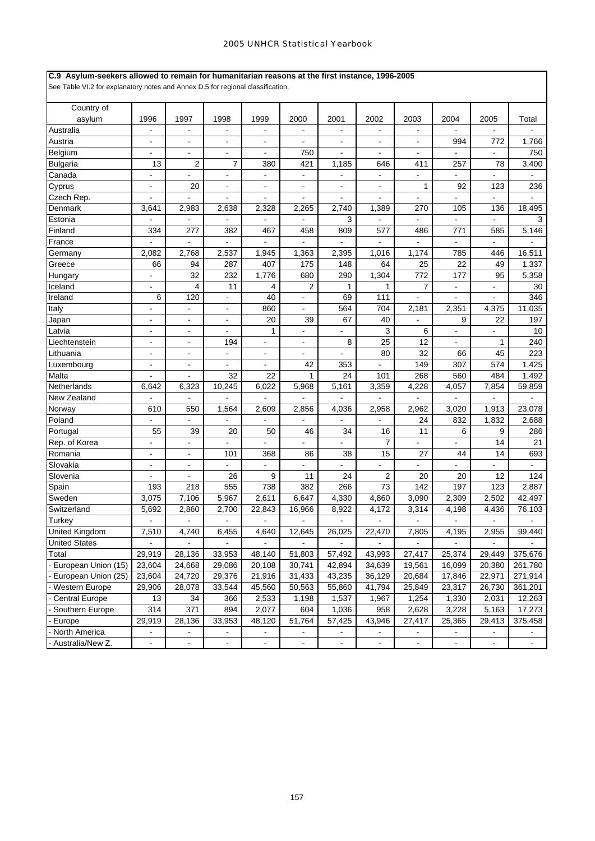### **C.9 Asylum-seekers allowed to remain for humanitarian reasons at the first instance, 1996-2005**

| Country of                             |                          |                          |                |                |                          |                |                |                |                          |                          |                |
|----------------------------------------|--------------------------|--------------------------|----------------|----------------|--------------------------|----------------|----------------|----------------|--------------------------|--------------------------|----------------|
| asylum                                 | 1996                     | 1997                     | 1998           | 1999           | 2000                     | 2001           | 2002           | 2003           | 2004                     | 2005                     | Total          |
| Australia                              | $\overline{\phantom{a}}$ | $\overline{a}$           | ä,             | $\overline{a}$ | $\blacksquare$           | $\blacksquare$ | $\blacksquare$ | $\blacksquare$ | $\blacksquare$           |                          |                |
| Austria                                | L,                       |                          | ä,             | L,             |                          |                |                |                | 994                      | 772                      | 1,766          |
| Belgium                                |                          |                          | ä,             |                | 750                      |                |                |                |                          |                          | 750            |
| Bulgaria                               | 13                       | $\overline{2}$           | $\overline{7}$ | 380            | 421                      | 1,185          | 646            | 411            | 257                      | 78                       | 3,400          |
| Canada                                 | ÷,                       | $\blacksquare$           | ÷,             | $\blacksquare$ | $\blacksquare$           | ä,             |                | ä,             | ä,                       | L.                       |                |
| Cyprus                                 | $\overline{\phantom{a}}$ | 20                       | $\blacksquare$ | $\blacksquare$ | $\blacksquare$           | ٠              | $\blacksquare$ | 1              | 92                       | 123                      | 236            |
| Czech Rep.                             |                          |                          | ÷,             |                |                          |                |                |                |                          |                          |                |
| Denmark                                | 3,641                    | 2,983                    | 2,638          | 2,328          | 2,265                    | 2,740          | 1,389          | 270            | 105                      | 136                      | 18,495         |
| Estonia                                |                          |                          |                |                |                          | 3              |                |                |                          |                          | 3              |
| Finland                                | 334                      | 277                      | 382            | 467            | 458                      | 809            | 577            | 486            | 771                      | 585                      | 5,146          |
| France                                 | ÷.                       | $\overline{\phantom{a}}$ | ÷.             | $\blacksquare$ | $\mathbf{r}$             | ä,             | L.             | L.             | ÷.                       | ÷.                       | ÷.             |
| Germany                                | 2,082                    | 2,768                    | 2,537          | 1,945          | 1,363                    | 2,395          | 1,016          | 1,174          | 785                      | 446                      | 16,511         |
| Greece                                 | 66                       | 94                       | 287            | 407            | 175                      | 148            | 64             | 25             | 22                       | 49                       | 1,337          |
| Hungary                                |                          | 32                       | 232            | 1,776          | 680                      | 290            | 1,304          | 772            | 177                      | 95                       | 5,358          |
| Iceland                                | $\blacksquare$           | 4                        | 11             | 4              | $\overline{2}$           | 1              | 1              | 7              | $\blacksquare$           | $\overline{\phantom{0}}$ | 30             |
| Ireland                                | 6                        | 120                      | ä,             | 40             | ä,                       | 69             | 111            |                |                          |                          | 346            |
| Italy                                  |                          | $\blacksquare$           | ÷              | 860            | ä,                       | 564            | 704            | 2,181          | 2,351                    | 4,375                    | 11,035         |
| Japan                                  | $\overline{a}$           |                          | $\blacksquare$ | 20             | 39                       | 67             | 40             | $\overline{a}$ | 9                        | 22                       | 197            |
| Latvia                                 | $\blacksquare$           | $\blacksquare$           | $\blacksquare$ | $\mathbf{1}$   | $\blacksquare$           | ä,             | 3              | 6              | $\blacksquare$           | $\overline{\phantom{0}}$ | 10             |
| Liechtenstein                          | $\blacksquare$           | $\blacksquare$           | 194            | $\overline{a}$ | $\overline{\phantom{a}}$ | 8              | 25             | 12             | $\overline{\phantom{a}}$ | 1                        | 240            |
| Lithuania                              | $\overline{a}$           |                          | L.             | $\blacksquare$ |                          |                | 80             | 32             | 66                       | 45                       | 223            |
| Luxembourg                             | $\blacksquare$           | $\blacksquare$           | ÷              | $\blacksquare$ | 42                       | 353            |                | 149            | 307                      | 574                      | 1,425          |
| Malta                                  |                          |                          | 32             | 22             | $\mathbf{1}$             | 24             | 101            | 268            | 560                      | 484                      | 1,492          |
| Netherlands                            | 6,642                    | 6,323                    | 10,245         | 6,022          | 5,968                    | 5,161          | 3,359          | 4,228          | 4,057                    | 7,854                    | 59,859         |
| New Zealand                            | $\blacksquare$           | $\blacksquare$           | ÷              | ÷.             |                          | ÷.             | $\overline{a}$ | L.             | $\blacksquare$           |                          | $\overline{a}$ |
| Norway                                 | 610                      | 550                      | 1,564          | 2,609          | 2,856                    | 4,036          | 2,958          | 2,962          | 3,020                    | 1,913                    | 23,078         |
| Poland                                 | ÷,                       | $\blacksquare$           | ä,             | L.             | L.                       | ä,             | L.             | 24             | 832                      | 1,832                    | 2,688          |
| Portugal                               | 55                       | 39                       | 20             | 50             | 46                       | 34             | 16             | 11             | 6                        | 9                        | 286            |
| Rep. of Korea                          | $\overline{a}$           | $\blacksquare$           | ÷              | $\blacksquare$ | $\blacksquare$           | ۰              | 7              |                | $\overline{\phantom{a}}$ | 14                       | 21             |
| Romania                                | $\blacksquare$           | $\blacksquare$           | 101            | 368            | 86                       | 38             | 15             | 27             | 44                       | 14                       | 693            |
| Slovakia                               | $\overline{a}$           | $\blacksquare$           |                |                |                          |                |                |                |                          |                          |                |
| Slovenia                               |                          |                          | 26             | 9              | 11                       | 24             | 2              | 20             | 20                       | 12                       | 124            |
| Spain                                  | 193                      | 218                      | 555            | 738            | 382                      | 266            | 73             | 142            | 197                      | 123                      | 2,887          |
| Sweden                                 | 3,075                    | 7,106                    | 5,967          | 2,611          | 6,647                    | 4,330          | 4,860          | 3,090          | 2,309                    | 2,502                    | 42,497         |
| Switzerland                            | 5,692                    | 2,860                    | 2,700          | 22,843         |                          | 8,922          | 4,172          |                |                          |                          | 76,103         |
|                                        | $\overline{a}$           |                          |                |                | 16,966                   |                |                | 3,314          | 4,198<br>$\overline{a}$  | 4,436                    |                |
| Turkey                                 |                          |                          | 6,455          |                | 12.645                   |                |                |                |                          | 2.955                    |                |
| United Kingdom<br><b>United States</b> | 7,510                    | 4,740                    |                | 4,640          |                          | 26,025         | 22,470         | 7,805          | 4,195                    |                          | 99,440         |
|                                        |                          |                          |                |                |                          |                |                |                |                          |                          |                |
| Total                                  | 29,919                   | 28,136                   | 33,953         | 48,140         | 51,803                   | 57,492         | 43,993         | 27,417         | 25,374                   | 29,449                   | 375,676        |
| European Union (15)                    | 23,604                   | 24,668                   | 29,086         | 20,108         | 30,741                   | 42,894         | 34,639         | 19,561         | 16,099                   | 20,380                   | 261,780        |
| European Union (25)                    | 23,604                   | 24,720                   | 29,376         | 21,916         | 31,433                   | 43,235         | 36,129         | 20,684         | 17,846                   | 22,971                   | 271,914        |
| <b>Western Europe</b>                  | 29,906                   | 28,078                   | 33,544         | 45,560         | 50,563                   | 55,860         | 41,794         | 25,849         | 23,317                   | 26,730                   | 361,201        |
| <b>Central Europe</b>                  | 13                       | 34                       | 366            | 2,533          | 1,198                    | 1,537          | 1,967          | 1,254          | 1,330                    | 2,031                    | 12,263         |
| Southern Europe                        | 314                      | 371                      | 894            | 2,077          | 604                      | 1,036          | 958            | 2,628          | 3,228                    | 5,163                    | 17,273         |
| Europe                                 | 29,919                   | 28,136                   | 33,953         | 48,120         | 51,764                   | 57,425         | 43,946         | 27,417         | 25,365                   | 29,413                   | 375,458        |
| North America                          |                          | $\omega$                 | $\blacksquare$ |                |                          |                |                | ä,             | $\blacksquare$           |                          |                |
| Australia/New Z.                       | $\blacksquare$           | $\blacksquare$           | $\blacksquare$ | $\blacksquare$ | $\blacksquare$           | $\blacksquare$ | $\blacksquare$ | $\blacksquare$ | $\blacksquare$           | $\blacksquare$           | $\blacksquare$ |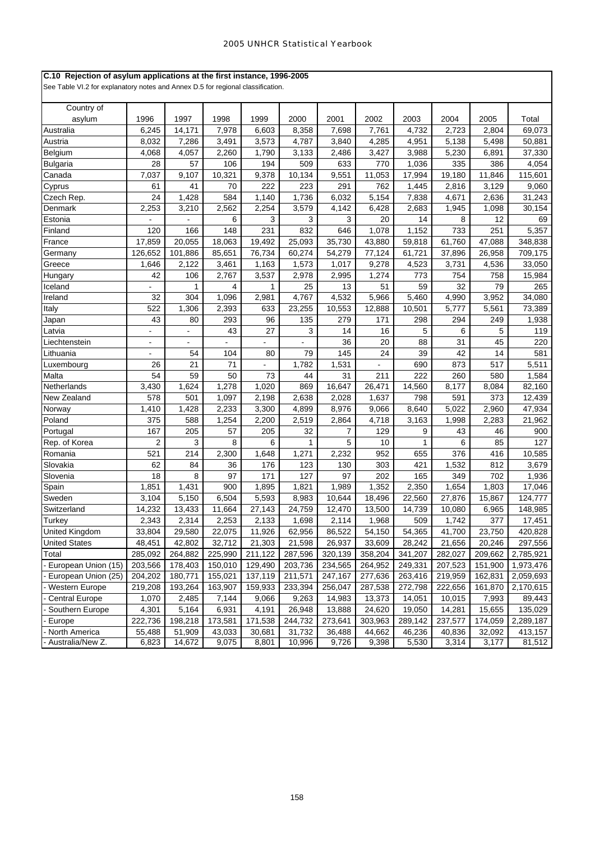### **C.10 Rejection of asylum applications at the first instance, 1996-2005**

| Country of            |                |                |                |                |                |         |         |         |         |         |           |
|-----------------------|----------------|----------------|----------------|----------------|----------------|---------|---------|---------|---------|---------|-----------|
| asylum                | 1996           | 1997           | 1998           | 1999           | 2000           | 2001    | 2002    | 2003    | 2004    | 2005    | Total     |
| Australia             | 6,245          | 14,171         | 7,978          | 6,603          | 8,358          | 7,698   | 7,761   | 4,732   | 2,723   | 2,804   | 69,073    |
| Austria               | 8,032          | 7,286          | 3,491          | 3,573          | 4,787          | 3,840   | 4,285   | 4,951   | 5,138   | 5,498   | 50,881    |
| Belgium               | 4,068          | 4,057          | 2,260          | 1,790          | 3,133          | 2,486   | 3,427   | 3,988   | 5,230   | 6,891   | 37,330    |
| Bulgaria              | 28             | 57             | 106            | 194            | 509            | 633     | 770     | 1,036   | 335     | 386     | 4,054     |
| Canada                | 7,037          | 9,107          | 10,321         | 9,378          | 10,134         | 9,551   | 11,053  | 17,994  | 19,180  | 11,846  | 115,601   |
| Cyprus                | 61             | 41             | 70             | 222            | 223            | 291     | 762     | 1,445   | 2,816   | 3,129   | 9,060     |
| Czech Rep.            | 24             | 1,428          | 584            | 1,140          | 1,736          | 6,032   | 5,154   | 7,838   | 4,671   | 2,636   | 31,243    |
| Denmark               | 2,253          | 3,210          | 2,562          | 2,254          | 3,579          | 4,142   | 6,428   | 2,683   | 1,945   | 1,098   | 30,154    |
| Estonia               |                |                | 6              | 3              | 3              | 3       | 20      | 14      | 8       | 12      | 69        |
| Finland               | 120            | 166            | 148            | 231            | 832            | 646     | 1,078   | 1,152   | 733     | 251     | 5,357     |
| France                | 17,859         | 20,055         | 18,063         | 19,492         | 25,093         | 35,730  | 43,880  | 59,818  | 61,760  | 47,088  | 348,838   |
| Germany               | 126,652        | 101,886        | 85,651         | 76,734         | 60,274         | 54,279  | 77,124  | 61,721  | 37,896  | 26,958  | 709,175   |
| Greece                | 1,646          | 2,122          | 3,461          | 1,163          | 1,573          | 1,017   | 9,278   | 4,523   | 3,731   | 4,536   | 33,050    |
| Hungary               | 42             | 106            | 2,767          | 3,537          | 2,978          | 2,995   | 1,274   | 773     | 754     | 758     | 15,984    |
| Iceland               |                | 1              | 4              | 1              | 25             | 13      | 51      | 59      | 32      | 79      | 265       |
| Ireland               | 32             | 304            | 1,096          | 2,981          | 4,767          | 4,532   | 5,966   | 5,460   | 4,990   | 3,952   | 34,080    |
| Italy                 | 522            | 1,306          | 2,393          | 633            | 23,255         | 10,553  | 12,888  | 10,501  | 5,777   | 5,561   | 73,389    |
| Japan                 | 43             | 80             | 293            | 96             | 135            | 279     | 171     | 298     | 294     | 249     | 1,938     |
| Latvia                | ÷              | $\blacksquare$ | 43             | 27             | 3              | 14      | 16      | 5       | 6       | 5       | 119       |
| Liechtenstein         | $\blacksquare$ | $\blacksquare$ | $\blacksquare$ | $\blacksquare$ | $\blacksquare$ | 36      | 20      | 88      | 31      | 45      | 220       |
| Lithuania             | $\blacksquare$ | 54             | 104            | 80             | 79             | 145     | 24      | 39      | 42      | 14      | 581       |
| Luxembourg            | 26             | 21             | 71             |                | 1,782          | 1,531   |         | 690     | 873     | 517     | 5,511     |
| Malta                 | 54             | 59             | 50             | 73             | 44             | 31      | 211     | 222     | 260     | 580     | 1,584     |
| Netherlands           | 3,430          | 1,624          | 1,278          | 1,020          | 869            | 16,647  | 26,471  | 14,560  | 8,177   | 8,084   | 82,160    |
| New Zealand           | 578            | 501            | 1,097          | 2,198          | 2,638          | 2,028   | 1,637   | 798     | 591     | 373     | 12,439    |
| Norway                | 1,410          | 1,428          | 2,233          | 3,300          | 4,899          | 8,976   | 9,066   | 8,640   | 5,022   | 2,960   | 47,934    |
| Poland                | 375            | 588            | 1,254          | 2,200          | 2,519          | 2,864   | 4,718   | 3,163   | 1,998   | 2,283   | 21,962    |
| Portugal              | 167            | 205            | 57             | 205            | 32             | 7       | 129     | 9       | 43      | 46      | 900       |
| Rep. of Korea         | 2              | 3              | 8              | 6              | 1              | 5       | 10      | 1       | 6       | 85      | 127       |
| Romania               | 521            | 214            | 2,300          | 1,648          | 1,271          | 2,232   | 952     | 655     | 376     | 416     | 10,585    |
| Slovakia              | 62             | 84             | 36             | 176            | 123            | 130     | 303     | 421     | 1,532   | 812     | 3,679     |
| Slovenia              | 18             | 8              | 97             | 171            | 127            | 97      | 202     | 165     | 349     | 702     | 1,936     |
| Spain                 | 1,851          | 1,431          | 900            | 1,895          | 1,821          | 1,989   | 1,352   | 2,350   | 1,654   | 1,803   | 17,046    |
| Sweden                | 3,104          | 5,150          | 6,504          | 5,593          | 8,983          | 10,644  | 18,496  | 22,560  | 27,876  | 15,867  | 124,777   |
| Switzerland           | 14,232         | 13,433         | 11,664         | 27,143         | 24,759         | 12,470  | 13,500  | 14,739  | 10,080  | 6,965   | 148,985   |
| Turkey                | 2,343          | 2,314          | 2,253          | 2,133          | 1,698          | 2,114   | 1,968   | 509     | 1,742   | 377     | 17,451    |
| <b>United Kingdom</b> | 33,804         | 29,580         | 22,075         | 11,926         | 62,956         | 86,522  | 54,150  | 54,365  | 41,700  | 23,750  | 420,828   |
| <b>United States</b>  | 48,451         | 42,802         | 32,712         | 21,303         | 21,598         | 26,937  | 33,609  | 28,242  | 21,656  | 20,246  | 297,556   |
| Total                 | 285,092        | 264,882        | 225,990        | 211,122        | 287,596        | 320,139 | 358,204 | 341,207 | 282,027 | 209,662 | 2,785,921 |
| European Union (15)   | 203,566        | 178,403        | 150,010        | 129,490        | 203,736        | 234,565 | 264,952 | 249,331 | 207,523 | 151,900 | 1,973,476 |
| European Union (25)   | 204,202        | 180,771        | 155,021        | 137,119        | 211,571        | 247,167 | 277,636 | 263,416 | 219,959 | 162,831 | 2,059,693 |
| Western Europe        | 219,208        | 193,264        | 163,907        | 159,933        | 233,394        | 256,047 | 287,538 | 272,798 | 222,656 | 161,870 | 2,170,615 |
| <b>Central Europe</b> | 1,070          | 2,485          | 7,144          | 9,066          | 9,263          | 14,983  | 13,373  | 14,051  | 10,015  | 7,993   | 89,443    |
| Southern Europe       | 4,301          | 5,164          | 6,931          | 4,191          | 26,948         | 13,888  | 24,620  | 19,050  | 14,281  | 15,655  | 135,029   |
| Europe                | 222,736        | 198,218        | 173,581        | 171,538        | 244,732        | 273,641 | 303,963 | 289,142 | 237,577 | 174,059 | 2,289,187 |
| North America         | 55,488         | 51,909         | 43,033         | 30,681         | 31,732         | 36,488  | 44,662  | 46,236  | 40,836  | 32,092  | 413,157   |
| Australia/New Z.      | 6,823          | 14,672         | 9,075          | 8,801          | 10,996         | 9,726   | 9,398   | 5,530   | 3,314   | 3,177   | 81,512    |
|                       |                |                |                |                |                |         |         |         |         |         |           |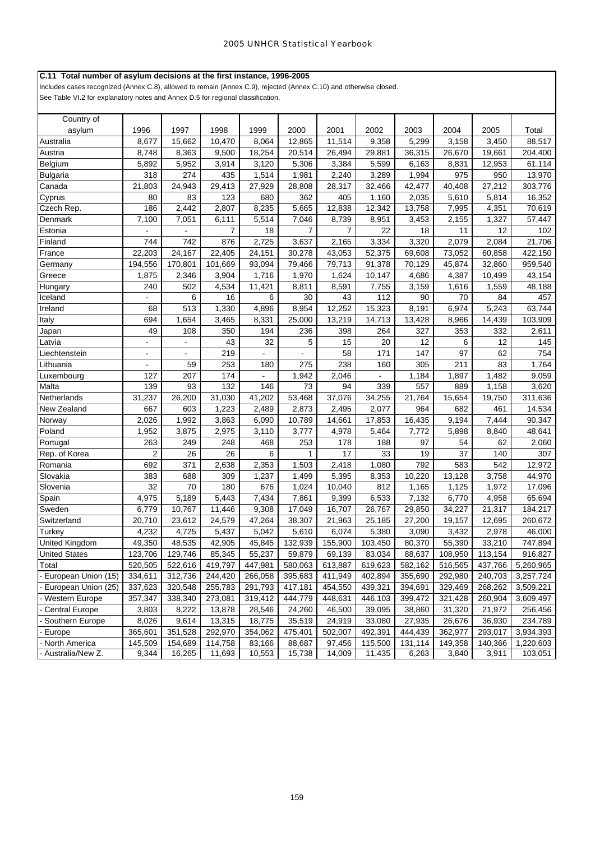# **C.11 Total number of asylum decisions at the first instance, 1996-2005**

Includes cases recognized (Annex C.8), allowed to remain (Annex C.9), rejected (Annex C.10) and otherwise closed. See Table VI.2 for explanatory notes and Annex D.5 for regional classification.

| Country of            |                |                |         |                |         |                |                |         |         |         |           |
|-----------------------|----------------|----------------|---------|----------------|---------|----------------|----------------|---------|---------|---------|-----------|
| asylum                | 1996           | 1997           | 1998    | 1999           | 2000    | 2001           | 2002           | 2003    | 2004    | 2005    | Total     |
| Australia             | 8,677          | 15,662         | 10,470  | 8,064          | 12,865  | 11,514         | 9,358          | 5,299   | 3,158   | 3,450   | 88,517    |
| Austria               | 8,748          | 8,363          | 9,500   | 18,254         | 20,514  | 26,494         | 29,881         | 36,315  | 26,670  | 19,661  | 204,400   |
| Belgium               | 5,892          | 5,952          | 3,914   | 3,120          | 5,306   | 3,384          | 5,599          | 6,163   | 8,831   | 12,953  | 61,114    |
| <b>Bulgaria</b>       | 318            | 274            | 435     | 1,514          | 1,981   | 2,240          | 3,289          | 1,994   | 975     | 950     | 13,970    |
| Canada                | 21,803         | 24,943         | 29,413  | 27,929         | 28,808  | 28,317         | 32,466         | 42,477  | 40,408  | 27,212  | 303,776   |
| Cyprus                | 80             | 83             | 123     | 680            | 362     | 405            | 1,160          | 2,035   | 5,610   | 5,814   | 16,352    |
| Czech Rep.            | 186            | 2,442          | 2,807   | 8,235          | 5,665   | 12,838         | 12,342         | 13,758  | 7,995   | 4,351   | 70,619    |
| Denmark               | 7,100          | 7,051          | 6,111   | 5,514          | 7,046   | 8,739          | 8,951          | 3,453   | 2,155   | 1,327   | 57,447    |
| Estonia               |                |                | 7       | 18             | 7       | $\overline{7}$ | 22             | 18      | 11      | 12      | 102       |
| Finland               | 744            | 742            | 876     | 2,725          | 3,637   | 2,165          | 3,334          | 3,320   | 2,079   | 2,084   | 21,706    |
| France                | 22,203         | 24,167         | 22,405  | 24,151         | 30,278  | 43,053         | 52,375         | 69,608  | 73,052  | 60,858  | 422,150   |
| Germany               | 194,556        | 170,801        | 101,669 | 93,094         | 79,466  | 79,713         | 91,378         | 70,129  | 45,874  | 32,860  | 959,540   |
| Greece                | 1,875          | 2,346          | 3,904   | 1,716          | 1,970   | 1,624          | 10,147         | 4,686   | 4,387   | 10,499  | 43,154    |
| Hungary               | 240            | 502            | 4,534   | 11,421         | 8,811   | 8,591          | 7,755          | 3,159   | 1,616   | 1,559   | 48,188    |
| Iceland               |                | 6              | 16      | 6              | 30      | 43             | 112            | 90      | 70      | 84      | 457       |
| Ireland               | 68             | 513            | 1,330   | 4,896          | 8,954   | 12,252         | 15,323         | 8,191   | 6,974   | 5,243   | 63,744    |
| Italy                 | 694            | 1,654          | 3,465   | 8,331          | 25,000  | 13,219         | 14,713         | 13,428  | 8,966   | 14,439  | 103,909   |
| Japan                 | 49             | 108            | 350     | 194            | 236     | 398            | 264            | 327     | 353     | 332     | 2,611     |
| Latvia                |                | L.             | 43      | 32             | 5       | 15             | 20             | 12      | 6       | 12      | 145       |
| Liechtenstein         | $\blacksquare$ | $\blacksquare$ | 219     |                |         | 58             | 171            | 147     | 97      | 62      | 754       |
| Lithuania             | $\blacksquare$ | 59             | 253     | 180            | 275     | 238            | 160            | 305     | 211     | 83      | 1,764     |
| Luxembourg            | 127            | 207            | 174     | $\blacksquare$ | 1,942   | 2,046          | $\blacksquare$ | 1,184   | 1,897   | 1,482   | 9,059     |
| Malta                 | 139            | 93             | 132     | 146            | 73      | 94             | 339            | 557     | 889     | 1,158   | 3,620     |
| Netherlands           | 31,237         | 26,200         | 31,030  | 41,202         | 53,468  | 37,076         | 34,255         | 21,764  | 15,654  | 19,750  | 311,636   |
| New Zealand           | 667            | 603            | 1,223   | 2,489          | 2,873   | 2,495          | 2,077          | 964     | 682     | 461     | 14,534    |
| Norway                | 2,026          | 1,992          | 3,863   | 6,090          | 10,789  | 14,661         | 17,853         | 16,435  | 9,194   | 7,444   | 90,347    |
| Poland                | 1,952          | 3,875          | 2,975   | 3,110          | 3,777   | 4,978          | 5,464          | 7,772   | 5,898   | 8,840   | 48,641    |
| Portugal              | 263            | 249            | 248     | 468            | 253     | 178            | 188            | 97      | 54      | 62      | 2,060     |
| Rep. of Korea         | $\overline{2}$ | 26             | 26      | 6              | 1       | 17             | 33             | 19      | 37      | 140     | 307       |
| Romania               | 692            | 371            | 2,638   | 2,353          | 1,503   | 2,418          | 1,080          | 792     | 583     | 542     | 12,972    |
| Slovakia              | 383            | 688            | 309     | 1,237          | 1,499   | 5,395          | 8,353          | 10,220  | 13,128  | 3,758   | 44,970    |
| Slovenia              | 32             | 70             | 180     | 676            | 1,024   | 10,040         | 812            | 1,165   | 1,125   | 1,972   | 17,096    |
| Spain                 | 4,975          | 5,189          | 5,443   | 7,434          | 7,861   | 9,399          | 6,533          | 7,132   | 6,770   | 4,958   | 65,694    |
| Sweden                | 6,779          | 10,767         | 11,446  | 9,308          | 17,049  | 16,707         | 26,767         | 29,850  | 34,227  | 21,317  | 184,217   |
| Switzerland           | 20,710         | 23,612         | 24,579  | 47,264         | 38,307  | 21,963         | 25,185         | 27,200  | 19,157  | 12,695  | 260,672   |
| Turkey                | 4,232          | 4,725          | 5,437   | 5,042          | 5,610   | 6,074          | 5,380          | 3,090   | 3,432   | 2,978   | 46,000    |
| United Kingdom        | 49,350         | 48,535         | 42,905  | 45,845         | 132,939 | 155,900        | 103,450        | 80,370  | 55,390  | 33,210  | 747,894   |
| United States         | 123,706        | 129,746        | 85,345  | 55,237         | 59,879  | 69,139         | 83,034         | 88,637  | 108,950 | 113,154 | 916,827   |
| Total                 | 520,505        | 522,616        | 419,797 | 447,981        | 580,063 | 613,887        | 619,623        | 582,162 | 516,565 | 437,766 | 5,260,965 |
| European Union (15)   | 334,611        | 312,736        | 244,420 | 266,058        | 395,683 | 411,949        | 402,894        | 355,690 | 292,980 | 240,703 | 3,257,724 |
| European Union (25)   | 337,623        | 320,548        | 255,783 | 291,793        | 417,181 | 454,550        | 439,321        | 394,691 | 329,469 | 268,262 | 3,509,221 |
| Western Europe        | 357,347        | 338,340        | 273,081 | 319,412        | 444,779 | 448,631        | 446,103        | 399,472 | 321,428 | 260,904 | 3,609,497 |
| <b>Central Europe</b> | 3,803          | 8,222          | 13,878  | 28,546         | 24,260  | 46,500         | 39,095         | 38,860  | 31,320  | 21,972  | 256,456   |
| Southern Europe       | 8,026          | 9,614          | 13,315  | 18,775         | 35,519  | 24,919         | 33,080         | 27,935  | 26,676  | 36,930  | 234,789   |
| Europe                | 365,601        | 351,528        | 292,970 | 354,062        | 475,401 | 502,007        | 492,391        | 444,439 | 362,977 | 293,017 | 3,934,393 |
| North America         | 145,509        | 154,689        | 114,758 | 83,166         | 88,687  | 97,456         | 115,500        | 131,114 | 149,358 | 140,366 | 1,220,603 |
| Australia/New Z.      | 9,344          | 16,265         | 11,693  | 10,553         | 15,738  | 14,009         | 11,435         | 6,263   | 3,840   | 3,911   | 103,051   |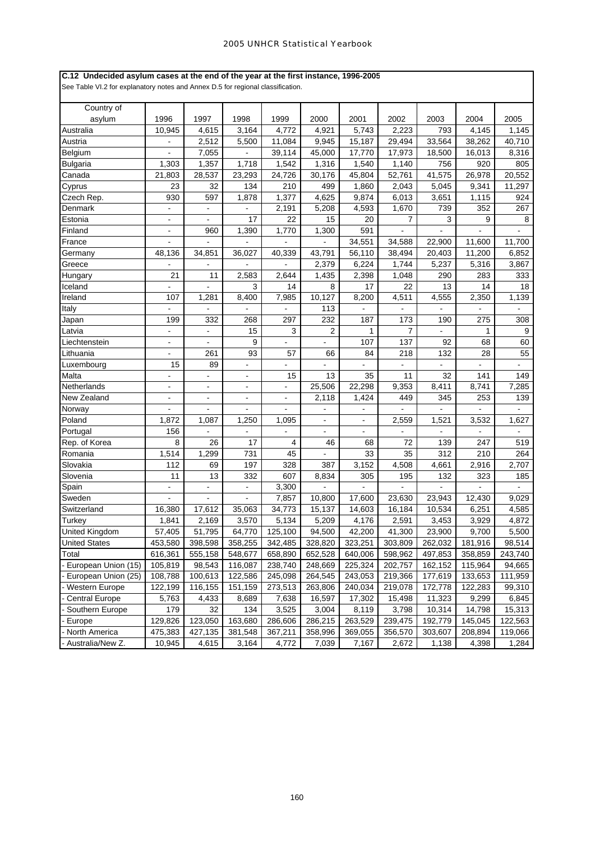### **C.12 Undecided asylum cases at the end of the year at the first instance, 1996-2005**

| Country of            |                              |                          |                          |                              |                |                |                |               |                          |                |
|-----------------------|------------------------------|--------------------------|--------------------------|------------------------------|----------------|----------------|----------------|---------------|--------------------------|----------------|
| asylum                | 1996                         | 1997                     | 1998                     | 1999                         | 2000           | 2001           | 2002           | 2003          | 2004                     | 2005           |
| Australia             | 10,945                       | 4,615                    | 3,164                    | 4,772                        | 4,921          | 5,743          | 2,223          | 793           | 4,145                    | 1,145          |
| Austria               | $\blacksquare$               | 2,512                    | 5,500                    | 11,084                       | 9,945          | 15,187         | 29,494         | 33,564        | 38,262                   | 40,710         |
| Belgium               | $\blacksquare$               | 7,055                    |                          | 39,114                       | 45,000         | 17,770         | 17,973         | 18,500        | 16,013                   | 8,316          |
| <b>Bulgaria</b>       | 1,303                        | 1,357                    | 1,718                    | 1,542                        | 1,316          | 1,540          | 1,140          | 756           | 920                      | 805            |
| Canada                | 21,803                       | 28,537                   | 23,293                   | 24,726                       | 30,176         | 45,804         | 52,761         | 41,575        | 26,978                   | 20,552         |
| Cyprus                | 23                           | 32                       | 134                      | 210                          | 499            | 1,860          | 2,043          | 5,045         | 9,341                    | 11,297         |
| Czech Rep.            | 930                          | 597                      | 1,878                    | 1,377                        | 4,625          | 9,874          | 6,013          | 3,651         | 1,115                    | 924            |
| Denmark               | $\overline{a}$               | $\overline{a}$           | $\overline{a}$           | 2,191                        | 5,208          | 4,593          | 1,670          | 739           | 352                      | 267            |
| Estonia               | $\blacksquare$               | $\blacksquare$           | 17                       | 22                           | 15             | 20             | $\overline{7}$ | 3             | 9                        | 8              |
| Finland               | $\blacksquare$               | 960                      | 1,390                    | 1,770                        | 1,300          | 591            | $\blacksquare$ | $\frac{1}{2}$ | $\blacksquare$           |                |
| France                |                              |                          |                          |                              |                | 34,551         | 34,588         | 22,900        | 11,600                   | 11,700         |
| Germany               | 48,136                       | 34,851                   | 36,027                   | 40,339                       | 43,791         | 56,110         | 38,494         | 20,403        | 11,200                   | 6,852          |
| Greece                |                              | ä,                       |                          | $\blacksquare$               | 2,379          | 6,224          | 1,744          | 5,237         | 5,316                    | 3,867          |
| Hungary               | 21                           | 11                       | 2,583                    | 2,644                        | 1,435          | 2,398          | 1,048          | 290           | 283                      | 333            |
| Iceland               |                              |                          | 3                        | 14                           | 8              | 17             | 22             | 13            | 14                       | 18             |
| Ireland               | 107                          | 1,281                    | 8,400                    | 7,985                        | 10,127         | 8,200          | 4,511          | 4,555         | 2,350                    | 1,139          |
| Italy                 | $\blacksquare$               | $\blacksquare$           | $\overline{\phantom{0}}$ | $\blacksquare$               | 113            |                |                |               | ä,                       | $\blacksquare$ |
| Japan                 | 199                          | 332                      | 268                      | 297                          | 232            | 187            | 173            | 190           | 275                      | 308            |
| Latvia                | ÷.                           | $\blacksquare$           | 15                       | 3                            | $\overline{2}$ | 1              | 7              | L.            | 1                        | 9              |
| Liechtenstein         | $\blacksquare$               | $\mathbf{r}$             | 9                        | $\blacksquare$               | L.             | 107            | 137            | 92            | 68                       | 60             |
| Lithuania             |                              | 261                      | 93                       | 57                           | 66             | 84             | 218            | 132           | 28                       | 55             |
| Luxembourg            | 15                           | 89                       | $\overline{a}$           |                              |                |                |                |               |                          |                |
| Malta                 | $\blacksquare$               | $\overline{\phantom{a}}$ | $\bar{\phantom{a}}$      | 15                           | 13             | 35             | 11             | 32            | 141                      | 149            |
| Netherlands           | $\blacksquare$               | $\blacksquare$           | $\blacksquare$           | $\blacksquare$               | 25,506         | 22,298         | 9.353          | 8,411         | 8,741                    | 7,285          |
| New Zealand           | $\qquad \qquad \blacksquare$ | $\blacksquare$           | -                        | $\qquad \qquad \blacksquare$ | 2,118          | 1,424          | 449            | 345           | 253                      | 139            |
| Norway                |                              | $\blacksquare$           | $\overline{a}$           | $\overline{\phantom{a}}$     | $\blacksquare$ |                |                | L.            | $\overline{\phantom{a}}$ | ÷.             |
| Poland                | 1,872                        | 1,087                    | 1,250                    | 1,095                        | ÷,             | $\blacksquare$ | 2,559          | 1,521         | 3,532                    | 1,627          |
| Portugal              | 156                          |                          |                          | L,                           |                |                |                |               | ÷,                       |                |
| Rep. of Korea         | 8                            | 26                       | 17                       | 4                            | 46             | 68             | 72             | 139           | 247                      | 519            |
| Romania               | 1,514                        | 1,299                    | 731                      | 45                           | $\overline{a}$ | 33             | 35             | 312           | 210                      | 264            |
| Slovakia              | 112                          | 69                       | 197                      | 328                          | 387            | 3,152          | 4,508          | 4,661         | 2,916                    | 2,707          |
| Slovenia              | 11                           | 13                       | 332                      | 607                          | 8,834          | 305            | 195            | 132           | 323                      | 185            |
| Spain                 | $\blacksquare$               | $\blacksquare$           | -                        | 3,300                        |                |                |                |               |                          |                |
| Sweden                | $\blacksquare$               | $\overline{a}$           | $\overline{a}$           | 7,857                        | 10,800         | 17,600         | 23,630         | 23,943        | 12,430                   | 9,029          |
| Switzerland           | 16,380                       | 17,612                   | 35,063                   | 34,773                       | 15,137         | 14,603         | 16,184         | 10,534        | 6,251                    | 4,585          |
| Turkey                | 1,841                        | 2,169                    | 3,570                    | 5,134                        | 5,209          | 4,176          | 2,591          | 3,453         | 3,929                    | 4,872          |
| United Kingdom        | 57,405                       | 51,795                   | 64,770                   | 125,100                      | 94,500         | 42,200         | 41,300         | 23,900        | 9,700                    | 5,500          |
| <b>United States</b>  | 453,580                      | 398,598                  | 358,255                  | 342,485                      | 328,820        | 323,251        | 303,809        | 262,032       | 181,916                  | 98,514         |
| Total                 |                              |                          |                          |                              |                |                |                |               |                          |                |
|                       | 616,361                      | 555,158                  | 548,677                  | 658,890                      | 652,528        | 640,006        | 598,962        | 497,853       | 358,859                  | 243,740        |
| European Union (15)   | 105,819                      | 98,543                   | 116,087                  | 238,740                      | 248,669        | 225,324        | 202,757        | 162,152       | 115,964                  | 94,665         |
| European Union (25)   | 108,788                      | 100,613                  | 122,586                  | 245,098                      | 264,545        | 243,053        | 219,366        | 177,619       | 133,653                  | 111,959        |
| Western Europe        | 122,199                      | 116,155                  | 151,159                  | 273,513                      | 263,806        | 240,034        | 219,078        | 172,778       | 122,283                  | 99,310         |
| <b>Central Europe</b> | 5,763                        | 4,433                    | 8,689                    | 7,638                        | 16,597         | 17,302         | 15,498         | 11,323        | 9,299                    | 6,845          |
| Southern Europe       | 179                          | 32                       | 134                      | 3,525                        | 3,004          | 8,119          | 3,798          | 10,314        | 14,798                   | 15,313         |
| Europe                | 129,826                      | 123,050                  | 163,680                  | 286,606                      | 286,215        | 263,529        | 239,475        | 192,779       | 145,045                  | 122,563        |
| North America         | 475,383                      | 427,135                  | 381,548                  | 367,211                      | 358,996        | 369,055        | 356,570        | 303,607       | 208,894                  | 119,066        |
| Australia/New Z.      | 10,945                       | 4,615                    | 3,164                    | 4,772                        | 7,039          | 7,167          | 2,672          | 1,138         | 4,398                    | 1,284          |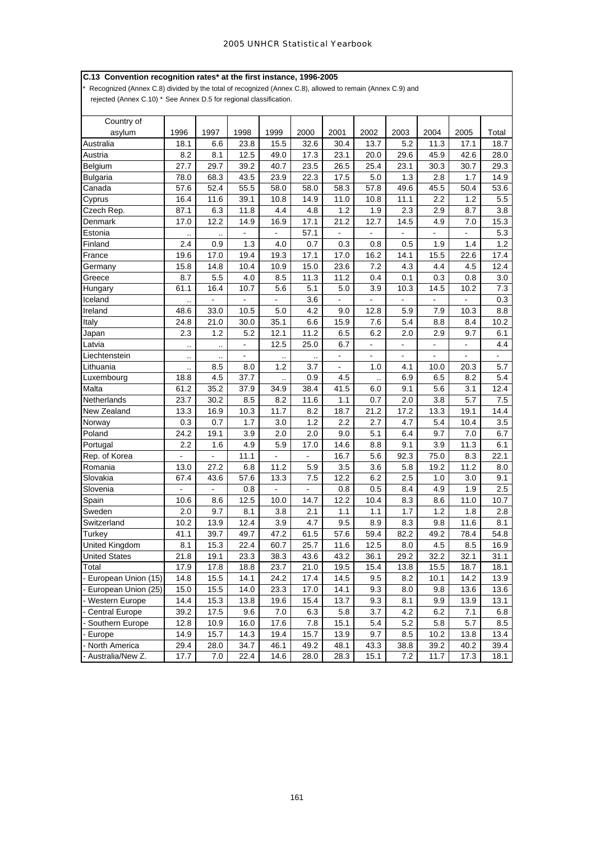# **C.13 Convention recognition rates\* at the first instance, 1996-2005**

Recognized (Annex C.8) divided by the total of recognized (Annex C.8), allowed to remain (Annex C.9) and

rejected (Annex C.10) \* See Annex D.5 for regional classification.

| Country of            |                          |                      |                |                          |                      |                |                |                |                |                |       |
|-----------------------|--------------------------|----------------------|----------------|--------------------------|----------------------|----------------|----------------|----------------|----------------|----------------|-------|
| asylum                | 1996                     | 1997                 | 1998           | 1999                     | 2000                 | 2001           | 2002           | 2003           | 2004           | 2005           | Total |
| Australia             | 18.1                     | 6.6                  | 23.8           | 15.5                     | 32.6                 | 30.4           | 13.7           | 5.2            | 11.3           | 17.1           | 18.7  |
| Austria               | 8.2                      | 8.1                  | 12.5           | 49.0                     | 17.3                 | 23.1           | 20.0           | 29.6           | 45.9           | 42.6           | 28.0  |
| Belgium               | 27.7                     | 29.7                 | 39.2           | 40.7                     | 23.5                 | 26.5           | 25.4           | 23.1           | 30.3           | 30.7           | 29.3  |
| <b>Bulgaria</b>       | 78.0                     | 68.3                 | 43.5           | 23.9                     | 22.3                 | 17.5           | 5.0            | 1.3            | 2.8            | 1.7            | 14.9  |
| Canada                | 57.6                     | 52.4                 | 55.5           | 58.0                     | 58.0                 | 58.3           | 57.8           | 49.6           | 45.5           | 50.4           | 53.6  |
| Cyprus                | 16.4                     | 11.6                 | 39.1           | 10.8                     | 14.9                 | 11.0           | 10.8           | 11.1           | 2.2            | 1.2            | 5.5   |
| Czech Rep.            | 87.1                     | 6.3                  | 11.8           | 4.4                      | 4.8                  | 1.2            | 1.9            | 2.3            | 2.9            | 8.7            | 3.8   |
| Denmark               | 17.0                     | 12.2                 | 14.9           | 16.9                     | 17.1                 | 21.2           | 12.7           | 14.5           | 4.9            | 7.0            | 15.3  |
| Estonia               |                          | $\ddot{\phantom{a}}$ | $\blacksquare$ | $\blacksquare$           | 57.1                 | $\blacksquare$ | $\blacksquare$ | $\blacksquare$ | $\blacksquare$ |                | 5.3   |
| Finland               | 2.4                      | 0.9                  | 1.3            | 4.0                      | 0.7                  | 0.3            | 0.8            | 0.5            | 1.9            | 1.4            | 1.2   |
| France                | 19.6                     | 17.0                 | 19.4           | 19.3                     | 17.1                 | 17.0           | 16.2           | 14.1           | 15.5           | 22.6           | 17.4  |
| Germany               | 15.8                     | 14.8                 | 10.4           | 10.9                     | 15.0                 | 23.6           | 7.2            | 4.3            | 4.4            | 4.5            | 12.4  |
| Greece                | 8.7                      | 5.5                  | 4.0            | 8.5                      | 11.3                 | 11.2           | 0.4            | 0.1            | 0.3            | 0.8            | 3.0   |
| Hungary               | 61.1                     | 16.4                 | 10.7           | 5.6                      | 5.1                  | 5.0            | 3.9            | 10.3           | 14.5           | 10.2           | 7.3   |
| Iceland               | $\ddotsc$                | $\blacksquare$       | $\blacksquare$ | $\blacksquare$           | 3.6                  | $\blacksquare$ | $\blacksquare$ | $\blacksquare$ | $\blacksquare$ | $\blacksquare$ | 0.3   |
| Ireland               | 48.6                     | 33.0                 | 10.5           | 5.0                      | 4.2                  | 9.0            | 12.8           | 5.9            | 7.9            | 10.3           | 8.8   |
| Italy                 | 24.8                     | 21.0                 | 30.0           | 35.1                     | 6.6                  | 15.9           | 7.6            | 5.4            | 8.8            | 8.4            | 10.2  |
| Japan                 | 2.3                      | 1.2                  | 5.2            | 12.1                     | 11.2                 | 6.5            | 6.2            | 2.0            | 2.9            | 9.7            | 6.1   |
| Latvia                | $\cdot$ .                | $\ddotsc$            | $\blacksquare$ | 12.5                     | 25.0                 | 6.7            | $\blacksquare$ | $\blacksquare$ | $\blacksquare$ | $\blacksquare$ | 4.4   |
| Liechtenstein         |                          | $\ddotsc$            | $\blacksquare$ | $\ddotsc$                | $\ddot{\phantom{a}}$ | $\blacksquare$ | ÷,             | $\blacksquare$ | $\blacksquare$ | $\blacksquare$ |       |
| Lithuania             | $\ddotsc$                | 8.5                  | 8.0            | 1.2                      | 3.7                  | $\blacksquare$ | 1.0            | 4.1            | 10.0           | 20.3           | 5.7   |
| Luxembourg            | 18.8                     | 4.5                  | 37.7           | $\ddotsc$                | 0.9                  | 4.5            |                | 6.9            | 6.5            | 8.2            | 5.4   |
| Malta                 | 61.2                     | 35.2                 | 37.9           | 34.9                     | 38.4                 | 41.5           | 6.0            | 9.1            | 5.6            | 3.1            | 12.4  |
| Netherlands           | 23.7                     | 30.2                 | 8.5            | 8.2                      | 11.6                 | 1.1            | 0.7            | 2.0            | 3.8            | 5.7            | 7.5   |
| New Zealand           | 13.3                     | 16.9                 | 10.3           | 11.7                     | 8.2                  | 18.7           | 21.2           | 17.2           | 13.3           | 19.1           | 14.4  |
| Norway                | 0.3                      | 0.7                  | 1.7            | 3.0                      | 1.2                  | 2.2            | 2.7            | 4.7            | 5.4            | 10.4           | 3.5   |
| Poland                | 24.2                     | 19.1                 | 3.9            | 2.0                      | 2.0                  | 9.0            | 5.1            | 6.4            | 9.7            | 7.0            | 6.7   |
| Portugal              | 2.2                      | 1.6                  | 4.9            | 5.9                      | 17.0                 | 14.6           | 8.8            | 9.1            | 3.9            | 11.3           | 6.1   |
| Rep. of Korea         | ä,                       | $\blacksquare$       | 11.1           | $\blacksquare$           | ÷.                   | 16.7           | 5.6            | 92.3           | 75.0           | 8.3            | 22.1  |
| Romania               | 13.0                     | 27.2                 | 6.8            | 11.2                     | 5.9                  | 3.5            | 3.6            | 5.8            | 19.2           | 11.2           | 8.0   |
| Slovakia              | 67.4                     | 43.6                 | 57.6           | 13.3                     | 7.5                  | 12.2           | 6.2            | 2.5            | 1.0            | 3.0            | 9.1   |
| Slovenia              | $\overline{\phantom{a}}$ | ÷.                   | 0.8            | $\overline{\phantom{a}}$ | L.                   | 0.8            | 0.5            | 8.4            | 4.9            | 1.9            | 2.5   |
| Spain                 | 10.6                     | 8.6                  | 12.5           | 10.0                     | 14.7                 | 12.2           | 10.4           | 8.3            | 8.6            | 11.0           | 10.7  |
| Sweden                | 2.0                      | 9.7                  | 8.1            | 3.8                      | 2.1                  | 1.1            | 1.1            | 1.7            | 1.2            | 1.8            | 2.8   |
| Switzerland           | 10.2                     | 13.9                 | 12.4           | 3.9                      | 4.7                  | 9.5            | 8.9            | 8.3            | 9.8            | 11.6           | 8.1   |
| Turkey                | 41.1                     | 39.7                 | 49.7           | 47.2                     | 61.5                 | 57.6           | 59.4           | 82.2           | 49.2           | 78.4           | 54.8  |
| <b>United Kingdom</b> | 8.1                      | 15.3                 | 22.4           | 60.7                     | 25.7                 | 11.6           | 12.5           | 8.0            | 4.5            | 8.5            | 16.9  |
| United States         | 21.8                     | 19.1                 | 23.3           | 38.3                     | 43.6                 | 43.2           | 36.1           | 29.2           | 32.2           | 32.1           | 31.1  |
| Total                 | 17.9                     | 17.8                 | 18.8           | 23.7                     | 21.0                 | 19.5           | 15.4           | 13.8           | 15.5           | 18.7           | 18.1  |
| European Union (15)   | 14.8                     | 15.5                 | 14.1           | 24.2                     | 17.4                 | 14.5           | 9.5            | 8.2            | 10.1           | 14.2           | 13.9  |
| European Union (25)   | 15.0                     | 15.5                 | 14.0           | 23.3                     | 17.0                 | 14.1           | 9.3            | 8.0            | 9.8            | 13.6           | 13.6  |
| Western Europe        | 14.4                     | 15.3                 | 13.8           | 19.6                     | 15.4                 | 13.7           | 9.3            | 8.1            | 9.9            | 13.9           | 13.1  |
| <b>Central Europe</b> | 39.2                     | 17.5                 | 9.6            | 7.0                      | 6.3                  | 5.8            | 3.7            | 4.2            | 6.2            | 7.1            | 6.8   |
| Southern Europe       | 12.8                     | 10.9                 | 16.0           | 17.6                     | 7.8                  | 15.1           | 5.4            | 5.2            | 5.8            | 5.7            | 8.5   |
| Europe                | 14.9                     | 15.7                 | 14.3           | 19.4                     | 15.7                 | 13.9           | 9.7            | 8.5            | 10.2           | 13.8           | 13.4  |
| North America         | 29.4                     | 28.0                 | 34.7           | 46.1                     | 49.2                 | 48.1           | 43.3           | 38.8           | 39.2           | 40.2           | 39.4  |
| Australia/New Z.      | 17.7                     | 7.0                  | 22.4           | 14.6                     | 28.0                 | 28.3           | 15.1           | 7.2            | 11.7           | 17.3           | 18.1  |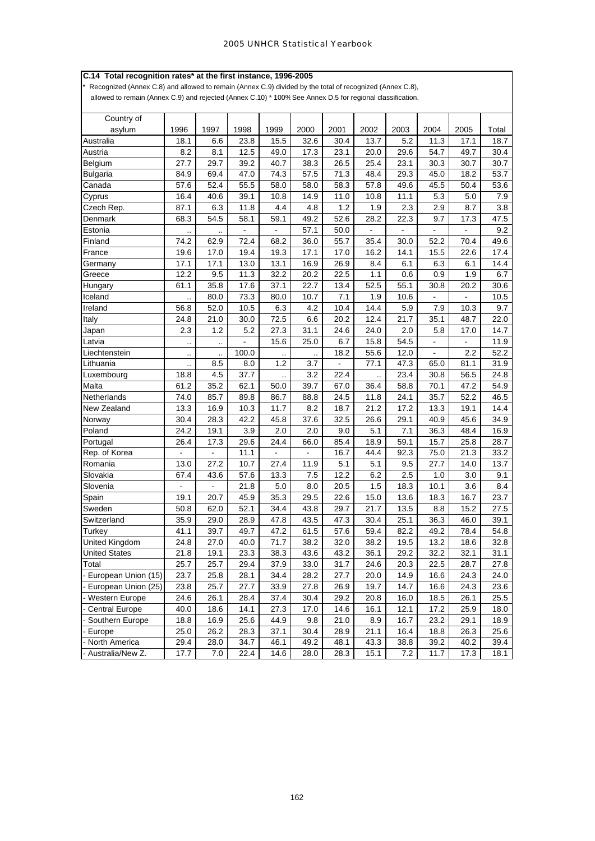## **C.14 Total recognition rates\* at the first instance, 1996-2005**

Recognized (Annex C.8) and allowed to remain (Annex C.9) divided by the total of recognized (Annex C.8), allowed to remain (Annex C.9) and rejected (Annex C.10) \* 100% See Annex D.5 for regional classification.

| Country of            |                          |                      |                   |                |                          |      |                      |                |                          |                |       |
|-----------------------|--------------------------|----------------------|-------------------|----------------|--------------------------|------|----------------------|----------------|--------------------------|----------------|-------|
| asylum                | 1996                     | 1997                 | 1998              | 1999           | 2000                     | 2001 | 2002                 | 2003           | 2004                     | 2005           | Total |
| Australia             | 18.1                     | 6.6                  | 23.8              | 15.5           | 32.6                     | 30.4 | 13.7                 | 5.2            | 11.3                     | 17.1           | 18.7  |
| Austria               | 8.2                      | 8.1                  | 12.5              | 49.0           | 17.3                     | 23.1 | 20.0                 | 29.6           | 54.7                     | 49.7           | 30.4  |
| Belgium               | 27.7                     | 29.7                 | 39.2              | 40.7           | 38.3                     | 26.5 | 25.4                 | 23.1           | 30.3                     | 30.7           | 30.7  |
| <b>Bulgaria</b>       | 84.9                     | 69.4                 | 47.0              | 74.3           | 57.5                     | 71.3 | 48.4                 | 29.3           | 45.0                     | 18.2           | 53.7  |
| Canada                | 57.6                     | 52.4                 | 55.5              | 58.0           | 58.0                     | 58.3 | 57.8                 | 49.6           | 45.5                     | 50.4           | 53.6  |
| Cyprus                | 16.4                     | 40.6                 | 39.1              | 10.8           | 14.9                     | 11.0 | 10.8                 | 11.1           | 5.3                      | 5.0            | 7.9   |
| Czech Rep.            | 87.1                     | 6.3                  | 11.8              | 4.4            | 4.8                      | 1.2  | 1.9                  | 2.3            | 2.9                      | 8.7            | 3.8   |
| Denmark               | 68.3                     | 54.5                 | 58.1              | 59.1           | 49.2                     | 52.6 | 28.2                 | 22.3           | 9.7                      | 17.3           | 47.5  |
| Estonia               |                          |                      | $\blacksquare$    | $\blacksquare$ | 57.1                     | 50.0 | ÷,                   | $\blacksquare$ | $\blacksquare$           | $\blacksquare$ | 9.2   |
| Finland               | 74.2                     | 62.9                 | 72.4              | 68.2           | 36.0                     | 55.7 | 35.4                 | 30.0           | 52.2                     | 70.4           | 49.6  |
| France                | 19.6                     | 17.0                 | 19.4              | 19.3           | 17.1                     | 17.0 | 16.2                 | 14.1           | 15.5                     | 22.6           | 17.4  |
| Germany               | 17.1                     | 17.1                 | 13.0              | 13.1           | 16.9                     | 26.9 | 8.4                  | 6.1            | 6.3                      | 6.1            | 14.4  |
| Greece                | 12.2                     | 9.5                  | 11.3              | 32.2           | 20.2                     | 22.5 | 1.1                  | 0.6            | 0.9                      | 1.9            | 6.7   |
| Hungary               | 61.1                     | 35.8                 | 17.6              | 37.1           | 22.7                     | 13.4 | 52.5                 | 55.1           | 30.8                     | 20.2           | 30.6  |
| Iceland               | ٠.                       | 80.0                 | 73.3              | 80.0           | 10.7                     | 7.1  | 1.9                  | 10.6           | ÷,                       | $\overline{a}$ | 10.5  |
| Ireland               | 56.8                     | 52.0                 | 10.5              | 6.3            | 4.2                      | 10.4 | 14.4                 | 5.9            | 7.9                      | 10.3           | 9.7   |
| Italy                 | 24.8                     | 21.0                 | 30.0              | 72.5           | 6.6                      | 20.2 | 12.4                 | 21.7           | 35.1                     | 48.7           | 22.0  |
| Japan                 | 2.3                      | 1.2                  | 5.2               | 27.3           | 31.1                     | 24.6 | 24.0                 | 2.0            | 5.8                      | 17.0           | 14.7  |
| Latvia                | $\cdot$ .                | $\ldots$             | $\overline{a}$    | 15.6           | 25.0                     | 6.7  | 15.8                 | 54.5           | $\overline{\phantom{a}}$ | $\blacksquare$ | 11.9  |
| Liechtenstein         | $\cdot$ .                | $\ddot{\phantom{a}}$ | 100.0             |                | $\ddot{\phantom{a}}$     | 18.2 | 55.6                 | 12.0           | $\blacksquare$           | 2.2            | 52.2  |
| Lithuania             | $\ldots$                 | 8.5                  | 8.0               | 1.2            | 3.7                      |      | 77.1                 | 47.3           | 65.0                     | 81.1           | 31.9  |
| Luxembourg            | 18.8                     | 4.5                  | 37.7              |                | 3.2                      | 22.4 | $\ddot{\phantom{a}}$ | 23.4           | 30.8                     | 56.5           | 24.8  |
| Malta                 | 61.2                     | 35.2                 | 62.1              | 50.0           | 39.7                     | 67.0 | 36.4                 | 58.8           | 70.1                     | 47.2           | 54.9  |
| Netherlands           | 74.0                     | 85.7                 | 89.8              | 86.7           | 88.8                     | 24.5 | 11.8                 | 24.1           | 35.7                     | 52.2           | 46.5  |
| New Zealand           | 13.3                     | 16.9                 | 10.3              | 11.7           | 8.2                      | 18.7 | 21.2                 | 17.2           | 13.3                     | 19.1           | 14.4  |
| Norway                | 30.4                     | 28.3                 | 42.2              | 45.8           | 37.6                     | 32.5 | 26.6                 | 29.1           | 40.9                     | 45.6           | 34.9  |
| Poland                | 24.2                     | 19.1                 | 3.9               | 2.0            | 2.0                      | 9.0  | 5.1                  | 7.1            | 36.3                     | 48.4           | 16.9  |
| Portugal              | 26.4                     | 17.3                 | 29.6              | 24.4           | 66.0                     | 85.4 | 18.9                 | 59.1           | 15.7                     | 25.8           | 28.7  |
| Rep. of Korea         | $\blacksquare$           | $\Box$               | 11.1              | $\blacksquare$ | $\overline{\phantom{a}}$ | 16.7 | 44.4                 | 92.3           | 75.0                     | 21.3           | 33.2  |
| Romania               | 13.0                     | 27.2                 | 10.7              | 27.4           | 11.9                     | 5.1  | 5.1                  | 9.5            | 27.7                     | 14.0           | 13.7  |
| Slovakia              | 67.4                     | 43.6                 | 57.6              | 13.3           | 7.5                      | 12.2 | 6.2                  | 2.5            | 1.0                      | 3.0            | 9.1   |
| Slovenia              | $\overline{\phantom{a}}$ |                      | 21.8              | 5.0            | 8.0                      | 20.5 | 1.5                  | 18.3           | 10.1                     | 3.6            | 8.4   |
| Spain                 | 19.1                     | 20.7                 | 45.9              | 35.3           | 29.5                     | 22.6 | 15.0                 | 13.6           | 18.3                     | 16.7           | 23.7  |
| Sweden                | 50.8                     | 62.0                 | 52.1              | 34.4           | 43.8                     | 29.7 | 21.7                 | 13.5           | 8.8                      | 15.2           | 27.5  |
| Switzerland           | 35.9                     | 29.0                 | 28.9              | 47.8           | 43.5                     | 47.3 | 30.4                 | 25.1           | 36.3                     | 46.0           | 39.1  |
| Turkey                | 41.1                     | 39.7                 | 49.7              | 47.2           | 61.5                     | 57.6 | 59.4                 | 82.2           | 49.2                     | 78.4           | 54.8  |
| <b>United Kingdom</b> | 24.8                     | 27.0                 | 40.0              | 71.7           | 38.2                     | 32.0 | 38.2                 | 19.5           | 13.2                     | 18.6           | 32.8  |
| <b>United States</b>  | 21.8                     | 19.1                 | $23.\overline{3}$ | 38.3           | 43.6                     | 43.2 | 36.1                 | 29.2           | 32.2                     | 32.1           | 31.1  |
| Total                 | 25.7                     | 25.7                 | 29.4              | 37.9           | 33.0                     | 31.7 | 24.6                 | 20.3           | 22.5                     | 28.7           | 27.8  |
| - European Union (15) | 23.7                     | 25.8                 | 28.1              | 34.4           | 28.2                     | 27.7 | 20.0                 | 14.9           | 16.6                     | 24.3           | 24.0  |
| - European Union (25) | 23.8                     | 25.7                 | 27.7              | 33.9           | 27.8                     | 26.9 | 19.7                 | 14.7           | 16.6                     | 24.3           | 23.6  |
| - Western Europe      | 24.6                     | 26.1                 | 28.4              | 37.4           | 30.4                     | 29.2 | 20.8                 | 16.0           | 18.5                     | 26.1           | 25.5  |
| - Central Europe      | 40.0                     | 18.6                 | 14.1              | 27.3           | 17.0                     | 14.6 | 16.1                 | 12.1           | 17.2                     | 25.9           | 18.0  |
| - Southern Europe     | 18.8                     | 16.9                 | 25.6              | 44.9           | 9.8                      | 21.0 | 8.9                  | 16.7           | 23.2                     | 29.1           | 18.9  |
| - Europe              | 25.0                     | 26.2                 | 28.3              | 37.1           | 30.4                     | 28.9 | 21.1                 | 16.4           | 18.8                     | 26.3           | 25.6  |
| - North America       | 29.4                     | 28.0                 | 34.7              | 46.1           | 49.2                     | 48.1 | 43.3                 | 38.8           | 39.2                     | 40.2           | 39.4  |
| - Australia/New Z.    | 17.7                     | 7.0                  | 22.4              | 14.6           | 28.0                     | 28.3 | 15.1                 | 7.2            | 11.7                     | 17.3           | 18.1  |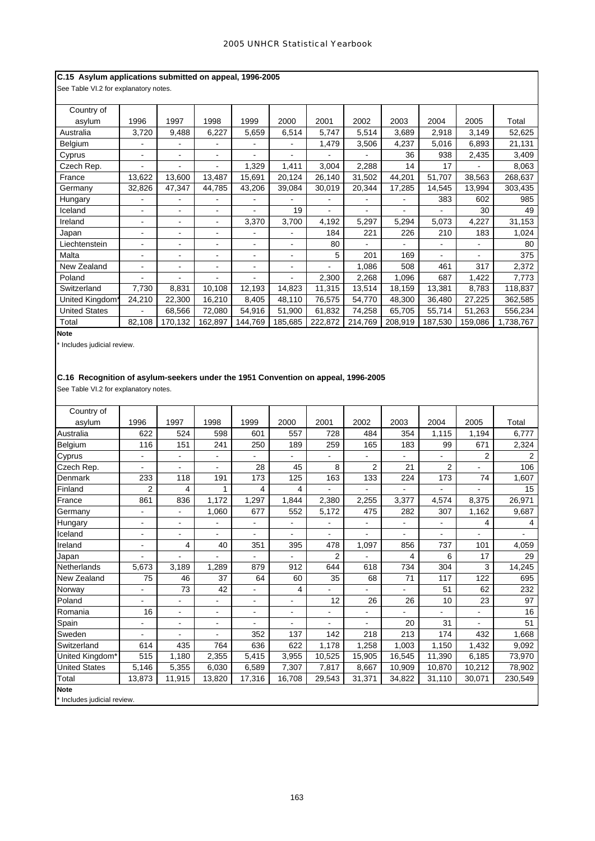# **C.15 Asylum applications submitted on appeal, 1996-2005**

See Table VI.2 for explanatory notes.

| Country of           |        |                          |                          |                          |         |                |         |         |         |         |           |
|----------------------|--------|--------------------------|--------------------------|--------------------------|---------|----------------|---------|---------|---------|---------|-----------|
| asylum               | 1996   | 1997                     | 1998                     | 1999                     | 2000    | 2001           | 2002    | 2003    | 2004    | 2005    | Total     |
| Australia            | 3,720  | 9,488                    | 6,227                    | 5,659                    | 6,514   | 5,747          | 5,514   | 3,689   | 2,918   | 3,149   | 52,625    |
| Belgium              |        |                          |                          |                          |         | 1,479          | 3,506   | 4,237   | 5,016   | 6,893   | 21,131    |
| Cyprus               |        | $\overline{\phantom{0}}$ |                          |                          |         |                |         | 36      | 938     | 2,435   | 3,409     |
| Czech Rep.           |        |                          |                          | 1,329                    | 1,411   | 3,004          | 2,288   | 14      | 17      |         | 8,063     |
| France               | 13,622 | 13,600                   | 13,487                   | 15,691                   | 20,124  | 26,140         | 31,502  | 44,201  | 51,707  | 38,563  | 268,637   |
| Germany              | 32,826 | 47,347                   | 44,785                   | 43,206                   | 39,084  | 30,019         | 20,344  | 17,285  | 14,545  | 13,994  | 303,435   |
| Hungary              |        |                          |                          |                          |         | $\blacksquare$ |         |         | 383     | 602     | 985       |
| Iceland              |        | $\blacksquare$           | ۰                        |                          | 19      | -              | -       |         |         | 30      | 49        |
| Ireland              |        | ۰                        |                          | 3,370                    | 3,700   | 4,192          | 5,297   | 5,294   | 5,073   | 4,227   | 31,153    |
| Japan                |        | $\overline{\phantom{a}}$ |                          |                          | ۰       | 184            | 221     | 226     | 210     | 183     | 1,024     |
| Liechtenstein        |        | ٠                        |                          | ٠                        | ٠       | 80             |         |         |         |         | 80        |
| Malta                |        | ۰                        |                          |                          | ٠       | 5              | 201     | 169     |         |         | 375       |
| New Zealand          |        | ٠                        | $\overline{\phantom{0}}$ | $\overline{\phantom{a}}$ | ٠       | $\blacksquare$ | 1,086   | 508     | 461     | 317     | 2,372     |
| Poland               |        |                          |                          |                          | ٠       | 2,300          | 2,268   | 1,096   | 687     | 1,422   | 7,773     |
| Switzerland          | 7,730  | 8,831                    | 10,108                   | 12,193                   | 14,823  | 11,315         | 13,514  | 18,159  | 13,381  | 8,783   | 118,837   |
| United Kingdom*      | 24,210 | 22,300                   | 16,210                   | 8,405                    | 48,110  | 76,575         | 54,770  | 48,300  | 36,480  | 27,225  | 362,585   |
| <b>United States</b> |        | 68,566                   | 72,080                   | 54,916                   | 51,900  | 61,832         | 74,258  | 65,705  | 55,714  | 51,263  | 556,234   |
| Total                | 82,108 | 170,132                  | 162,897                  | 144,769                  | 185,685 | 222,872        | 214,769 | 208,919 | 187,530 | 159,086 | 1,738,767 |

**Note**

\* Includes judicial review.

# **C.16 Recognition of asylum-seekers under the 1951 Convention on appeal, 1996-2005**

See Table VI.2 for explanatory notes.

| Country of                  |                |        |                |                |                          |                          |                          |                          |                |                |                |
|-----------------------------|----------------|--------|----------------|----------------|--------------------------|--------------------------|--------------------------|--------------------------|----------------|----------------|----------------|
| asvlum                      | 1996           | 1997   | 1998           | 1999           | 2000                     | 2001                     | 2002                     | 2003                     | 2004           | 2005           | Total          |
| Australia                   | 622            | 524    | 598            | 601            | 557                      | 728                      | 484                      | 354                      | 1,115          | 1,194          | 6,777          |
| Belgium                     | 116            | 151    | 241            | 250            | 189                      | 259                      | 165                      | 183                      | 99             | 671            | 2,324          |
| Cyprus                      |                |        |                |                |                          |                          |                          |                          |                | $\overline{2}$ | 2              |
| Czech Rep.                  | ۰              | ä,     | ä,             | 28             | 45                       | 8                        | $\overline{2}$           | 21                       | $\overline{2}$ | ä,             | 106            |
| <b>Denmark</b>              | 233            | 118    | 191            | 173            | 125                      | 163                      | 133                      | 224                      | 173            | 74             | 1,607          |
| Finland                     | 2              | 4      | 1              | 4              | 4                        |                          |                          |                          |                |                | 15             |
| France                      | 861            | 836    | 1,172          | 1,297          | 1,844                    | 2,380                    | 2,255                    | 3.377                    | 4,574          | 8.375          | 26.971         |
| Germany                     | $\blacksquare$ | ÷.     | 1,060          | 677            | 552                      | 5,172                    | 475                      | 282                      | 307            | 1,162          | 9,687          |
| Hungary                     | ä,             | ä,     |                |                | $\overline{\phantom{a}}$ |                          | $\blacksquare$           | $\frac{1}{2}$            |                | 4              | 4              |
| Iceland                     | ٠              | ä,     | $\blacksquare$ | $\blacksquare$ | $\overline{\phantom{a}}$ | $\overline{\phantom{a}}$ | $\overline{\phantom{a}}$ | $\overline{\phantom{a}}$ | ٠              |                | $\blacksquare$ |
| Ireland                     | ۰              | 4      | 40             | 351            | 395                      | 478                      | 1,097                    | 856                      | 737            | 101            | 4,059          |
| Japan                       |                |        |                |                |                          | $\overline{2}$           |                          | 4                        | 6              | 17             | 29             |
| <b>Netherlands</b>          | 5,673          | 3,189  | 1,289          | 879            | 912                      | 644                      | 618                      | 734                      | 304            | 3              | 14,245         |
| New Zealand                 | 75             | 46     | 37             | 64             | 60                       | 35                       | 68                       | 71                       | 117            | 122            | 695            |
| Norway                      | ä,             | 73     | 42             | $\blacksquare$ | 4                        |                          |                          | $\blacksquare$           | 51             | 62             | 232            |
| Poland                      |                |        |                | $\blacksquare$ | $\overline{\phantom{a}}$ | 12                       | 26                       | 26                       | 10             | 23             | 97             |
| Romania                     | 16             | ä,     | $\blacksquare$ | $\blacksquare$ | $\blacksquare$           | $\blacksquare$           | $\frac{1}{2}$            |                          |                | $\blacksquare$ | 16             |
| Spain                       | ٠              | ä,     | ۰              | ۰              | $\blacksquare$           |                          | ä,                       | 20                       | 31             |                | 51             |
| Sweden                      | $\blacksquare$ | ä,     | ÷              | 352            | 137                      | 142                      | 218                      | 213                      | 174            | 432            | 1,668          |
| Switzerland                 | 614            | 435    | 764            | 636            | 622                      | 1,178                    | 1,258                    | 1,003                    | 1,150          | 1,432          | 9,092          |
| United Kingdom*             | 515            | 1,180  | 2,355          | 5,415          | 3,955                    | 10,525                   | 15,905                   | 16,545                   | 11,390         | 6,185          | 73,970         |
| <b>United States</b>        | 5,146          | 5,355  | 6,030          | 6,589          | 7,307                    | 7,817                    | 8,667                    | 10,909                   | 10,870         | 10,212         | 78,902         |
| Total                       | 13,873         | 11,915 | 13,820         | 17,316         | 16,708                   | 29,543                   | 31,371                   | 34,822                   | 31,110         | 30,071         | 230,549        |
| <b>Note</b>                 |                |        |                |                |                          |                          |                          |                          |                |                |                |
| * Includes judicial review. |                |        |                |                |                          |                          |                          |                          |                |                |                |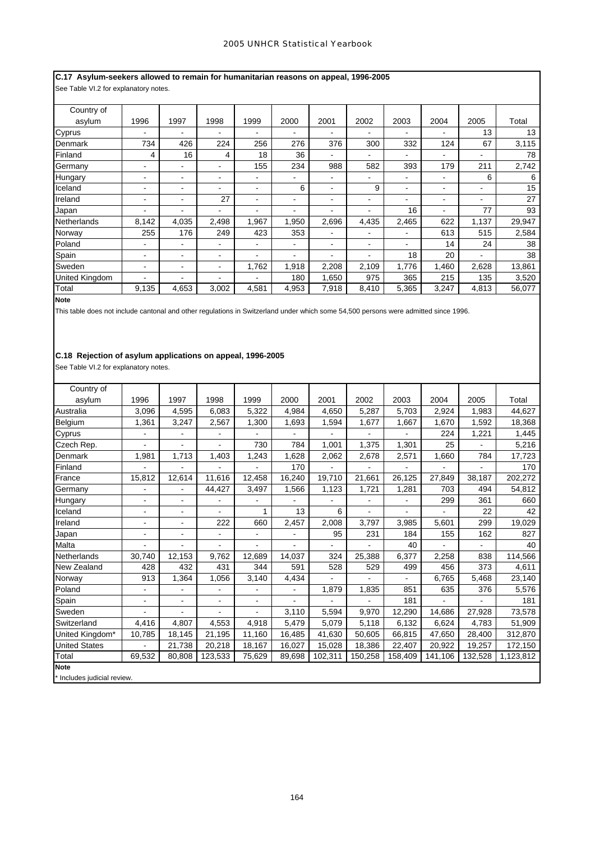# **C.17 Asylum-seekers allowed to remain for humanitarian reasons on appeal, 1996-2005**

See Table VI.2 for explanatory notes.

| Country of            |       |                          |                |                |       |                          |                |       |       |       |        |
|-----------------------|-------|--------------------------|----------------|----------------|-------|--------------------------|----------------|-------|-------|-------|--------|
| asylum                | 1996  | 1997                     | 1998           | 1999           | 2000  | 2001                     | 2002           | 2003  | 2004  | 2005  | Total  |
| Cyprus                | ۰     | $\overline{\phantom{a}}$ | ۰              | $\blacksquare$ | ۰.    | $\blacksquare$           | ۰              | ۰     | ۰.    | 13    | 13     |
| Denmark               | 734   | 426                      | 224            | 256            | 276   | 376                      | 300            | 332   | 124   | 67    | 3,115  |
| Finland               | 4     | 16                       | 4              | 18             | 36    |                          | ۰              | -     | ۰     |       | 78     |
| Germany               |       |                          | -              | 155            | 234   | 988                      | 582            | 393   | 179   | 211   | 2,742  |
| Hungary               |       | -                        | -              | ۰              |       |                          | ۰              | ۰     | ۰     | 6     | 6      |
| Iceland               |       | -                        | -              |                | 6     | ٠                        | 9              | ٠     | ۰     | ۰     | 15     |
| Ireland               | -     | -                        | 27             | ٠              | -     | -                        | ۰              |       | ۰     | ٠     | 27     |
| Japan                 | ۰.    | -                        | ۰.             | ۰              | -     | $\overline{\phantom{0}}$ | -              | 16    |       | 77    | 93     |
| Netherlands           | 8,142 | 4,035                    | 2,498          | 1,967          | 1,950 | 2,696                    | 4,435          | 2,465 | 622   | 1,137 | 29,947 |
| Norway                | 255   | 176                      | 249            | 423            | 353   |                          | ٠              | ٠     | 613   | 515   | 2,584  |
| Poland                | -     |                          | ۰              | ۰              | ۰     | -                        | $\blacksquare$ | ۰     | 14    | 24    | 38     |
| Spain                 | -     |                          | $\blacksquare$ | ۰              |       |                          | ٠              | 18    | 20    |       | 38     |
| Sweden                | ۰     | $\overline{\phantom{a}}$ | $\blacksquare$ | 1,762          | 1,918 | 2,208                    | 2,109          | 1,776 | 1,460 | 2,628 | 13,861 |
| <b>United Kingdom</b> | ۰.    |                          | ۰.             |                | 180   | 1,650                    | 975            | 365   | 215   | 135   | 3,520  |
| Total                 | 9,135 | 4,653                    | 3,002          | 4,581          | 4,953 | 7,918                    | 8,410          | 5,365 | 3,247 | 4,813 | 56,077 |

**Note**

This table does not include cantonal and other regulations in Switzerland under which some 54,500 persons were admitted since 1996.

# **C.18 Rejection of asylum applications on appeal, 1996-2005**

See Table VI.2 for explanatory notes.

| Country of                  |                          |                |                          |                |                          |         |                |                |         |                |           |
|-----------------------------|--------------------------|----------------|--------------------------|----------------|--------------------------|---------|----------------|----------------|---------|----------------|-----------|
| asylum                      | 1996                     | 1997           | 1998                     | 1999           | 2000                     | 2001    | 2002           | 2003           | 2004    | 2005           | Total     |
| Australia                   | 3,096                    | 4,595          | 6,083                    | 5,322          | 4,984                    | 4,650   | 5,287          | 5,703          | 2,924   | 1,983          | 44,627    |
| Belgium                     | 1,361                    | 3,247          | 2,567                    | 1,300          | 1,693                    | 1,594   | 1,677          | 1,667          | 1,670   | 1,592          | 18,368    |
| Cyprus                      | -                        |                |                          |                |                          |         |                |                | 224     | 1,221          | 1,445     |
| Czech Rep.                  |                          |                |                          | 730            | 784                      | 1,001   | 1,375          | 1,301          | 25      |                | 5,216     |
| Denmark                     | 1,981                    | 1,713          | 1,403                    | 1,243          | 1,628                    | 2,062   | 2,678          | 2,571          | 1,660   | 784            | 17,723    |
| Finland                     |                          |                |                          |                | 170                      |         |                |                |         |                | 170       |
| France                      | 15,812                   | 12,614         | 11,616                   | 12,458         | 16,240                   | 19,710  | 21,661         | 26,125         | 27,849  | 38,187         | 202,272   |
| Germany                     |                          |                | 44,427                   | 3,497          | 1,566                    | 1,123   | 1,721          | 1,281          | 703     | 494            | 54,812    |
| Hungary                     | $\blacksquare$           | $\blacksquare$ | $\overline{\phantom{a}}$ |                |                          |         | ä,             | $\blacksquare$ | 299     | 361            | 660       |
| Iceland                     | $\overline{\phantom{0}}$ | $\blacksquare$ | ä,                       | 1              | 13                       | 6       | $\blacksquare$ | $\blacksquare$ | ÷       | 22             | 42        |
| Ireland                     | -                        | -              | 222                      | 660            | 2,457                    | 2,008   | 3,797          | 3,985          | 5,601   | 299            | 19,029    |
| Japan                       | ä,                       | ä,             |                          |                |                          | 95      | 231            | 184            | 155     | 162            | 827       |
| Malta                       | $\blacksquare$           | Ξ.             | $\blacksquare$           | $\blacksquare$ | $\overline{\phantom{a}}$ | ۰       | ÷.             | 40             | L.      | $\blacksquare$ | 40        |
| Netherlands                 | 30,740                   | 12,153         | 9,762                    | 12,689         | 14,037                   | 324     | 25,388         | 6,377          | 2,258   | 838            | 114,566   |
| New Zealand                 | 428                      | 432            | 431                      | 344            | 591                      | 528     | 529            | 499            | 456     | 373            | 4,611     |
| Norway                      | 913                      | 1,364          | 1,056                    | 3,140          | 4,434                    |         |                |                | 6,765   | 5,468          | 23,140    |
| Poland                      | ÷,                       |                | ä,                       | L.             | ä,                       | 1,879   | 1,835          | 851            | 635     | 376            | 5,576     |
| Spain                       | $\blacksquare$           | ä,             | $\blacksquare$           | $\blacksquare$ | ä,                       |         |                | 181            |         | ۰              | 181       |
| Sweden                      |                          |                |                          |                | 3,110                    | 5,594   | 9,970          | 12,290         | 14,686  | 27,928         | 73,578    |
| Switzerland                 | 4,416                    | 4,807          | 4,553                    | 4,918          | 5,479                    | 5,079   | 5,118          | 6,132          | 6,624   | 4,783          | 51,909    |
| United Kingdom*             | 10,785                   | 18,145         | 21,195                   | 11,160         | 16,485                   | 41,630  | 50,605         | 66,815         | 47,650  | 28,400         | 312,870   |
| <b>United States</b>        | ä,                       | 21,738         | 20,218                   | 18,167         | 16,027                   | 15,028  | 18,386         | 22,407         | 20,922  | 19,257         | 172,150   |
| Total                       | 69,532                   | 80,808         | 123,533                  | 75,629         | 89,698                   | 102,311 | 150,258        | 158,409        | 141,106 | 132,528        | 1,123,812 |
| <b>Note</b>                 |                          |                |                          |                |                          |         |                |                |         |                |           |
| * Includes judicial review. |                          |                |                          |                |                          |         |                |                |         |                |           |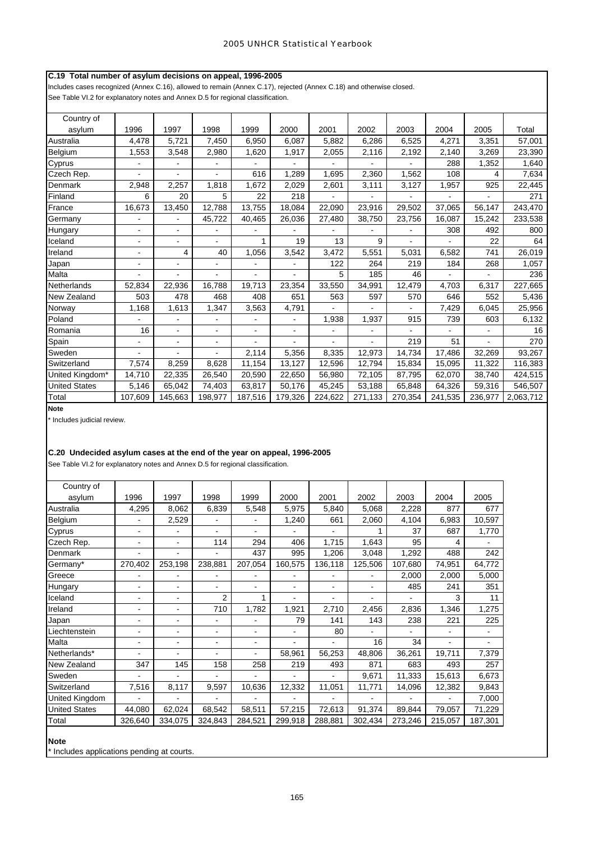# **C.19 Total number of asylum decisions on appeal, 1996-2005**

Includes cases recognized (Annex C.16), allowed to remain (Annex C.17), rejected (Annex C.18) and otherwise closed. See Table VI.2 for explanatory notes and Annex D.5 for regional classification.

| Country of           |                          |                              |                |         |                          |         |         |         |         |         |           |
|----------------------|--------------------------|------------------------------|----------------|---------|--------------------------|---------|---------|---------|---------|---------|-----------|
| asylum               | 1996                     | 1997                         | 1998           | 1999    | 2000                     | 2001    | 2002    | 2003    | 2004    | 2005    | Total     |
| Australia            | 4,478                    | 5,721                        | 7,450          | 6,950   | 6,087                    | 5,882   | 6,286   | 6,525   | 4,271   | 3,351   | 57,001    |
| Belgium              | 1,553                    | 3,548                        | 2,980          | 1,620   | 1,917                    | 2,055   | 2,116   | 2,192   | 2,140   | 3,269   | 23,390    |
| Cyprus               |                          |                              |                |         |                          |         |         |         | 288     | 1,352   | 1,640     |
| Czech Rep.           |                          |                              |                | 616     | 1,289                    | 1,695   | 2,360   | 1,562   | 108     | 4       | 7,634     |
| Denmark              | 2,948                    | 2,257                        | 1,818          | 1,672   | 2,029                    | 2,601   | 3,111   | 3,127   | 1,957   | 925     | 22,445    |
| Finland              | 6                        | 20                           | 5              | 22      | 218                      |         |         |         |         |         | 271       |
| France               | 16,673                   | 13,450                       | 12,788         | 13,755  | 18,084                   | 22,090  | 23,916  | 29,502  | 37,065  | 56,147  | 243,470   |
| Germany              |                          | $\overline{a}$               | 45,722         | 40,465  | 26,036                   | 27,480  | 38,750  | 23,756  | 16,087  | 15,242  | 233,538   |
| Hungary              | ÷.                       | $\overline{a}$               |                |         |                          |         |         |         | 308     | 492     | 800       |
| Iceland              | $\overline{\phantom{0}}$ | $\qquad \qquad \blacksquare$ | ۰              |         | 19                       | 13      | 9       |         |         | 22      | 64        |
| Ireland              |                          | 4                            | 40             | 1,056   | 3,542                    | 3,472   | 5,551   | 5,031   | 6,582   | 741     | 26,019    |
| Japan                | ٠                        | $\blacksquare$               |                |         |                          | 122     | 264     | 219     | 184     | 268     | 1,057     |
| Malta                | $\overline{\phantom{0}}$ | $\overline{\phantom{a}}$     | $\blacksquare$ | ä,      | $\blacksquare$           | 5       | 185     | 46      | ä,      | ۰       | 236       |
| Netherlands          | 52,834                   | 22,936                       | 16,788         | 19,713  | 23,354                   | 33,550  | 34,991  | 12,479  | 4,703   | 6,317   | 227,665   |
| New Zealand          | 503                      | 478                          | 468            | 408     | 651                      | 563     | 597     | 570     | 646     | 552     | 5,436     |
| Norway               | 1,168                    | 1,613                        | 1,347          | 3,563   | 4,791                    |         |         |         | 7,429   | 6,045   | 25,956    |
| Poland               |                          |                              |                |         |                          | 1,938   | 1,937   | 915     | 739     | 603     | 6,132     |
| Romania              | 16                       | $\blacksquare$               | $\blacksquare$ | ۰       | $\overline{\phantom{0}}$ |         |         |         |         | ۰       | 16        |
| Spain                |                          | $\blacksquare$               | $\blacksquare$ |         |                          |         |         | 219     | 51      |         | 270       |
| Sweden               |                          |                              |                | 2,114   | 5,356                    | 8,335   | 12,973  | 14,734  | 17,486  | 32,269  | 93,267    |
| Switzerland          | 7,574                    | 8,259                        | 8,628          | 11,154  | 13,127                   | 12,596  | 12,794  | 15,834  | 15,095  | 11,322  | 116,383   |
| United Kingdom*      | 14,710                   | 22,335                       | 26,540         | 20,590  | 22,650                   | 56,980  | 72,105  | 87,795  | 62,070  | 38,740  | 424,515   |
| <b>United States</b> | 5,146                    | 65,042                       | 74,403         | 63,817  | 50,176                   | 45,245  | 53,188  | 65,848  | 64,326  | 59,316  | 546,507   |
| Total                | 107,609                  | 145,663                      | 198,977        | 187,516 | 179,326                  | 224,622 | 271,133 | 270,354 | 241,535 | 236,977 | 2,063,712 |

**Note**

\* Includes judicial review.

# **C.20 Undecided asylum cases at the end of the year on appeal, 1996-2005**

See Table VI.2 for explanatory notes and Annex D.5 for regional classification.

| Country of           |                |         |                |         |                              |                |         |         |                |                |
|----------------------|----------------|---------|----------------|---------|------------------------------|----------------|---------|---------|----------------|----------------|
| asylum               | 1996           | 1997    | 1998           | 1999    | 2000                         | 2001           | 2002    | 2003    | 2004           | 2005           |
| Australia            | 4,295          | 8,062   | 6,839          | 5,548   | 5,975                        | 5,840          | 5,068   | 2,228   | 877            | 677            |
| Belgium              | $\blacksquare$ | 2,529   |                | ۰       | 1,240                        | 661            | 2,060   | 4,104   | 6,983          | 10,597         |
| Cyprus               | -              |         |                |         |                              |                |         | 37      | 687            | 1,770          |
| Czech Rep.           | -              |         | 114            | 294     | 406                          | 1,715          | 1,643   | 95      | 4              |                |
| Denmark              | ۰              |         |                | 437     | 995                          | 1,206          | 3,048   | 1,292   | 488            | 242            |
| Germany*             | 270,402        | 253,198 | 238,881        | 207,054 | 160,575                      | 136,118        | 125,506 | 107,680 | 74,951         | 64,772         |
| Greece               |                |         |                |         | $\blacksquare$               |                |         | 2,000   | 2,000          | 5,000          |
| Hungary              | ۰              |         |                |         | $\qquad \qquad \blacksquare$ |                |         | 485     | 241            | 351            |
| Iceland              | ۰              |         | $\overline{2}$ |         |                              |                |         |         | 3              | 11             |
| Ireland              | $\blacksquare$ |         | 710            | 1,782   | 1,921                        | 2,710          | 2,456   | 2,836   | 1,346          | 1,275          |
| Japan                | ۰              |         |                |         | 79                           | 141            | 143     | 238     | 221            | 225            |
| Liechtenstein        | -              |         |                | ۰       | $\blacksquare$               | 80             |         |         |                | ۰              |
| Malta                | ۰              | ۰       |                | ۰       | $\blacksquare$               |                | 16      | 34      | $\blacksquare$ | $\blacksquare$ |
| Netherlands*         |                |         |                | ۰       | 58,961                       | 56,253         | 48,806  | 36,261  | 19,711         | 7,379          |
| New Zealand          | 347            | 145     | 158            | 258     | 219                          | 493            | 871     | 683     | 493            | 257            |
| Sweden               | $\blacksquare$ |         |                |         | $\blacksquare$               | $\blacksquare$ | 9,671   | 11,333  | 15,613         | 6,673          |
| Switzerland          | 7,516          | 8,117   | 9,597          | 10,636  | 12,332                       | 11,051         | 11,771  | 14,096  | 12,382         | 9,843          |
| United Kingdom       |                |         |                |         |                              |                |         |         |                | 7,000          |
| <b>United States</b> | 44,080         | 62,024  | 68,542         | 58,511  | 57,215                       | 72,613         | 91,374  | 89,844  | 79,057         | 71,229         |
| Total                | 326,640        | 334,075 | 324,843        | 284,521 | 299,918                      | 288,881        | 302,434 | 273,246 | 215,057        | 187,301        |
|                      |                |         |                |         |                              |                |         |         |                |                |

## **Note**

\* Includes applications pending at courts.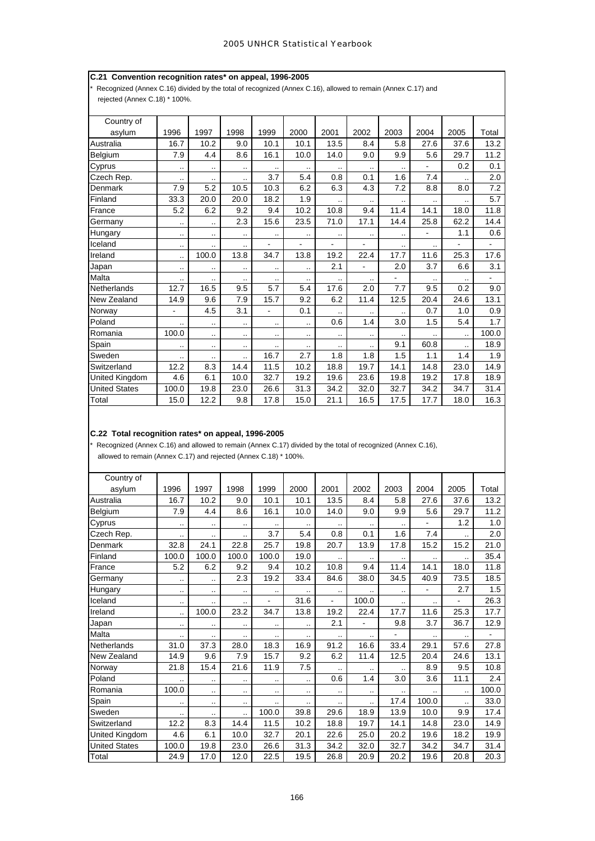# **C.21 Convention recognition rates\* on appeal, 1996-2005**

Recognized (Annex C.16) divided by the total of recognized (Annex C.16), allowed to remain (Annex C.17) and rejected (Annex C.18) \* 100%.

| Country of            |           |       |           |                      |                        |           |                      |                          |                |                      |       |
|-----------------------|-----------|-------|-----------|----------------------|------------------------|-----------|----------------------|--------------------------|----------------|----------------------|-------|
| asylum                | 1996      | 1997  | 1998      | 1999                 | 2000                   | 2001      | 2002                 | 2003                     | 2004           | 2005                 | Total |
| Australia             | 16.7      | 10.2  | 9.0       | 10.1                 | 10.1                   | 13.5      | 8.4                  | 5.8                      | 27.6           | 37.6                 | 13.2  |
| Belgium               | 7.9       | 4.4   | 8.6       | 16.1                 | 10.0                   | 14.0      | 9.0                  | 9.9                      | 5.6            | 29.7                 | 11.2  |
| Cyprus                | $\cdot$ . | ٠.    | $\sim$    | $\ddotsc$            | $\ddot{\phantom{a}}$ . | ٠.        | $\cdot$ .            | ٠.                       |                | 0.2                  | 0.1   |
| Czech Rep.            | $\cdot$ . |       | $\cdot$ . | 3.7                  | 5.4                    | 0.8       | 0.1                  | 1.6                      | 7.4            |                      | 2.0   |
| Denmark               | 7.9       | 5.2   | 10.5      | 10.3                 | 6.2                    | 6.3       | 4.3                  | 7.2                      | 8.8            | 8.0                  | 7.2   |
| Finland               | 33.3      | 20.0  | 20.0      | 18.2                 | 1.9                    | ٠.        |                      |                          |                |                      | 5.7   |
| France                | 5.2       | 6.2   | 9.2       | 9.4                  | 10.2                   | 10.8      | 9.4                  | 11.4                     | 14.1           | 18.0                 | 11.8  |
| Germany               | $\sim$    |       | 2.3       | 15.6                 | 23.5                   | 71.0      | 17.1                 | 14.4                     | 25.8           | 62.2                 | 14.4  |
| Hungary               | $\cdot$ . | ٠.    | $\cdot$ . | $\ddot{\phantom{a}}$ | $\ddot{\phantom{a}}$ . | $\cdot$ . | $\cdot$ .            |                          | $\blacksquare$ | 1.1                  | 0.6   |
| Iceland               |           |       |           |                      |                        |           |                      | ٠.                       |                |                      | -     |
| Ireland               | $\cdot$ . | 100.0 | 13.8      | 34.7                 | 13.8                   | 19.2      | 22.4                 | 17.7                     | 11.6           | 25.3                 | 17.6  |
| Japan                 | ٠.        | ٠.    | $\cdot$ . | $\ddotsc$            |                        | 2.1       | $\blacksquare$       | 2.0                      | 3.7            | 6.6                  | 3.1   |
| Malta                 | $\cdot$ . |       | $\cdot$ . |                      | $\cdot$ .              | ٠.        |                      | $\overline{\phantom{0}}$ |                |                      | ۰     |
| Netherlands           | 12.7      | 16.5  | 9.5       | 5.7                  | 5.4                    | 17.6      | 2.0                  | 7.7                      | 9.5            | 0.2                  | 9.0   |
| New Zealand           | 14.9      | 9.6   | 7.9       | 15.7                 | 9.2                    | 6.2       | 11.4                 | 12.5                     | 20.4           | 24.6                 | 13.1  |
| Norway                | L.        | 4.5   | 3.1       | ÷,                   | 0.1                    |           | $\cdot$ .            |                          | 0.7            | 1.0                  | 0.9   |
| Poland                |           |       | $\cdot$ . | $\ddot{\phantom{0}}$ | $\ddot{\phantom{a}}$   | 0.6       | 1.4                  | 3.0                      | 1.5            | 5.4                  | 1.7   |
| Romania               | 100.0     |       | ٠.        | $\ddotsc$            |                        | $\ddotsc$ | $\ddot{\phantom{a}}$ |                          |                |                      | 100.0 |
| Spain                 | $\sim$    |       |           |                      |                        | ٠.        | $\ddot{\phantom{a}}$ | 9.1                      | 60.8           | $\ddot{\phantom{a}}$ | 18.9  |
| Sweden                | $\cdot$ . | ٠.    |           | 16.7                 | 2.7                    | 1.8       | 1.8                  | 1.5                      | 1.1            | 1.4                  | 1.9   |
| Switzerland           | 12.2      | 8.3   | 14.4      | 11.5                 | 10.2                   | 18.8      | 19.7                 | 14.1                     | 14.8           | 23.0                 | 14.9  |
| <b>United Kingdom</b> | 4.6       | 6.1   | 10.0      | 32.7                 | 19.2                   | 19.6      | 23.6                 | 19.8                     | 19.2           | 17.8                 | 18.9  |
| <b>United States</b>  | 100.0     | 19.8  | 23.0      | 26.6                 | 31.3                   | 34.2      | 32.0                 | 32.7                     | 34.2           | 34.7                 | 31.4  |
| Total                 | 15.0      | 12.2  | 9.8       | 17.8                 | 15.0                   | 21.1      | 16.5                 | 17.5                     | 17.7           | 18.0                 | 16.3  |

# **C.22 Total recognition rates\* on appeal, 1996-2005**

\* Recognized (Annex C.16) and allowed to remain (Annex C.17) divided by the total of recognized (Annex C.16),

allowed to remain (Annex C.17) and rejected (Annex C.18) \* 100%.

| Country of           |                      |           |           |                      |                      |           |                      |           |           |                      |       |
|----------------------|----------------------|-----------|-----------|----------------------|----------------------|-----------|----------------------|-----------|-----------|----------------------|-------|
| asylum               | 1996                 | 1997      | 1998      | 1999                 | 2000                 | 2001      | 2002                 | 2003      | 2004      | 2005                 | Total |
| Australia            | 16.7                 | 10.2      | 9.0       | 10.1                 | 10.1                 | 13.5      | 8.4                  | 5.8       | 27.6      | 37.6                 | 13.2  |
| Belgium              | 7.9                  | 4.4       | 8.6       | 16.1                 | 10.0                 | 14.0      | 9.0                  | 9.9       | 5.6       | 29.7                 | 11.2  |
| Cyprus               | ٠.                   | $\ddotsc$ | $\ddotsc$ | $\ddot{\phantom{a}}$ | $\ddotsc$            |           | $\cdot$ .            | $\ddotsc$ |           | 1.2                  | 1.0   |
| Czech Rep.           | $\sim$               |           |           | 3.7                  | 5.4                  | 0.8       | 0.1                  | 1.6       | 7.4       | ٠.                   | 2.0   |
| Denmark              | 32.8                 | 24.1      | 22.8      | 25.7                 | 19.8                 | 20.7      | 13.9                 | 17.8      | 15.2      | 15.2                 | 21.0  |
| Finland              | 100.0                | 100.0     | 100.0     | 100.0                | 19.0                 | $\cdot$ . |                      |           | $\cdot$ . | $\ddot{\phantom{a}}$ | 35.4  |
| France               | 5.2                  | 6.2       | 9.2       | 9.4                  | 10.2                 | 10.8      | 9.4                  | 11.4      | 14.1      | 18.0                 | 11.8  |
| Germany              | $\ddotsc$            |           | 2.3       | 19.2                 | 33.4                 | 84.6      | 38.0                 | 34.5      | 40.9      | 73.5                 | 18.5  |
| Hungary              | ٠.                   |           | ٠.        |                      | $\ddotsc$            | $\ddotsc$ | $\ddot{\phantom{a}}$ | $\ddotsc$ |           | 2.7                  | 1.5   |
| Iceland              | ٠.                   |           | ٠.        |                      | 31.6                 |           | 100.0                | $\ddotsc$ |           |                      | 26.3  |
| Ireland              |                      | 100.0     | 23.2      | 34.7                 | 13.8                 | 19.2      | 22.4                 | 17.7      | 11.6      | 25.3                 | 17.7  |
| Japan                | $\sim$               | .,        | $\cdot$ . | $\ddotsc$            | $\ddot{\phantom{0}}$ | 2.1       | ä,                   | 9.8       | 3.7       | 36.7                 | 12.9  |
| Malta                | ٠.                   |           | $\cdot$ . |                      | $\cdot$ .            | ٠.        |                      |           |           |                      |       |
| Netherlands          | 31.0                 | 37.3      | 28.0      | 18.3                 | 16.9                 | 91.2      | 16.6                 | 33.4      | 29.1      | 57.6                 | 27.8  |
| New Zealand          | 14.9                 | 9.6       | 7.9       | 15.7                 | 9.2                  | 6.2       | 11.4                 | 12.5      | 20.4      | 24.6                 | 13.1  |
| Norway               | 21.8                 | 15.4      | 21.6      | 11.9                 | 7.5                  | ٠.        |                      |           | 8.9       | 9.5                  | 10.8  |
| Poland               |                      | $\ddotsc$ | $\cdot$ . | $\cdot$ .            | $\ddot{\phantom{a}}$ | 0.6       | 1.4                  | 3.0       | 3.6       | 11.1                 | 2.4   |
| Romania              | 100.0                |           |           | $\cdot$ .            | $\cdot$ .            | $\ddotsc$ | $\sim$ $\sim$        |           |           | $\ddot{\phantom{a}}$ | 100.0 |
| Spain                | $\cdot$ .            | ٠.        | $\cdot$ . |                      |                      | ٠.        | $\ddot{\phantom{a}}$ | 17.4      | 100.0     | $\ddot{\phantom{a}}$ | 33.0  |
| Sweden               | $\ddot{\phantom{a}}$ | ٠.        | ٠.        | 100.0                | 39.8                 | 29.6      | 18.9                 | 13.9      | 10.0      | 9.9                  | 17.4  |
| Switzerland          | 12.2                 | 8.3       | 14.4      | 11.5                 | 10.2                 | 18.8      | 19.7                 | 14.1      | 14.8      | 23.0                 | 14.9  |
| United Kingdom       | 4.6                  | 6.1       | 10.0      | 32.7                 | 20.1                 | 22.6      | 25.0                 | 20.2      | 19.6      | 18.2                 | 19.9  |
| <b>United States</b> | 100.0                | 19.8      | 23.0      | 26.6                 | 31.3                 | 34.2      | 32.0                 | 32.7      | 34.2      | 34.7                 | 31.4  |
| Total                | 24.9                 | 17.0      | 12.0      | 22.5                 | 19.5                 | 26.8      | 20.9                 | 20.2      | 19.6      | 20.8                 | 20.3  |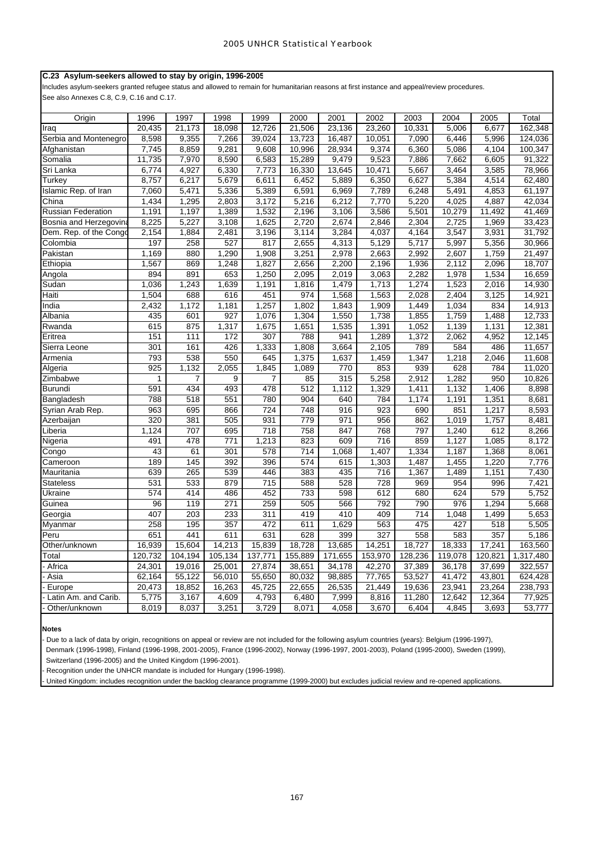## **C.23 Asylum-seekers allowed to stay by origin, 1996-2005**

Includes asylum-seekers granted refugee status and allowed to remain for humanitarian reasons at first instance and appeal/review procedures. See also Annexes C.8, C.9, C.16 and C.17.

| 23,136<br>20,435<br>21,173<br>18,098<br>12,726<br>21,506<br>23,260<br>10,331<br>5,006<br>6,677<br>162,348<br>Iraq<br>9,355<br>7,266<br>13,723<br>16,487<br>5,996<br>124,036<br>Serbia and Montenegro<br>8,598<br>39,024<br>10,051<br>7,090<br>6,446<br>8,859<br>9,281<br>9,608<br>10,996<br>28,934<br>9,374<br>5,086<br>100,347<br>7,745<br>6,360<br>4,104<br>Afghanistan<br>8,590<br>9,523<br>11,735<br>7,970<br>6,583<br>15,289<br>9,479<br>7,886<br>7,662<br>6,605<br>91,322<br>Somalia<br>6,774<br>4,927<br>6,330<br>16,330<br>10,471<br>5,667<br>78,966<br>Sri Lanka<br>7,773<br>13,645<br>3,464<br>3,585<br>8,757<br>6,217<br>5,679<br>6,452<br>5,889<br>6,350<br>6,627<br>5,384<br>4,514<br>62,480<br>Turkey<br>6,611<br>5,471<br>5,336<br>$\overline{5,389}$<br>61,197<br>Islamic Rep. of Iran<br>7,060<br>6,591<br>6,969<br>7,789<br>6,248<br>5,491<br>4,853<br>1,295<br>5,220<br>1,434<br>2,803<br>3,172<br>5,216<br>6,212<br>7,770<br>4,025<br>4,887<br>42,034<br>China<br>1,389<br>1,532<br>3,586<br>10,279<br><b>Russian Federation</b><br>1,191<br>1,197<br>2,196<br>3,106<br>5,501<br>11,492<br>41,469<br>5,227<br>3,108<br>1,625<br>2,720<br>2,674<br>2,846<br>2,725<br>33,423<br>Bosnia and Herzegovina<br>8,225<br>2,304<br>1,969<br>31,792<br>2,154<br>1,884<br>2,481<br>3,196<br>3,114<br>4,037<br>4,164<br>3,547<br>3,931<br>Dem. Rep. of the Congo<br>3,284<br>197<br>258<br>527<br>817<br>5,129<br>5,717<br>5,997<br>5,356<br>30,966<br>Colombia<br>2,655<br>4,313<br>880<br>1,290<br>1,908<br>3,251<br>2,663<br>2,992<br>1,759<br>21,497<br>Pakistan<br>1,169<br>2,978<br>2,607<br>1,567<br>869<br>1,248<br>1,827<br>2,656<br>2,200<br>1,936<br>18,707<br>Ethiopia<br>2,196<br>2,112<br>2,096<br>894<br>891<br>653<br>1,250<br>2,095<br>2,019<br>3,063<br>2,282<br>1,978<br>1,534<br>16,659<br>Angola<br>1,036<br>1,243<br>1,639<br>1,274<br>1,523<br>14,930<br>Sudan<br>1,191<br>1,816<br>1,479<br>1,713<br>2,016<br>1,504<br>688<br>616<br>451<br>974<br>1,568<br>1,563<br>2,028<br>2,404<br>3,125<br>14,921<br>Haiti<br>1,257<br>India<br>2,432<br>1,172<br>1,181<br>1,802<br>1,843<br>1,909<br>1,449<br>1,034<br>834<br>14,913<br>Albania<br>435<br>601<br>927<br>1,076<br>1,304<br>1,550<br>1,738<br>1,855<br>1,759<br>1,488<br>12,733<br>875<br>1,317<br>12,381<br>Rwanda<br>615<br>1,675<br>1,651<br>1,535<br>1,391<br>1,052<br>1,139<br>1,131<br>151<br>111<br>172<br>307<br>788<br>941<br>1,289<br>1,372<br>12,145<br>2,062<br>4,952<br>Eritrea<br>426<br>301<br>161<br>1,333<br>1,808<br>3,664<br>2,105<br>789<br>584<br>486<br>11,657<br>Sierra Leone<br>793<br>538<br>550<br>645<br>1,637<br>1,459<br>1,347<br>1,218<br>2,046<br>11,608<br>1,375<br>Armenia<br>925<br>1,132<br>2,055<br>1,845<br>770<br>853<br>939<br>628<br>784<br>11,020<br>Algeria<br>1,089<br>Zimbabwe<br>1<br>$\overline{7}$<br>9<br>315<br>5,258<br>2,912<br>950<br>10,826<br>7<br>85<br>1,282<br>1,329<br>591<br>434<br>493<br>478<br>512<br>1,112<br>1,411<br>1,132<br>1,406<br>8,898<br><b>Burundi</b><br>551<br>788<br>518<br>780<br>8,681<br>Bangladesh<br>904<br>640<br>784<br>1,174<br>1,191<br>1,351<br>724<br>748<br>690<br>963<br>695<br>866<br>916<br>923<br>851<br>1,217<br>8,593<br>Syrian Arab Rep.<br>931<br>320<br>381<br>505<br>779<br>971<br>956<br>862<br>1,019<br>1,757<br>8,481<br>Azerbaijan<br>1,124<br>707<br>695<br>718<br>758<br>768<br>797<br>612<br>847<br>1,240<br>8,266<br>Liberia<br>491<br>478<br>771<br>1,213<br>823<br>609<br>716<br>859<br>1,127<br>1,085<br>8,172<br>Nigeria<br>43<br>61<br>301<br>578<br>714<br>1,068<br>1,407<br>1,334<br>1,187<br>1,368<br>8,061<br>Congo<br>392<br>189<br>145<br>396<br>574<br>615<br>1,303<br>1,487<br>1,220<br>7,776<br>1,455<br>Cameroon<br>639<br>265<br>539<br>446<br>383<br>435<br>716<br>1,367<br>1,489<br>1,151<br>7,430<br>Mauritania<br>531<br>533<br>879<br>715<br>588<br>528<br>728<br>969<br>954<br>7,421<br>996<br><b>Stateless</b><br>574<br>680<br>579<br>414<br>486<br>452<br>733<br>598<br>612<br>624<br>5,752<br>Ukraine<br>790<br>96<br>119<br>271<br>259<br>505<br>566<br>792<br>976<br>1,294<br>5,668<br>Guinea<br>407<br>203<br>233<br>311<br>419<br>410<br>409<br>714<br>1,499<br>5,653<br>Georgia<br>1,048<br>475<br>258<br>195<br>357<br>472<br>611<br>1,629<br>563<br>427<br>518<br>5,505<br>Myanmar<br>Peru<br>651<br>441<br>611<br>631<br>628<br>399<br>327<br>558<br>583<br>357<br>5,186<br>14,213<br>18,728<br>18,727<br>18,333<br>17,241<br>163,560<br>16,939<br>15,604<br>15,839<br>13,685<br>14,251<br>Other/unknown<br>120,732<br>104,194<br>105,134<br>137,771<br>155,889<br>171,655<br>153,970<br>128,236<br>119,078<br>120,821<br>1,317,480<br>Total<br>Africa<br>24,301<br>19,016<br>25,001<br>27,874<br>38,651<br>34,178<br>42,270<br>37,389<br>36,178<br>37,699<br>322,557<br>62,164<br>55,122<br>56,010<br>98,885<br>77,765<br>53,527<br>43,801<br>624,428<br>Asia<br>55,650<br>80,032<br>41,472<br>20,473<br>18,852<br>45,725<br>26,535<br>21,449<br>23,941<br>238,793<br>Europe<br>16,263<br>22,655<br>19,636<br>23,264<br>5,775<br>3,167<br>4,609<br>4,793<br>7,999<br>8,816<br>11,280<br>12,642<br>12,364<br>77,925<br>Latin Am. and Carib.<br>6,480<br>8,019<br>8,037<br>3,251<br>3,729<br>4,058<br>3,670<br>6,404<br>4,845<br>3,693<br>53,777<br>Other/unknown<br>8,071 |        |      |      |      |      |      |      |      |      |      |      |       |
|-----------------------------------------------------------------------------------------------------------------------------------------------------------------------------------------------------------------------------------------------------------------------------------------------------------------------------------------------------------------------------------------------------------------------------------------------------------------------------------------------------------------------------------------------------------------------------------------------------------------------------------------------------------------------------------------------------------------------------------------------------------------------------------------------------------------------------------------------------------------------------------------------------------------------------------------------------------------------------------------------------------------------------------------------------------------------------------------------------------------------------------------------------------------------------------------------------------------------------------------------------------------------------------------------------------------------------------------------------------------------------------------------------------------------------------------------------------------------------------------------------------------------------------------------------------------------------------------------------------------------------------------------------------------------------------------------------------------------------------------------------------------------------------------------------------------------------------------------------------------------------------------------------------------------------------------------------------------------------------------------------------------------------------------------------------------------------------------------------------------------------------------------------------------------------------------------------------------------------------------------------------------------------------------------------------------------------------------------------------------------------------------------------------------------------------------------------------------------------------------------------------------------------------------------------------------------------------------------------------------------------------------------------------------------------------------------------------------------------------------------------------------------------------------------------------------------------------------------------------------------------------------------------------------------------------------------------------------------------------------------------------------------------------------------------------------------------------------------------------------------------------------------------------------------------------------------------------------------------------------------------------------------------------------------------------------------------------------------------------------------------------------------------------------------------------------------------------------------------------------------------------------------------------------------------------------------------------------------------------------------------------------------------------------------------------------------------------------------------------------------------------------------------------------------------------------------------------------------------------------------------------------------------------------------------------------------------------------------------------------------------------------------------------------------------------------------------------------------------------------------------------------------------------------------------------------------------------------------------------------------------------------------------------------------------------------------------------------------------------------------------------------------------------------------------------------------------------------------------------------------------------------------------------------------------------------------------------------------------------------------------------------------------------------------------------------------------------------------------------------------------------------------------------------------------------------------------------------------------------------------------------------------------------------------------------------------------------------------------------------------------------------------------------------------------------------------------------------------------------------------------------------------------------------------------------------------------------------------------------------------------------------------------------------------------------|--------|------|------|------|------|------|------|------|------|------|------|-------|
|                                                                                                                                                                                                                                                                                                                                                                                                                                                                                                                                                                                                                                                                                                                                                                                                                                                                                                                                                                                                                                                                                                                                                                                                                                                                                                                                                                                                                                                                                                                                                                                                                                                                                                                                                                                                                                                                                                                                                                                                                                                                                                                                                                                                                                                                                                                                                                                                                                                                                                                                                                                                                                                                                                                                                                                                                                                                                                                                                                                                                                                                                                                                                                                                                                                                                                                                                                                                                                                                                                                                                                                                                                                                                                                                                                                                                                                                                                                                                                                                                                                                                                                                                                                                                                                                                                                                                                                                                                                                                                                                                                                                                                                                                                                                                                                                                                                                                                                                                                                                                                                                                                                                                                                                                                                                                                           | Origin | 1996 | 1997 | 1998 | 1999 | 2000 | 2001 | 2002 | 2003 | 2004 | 2005 | Total |
|                                                                                                                                                                                                                                                                                                                                                                                                                                                                                                                                                                                                                                                                                                                                                                                                                                                                                                                                                                                                                                                                                                                                                                                                                                                                                                                                                                                                                                                                                                                                                                                                                                                                                                                                                                                                                                                                                                                                                                                                                                                                                                                                                                                                                                                                                                                                                                                                                                                                                                                                                                                                                                                                                                                                                                                                                                                                                                                                                                                                                                                                                                                                                                                                                                                                                                                                                                                                                                                                                                                                                                                                                                                                                                                                                                                                                                                                                                                                                                                                                                                                                                                                                                                                                                                                                                                                                                                                                                                                                                                                                                                                                                                                                                                                                                                                                                                                                                                                                                                                                                                                                                                                                                                                                                                                                                           |        |      |      |      |      |      |      |      |      |      |      |       |
|                                                                                                                                                                                                                                                                                                                                                                                                                                                                                                                                                                                                                                                                                                                                                                                                                                                                                                                                                                                                                                                                                                                                                                                                                                                                                                                                                                                                                                                                                                                                                                                                                                                                                                                                                                                                                                                                                                                                                                                                                                                                                                                                                                                                                                                                                                                                                                                                                                                                                                                                                                                                                                                                                                                                                                                                                                                                                                                                                                                                                                                                                                                                                                                                                                                                                                                                                                                                                                                                                                                                                                                                                                                                                                                                                                                                                                                                                                                                                                                                                                                                                                                                                                                                                                                                                                                                                                                                                                                                                                                                                                                                                                                                                                                                                                                                                                                                                                                                                                                                                                                                                                                                                                                                                                                                                                           |        |      |      |      |      |      |      |      |      |      |      |       |
|                                                                                                                                                                                                                                                                                                                                                                                                                                                                                                                                                                                                                                                                                                                                                                                                                                                                                                                                                                                                                                                                                                                                                                                                                                                                                                                                                                                                                                                                                                                                                                                                                                                                                                                                                                                                                                                                                                                                                                                                                                                                                                                                                                                                                                                                                                                                                                                                                                                                                                                                                                                                                                                                                                                                                                                                                                                                                                                                                                                                                                                                                                                                                                                                                                                                                                                                                                                                                                                                                                                                                                                                                                                                                                                                                                                                                                                                                                                                                                                                                                                                                                                                                                                                                                                                                                                                                                                                                                                                                                                                                                                                                                                                                                                                                                                                                                                                                                                                                                                                                                                                                                                                                                                                                                                                                                           |        |      |      |      |      |      |      |      |      |      |      |       |
|                                                                                                                                                                                                                                                                                                                                                                                                                                                                                                                                                                                                                                                                                                                                                                                                                                                                                                                                                                                                                                                                                                                                                                                                                                                                                                                                                                                                                                                                                                                                                                                                                                                                                                                                                                                                                                                                                                                                                                                                                                                                                                                                                                                                                                                                                                                                                                                                                                                                                                                                                                                                                                                                                                                                                                                                                                                                                                                                                                                                                                                                                                                                                                                                                                                                                                                                                                                                                                                                                                                                                                                                                                                                                                                                                                                                                                                                                                                                                                                                                                                                                                                                                                                                                                                                                                                                                                                                                                                                                                                                                                                                                                                                                                                                                                                                                                                                                                                                                                                                                                                                                                                                                                                                                                                                                                           |        |      |      |      |      |      |      |      |      |      |      |       |
|                                                                                                                                                                                                                                                                                                                                                                                                                                                                                                                                                                                                                                                                                                                                                                                                                                                                                                                                                                                                                                                                                                                                                                                                                                                                                                                                                                                                                                                                                                                                                                                                                                                                                                                                                                                                                                                                                                                                                                                                                                                                                                                                                                                                                                                                                                                                                                                                                                                                                                                                                                                                                                                                                                                                                                                                                                                                                                                                                                                                                                                                                                                                                                                                                                                                                                                                                                                                                                                                                                                                                                                                                                                                                                                                                                                                                                                                                                                                                                                                                                                                                                                                                                                                                                                                                                                                                                                                                                                                                                                                                                                                                                                                                                                                                                                                                                                                                                                                                                                                                                                                                                                                                                                                                                                                                                           |        |      |      |      |      |      |      |      |      |      |      |       |
|                                                                                                                                                                                                                                                                                                                                                                                                                                                                                                                                                                                                                                                                                                                                                                                                                                                                                                                                                                                                                                                                                                                                                                                                                                                                                                                                                                                                                                                                                                                                                                                                                                                                                                                                                                                                                                                                                                                                                                                                                                                                                                                                                                                                                                                                                                                                                                                                                                                                                                                                                                                                                                                                                                                                                                                                                                                                                                                                                                                                                                                                                                                                                                                                                                                                                                                                                                                                                                                                                                                                                                                                                                                                                                                                                                                                                                                                                                                                                                                                                                                                                                                                                                                                                                                                                                                                                                                                                                                                                                                                                                                                                                                                                                                                                                                                                                                                                                                                                                                                                                                                                                                                                                                                                                                                                                           |        |      |      |      |      |      |      |      |      |      |      |       |
|                                                                                                                                                                                                                                                                                                                                                                                                                                                                                                                                                                                                                                                                                                                                                                                                                                                                                                                                                                                                                                                                                                                                                                                                                                                                                                                                                                                                                                                                                                                                                                                                                                                                                                                                                                                                                                                                                                                                                                                                                                                                                                                                                                                                                                                                                                                                                                                                                                                                                                                                                                                                                                                                                                                                                                                                                                                                                                                                                                                                                                                                                                                                                                                                                                                                                                                                                                                                                                                                                                                                                                                                                                                                                                                                                                                                                                                                                                                                                                                                                                                                                                                                                                                                                                                                                                                                                                                                                                                                                                                                                                                                                                                                                                                                                                                                                                                                                                                                                                                                                                                                                                                                                                                                                                                                                                           |        |      |      |      |      |      |      |      |      |      |      |       |
|                                                                                                                                                                                                                                                                                                                                                                                                                                                                                                                                                                                                                                                                                                                                                                                                                                                                                                                                                                                                                                                                                                                                                                                                                                                                                                                                                                                                                                                                                                                                                                                                                                                                                                                                                                                                                                                                                                                                                                                                                                                                                                                                                                                                                                                                                                                                                                                                                                                                                                                                                                                                                                                                                                                                                                                                                                                                                                                                                                                                                                                                                                                                                                                                                                                                                                                                                                                                                                                                                                                                                                                                                                                                                                                                                                                                                                                                                                                                                                                                                                                                                                                                                                                                                                                                                                                                                                                                                                                                                                                                                                                                                                                                                                                                                                                                                                                                                                                                                                                                                                                                                                                                                                                                                                                                                                           |        |      |      |      |      |      |      |      |      |      |      |       |
|                                                                                                                                                                                                                                                                                                                                                                                                                                                                                                                                                                                                                                                                                                                                                                                                                                                                                                                                                                                                                                                                                                                                                                                                                                                                                                                                                                                                                                                                                                                                                                                                                                                                                                                                                                                                                                                                                                                                                                                                                                                                                                                                                                                                                                                                                                                                                                                                                                                                                                                                                                                                                                                                                                                                                                                                                                                                                                                                                                                                                                                                                                                                                                                                                                                                                                                                                                                                                                                                                                                                                                                                                                                                                                                                                                                                                                                                                                                                                                                                                                                                                                                                                                                                                                                                                                                                                                                                                                                                                                                                                                                                                                                                                                                                                                                                                                                                                                                                                                                                                                                                                                                                                                                                                                                                                                           |        |      |      |      |      |      |      |      |      |      |      |       |
|                                                                                                                                                                                                                                                                                                                                                                                                                                                                                                                                                                                                                                                                                                                                                                                                                                                                                                                                                                                                                                                                                                                                                                                                                                                                                                                                                                                                                                                                                                                                                                                                                                                                                                                                                                                                                                                                                                                                                                                                                                                                                                                                                                                                                                                                                                                                                                                                                                                                                                                                                                                                                                                                                                                                                                                                                                                                                                                                                                                                                                                                                                                                                                                                                                                                                                                                                                                                                                                                                                                                                                                                                                                                                                                                                                                                                                                                                                                                                                                                                                                                                                                                                                                                                                                                                                                                                                                                                                                                                                                                                                                                                                                                                                                                                                                                                                                                                                                                                                                                                                                                                                                                                                                                                                                                                                           |        |      |      |      |      |      |      |      |      |      |      |       |
|                                                                                                                                                                                                                                                                                                                                                                                                                                                                                                                                                                                                                                                                                                                                                                                                                                                                                                                                                                                                                                                                                                                                                                                                                                                                                                                                                                                                                                                                                                                                                                                                                                                                                                                                                                                                                                                                                                                                                                                                                                                                                                                                                                                                                                                                                                                                                                                                                                                                                                                                                                                                                                                                                                                                                                                                                                                                                                                                                                                                                                                                                                                                                                                                                                                                                                                                                                                                                                                                                                                                                                                                                                                                                                                                                                                                                                                                                                                                                                                                                                                                                                                                                                                                                                                                                                                                                                                                                                                                                                                                                                                                                                                                                                                                                                                                                                                                                                                                                                                                                                                                                                                                                                                                                                                                                                           |        |      |      |      |      |      |      |      |      |      |      |       |
|                                                                                                                                                                                                                                                                                                                                                                                                                                                                                                                                                                                                                                                                                                                                                                                                                                                                                                                                                                                                                                                                                                                                                                                                                                                                                                                                                                                                                                                                                                                                                                                                                                                                                                                                                                                                                                                                                                                                                                                                                                                                                                                                                                                                                                                                                                                                                                                                                                                                                                                                                                                                                                                                                                                                                                                                                                                                                                                                                                                                                                                                                                                                                                                                                                                                                                                                                                                                                                                                                                                                                                                                                                                                                                                                                                                                                                                                                                                                                                                                                                                                                                                                                                                                                                                                                                                                                                                                                                                                                                                                                                                                                                                                                                                                                                                                                                                                                                                                                                                                                                                                                                                                                                                                                                                                                                           |        |      |      |      |      |      |      |      |      |      |      |       |
|                                                                                                                                                                                                                                                                                                                                                                                                                                                                                                                                                                                                                                                                                                                                                                                                                                                                                                                                                                                                                                                                                                                                                                                                                                                                                                                                                                                                                                                                                                                                                                                                                                                                                                                                                                                                                                                                                                                                                                                                                                                                                                                                                                                                                                                                                                                                                                                                                                                                                                                                                                                                                                                                                                                                                                                                                                                                                                                                                                                                                                                                                                                                                                                                                                                                                                                                                                                                                                                                                                                                                                                                                                                                                                                                                                                                                                                                                                                                                                                                                                                                                                                                                                                                                                                                                                                                                                                                                                                                                                                                                                                                                                                                                                                                                                                                                                                                                                                                                                                                                                                                                                                                                                                                                                                                                                           |        |      |      |      |      |      |      |      |      |      |      |       |
|                                                                                                                                                                                                                                                                                                                                                                                                                                                                                                                                                                                                                                                                                                                                                                                                                                                                                                                                                                                                                                                                                                                                                                                                                                                                                                                                                                                                                                                                                                                                                                                                                                                                                                                                                                                                                                                                                                                                                                                                                                                                                                                                                                                                                                                                                                                                                                                                                                                                                                                                                                                                                                                                                                                                                                                                                                                                                                                                                                                                                                                                                                                                                                                                                                                                                                                                                                                                                                                                                                                                                                                                                                                                                                                                                                                                                                                                                                                                                                                                                                                                                                                                                                                                                                                                                                                                                                                                                                                                                                                                                                                                                                                                                                                                                                                                                                                                                                                                                                                                                                                                                                                                                                                                                                                                                                           |        |      |      |      |      |      |      |      |      |      |      |       |
|                                                                                                                                                                                                                                                                                                                                                                                                                                                                                                                                                                                                                                                                                                                                                                                                                                                                                                                                                                                                                                                                                                                                                                                                                                                                                                                                                                                                                                                                                                                                                                                                                                                                                                                                                                                                                                                                                                                                                                                                                                                                                                                                                                                                                                                                                                                                                                                                                                                                                                                                                                                                                                                                                                                                                                                                                                                                                                                                                                                                                                                                                                                                                                                                                                                                                                                                                                                                                                                                                                                                                                                                                                                                                                                                                                                                                                                                                                                                                                                                                                                                                                                                                                                                                                                                                                                                                                                                                                                                                                                                                                                                                                                                                                                                                                                                                                                                                                                                                                                                                                                                                                                                                                                                                                                                                                           |        |      |      |      |      |      |      |      |      |      |      |       |
|                                                                                                                                                                                                                                                                                                                                                                                                                                                                                                                                                                                                                                                                                                                                                                                                                                                                                                                                                                                                                                                                                                                                                                                                                                                                                                                                                                                                                                                                                                                                                                                                                                                                                                                                                                                                                                                                                                                                                                                                                                                                                                                                                                                                                                                                                                                                                                                                                                                                                                                                                                                                                                                                                                                                                                                                                                                                                                                                                                                                                                                                                                                                                                                                                                                                                                                                                                                                                                                                                                                                                                                                                                                                                                                                                                                                                                                                                                                                                                                                                                                                                                                                                                                                                                                                                                                                                                                                                                                                                                                                                                                                                                                                                                                                                                                                                                                                                                                                                                                                                                                                                                                                                                                                                                                                                                           |        |      |      |      |      |      |      |      |      |      |      |       |
|                                                                                                                                                                                                                                                                                                                                                                                                                                                                                                                                                                                                                                                                                                                                                                                                                                                                                                                                                                                                                                                                                                                                                                                                                                                                                                                                                                                                                                                                                                                                                                                                                                                                                                                                                                                                                                                                                                                                                                                                                                                                                                                                                                                                                                                                                                                                                                                                                                                                                                                                                                                                                                                                                                                                                                                                                                                                                                                                                                                                                                                                                                                                                                                                                                                                                                                                                                                                                                                                                                                                                                                                                                                                                                                                                                                                                                                                                                                                                                                                                                                                                                                                                                                                                                                                                                                                                                                                                                                                                                                                                                                                                                                                                                                                                                                                                                                                                                                                                                                                                                                                                                                                                                                                                                                                                                           |        |      |      |      |      |      |      |      |      |      |      |       |
|                                                                                                                                                                                                                                                                                                                                                                                                                                                                                                                                                                                                                                                                                                                                                                                                                                                                                                                                                                                                                                                                                                                                                                                                                                                                                                                                                                                                                                                                                                                                                                                                                                                                                                                                                                                                                                                                                                                                                                                                                                                                                                                                                                                                                                                                                                                                                                                                                                                                                                                                                                                                                                                                                                                                                                                                                                                                                                                                                                                                                                                                                                                                                                                                                                                                                                                                                                                                                                                                                                                                                                                                                                                                                                                                                                                                                                                                                                                                                                                                                                                                                                                                                                                                                                                                                                                                                                                                                                                                                                                                                                                                                                                                                                                                                                                                                                                                                                                                                                                                                                                                                                                                                                                                                                                                                                           |        |      |      |      |      |      |      |      |      |      |      |       |
|                                                                                                                                                                                                                                                                                                                                                                                                                                                                                                                                                                                                                                                                                                                                                                                                                                                                                                                                                                                                                                                                                                                                                                                                                                                                                                                                                                                                                                                                                                                                                                                                                                                                                                                                                                                                                                                                                                                                                                                                                                                                                                                                                                                                                                                                                                                                                                                                                                                                                                                                                                                                                                                                                                                                                                                                                                                                                                                                                                                                                                                                                                                                                                                                                                                                                                                                                                                                                                                                                                                                                                                                                                                                                                                                                                                                                                                                                                                                                                                                                                                                                                                                                                                                                                                                                                                                                                                                                                                                                                                                                                                                                                                                                                                                                                                                                                                                                                                                                                                                                                                                                                                                                                                                                                                                                                           |        |      |      |      |      |      |      |      |      |      |      |       |
|                                                                                                                                                                                                                                                                                                                                                                                                                                                                                                                                                                                                                                                                                                                                                                                                                                                                                                                                                                                                                                                                                                                                                                                                                                                                                                                                                                                                                                                                                                                                                                                                                                                                                                                                                                                                                                                                                                                                                                                                                                                                                                                                                                                                                                                                                                                                                                                                                                                                                                                                                                                                                                                                                                                                                                                                                                                                                                                                                                                                                                                                                                                                                                                                                                                                                                                                                                                                                                                                                                                                                                                                                                                                                                                                                                                                                                                                                                                                                                                                                                                                                                                                                                                                                                                                                                                                                                                                                                                                                                                                                                                                                                                                                                                                                                                                                                                                                                                                                                                                                                                                                                                                                                                                                                                                                                           |        |      |      |      |      |      |      |      |      |      |      |       |
|                                                                                                                                                                                                                                                                                                                                                                                                                                                                                                                                                                                                                                                                                                                                                                                                                                                                                                                                                                                                                                                                                                                                                                                                                                                                                                                                                                                                                                                                                                                                                                                                                                                                                                                                                                                                                                                                                                                                                                                                                                                                                                                                                                                                                                                                                                                                                                                                                                                                                                                                                                                                                                                                                                                                                                                                                                                                                                                                                                                                                                                                                                                                                                                                                                                                                                                                                                                                                                                                                                                                                                                                                                                                                                                                                                                                                                                                                                                                                                                                                                                                                                                                                                                                                                                                                                                                                                                                                                                                                                                                                                                                                                                                                                                                                                                                                                                                                                                                                                                                                                                                                                                                                                                                                                                                                                           |        |      |      |      |      |      |      |      |      |      |      |       |
|                                                                                                                                                                                                                                                                                                                                                                                                                                                                                                                                                                                                                                                                                                                                                                                                                                                                                                                                                                                                                                                                                                                                                                                                                                                                                                                                                                                                                                                                                                                                                                                                                                                                                                                                                                                                                                                                                                                                                                                                                                                                                                                                                                                                                                                                                                                                                                                                                                                                                                                                                                                                                                                                                                                                                                                                                                                                                                                                                                                                                                                                                                                                                                                                                                                                                                                                                                                                                                                                                                                                                                                                                                                                                                                                                                                                                                                                                                                                                                                                                                                                                                                                                                                                                                                                                                                                                                                                                                                                                                                                                                                                                                                                                                                                                                                                                                                                                                                                                                                                                                                                                                                                                                                                                                                                                                           |        |      |      |      |      |      |      |      |      |      |      |       |
|                                                                                                                                                                                                                                                                                                                                                                                                                                                                                                                                                                                                                                                                                                                                                                                                                                                                                                                                                                                                                                                                                                                                                                                                                                                                                                                                                                                                                                                                                                                                                                                                                                                                                                                                                                                                                                                                                                                                                                                                                                                                                                                                                                                                                                                                                                                                                                                                                                                                                                                                                                                                                                                                                                                                                                                                                                                                                                                                                                                                                                                                                                                                                                                                                                                                                                                                                                                                                                                                                                                                                                                                                                                                                                                                                                                                                                                                                                                                                                                                                                                                                                                                                                                                                                                                                                                                                                                                                                                                                                                                                                                                                                                                                                                                                                                                                                                                                                                                                                                                                                                                                                                                                                                                                                                                                                           |        |      |      |      |      |      |      |      |      |      |      |       |
|                                                                                                                                                                                                                                                                                                                                                                                                                                                                                                                                                                                                                                                                                                                                                                                                                                                                                                                                                                                                                                                                                                                                                                                                                                                                                                                                                                                                                                                                                                                                                                                                                                                                                                                                                                                                                                                                                                                                                                                                                                                                                                                                                                                                                                                                                                                                                                                                                                                                                                                                                                                                                                                                                                                                                                                                                                                                                                                                                                                                                                                                                                                                                                                                                                                                                                                                                                                                                                                                                                                                                                                                                                                                                                                                                                                                                                                                                                                                                                                                                                                                                                                                                                                                                                                                                                                                                                                                                                                                                                                                                                                                                                                                                                                                                                                                                                                                                                                                                                                                                                                                                                                                                                                                                                                                                                           |        |      |      |      |      |      |      |      |      |      |      |       |
|                                                                                                                                                                                                                                                                                                                                                                                                                                                                                                                                                                                                                                                                                                                                                                                                                                                                                                                                                                                                                                                                                                                                                                                                                                                                                                                                                                                                                                                                                                                                                                                                                                                                                                                                                                                                                                                                                                                                                                                                                                                                                                                                                                                                                                                                                                                                                                                                                                                                                                                                                                                                                                                                                                                                                                                                                                                                                                                                                                                                                                                                                                                                                                                                                                                                                                                                                                                                                                                                                                                                                                                                                                                                                                                                                                                                                                                                                                                                                                                                                                                                                                                                                                                                                                                                                                                                                                                                                                                                                                                                                                                                                                                                                                                                                                                                                                                                                                                                                                                                                                                                                                                                                                                                                                                                                                           |        |      |      |      |      |      |      |      |      |      |      |       |
|                                                                                                                                                                                                                                                                                                                                                                                                                                                                                                                                                                                                                                                                                                                                                                                                                                                                                                                                                                                                                                                                                                                                                                                                                                                                                                                                                                                                                                                                                                                                                                                                                                                                                                                                                                                                                                                                                                                                                                                                                                                                                                                                                                                                                                                                                                                                                                                                                                                                                                                                                                                                                                                                                                                                                                                                                                                                                                                                                                                                                                                                                                                                                                                                                                                                                                                                                                                                                                                                                                                                                                                                                                                                                                                                                                                                                                                                                                                                                                                                                                                                                                                                                                                                                                                                                                                                                                                                                                                                                                                                                                                                                                                                                                                                                                                                                                                                                                                                                                                                                                                                                                                                                                                                                                                                                                           |        |      |      |      |      |      |      |      |      |      |      |       |
|                                                                                                                                                                                                                                                                                                                                                                                                                                                                                                                                                                                                                                                                                                                                                                                                                                                                                                                                                                                                                                                                                                                                                                                                                                                                                                                                                                                                                                                                                                                                                                                                                                                                                                                                                                                                                                                                                                                                                                                                                                                                                                                                                                                                                                                                                                                                                                                                                                                                                                                                                                                                                                                                                                                                                                                                                                                                                                                                                                                                                                                                                                                                                                                                                                                                                                                                                                                                                                                                                                                                                                                                                                                                                                                                                                                                                                                                                                                                                                                                                                                                                                                                                                                                                                                                                                                                                                                                                                                                                                                                                                                                                                                                                                                                                                                                                                                                                                                                                                                                                                                                                                                                                                                                                                                                                                           |        |      |      |      |      |      |      |      |      |      |      |       |
|                                                                                                                                                                                                                                                                                                                                                                                                                                                                                                                                                                                                                                                                                                                                                                                                                                                                                                                                                                                                                                                                                                                                                                                                                                                                                                                                                                                                                                                                                                                                                                                                                                                                                                                                                                                                                                                                                                                                                                                                                                                                                                                                                                                                                                                                                                                                                                                                                                                                                                                                                                                                                                                                                                                                                                                                                                                                                                                                                                                                                                                                                                                                                                                                                                                                                                                                                                                                                                                                                                                                                                                                                                                                                                                                                                                                                                                                                                                                                                                                                                                                                                                                                                                                                                                                                                                                                                                                                                                                                                                                                                                                                                                                                                                                                                                                                                                                                                                                                                                                                                                                                                                                                                                                                                                                                                           |        |      |      |      |      |      |      |      |      |      |      |       |
|                                                                                                                                                                                                                                                                                                                                                                                                                                                                                                                                                                                                                                                                                                                                                                                                                                                                                                                                                                                                                                                                                                                                                                                                                                                                                                                                                                                                                                                                                                                                                                                                                                                                                                                                                                                                                                                                                                                                                                                                                                                                                                                                                                                                                                                                                                                                                                                                                                                                                                                                                                                                                                                                                                                                                                                                                                                                                                                                                                                                                                                                                                                                                                                                                                                                                                                                                                                                                                                                                                                                                                                                                                                                                                                                                                                                                                                                                                                                                                                                                                                                                                                                                                                                                                                                                                                                                                                                                                                                                                                                                                                                                                                                                                                                                                                                                                                                                                                                                                                                                                                                                                                                                                                                                                                                                                           |        |      |      |      |      |      |      |      |      |      |      |       |
|                                                                                                                                                                                                                                                                                                                                                                                                                                                                                                                                                                                                                                                                                                                                                                                                                                                                                                                                                                                                                                                                                                                                                                                                                                                                                                                                                                                                                                                                                                                                                                                                                                                                                                                                                                                                                                                                                                                                                                                                                                                                                                                                                                                                                                                                                                                                                                                                                                                                                                                                                                                                                                                                                                                                                                                                                                                                                                                                                                                                                                                                                                                                                                                                                                                                                                                                                                                                                                                                                                                                                                                                                                                                                                                                                                                                                                                                                                                                                                                                                                                                                                                                                                                                                                                                                                                                                                                                                                                                                                                                                                                                                                                                                                                                                                                                                                                                                                                                                                                                                                                                                                                                                                                                                                                                                                           |        |      |      |      |      |      |      |      |      |      |      |       |
|                                                                                                                                                                                                                                                                                                                                                                                                                                                                                                                                                                                                                                                                                                                                                                                                                                                                                                                                                                                                                                                                                                                                                                                                                                                                                                                                                                                                                                                                                                                                                                                                                                                                                                                                                                                                                                                                                                                                                                                                                                                                                                                                                                                                                                                                                                                                                                                                                                                                                                                                                                                                                                                                                                                                                                                                                                                                                                                                                                                                                                                                                                                                                                                                                                                                                                                                                                                                                                                                                                                                                                                                                                                                                                                                                                                                                                                                                                                                                                                                                                                                                                                                                                                                                                                                                                                                                                                                                                                                                                                                                                                                                                                                                                                                                                                                                                                                                                                                                                                                                                                                                                                                                                                                                                                                                                           |        |      |      |      |      |      |      |      |      |      |      |       |
|                                                                                                                                                                                                                                                                                                                                                                                                                                                                                                                                                                                                                                                                                                                                                                                                                                                                                                                                                                                                                                                                                                                                                                                                                                                                                                                                                                                                                                                                                                                                                                                                                                                                                                                                                                                                                                                                                                                                                                                                                                                                                                                                                                                                                                                                                                                                                                                                                                                                                                                                                                                                                                                                                                                                                                                                                                                                                                                                                                                                                                                                                                                                                                                                                                                                                                                                                                                                                                                                                                                                                                                                                                                                                                                                                                                                                                                                                                                                                                                                                                                                                                                                                                                                                                                                                                                                                                                                                                                                                                                                                                                                                                                                                                                                                                                                                                                                                                                                                                                                                                                                                                                                                                                                                                                                                                           |        |      |      |      |      |      |      |      |      |      |      |       |
|                                                                                                                                                                                                                                                                                                                                                                                                                                                                                                                                                                                                                                                                                                                                                                                                                                                                                                                                                                                                                                                                                                                                                                                                                                                                                                                                                                                                                                                                                                                                                                                                                                                                                                                                                                                                                                                                                                                                                                                                                                                                                                                                                                                                                                                                                                                                                                                                                                                                                                                                                                                                                                                                                                                                                                                                                                                                                                                                                                                                                                                                                                                                                                                                                                                                                                                                                                                                                                                                                                                                                                                                                                                                                                                                                                                                                                                                                                                                                                                                                                                                                                                                                                                                                                                                                                                                                                                                                                                                                                                                                                                                                                                                                                                                                                                                                                                                                                                                                                                                                                                                                                                                                                                                                                                                                                           |        |      |      |      |      |      |      |      |      |      |      |       |
|                                                                                                                                                                                                                                                                                                                                                                                                                                                                                                                                                                                                                                                                                                                                                                                                                                                                                                                                                                                                                                                                                                                                                                                                                                                                                                                                                                                                                                                                                                                                                                                                                                                                                                                                                                                                                                                                                                                                                                                                                                                                                                                                                                                                                                                                                                                                                                                                                                                                                                                                                                                                                                                                                                                                                                                                                                                                                                                                                                                                                                                                                                                                                                                                                                                                                                                                                                                                                                                                                                                                                                                                                                                                                                                                                                                                                                                                                                                                                                                                                                                                                                                                                                                                                                                                                                                                                                                                                                                                                                                                                                                                                                                                                                                                                                                                                                                                                                                                                                                                                                                                                                                                                                                                                                                                                                           |        |      |      |      |      |      |      |      |      |      |      |       |
|                                                                                                                                                                                                                                                                                                                                                                                                                                                                                                                                                                                                                                                                                                                                                                                                                                                                                                                                                                                                                                                                                                                                                                                                                                                                                                                                                                                                                                                                                                                                                                                                                                                                                                                                                                                                                                                                                                                                                                                                                                                                                                                                                                                                                                                                                                                                                                                                                                                                                                                                                                                                                                                                                                                                                                                                                                                                                                                                                                                                                                                                                                                                                                                                                                                                                                                                                                                                                                                                                                                                                                                                                                                                                                                                                                                                                                                                                                                                                                                                                                                                                                                                                                                                                                                                                                                                                                                                                                                                                                                                                                                                                                                                                                                                                                                                                                                                                                                                                                                                                                                                                                                                                                                                                                                                                                           |        |      |      |      |      |      |      |      |      |      |      |       |
|                                                                                                                                                                                                                                                                                                                                                                                                                                                                                                                                                                                                                                                                                                                                                                                                                                                                                                                                                                                                                                                                                                                                                                                                                                                                                                                                                                                                                                                                                                                                                                                                                                                                                                                                                                                                                                                                                                                                                                                                                                                                                                                                                                                                                                                                                                                                                                                                                                                                                                                                                                                                                                                                                                                                                                                                                                                                                                                                                                                                                                                                                                                                                                                                                                                                                                                                                                                                                                                                                                                                                                                                                                                                                                                                                                                                                                                                                                                                                                                                                                                                                                                                                                                                                                                                                                                                                                                                                                                                                                                                                                                                                                                                                                                                                                                                                                                                                                                                                                                                                                                                                                                                                                                                                                                                                                           |        |      |      |      |      |      |      |      |      |      |      |       |
|                                                                                                                                                                                                                                                                                                                                                                                                                                                                                                                                                                                                                                                                                                                                                                                                                                                                                                                                                                                                                                                                                                                                                                                                                                                                                                                                                                                                                                                                                                                                                                                                                                                                                                                                                                                                                                                                                                                                                                                                                                                                                                                                                                                                                                                                                                                                                                                                                                                                                                                                                                                                                                                                                                                                                                                                                                                                                                                                                                                                                                                                                                                                                                                                                                                                                                                                                                                                                                                                                                                                                                                                                                                                                                                                                                                                                                                                                                                                                                                                                                                                                                                                                                                                                                                                                                                                                                                                                                                                                                                                                                                                                                                                                                                                                                                                                                                                                                                                                                                                                                                                                                                                                                                                                                                                                                           |        |      |      |      |      |      |      |      |      |      |      |       |
|                                                                                                                                                                                                                                                                                                                                                                                                                                                                                                                                                                                                                                                                                                                                                                                                                                                                                                                                                                                                                                                                                                                                                                                                                                                                                                                                                                                                                                                                                                                                                                                                                                                                                                                                                                                                                                                                                                                                                                                                                                                                                                                                                                                                                                                                                                                                                                                                                                                                                                                                                                                                                                                                                                                                                                                                                                                                                                                                                                                                                                                                                                                                                                                                                                                                                                                                                                                                                                                                                                                                                                                                                                                                                                                                                                                                                                                                                                                                                                                                                                                                                                                                                                                                                                                                                                                                                                                                                                                                                                                                                                                                                                                                                                                                                                                                                                                                                                                                                                                                                                                                                                                                                                                                                                                                                                           |        |      |      |      |      |      |      |      |      |      |      |       |
|                                                                                                                                                                                                                                                                                                                                                                                                                                                                                                                                                                                                                                                                                                                                                                                                                                                                                                                                                                                                                                                                                                                                                                                                                                                                                                                                                                                                                                                                                                                                                                                                                                                                                                                                                                                                                                                                                                                                                                                                                                                                                                                                                                                                                                                                                                                                                                                                                                                                                                                                                                                                                                                                                                                                                                                                                                                                                                                                                                                                                                                                                                                                                                                                                                                                                                                                                                                                                                                                                                                                                                                                                                                                                                                                                                                                                                                                                                                                                                                                                                                                                                                                                                                                                                                                                                                                                                                                                                                                                                                                                                                                                                                                                                                                                                                                                                                                                                                                                                                                                                                                                                                                                                                                                                                                                                           |        |      |      |      |      |      |      |      |      |      |      |       |
|                                                                                                                                                                                                                                                                                                                                                                                                                                                                                                                                                                                                                                                                                                                                                                                                                                                                                                                                                                                                                                                                                                                                                                                                                                                                                                                                                                                                                                                                                                                                                                                                                                                                                                                                                                                                                                                                                                                                                                                                                                                                                                                                                                                                                                                                                                                                                                                                                                                                                                                                                                                                                                                                                                                                                                                                                                                                                                                                                                                                                                                                                                                                                                                                                                                                                                                                                                                                                                                                                                                                                                                                                                                                                                                                                                                                                                                                                                                                                                                                                                                                                                                                                                                                                                                                                                                                                                                                                                                                                                                                                                                                                                                                                                                                                                                                                                                                                                                                                                                                                                                                                                                                                                                                                                                                                                           |        |      |      |      |      |      |      |      |      |      |      |       |
|                                                                                                                                                                                                                                                                                                                                                                                                                                                                                                                                                                                                                                                                                                                                                                                                                                                                                                                                                                                                                                                                                                                                                                                                                                                                                                                                                                                                                                                                                                                                                                                                                                                                                                                                                                                                                                                                                                                                                                                                                                                                                                                                                                                                                                                                                                                                                                                                                                                                                                                                                                                                                                                                                                                                                                                                                                                                                                                                                                                                                                                                                                                                                                                                                                                                                                                                                                                                                                                                                                                                                                                                                                                                                                                                                                                                                                                                                                                                                                                                                                                                                                                                                                                                                                                                                                                                                                                                                                                                                                                                                                                                                                                                                                                                                                                                                                                                                                                                                                                                                                                                                                                                                                                                                                                                                                           |        |      |      |      |      |      |      |      |      |      |      |       |
|                                                                                                                                                                                                                                                                                                                                                                                                                                                                                                                                                                                                                                                                                                                                                                                                                                                                                                                                                                                                                                                                                                                                                                                                                                                                                                                                                                                                                                                                                                                                                                                                                                                                                                                                                                                                                                                                                                                                                                                                                                                                                                                                                                                                                                                                                                                                                                                                                                                                                                                                                                                                                                                                                                                                                                                                                                                                                                                                                                                                                                                                                                                                                                                                                                                                                                                                                                                                                                                                                                                                                                                                                                                                                                                                                                                                                                                                                                                                                                                                                                                                                                                                                                                                                                                                                                                                                                                                                                                                                                                                                                                                                                                                                                                                                                                                                                                                                                                                                                                                                                                                                                                                                                                                                                                                                                           |        |      |      |      |      |      |      |      |      |      |      |       |
|                                                                                                                                                                                                                                                                                                                                                                                                                                                                                                                                                                                                                                                                                                                                                                                                                                                                                                                                                                                                                                                                                                                                                                                                                                                                                                                                                                                                                                                                                                                                                                                                                                                                                                                                                                                                                                                                                                                                                                                                                                                                                                                                                                                                                                                                                                                                                                                                                                                                                                                                                                                                                                                                                                                                                                                                                                                                                                                                                                                                                                                                                                                                                                                                                                                                                                                                                                                                                                                                                                                                                                                                                                                                                                                                                                                                                                                                                                                                                                                                                                                                                                                                                                                                                                                                                                                                                                                                                                                                                                                                                                                                                                                                                                                                                                                                                                                                                                                                                                                                                                                                                                                                                                                                                                                                                                           |        |      |      |      |      |      |      |      |      |      |      |       |
|                                                                                                                                                                                                                                                                                                                                                                                                                                                                                                                                                                                                                                                                                                                                                                                                                                                                                                                                                                                                                                                                                                                                                                                                                                                                                                                                                                                                                                                                                                                                                                                                                                                                                                                                                                                                                                                                                                                                                                                                                                                                                                                                                                                                                                                                                                                                                                                                                                                                                                                                                                                                                                                                                                                                                                                                                                                                                                                                                                                                                                                                                                                                                                                                                                                                                                                                                                                                                                                                                                                                                                                                                                                                                                                                                                                                                                                                                                                                                                                                                                                                                                                                                                                                                                                                                                                                                                                                                                                                                                                                                                                                                                                                                                                                                                                                                                                                                                                                                                                                                                                                                                                                                                                                                                                                                                           |        |      |      |      |      |      |      |      |      |      |      |       |
|                                                                                                                                                                                                                                                                                                                                                                                                                                                                                                                                                                                                                                                                                                                                                                                                                                                                                                                                                                                                                                                                                                                                                                                                                                                                                                                                                                                                                                                                                                                                                                                                                                                                                                                                                                                                                                                                                                                                                                                                                                                                                                                                                                                                                                                                                                                                                                                                                                                                                                                                                                                                                                                                                                                                                                                                                                                                                                                                                                                                                                                                                                                                                                                                                                                                                                                                                                                                                                                                                                                                                                                                                                                                                                                                                                                                                                                                                                                                                                                                                                                                                                                                                                                                                                                                                                                                                                                                                                                                                                                                                                                                                                                                                                                                                                                                                                                                                                                                                                                                                                                                                                                                                                                                                                                                                                           |        |      |      |      |      |      |      |      |      |      |      |       |
|                                                                                                                                                                                                                                                                                                                                                                                                                                                                                                                                                                                                                                                                                                                                                                                                                                                                                                                                                                                                                                                                                                                                                                                                                                                                                                                                                                                                                                                                                                                                                                                                                                                                                                                                                                                                                                                                                                                                                                                                                                                                                                                                                                                                                                                                                                                                                                                                                                                                                                                                                                                                                                                                                                                                                                                                                                                                                                                                                                                                                                                                                                                                                                                                                                                                                                                                                                                                                                                                                                                                                                                                                                                                                                                                                                                                                                                                                                                                                                                                                                                                                                                                                                                                                                                                                                                                                                                                                                                                                                                                                                                                                                                                                                                                                                                                                                                                                                                                                                                                                                                                                                                                                                                                                                                                                                           |        |      |      |      |      |      |      |      |      |      |      |       |
|                                                                                                                                                                                                                                                                                                                                                                                                                                                                                                                                                                                                                                                                                                                                                                                                                                                                                                                                                                                                                                                                                                                                                                                                                                                                                                                                                                                                                                                                                                                                                                                                                                                                                                                                                                                                                                                                                                                                                                                                                                                                                                                                                                                                                                                                                                                                                                                                                                                                                                                                                                                                                                                                                                                                                                                                                                                                                                                                                                                                                                                                                                                                                                                                                                                                                                                                                                                                                                                                                                                                                                                                                                                                                                                                                                                                                                                                                                                                                                                                                                                                                                                                                                                                                                                                                                                                                                                                                                                                                                                                                                                                                                                                                                                                                                                                                                                                                                                                                                                                                                                                                                                                                                                                                                                                                                           |        |      |      |      |      |      |      |      |      |      |      |       |

## **Notes**

- Due to a lack of data by origin, recognitions on appeal or review are not included for the following asylum countries (years): Belgium (1996-1997),

 Denmark (1996-1998), Finland (1996-1998, 2001-2005), France (1996-2002), Norway (1996-1997, 2001-2003), Poland (1995-2000), Sweden (1999), Switzerland (1996-2005) and the United Kingdom (1996-2001).

- Recognition under the UNHCR mandate is included for Hungary (1996-1998).

- United Kingdom: includes recognition under the backlog clearance programme (1999-2000) but excludes judicial review and re-opened applications.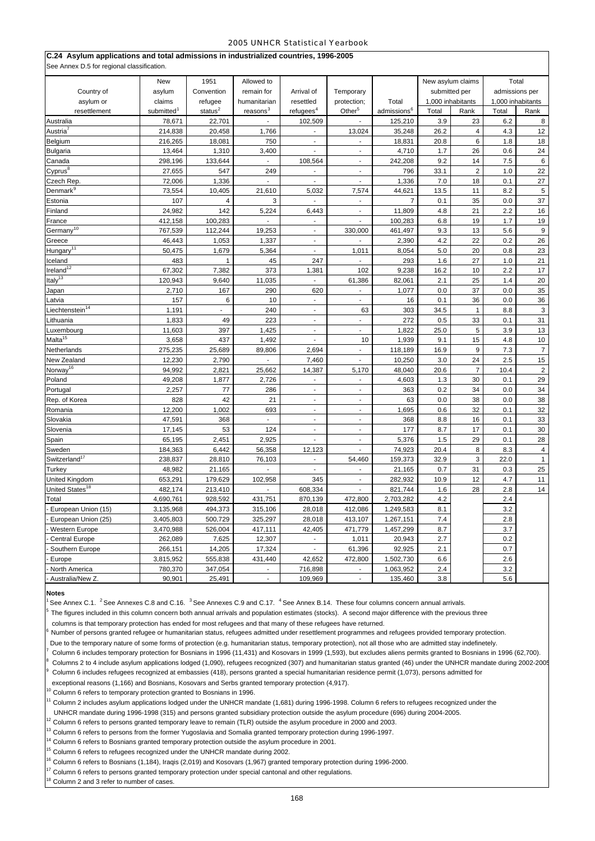| C.24 Asylum applications and total admissions in industrialized countries, 1996-2005<br>See Annex D.5 for regional classification. |                        |               |                      |                             |                          |                         |                   |                |                |                   |
|------------------------------------------------------------------------------------------------------------------------------------|------------------------|---------------|----------------------|-----------------------------|--------------------------|-------------------------|-------------------|----------------|----------------|-------------------|
|                                                                                                                                    | New                    | 1951          | Allowed to           |                             |                          |                         | New asylum claims |                | Total          |                   |
| Country of                                                                                                                         | asylum                 | Convention    | remain for           | Arrival of                  | Temporary                |                         | submitted per     |                | admissions per |                   |
| asylum or                                                                                                                          | claims                 | refugee       | humanitarian         | resettled                   | protection;              | Total                   | 1,000 inhabitants |                |                | 1,000 inhabitants |
| resettlement                                                                                                                       | submitted <sup>1</sup> | status $^{2}$ | reasons <sup>3</sup> | refu <sup>4</sup>           | Other <sup>5</sup>       | admissions <sup>6</sup> | Total             | Rank           | Total          | Rank              |
| Australia                                                                                                                          | 78,671                 | 22,701        |                      | 102,509                     |                          | 125,210                 | 3.9               | 23             | 6.2            | 8                 |
| Austria <sup>7</sup>                                                                                                               | 214,838                | 20,458        | 1,766                | $\blacksquare$              | 13,024                   | 35,248                  | 26.2              | 4              | 4.3            | 12                |
| Belgium                                                                                                                            | 216,265                | 18,081        | 750                  | $\blacksquare$              | ä,                       | 18,831                  | 20.8              | 6              | 1.8            | 18                |
| Bulgaria                                                                                                                           | 13,464                 | 1,310         | 3,400                | ÷                           | $\blacksquare$           | 4,710                   | 1.7               | 26             | 0.6            | 24                |
| Canada                                                                                                                             | 298,196                | 133,644       | $\blacksquare$       | 108,564                     | $\overline{a}$           | 242,208                 | 9.2               | 14             | 7.5            | $\,6\,$           |
| Cyprus <sup>8</sup>                                                                                                                | 27,655                 | 547           | 249                  | $\blacksquare$              | $\sim$                   | 796                     | 33.1              | $\overline{2}$ | 1.0            | 22                |
| Czech Rep.                                                                                                                         | 72,006                 | 1,336         |                      | ÷                           | ÷,                       | 1,336                   | 7.0               | 18             | 0.1            | 27                |
| Denmark <sup>9</sup>                                                                                                               | 73,554                 | 10,405        | 21,610               | 5,032                       | 7,574                    | 44,621                  | 13.5              | 11             | 8.2            | $\overline{5}$    |
| Estonia                                                                                                                            | 107                    | 4             | 3                    | ÷                           | $\blacksquare$           | $\overline{7}$          | 0.1               | 35             | 0.0            | 37                |
| Finland                                                                                                                            | 24,982                 | 142           | 5,224                | 6,443                       | $\overline{\phantom{a}}$ | 11,809                  | 4.8               | 21             | 2.2            | 16                |
| France                                                                                                                             | 412,158                | 100,283       |                      | ä,                          | $\blacksquare$           | 100,283                 | 6.8               | 19             | 1.7            | 19                |
| Germany <sup>10</sup>                                                                                                              | 767,539                | 112,244       | 19,253               | $\mathcal{L}$               | 330,000                  | 461,497                 | 9.3               | 13             | 5.6            | 9                 |
| Greece                                                                                                                             | 46,443                 | 1,053         | 1,337                | $\blacksquare$              |                          | 2,390                   | 4.2               | 22             | 0.2            | 26                |
| Hungary <sup>11</sup>                                                                                                              | 50,475                 | 1,679         | 5,364                | $\overline{a}$              | 1,011                    | 8,054                   | 5.0               | 20             | 0.8            | 23                |
| celand                                                                                                                             | 483                    | 1             | 45                   | 247                         | $\mathbf{r}$             | 293                     | 1.6               | 27             | 1.0            | 21                |
| Ireland <sup>12</sup>                                                                                                              | 67,302                 | 7,382         | 373                  | 1,381                       | 102                      | 9,238                   | 16.2              | 10             | 2.2            | 17                |
| Italy <sup>13</sup>                                                                                                                | 120,943                | 9,640         | 11,035               |                             | 61,386                   | 82,061                  | 2.1               | 25             | 1.4            | 20                |
| Japan                                                                                                                              | 2,710                  | 167           | 290                  | 620                         | $\overline{\phantom{a}}$ | 1,077                   | 0.0               | 37             | 0.0            | 35                |
| Latvia                                                                                                                             | 157                    | 6             | 10                   | $\blacksquare$              | $\overline{a}$           | 16                      | 0.1               | 36             | 0.0            | 36                |
| Liechtenstein <sup>14</sup>                                                                                                        | 1,191                  |               | 240                  | ä,                          | 63                       | 303                     | 34.5              | 1              | 8.8            | 3                 |
| .ithuania                                                                                                                          | 1,833                  | 49            | 223                  | $\blacksquare$              | $\overline{\phantom{a}}$ | 272                     | 0.5               | 33             | 0.1            | 31                |
| Luxembourg                                                                                                                         | 11,603                 | 397           | 1,425                | $\blacksquare$              | ä,                       | 1,822                   | 25.0              | 5              | 3.9            | 13                |
| Malta <sup>15</sup>                                                                                                                | 3,658                  | 437           | 1,492                |                             | 10                       | 1,939                   | 9.1               | 15             | 4.8            | 10                |
| Netherlands                                                                                                                        | 275,235                | 25,689        | 89,806               | 2,694                       | $\blacksquare$           | 118,189                 | 16.9              | 9              | 7.3            | $\overline{7}$    |
| New Zealand                                                                                                                        | 12,230                 | 2,790         |                      | 7,460                       |                          | 10,250                  | 3.0               | 24             | 2.5            | 15                |
| Norway <sup>16</sup>                                                                                                               | 94,992                 | 2,821         | 25,662               | 14,387                      | 5,170                    | 48,040                  | 20.6              | $\overline{7}$ | 10.4           | $\sqrt{2}$        |
| Poland                                                                                                                             | 49,208                 | 1,877         | 2,726                | $\sim$                      | $\blacksquare$           | 4,603                   | 1.3               | 30             | 0.1            | 29                |
| Portugal                                                                                                                           | 2,257                  | 77            | 286                  | $\blacksquare$              | $\sim$                   | 363                     | 0.2               | 34             | 0.0            | 34                |
| Rep. of Korea                                                                                                                      | 828                    | 42            | 21                   | $\blacksquare$              | $\overline{a}$           | 63                      | 0.0               | 38             | 0.0            | 38                |
| Romania                                                                                                                            | 12,200                 | 1,002         | 693                  | $\blacksquare$              | $\blacksquare$           | 1,695                   | 0.6               | 32             | 0.1            | 32                |
| Slovakia                                                                                                                           | 47,591                 | 368           | $\blacksquare$       | $\mathcal{L}_{\mathcal{A}}$ | $\sim$                   | 368                     | 8.8               | 16             | 0.1            | 33                |
| Slovenia                                                                                                                           | 17,145                 | 53            | 124                  | ÷,                          | ÷,                       | 177                     | 8.7               | 17             | 0.1            | 30                |
| Spain                                                                                                                              | 65,195                 | 2,451         | 2,925                | $\sim$                      | $\overline{\phantom{a}}$ | 5,376                   | 1.5               | 29             | 0.1            | 28                |
| Sweden                                                                                                                             | 184,363                | 6,442         | 56,358               | 12,123                      | ÷,                       | 74,923                  | 20.4              | 8              | 8.3            | 4                 |
| Switzerland <sup>17</sup>                                                                                                          | 238,837                | 28,810        | 76,103               |                             | 54,460                   | 159,373                 | 32.9              | 3              | 22.0           | $\mathbf{1}$      |
| Turkey                                                                                                                             | 48,982                 | 21,165        |                      | ÷,                          | $\overline{\phantom{a}}$ | 21,165                  | 0.7               | 31             | 0.3            | 25                |
| United Kingdom                                                                                                                     | 653,291                | 179,629       | 102,958              | 345                         | ÷,                       | 282,932                 | 10.9              | 12             | 4.7            | 11                |
| United States <sup>18</sup>                                                                                                        | 482,174                | 213,410       |                      | 608,334                     |                          | 821,744                 | 1.6               | 28             | 2.8            | 14                |
| Total                                                                                                                              | 4,690,761              | 928.592       | 431,751              | 870,139                     | 472.800                  | 2,703,282               | 4.2               |                | 2.4            |                   |
| European Union (15)                                                                                                                | 3,135,968              | 494,373       | 315,106              | 28,018                      | 412,086                  | 1,249,583               | 8.1               |                | 3.2            |                   |
| European Union (25)                                                                                                                | 3,405,803              | 500,729       | 325,297              | 28,018                      | 413,107                  | 1,267,151               | 7.4               |                | 2.8            |                   |
| Western Europe                                                                                                                     | 3,470,988              | 526,004       | 417,111              | 42,405                      | 471,779                  | 1,457,299               | 8.7               |                | 3.7            |                   |
| <b>Central Europe</b>                                                                                                              | 262,089                | 7,625         | 12,307               |                             | 1,011                    | 20,943                  | 2.7               |                | 0.2            |                   |
| Southern Europe                                                                                                                    | 266,151                | 14,205        | 17,324               |                             | 61,396                   | 92,925                  | 2.1               |                | 0.7            |                   |
| Europe                                                                                                                             | 3,815,952              | 555,838       | 431,440              | 42,652                      | 472,800                  | 1,502,730               | 6.6               |                | 2.6            |                   |
| North America                                                                                                                      | 780,370                | 347,054       |                      | 716,898                     |                          | 1,063,952               | 2.4               |                | 3.2            |                   |
| Australia/New Z.                                                                                                                   | 90,901                 | 25,491        | ä,                   | 109,969                     | ä,                       | 135,460                 | 3.8               |                | 5.6            |                   |

### **Notes**

See Annex C.1. <sup>2</sup> See Annexes C.8 and C.16. <sup>3</sup> See Annexes C.9 and C.17. <sup>4</sup> See Annex B.14. These four columns concern annual arrivals.

The figures included in this column concern both annual arrivals and population estimates (stocks). A second major difference with the previous three

columns is that temporary protection has ended for most refugees and that many of these refugees have returned.

Number of persons granted refugee or humanitarian status, refugees admitted under resettlement programmes and refugees provided temporary protection.

Due to the temporary nature of some forms of protection (e.g. humanitarian status, temporary protection), not all those who are admitted stay indefinetely.

7 Column 6 includes temporary protection for Bosnians in 1996 (11,431) and Kosovars in 1999 (1,593), but excludes aliens permits granted to Bosnians in 1996 (62,700).

8 Columns 2 to 4 include asylum applications lodged (1,090), refugees recognized (307) and humanitarian status granted (46) under the UNHCR mandate during 2002-2005

9 Column 6 includes refugees recognized at embassies (418), persons granted a special humanitarian residence permit (1,073), persons admitted for

exceptional reasons (1,166) and Bosnians, Kosovars and Serbs granted temporary protection (4,917).

 $10$  Column 6 refers to temporary protection granted to Bosnians in 1996.

11 Column 2 includes asylum applications lodged under the UNHCR mandate (1,681) during 1996-1998. Column 6 refers to refugees recognized under the

UNHCR mandate during 1996-1998 (315) and persons granted subsidiary protection outside the asylum procedure (696) during 2004-2005.

12 Column 6 refers to persons granted temporary leave to remain (TLR) outside the asylum procedure in 2000 and 2003.

 $^{13}$  Column 6 refers to persons from the former Yugoslavia and Somalia granted temporary protection during 1996-1997.

 $14$  Column 6 refers to Bosnians granted temporary protection outside the asylum procedure in 2001. <sup>15</sup> Column 6 refers to refugees recognized under the UNHCR mandate during 2002.

 $6$  Column 6 refers to Bosnians (1,184), Iraqis (2,019) and Kosovars (1,967) granted temporary protection during 1996-2000.

 $17$  Column 6 refers to persons granted temporary protection under special cantonal and other regulations.

 $<sup>8</sup>$  Column 2 and 3 refer to number of cases.</sup>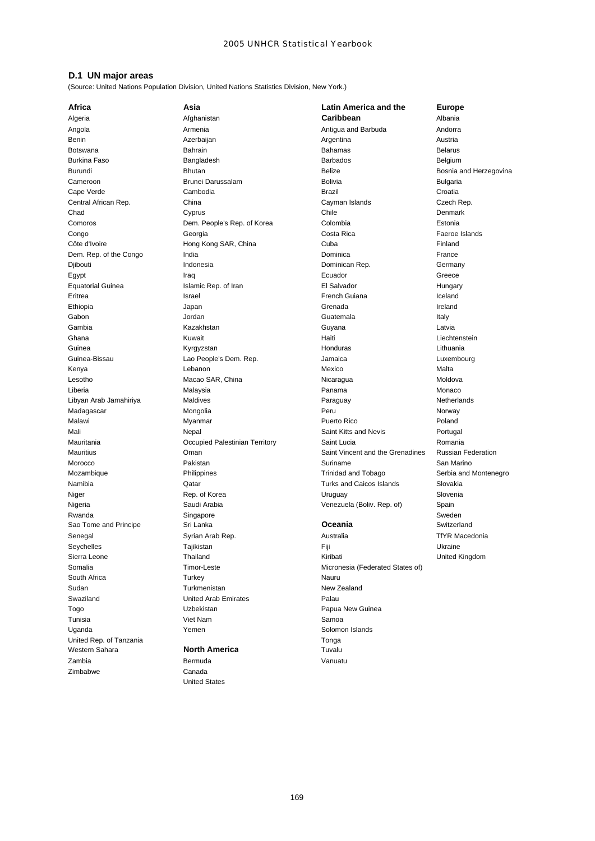## **D.1 UN major areas**

(Source: United Nations Population Division, United Nations Statistics Division, New York.)

**Western Sahara North America Tuvalu** Zambia Bermuda Vanuatu Zimbabwe Canada

Sao Tome and Principe Sri Lanka **Oceania** Switzerland Senegal **Syrian Arab Rep. Communist Australia** Australia TfYR Macedonia South Africa **National Community Contract Community** Turkey Nauru Sudan **New Zealand** Turkmenistan New Zealand Swaziland United Arab Emirates Palau Togo **New Accord Contract Contract Contract Contract Contract Papua New Guinea** Tunisia **Nam Samoa Nicholas Nam Samoa Nicholas Samoa** Viet Nam Samoa Samoa Samoa Samoa Samoa Samoa Samoa Samoa S Uganda Yemen Solomon Islands United Rep. of Tanzania Tonga

United States

**Africa Asia Latin America and the Europe** Algeria Afghanistan **Caribbean** Albania Angola Armenia Antigua and Barbuda Andorra Benin Azerbaijan Azerbaijan Angel Argentina Argentina Austria Botswana Bahrain Bahamas Belarus Burkina Faso Bangladesh Barbados Belgium Burundi **Bhutan** Bhutan Bhutan Belize Belize Bosnia and Herzegovina Cameroon **Brunei Darussalam** Bolivia Bolivia Bulgaria Cape Verde Cambodia Brazil Croatia Central African Rep. China Cayman Islands Czech Rep. Chad Cyprus Communication Chile Chile Denmark Comoros Dem. People's Rep. of Korea Colombia Estonia Congo Georgia Costa Rica Faeroe Islands Côte d'Ivoire **Hong Kong SAR, China** Cuba Cuba Cuba Finland Dem. Rep. of the Congo **India** India **India Rep. 0.1 The Congo India** Dominica **Conservation** France Djibouti Indonesia Dominican Rep. Germany Egypt **Iraq Iraq Ecuador** Ecuador Greece Equatorial Guinea **Islamic Rep. of Iran Community** El Salvador **El Salvador** Hungary Eritrea **Israel Executes Executes Executes Executes** French Guiana **Iceland** Iceland Ethiopia Japan Grenada Ireland Gabon Jordan Guatemala Italy Gambia Kazakhstan Guyana Latvia Ghana **Eileana** Kuwait **Haiti Liechtenstein** Liechtenstein Kuwait Guinea **Martia Channachdar (Kyrgyzstan Honduras Lithuania** Lithuania Guinea-Bissau Lao People's Dem. Rep. Jamaica Luxembourg Kenya Lebanon Mexico Malta Lesotho Macao SAR, China Nicaragua Moldova Liberia Malaysia Panama Monaco Libyan Arab Jamahiriya Maldives Paraguay Netherlands Madagascar Mongolia Peru Norway Malawi Myanmar Puerto Rico Poland Mali **Mali** Nepal News Saint Kitts and Nevis Portugal Mauritania Occupied Palestinian Territory Saint Lucia Romania Mauritius Oman Saint Vincent and the Grenadines Russian Federation Morocco Pakistan Suriname San Marino Mozambique **Mozambique** Philippines **Trinidad and Tobago** Serbia and Montenegro Namibia Qatar Turks and Caicos Islands Slovakia Niger **Rep. of Korea** Christian Museum Christian Museum Christian Museum Christian Slovenia Nigeria Saudi Arabia Venezuela (Boliv. Rep. of) Spain Rwanda Singapore Sungapore Sungapore Sweden Sweden Sweden Sweden Sweden Sweden Sweden Sweden Sweden Sweden Sweden

Seychelles **Seychelles** Tajikistan Tajikistan **Fiji** Fiji Newsley Dkraine Sierra Leone **Thailand** Thailand Kiribati Kiribati **Kiribati** United Kingdom Somalia **Timor-Leste** Timor-Leste Micronesia (Federated States of)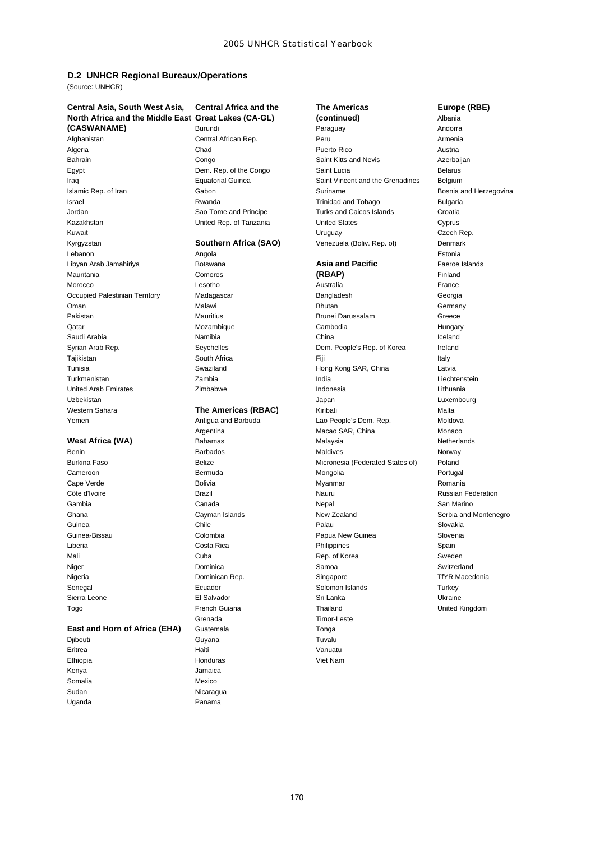# **D.2 UNHCR Regional Bureaux/Operations**

(Source: UNHCR)

# **Central Asia, South West Asia, Central Africa and the The Americas Europe (RBE) North Africa and the Middle East Great Lakes (CA-GL) (continued)** Albania

Mauritania Comoros **(RBAP)** Finland

## **East and Horn of Africa (EHA)** Guatemala **Transformation** Tonga

Kenya Jamaica Somalia Mexico Uganda **Panama** 

Grenada Timor-Leste Djibouti Guyana Tuvalu Eritrea **Haiti** Vanuatu Ethiopia Honduras Viet Nam Sudan Nicaragua

# **(CASWANAME)** Burundi Burundi Paraguay Paraguay Andorra<br>Afghanistan Central African Rep. Peru Peru Paraguay Armenia Afghanistan Central African Rep. Peru Armenia Algeria Chad Puerto Rico Austria Bahrain **Saint Kitts and Nevis** Azerbaijan Congo **Saint Kitts and Nevis** Azerbaijan Egypt **Egypt** Belarus Dem. Rep. of the Congo Saint Lucia **Belarus** Belarus Iraq Equatorial Guinea Saint Vincent and the Grenadines Belgium Islamic Rep. of Iran **Internal Cabon** Gabon Suriname Suriname Bosnia and Herzegovina Israel Rwanda Trinidad and Tobago Bulgaria Jordan Sao Tome and Principe Turks and Caicos Islands Croatia Kazakhstan United Rep. of Tanzania United States Cyprus Kuwait Uruguay Czech Rep. Kyrgyzstan **Southern Africa (SAO)** Venezuela (Boliv. Rep. of) Denmark Lebanon Angola Estonia Libyan Arab Jamahiriya Botswana **Asia and Pacific** Faeroe Islands

Morocco Lesotho Australia France Occupied Palestinian Territory Madagascar **Bangladesh Georgia** Georgia Oman **Bhutan Germany Communist Communist Communist Communist Communist Communist Communist Communist Communist Communist Communist Communist Communist Communist Communist Communist Communist Communist Communist Communist C** Pakistan **Mauritius** Brunei Darussalam Greece Qatar Mozambique Cambodia Hungary Saudi Arabia Namibia Namibia Namibia na kao amin'ny fivondronan-kao indrindra dia 40 metatra. Ny faritr'i Nor Syrian Arab Rep. Seychelles Dem. People's Rep. of Korea Ireland Tajikistan South Africa Fiji Italy Tunisia Swaziland Hong Kong SAR, China Latvia Turkmenistan Zambia India Liechtenstein United Arab Emirates Zimbabwe Indonesia Lithuania Uzbekistan Japan Luxembourg Western Sahara **The Americas (RBAC)** Kiribati Malta Yemen **Antigua and Barbuda** Lao People's Dem. Rep. Moldova Communist Particle Antigua and Barbuda Argentina Macao SAR, China Monaco **West Africa (WA)** Bahamas **Bahamas** Malaysia Mest Africa Netherlands Benin Barbados **Barbados Maldives** Maldives Norway Burkina Faso **Belize** Belize **Belize** Micronesia (Federated States of) Poland Cameroon **Bermuda** Bermuda Mongolia Bermuda Bermuda Bermuda Bermuda Bermuda Bermuda Bermuda Bermuda Bermuda Bermuda Cape Verde **Bolivia** Bolivia **Bolivia** Bolivia Myanmar Mortugale Bolivia Romani*a* Côte d'Ivoire **Constantinople de la Constantinople de la Constantinople de la Constantinople de la Constantinopl**<br>Côte d'Ivoire Gambia Canada Nepal San Marino Ghana **Cayman Islands** Cayman Islands New Zealand Serbia and Montenegro Guinea Chile Palau Slovakia Guinea-Bissau Colombia Papua New Guinea Slovenia Liberia Costa Rica Philippines Spain Mali **Mali** Cuba Cuba Rep. of Korea Sweden Niger Samoa Samoa Samoa Samoa Samoa Samoa Switzerland Nigeria Dominican Rep. Singapore TfYR Macedonia Senegal **Exercise Ecuador** Ecuador **Solomon Islands** Solomon Islands Turkey Sierra Leone El Salvador Sri Lanka Ukraine Togo French Guiana Thailand United Kingdom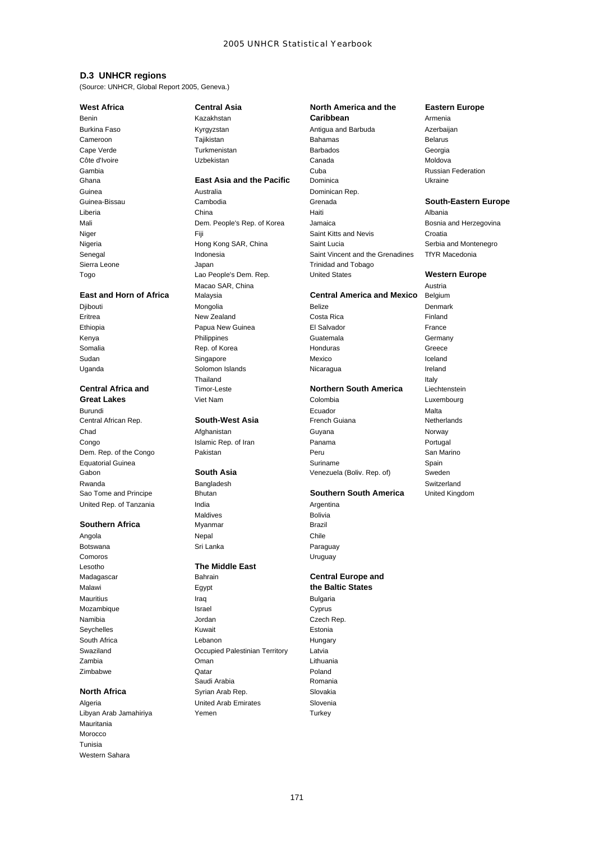## **D.3 UNHCR regions**

(Source: UNHCR, Global Report 2005, Geneva.)

Rwanda Bangladesh Switzerland United Rep. of Tanzania **India** India **India** Argentina

## **Southern Africa** Myanmar Myanmar Brazil

Botswana **Sri Lanka** Sri Lanka Paraguay Comoros Uruguay

Mauritania Morocco Tunisia Western Sahara

# **West Africa Central Asia North America and the Eastern Europe**

Guinea Australia Dominican Rep. Sierra Leone **Internal Sierra Leone** Japan Japan Trinidad and Tobago Macao SAR, China **Austria** Austria **East and Horn of Africa** Malaysia **Central America and Mexico** Belgium Djibouti Mongolia Belize Denmark Eritrea New Zealand Costa Rica Finland Ethiopia **Papua New Guinea** El Salvador **Prance France** El Salvador **France** Kenya Philippines Guatemala Guatemala Germany Somalia **Rep. of Korea** Honduras Honduras Greece Sudan Singapore Mexico Iceland Uganda Solomon Islands Nicaragua Ireland Thailand Italy **Central Africa and** Timor-Leste **Northern South America** Liechtenstein<br> **Great Lakes** Viet Nam Colombia Colombia

Maldives **Bolivia** Angola Nepal Chile

# Lesotho **The Middle East**

Malawi **Egypt the Baltic States** Mauritius Iraq Bulgaria Mozambique **Israel** Israel Cyprus Namibia **Namibia** Jordan **Czech Rep.** 2008 Seychelles **Kuwait** Kuwait **Estonia** South Africa **Lebanon** Lebanon **Hungary** Swaziland Occupied Palestinian Territory Latvia Zambia Oman Lithuania Zimbabwe Qatar Poland Saudi Arabia **Romania North Africa** Syrian Arab Rep. Slovakia Algeria United Arab Emirates Slovenia Libyan Arab Jamahiriya **Yemen** Yemen Turkey

# Benin **Kazakhstan Caribbean Caribbean** Armenia Burkina Faso Kyrgyzstan Antigua and Barbuda Azerbaijan Cameroon Tajikistan Bahamas Belarus Cape Verde Turkmenistan Barbados Georgia Côte d'Ivoire **Canada Europe de Canada** Canada de l'Aldiova de Moldova Uzbekistan de Canada de l'Aldiova de Moldova Gambia Cuba Russian Federation Ghana **East Asia and the Pacific** Dominica Ukraine Guinea-Bissau Cambodia Grenada **South-Eastern Europe** Liberia China Haiti Albania Mali **Mali** Bosnia and Herzegovina Dem. People's Rep. of Korea Jamaica **Bosnia and Herzegovina** Niger **Niger** Saint Kitts and Nevis Croatian Croatian Croatian Croatian Croatian Croatian Croatian Nigeria **Hong Kong SAR, China** Saint Lucia Saint Lucia Serbia and Montenegro Senegal **Indonesia** Indonesia Saint Vincent and the Grenadines TfYR Macedonia Togo Lao People's Dem. Rep. United States **Western Europe**

**Great Lakes Colombia** Colombia Luxembourg **Luxembourg** Viet Nam **Colombia** Colombia Burundi Ecuador Malta Central African Rep. **South-West Asia** French Guiana Netherlands Chad **Afghanistan Guyana** Guyana Norway Congo **Islamic Rep. of Iran Panama** Portugal Panama Portugal Dem. Rep. of the Congo Pakistan Peru San Marino Equatorial Guinea **Suriname** Suriname Spain Suriname Spain Gabon **South Asia** Venezuela (Boliv. Rep. of) Sweden

### Sao Tome and Principe Bhutan **Southern South America** United Kingdom

# Madagascar Bahrain **Central Europe and**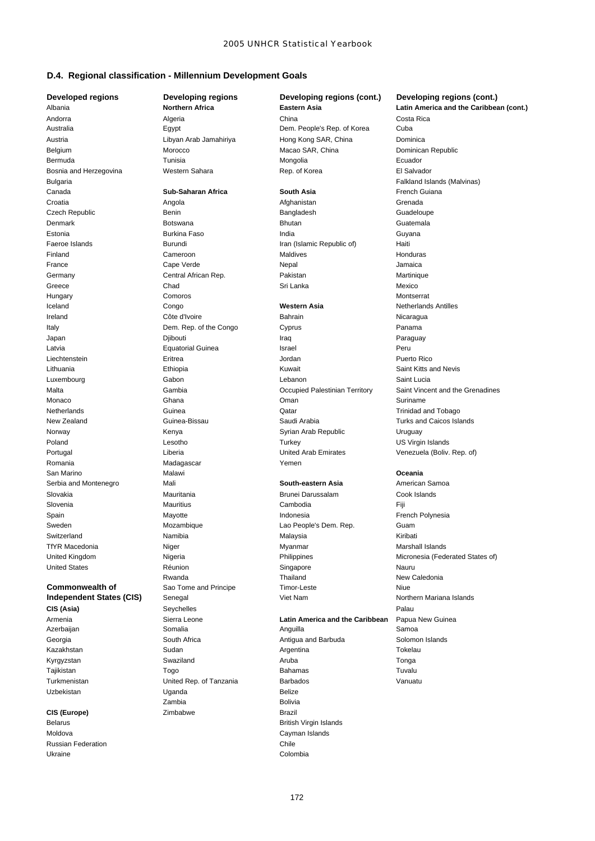## **D.4. Regional classification - Millennium Development Goals**

Andorra Algeria China Costa Rica Australia Egypt Dem. People's Rep. of Korea Cuba Austria Libyan Arab Jamahiriya Hong Kong SAR, China Dominica

# Uzbekistan **Uganda** Uganda Belize

Russian Federation **Chile** Ukraine Colombia

Romania **Madagascar** Madagascar Yemen Zambia Bolivia **CIS (Europe)** Zimbabwe **Zimbabwe** Brazil Belarus British Virgin Islands Moldova **Cayman Islands** 

Belgium Morocco Macao SAR, China Dominican Republic Bermuda Tunisia Mongolia Ecuador Bosnia and Herzegovina Western Sahara Rep. of Korea **Rep. of Korea** El Salvador Bulgaria Falkland Islands (Malvinas) Canada **Sub-Saharan Africa South Asia** French Guiana Croatia **Angola** Angola **Afghanistan** Afghanistan Grenada Czech Republic Benin Bangladesh Guadeloupe Denmark Botswana Bhutan Guatemala Estonia Burkina Faso India Guyana Faeroe Islands **Burundi** Burundi Iran (Islamic Republic of) Haiti Finland Cameroon Maldives Honduras France Cape Verde Nepal Jamaica Germany **Central African Rep.** Pakistan Martinique Martinique Greece Chad Sri Lanka Mexico Hungary Comoros Montserrat Iceland Congo **Western Asia** Netherlands Antilles **Ireland** Côte d'Ivoire **Bahrain** Bahrain Nicaragua Italy **Dem. Rep. of the Congo Cyprus** Cyprus Panama Japan Djibouti Iraq Paraguay Latvia Equatorial Guinea Israel Peru Liechtenstein Eritrea Jordan Puerto Rico Lithuania Ethiopia Kuwait Saint Kitts and Nevis Luxembourg Gabon Lebanon Saint Lucia Monaco Ghana Oman Suriname Netherlands **Catallactic Community** Guinea Communication Communication Communication Communication Communication Communication Communication Communication Communication Communication Communication Communication Communicati New Zealand Guinea-Bissau Saudi Arabia Turks and Caicos Islands Norway **Kenya** Kenya Syrian Arab Republic Uruguay Poland **Lesotho Containers** Constants Lesotho **Constants Constants Constants Constants Constants Constants Constants Constants Constants Constants Constants Constants Constants Constants Constants Constants Constants Con** Portugal Liberia United Arab Emirates Venezuela (Boliv. Rep. of) San Marino **Oceania Malawi Malawi Oceania na maran**a a shekara ta 1992, a shekara ta 1992, a shekara ta 199 Serbia and Montenegro Mali **South-eastern Asia** American Samoa Slovakia **Mauritania** Mauritania Brunei Darussalam Cook Islands Slovenia Mauritius Cambodia Fiji Spain **Indonesia** Communist Mayotte **Indonesia** Indonesia **Indonesia** French Polynesia Sweden Mozambique Lao People's Dem. Rep. Guam Switzerland Namibia Malaysia Kiribati TfYR Macedonia **Niger** Myanmar Myanmar Macedonia Marshall Islands United States **Nation** Réunion **Communist Communist Communist Communist Communist Communist Communist Communist Communist Communist Communist Communist Communist Communist Communist Communist Communist Communist Communist** Rwanda **New Caledonia** Thailand **Thailand** New Caledonia **Commonwealth of** Sao Tome and Principe Timor-Leste Theorem Commonwealth of Sao Tome and Principe Timor-Leste **Independent States (CIS)** Senegal Viet Nam Viet Nam Northern Mariana Islands **CIS (Asia)** Seychelles Palau Armenia Sierra Leone **Latin America and the Caribbean** Papua New Guinea Azerbaijan Somalia Anguilla Samoa Georgia **South Africa Communist Antigua and Barbuda** Solomon Islands Kazakhstan Sudan Argentina Tokelau Kyrgyzstan Swaziland Aruba Tonga Tajikistan Togo Bahamas Tuvalu Turkmenistan United Rep. of Tanzania Barbados Vanuatu

# **Developed regions Developing regions Developing regions (cont.) Developing regions (cont.)** Albania **Northern Africa Eastern Asia Latin America and the Caribbean (cont.)** Malta Gambia Occupied Palestinian Territory Saint Vincent and the Grenadines

United Kingdom Nigeria Philippines Micronesia (Federated States of)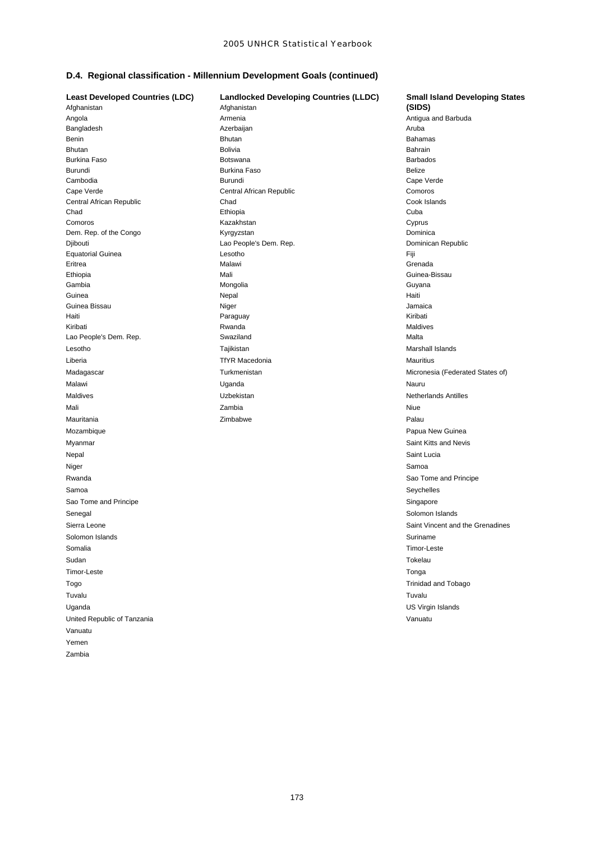# **D.4. Regional classification - Millennium Development Goals (continued)**

Nepal Saint Lucia Niger Samoa and Samoa and Samoa and Samoa and Samoa and Samoa and Samoa and Samoa and Samoa and Samoa and Samoa Rwanda **Sao Tome and Principe** Sao Tome and Principe Samoa Seychelles and the second service of the second service of the second service of the Seychelles Sao Tome and Principe Singapore Singapore Singapore Singapore Senegal Solomon Islands Solomon Islands and Solomon Islands Solomon Islands Solomon Islands Solomon Islands and Solomon Islands and Solomon Islands and Solomon Islands and Solomon Islands and Solomon Islands and Solomon Is Solomon Islands Suriname **Suriname** Suriname **Suriname** Suriname **Suriname** Suriname Somalia Timor-Leste Sudan Tokelau **Timor-Leste** Tonga Togo Trinidad and Tobago Tuvalu Tuvalu Uganda **Uganda Uganda** US Virgin Islands United Republic of Tanzania Vanuatu Vanuatu Yemen Zambia

**Least Developed Countries (LDC) Landlocked Developing Countries (LLDC) Small Island Developing States** Afghanistan Afghanistan **(SIDS)** Angola Armenia Antigua and Barbuda Bangladesh **Azerbaijan Azerbaijan Aruba** Aruba Aruba Benin Bahamas **Bhutan Bhutan Bahamas Bahamas Bahamas** Bahamas Bahamas Bahamas Bahamas Bahamas Bahamas Bahamas Bah Bhutan Bahrain Bolivia Bolivia anns an Bolivia anns an t-Iomrain an t-Iomrain Bahrain Burkina Faso **Botswana** Botswana **Barbados** Barbados Barbados Burundi Burkina Faso Belize Cambodia Burundi Cape Verde Cape Verde Central African Republic Comoros Central African Republic Chad Cook Islands Chad Ethiopia Cuba Comoros **Comoros** Cyprus Cyprus Cyprus Cyprus Kazakhstan Cyprus Cyprus Cyprus Cyprus Cyprus Cyprus Cyprus Cyprus Dem. Rep. of the Congo **Congo Congo Congo Congo Congo Congo Congo** Kyrgyzstan **Dominica** Dominica Djibouti Lao People's Dem. Rep. Dominican Republic Equatorial Guinea Lesotho Fiji Eritrea Malawi Grenada Ethiopia **Mali** Mali Guinea-Bissau Guinea-Bissau Guinea-Bissau Guinea-Bissau Guinea-Bissau Guinea-Bissau Guinea-Bissau Gambia Mongolia Guyana Guinea Nepal Haiti Guinea Bissau **Niger** Niger **Niger** Jamaica **Jamaica** Jamaica Haiti Paraguay Kiribati Kiribati Rwanda Maldives Lao People's Dem. Rep. Swaziland Malta Lesotho Tajikistan Marshall Islands Liberia **Mauritius Community Community Community** TfYR Macedonia **Mauritius Mauritius** Mauritius Madagascar **Micronesia (Federated States of)** Turkmenistan Micronesia (Federated States of) Malawi Uganda Nauru Maldives **Netherlands** Antilles **Uzbekistan Netherlands Antilles** Mali Zambia Niue Mauritania **Mauritania Republika Palau na Palau Palau Palau Palau Palau Palau Palau Palau Palau Palau Palau Palau** Mozambique **Papua New Guinea** New Guinea New Guinea New Guinea New Guinea New Guinea New Guinea New Guinea New Guinea Myanmar **Saint Kitts and Nevis** Saint Kitts and Nevis

Sierra Leone **Saint Vincent and the Grenadines** Saint Vincent and the Grenadines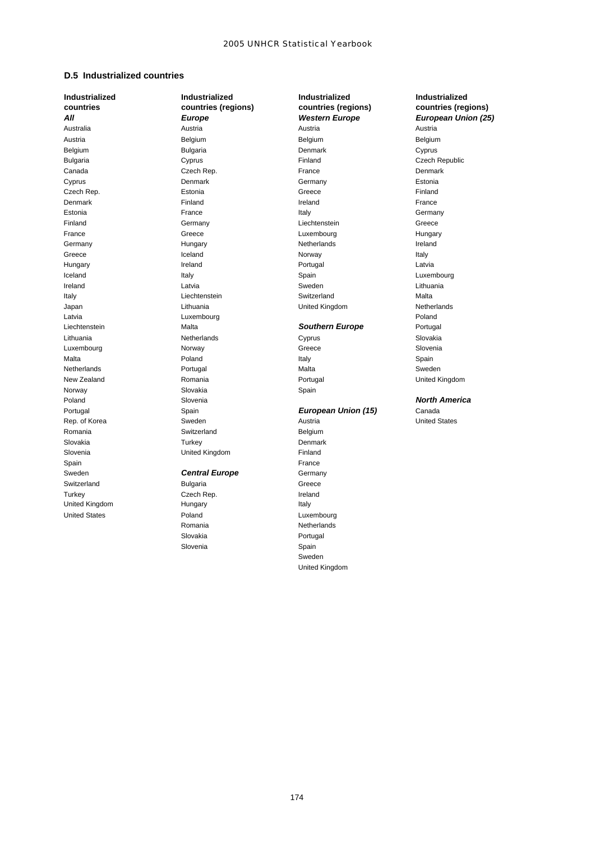## **D.5 Industrialized countries**

Sweden **Central Europe** Germany Switzerland **Bulgaria** Bulgaria Greece Turkey Czech Rep. Communication Capach Rep. United Kingdom **Hungary Hungary Italy** 

**Industrialized Industrialized Industrialized Industrialized** Australia Austria Austria Austria Austria Belgium Belgium Belgium Belgium Bulgaria Denmark Cyprus Bulgaria **Cyprus** Cyprus Finland Czech Republic Canada Czech Rep. France Denmark Cyprus Denmark Germany Estonia Czech Rep. Estonia Greece Finland Denmark Finland Ireland France Estonia **External Contract Contract Contract Contract Contract Contract Contract Contract Contract Contract Contract Contract Contract Contract Contract Contract Contract Contract Contract Contract Contract Contract Contra** Finland Germany Liechtenstein Greece France **Greece** Greece **Luxembourg** Hungary Hungary Germany **Internal Communist Communist Communist Communist Communist Communist Communist Communist Communist Communist Communist Communist Communist Communist Communist Communist Communist Communist Communist Communist Comm** Greece Iceland Norway Italy Hungary Ireland Portugal Latvia Iceland Italy Spain Luxembourg Ireland **Latvia** Carrier Communication Communication Communication Communication Communication Communication Comm Italy **International Communist Contract Communist Communist Communist Communist Communist Communist Communist Communist Communist Communist Communist Communist Communist Communist Communist Communist Communist Communist Co** Japan Lithuania United Kingdom Netherlands Latvia **Contract Contract Contract Contract Contract Contract Contract Contract Contract Contract Poland** Liechtenstein Malta *Southern Europe* Portugal Lithuania Netherlands Cyprus Slovakia Luxembourg Norway Greece Slovenia Malta Poland Italy Spain Netherlands Portugal Malta Sweden New Zealand **Romania** Romania Romania Romania Romania Romania Romania Romania Romania Romania Romania Romania Norway Slovakia Slovakia Spain Poland Slovenia *North America* Portugal Spain *European Union (15)* Canada Rep. of Korea Sweden Sweden Austria United States Austria Romania **Belgium** Switzerland **Belgium** Belgium Slovakia **National Turkey Commander** Denmark Slovenia **Example 2** United Kingdom **Finland** Spain France (1999), Spain France (1999), Spain France (1999), Spain France (1999), Spain France

United States **Poland** Poland **Luxembourg** Romania **Netherlands** Slovakia **Portugal** Slovenia **Spain** Spain

**countries countries (regions) countries (regions) countries (regions)** *All Europe Western Europe European Union (25)*

Sweden United Kingdom